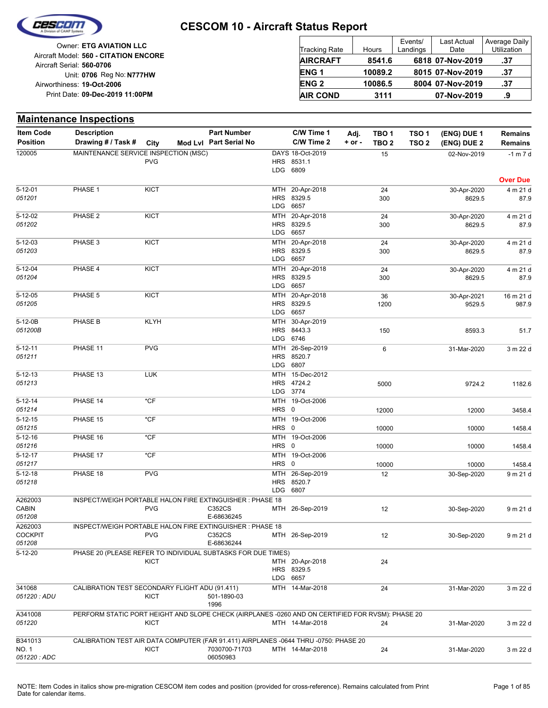

Reg No: **N777HW** Unit: **0706 09-Dec-2019 11:00PM** Print Date: **19-Oct-2006** Airworthiness: Owner: **ETG AVIATION LLC** Aircraft Serial: **560-0706** Aircraft Model: **560 - CITATION ENCORE**

| <b>Tracking Rate</b> | <b>Hours</b> | Events/<br>Landings | <b>Last Actual</b><br>Date | Average Daily<br>Utilization |
|----------------------|--------------|---------------------|----------------------------|------------------------------|
| <b>AIRCRAFT</b>      | 8541.6       |                     | 6818 07-Nov-2019           | .37                          |
| ENG <sub>1</sub>     | 10089.2      |                     | 8015 07-Nov-2019           | .37                          |
| <b>ENG 2</b>         | 10086.5      |                     | 8004 07-Nov-2019           | .37                          |
| <b>AIR COND</b>      | 3111         |                     | 07-Nov-2019                | .9                           |

#### **Maintenance Inspections**

| Item Code               | <b>Description</b>                                                                               |             | <b>Part Number</b>     |            | C/W Time 1                | Adj.       | TBO 1            | TSO <sub>1</sub> | (ENG) DUE 1 | <b>Remains</b>  |
|-------------------------|--------------------------------------------------------------------------------------------------|-------------|------------------------|------------|---------------------------|------------|------------------|------------------|-------------|-----------------|
| <b>Position</b>         | Drawing # / Task # City                                                                          |             | Mod Lvl Part Serial No |            | C/W Time 2                | $+$ or $-$ | TBO <sub>2</sub> | TSO <sub>2</sub> | (ENG) DUE 2 | <b>Remains</b>  |
| 120005                  | MAINTENANCE SERVICE INSPECTION (MSC)                                                             |             |                        |            | DAYS 18-Oct-2019          |            | 15               |                  | 02-Nov-2019 | $-1$ m $7$ d    |
|                         |                                                                                                  | <b>PVG</b>  |                        |            | HRS 8531.1                |            |                  |                  |             |                 |
|                         |                                                                                                  |             |                        |            | LDG 6809                  |            |                  |                  |             |                 |
|                         |                                                                                                  |             |                        |            |                           |            |                  |                  |             | <b>Over Due</b> |
| $5 - 12 - 01$           | PHASE 1                                                                                          | <b>KICT</b> |                        | MTH        | 20-Apr-2018               |            | 24               |                  | 30-Apr-2020 | 4 m 21 d        |
| 051201                  |                                                                                                  |             |                        |            | HRS 8329.5<br>LDG 6657    |            | 300              |                  | 8629.5      | 87.9            |
|                         |                                                                                                  |             |                        |            |                           |            |                  |                  |             |                 |
| 5-12-02                 | PHASE 2                                                                                          | <b>KICT</b> |                        |            | MTH 20-Apr-2018           |            | 24               |                  | 30-Apr-2020 | 4 m 21 d        |
| 051202                  |                                                                                                  |             |                        | LDG        | HRS 8329.5<br>6657        |            | 300              |                  | 8629.5      | 87.9            |
|                         |                                                                                                  |             |                        |            |                           |            |                  |                  |             |                 |
| $5 - 12 - 03$<br>051203 | PHASE 3                                                                                          | <b>KICT</b> |                        | MTH        | 20-Apr-2018<br>HRS 8329.5 |            | 24               |                  | 30-Apr-2020 | 4 m 21 d        |
|                         |                                                                                                  |             |                        | LDG.       | 6657                      |            | 300              |                  | 8629.5      | 87.9            |
| $5 - 12 - 04$           | PHASE 4                                                                                          | <b>KICT</b> |                        | <b>MTH</b> | 20-Apr-2018               |            | 24               |                  | 30-Apr-2020 | 4 m 21 d        |
| 051204                  |                                                                                                  |             |                        |            | HRS 8329.5                |            | 300              |                  | 8629.5      | 87.9            |
|                         |                                                                                                  |             |                        | LDG        | 6657                      |            |                  |                  |             |                 |
| $5 - 12 - 05$           | PHASE 5                                                                                          | <b>KICT</b> |                        | <b>MTH</b> | 20-Apr-2018               |            | 36               |                  | 30-Apr-2021 | 16 m 21 d       |
| 051205                  |                                                                                                  |             |                        |            | HRS 8329.5                |            | 1200             |                  | 9529.5      | 987.9           |
|                         |                                                                                                  |             |                        |            | LDG 6657                  |            |                  |                  |             |                 |
| 5-12-0B                 | PHASE B                                                                                          | <b>KLYH</b> |                        | MTH        | 30-Apr-2019               |            |                  |                  |             |                 |
| 051200B                 |                                                                                                  |             |                        |            | HRS 8443.3                |            | 150              |                  | 8593.3      | 51.7            |
|                         |                                                                                                  |             |                        |            | LDG 6746                  |            |                  |                  |             |                 |
| $5 - 12 - 11$           | PHASE 11                                                                                         | <b>PVG</b>  |                        | <b>MTH</b> | 26-Sep-2019               |            | 6                |                  | 31-Mar-2020 | 3 m 22 d        |
| 051211                  |                                                                                                  |             |                        |            | HRS 8520.7                |            |                  |                  |             |                 |
|                         |                                                                                                  |             |                        |            | LDG 6807                  |            |                  |                  |             |                 |
| $5 - 12 - 13$           | PHASE 13                                                                                         | <b>LUK</b>  |                        |            | MTH 15-Dec-2012           |            |                  |                  |             |                 |
| 051213                  |                                                                                                  |             |                        |            | HRS 4724.2                |            | 5000             |                  | 9724.2      | 1182.6          |
|                         |                                                                                                  |             |                        |            | LDG 3774                  |            |                  |                  |             |                 |
| $5 - 12 - 14$           | PHASE 14                                                                                         | *CF         |                        |            | MTH 19-Oct-2006           |            |                  |                  |             |                 |
| 051214                  |                                                                                                  |             |                        | HRS 0      |                           |            | 12000            |                  | 12000       | 3458.4          |
| $5 - 12 - 15$           | PHASE 15                                                                                         | $*$ CF      |                        |            | MTH 19-Oct-2006           |            |                  |                  |             |                 |
| 051215                  |                                                                                                  |             |                        | HRS 0      |                           |            | 10000            |                  | 10000       | 1458.4          |
| $5 - 12 - 16$           | PHASE 16                                                                                         | *CF         |                        |            | MTH 19-Oct-2006           |            |                  |                  |             |                 |
| 051216                  |                                                                                                  |             |                        | HRS 0      |                           |            | 10000            |                  | 10000       | 1458.4          |
| $5 - 12 - 17$           | PHASE 17                                                                                         | $*$ CF      |                        |            | MTH 19-Oct-2006           |            |                  |                  |             |                 |
| 051217                  |                                                                                                  |             |                        | HRS 0      |                           |            | 10000            |                  | 10000       | 1458.4          |
| $5 - 12 - 18$           | PHASE 18                                                                                         | <b>PVG</b>  |                        |            | MTH 26-Sep-2019           |            | 12               |                  | 30-Sep-2020 | 9 m 21 d        |
| 051218                  |                                                                                                  |             |                        |            | HRS 8520.7                |            |                  |                  |             |                 |
|                         |                                                                                                  |             |                        | <b>LDG</b> | 6807                      |            |                  |                  |             |                 |
| A262003                 | INSPECT/WEIGH PORTABLE HALON FIRE EXTINGUISHER : PHASE 18                                        |             |                        |            |                           |            |                  |                  |             |                 |
| CABIN                   |                                                                                                  | <b>PVG</b>  | C352CS                 |            | MTH 26-Sep-2019           |            | 12               |                  | 30-Sep-2020 | 9 m 21 d        |
| 051208                  |                                                                                                  |             | E-68636245             |            |                           |            |                  |                  |             |                 |
| A262003                 | INSPECT/WEIGH PORTABLE HALON FIRE EXTINGUISHER : PHASE 18                                        |             |                        |            |                           |            |                  |                  |             |                 |
| <b>COCKPIT</b>          |                                                                                                  | <b>PVG</b>  | C352CS                 |            | MTH 26-Sep-2019           |            | 12               |                  | 30-Sep-2020 | 9 m 21 d        |
| 051208                  |                                                                                                  |             | E-68636244             |            |                           |            |                  |                  |             |                 |
| $5 - 12 - 20$           | PHASE 20 (PLEASE REFER TO INDIVIDUAL SUBTASKS FOR DUE TIMES)                                     |             |                        |            |                           |            |                  |                  |             |                 |
|                         |                                                                                                  | KICT        |                        |            | MTH 20-Apr-2018           |            | 24               |                  |             |                 |
|                         |                                                                                                  |             |                        |            | HRS 8329.5                |            |                  |                  |             |                 |
|                         |                                                                                                  |             |                        |            | LDG 6657                  |            |                  |                  |             |                 |
| 341068                  | CALIBRATION TEST SECONDARY FLIGHT ADU (91.411)                                                   |             |                        |            | MTH 14-Mar-2018           |            | 24               |                  | 31-Mar-2020 | 3 m 22 d        |
| 051220 : ADU            |                                                                                                  | <b>KICT</b> | 501-1890-03            |            |                           |            |                  |                  |             |                 |
|                         |                                                                                                  |             | 1996                   |            |                           |            |                  |                  |             |                 |
| A341008                 | PERFORM STATIC PORT HEIGHT AND SLOPE CHECK (AIRPLANES -0260 AND ON CERTIFIED FOR RVSM): PHASE 20 |             |                        |            |                           |            |                  |                  |             |                 |
| 051220                  |                                                                                                  | KICT        |                        |            | MTH 14-Mar-2018           |            | 24               |                  | 31-Mar-2020 | 3 m 22 d        |
|                         |                                                                                                  |             |                        |            |                           |            |                  |                  |             |                 |
| B341013                 | CALIBRATION TEST AIR DATA COMPUTER (FAR 91.411) AIRPLANES -0644 THRU -0750: PHASE 20             |             |                        |            |                           |            |                  |                  |             |                 |
| NO. 1                   |                                                                                                  | KICT        | 7030700-71703          |            | MTH 14-Mar-2018           |            | 24               |                  | 31-Mar-2020 | 3 m 22 d        |
| 051220 : ADC            |                                                                                                  |             | 06050983               |            |                           |            |                  |                  |             |                 |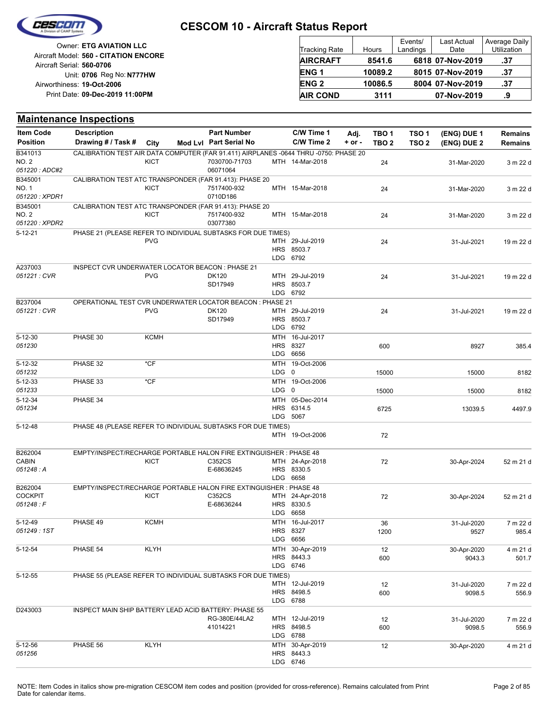

|                                       |                        |         | Events/  | Last Actual      | Average Daily      |
|---------------------------------------|------------------------|---------|----------|------------------|--------------------|
| <b>Owner: ETG AVIATION LLC</b>        | Tracking Rate          | Hours   | Landings | Date             | <b>Utilization</b> |
| Aircraft Model: 560 - CITATION ENCORE | <b>AIRCRAFT</b>        | 8541.6  |          | 6818 07-Nov-2019 | .37                |
| Aircraft Serial: 560-0706             |                        |         |          |                  |                    |
| Unit: 0706 Reg No: N777HW             | ENG <sub>1</sub>       | 10089.2 |          | 8015 07-Nov-2019 | -37                |
| Airworthiness: 19-Oct-2006            | <b>ENG<sub>2</sub></b> | 10086.5 |          | 8004 07-Nov-2019 | .37                |
| Print Date: 09-Dec-2019 11:00PM       | <b>AIR COND</b>        | 3111    |          | 07-Nov-2019      | .9                 |

#### **Maintenance Inspections**

| <b>Item Code</b>               | <b>Description</b>                                                                   |             | <b>Part Number</b>        |           | C/W Time 1                                | Adj.     | TBO 1            | TSO <sub>1</sub> | (ENG) DUE 1 | Remains        |
|--------------------------------|--------------------------------------------------------------------------------------|-------------|---------------------------|-----------|-------------------------------------------|----------|------------------|------------------|-------------|----------------|
| <b>Position</b>                | Drawing # / Task # City                                                              |             | Mod Lvl Part Serial No    |           | C/W Time 2                                | $+ or -$ | TBO <sub>2</sub> | TSO <sub>2</sub> | (ENG) DUE 2 | <b>Remains</b> |
| B341013                        | CALIBRATION TEST AIR DATA COMPUTER (FAR 91.411) AIRPLANES -0644 THRU -0750: PHASE 20 |             |                           |           |                                           |          |                  |                  |             |                |
| <b>NO. 2</b><br>051220: ADC#2  |                                                                                      | <b>KICT</b> | 7030700-71703<br>06071064 |           | MTH 14-Mar-2018                           |          | 24               |                  | 31-Mar-2020 | 3 m 22 d       |
| B345001                        | CALIBRATION TEST ATC TRANSPONDER (FAR 91.413): PHASE 20                              |             |                           |           |                                           |          |                  |                  |             |                |
| <b>NO. 1</b><br>051220 : XPDR1 |                                                                                      | <b>KICT</b> | 7517400-932<br>0710D186   |           | MTH 15-Mar-2018                           |          | 24               |                  | 31-Mar-2020 | 3 m 22 d       |
| B345001                        | CALIBRATION TEST ATC TRANSPONDER (FAR 91.413): PHASE 20                              |             |                           |           |                                           |          |                  |                  |             |                |
| NO. 2                          |                                                                                      | KICT        | 7517400-932               |           | MTH 15-Mar-2018                           |          | 24               |                  | 31-Mar-2020 | 3 m 22 d       |
| 051220 : XPDR2                 |                                                                                      |             | 03077380                  |           |                                           |          |                  |                  |             |                |
| $5 - 12 - 21$                  | PHASE 21 (PLEASE REFER TO INDIVIDUAL SUBTASKS FOR DUE TIMES)                         | <b>PVG</b>  |                           |           | MTH 29-Jul-2019<br>HRS 8503.7<br>LDG 6792 |          | 24               |                  | 31-Jul-2021 | 19 m 22 d      |
| A237003                        | INSPECT CVR UNDERWATER LOCATOR BEACON : PHASE 21                                     |             |                           |           |                                           |          |                  |                  |             |                |
| 051221 : CVR                   |                                                                                      | <b>PVG</b>  | DK120<br>SD17949          |           | MTH 29-Jul-2019<br>HRS 8503.7<br>LDG 6792 |          | 24               |                  | 31-Jul-2021 | 19 m 22 d      |
| B237004                        | OPERATIONAL TEST CVR UNDERWATER LOCATOR BEACON : PHASE 21                            |             |                           |           |                                           |          |                  |                  |             |                |
| 051221 : CVR                   |                                                                                      | <b>PVG</b>  | DK120<br>SD17949          |           | MTH 29-Jul-2019<br>HRS 8503.7<br>LDG 6792 |          | 24               |                  | 31-Jul-2021 | 19 m 22 d      |
| $5 - 12 - 30$<br>051230        | PHASE 30                                                                             | KCMH        |                           |           | MTH 16-Jul-2017<br>HRS 8327<br>LDG 6656   |          | 600              |                  | 8927        | 385.4          |
| $5 - 12 - 32$                  | PHASE 32                                                                             | $*CF$       |                           |           | MTH 19-Oct-2006                           |          |                  |                  |             |                |
| 051232                         |                                                                                      |             |                           | $LDG \t0$ |                                           |          | 15000            |                  | 15000       | 8182           |
| $5 - 12 - 33$<br>051233        | PHASE 33                                                                             | *CF         |                           | LDG 0     | MTH 19-Oct-2006                           |          | 15000            |                  | 15000       | 8182           |
| $5 - 12 - 34$                  | PHASE 34                                                                             |             |                           |           | MTH 05-Dec-2014                           |          |                  |                  |             |                |
| 051234                         |                                                                                      |             |                           |           | HRS 6314.5<br>LDG 5067                    |          | 6725             |                  | 13039.5     | 4497.9         |
| $5 - 12 - 48$                  | PHASE 48 (PLEASE REFER TO INDIVIDUAL SUBTASKS FOR DUE TIMES)                         |             |                           |           |                                           |          |                  |                  |             |                |
|                                |                                                                                      |             |                           |           | MTH 19-Oct-2006                           |          | 72               |                  |             |                |
| B262004                        | EMPTY/INSPECT/RECHARGE PORTABLE HALON FIRE EXTINGUISHER : PHASE 48                   |             |                           |           |                                           |          |                  |                  |             |                |
| <b>CABIN</b>                   |                                                                                      | KICT        | C352CS                    |           | MTH 24-Apr-2018                           |          | 72               |                  | 30-Apr-2024 | 52 m 21 d      |
| 051248: A                      |                                                                                      |             | E-68636245                |           | HRS 8330.5                                |          |                  |                  |             |                |
|                                |                                                                                      |             |                           |           | LDG 6658                                  |          |                  |                  |             |                |
| B262004<br><b>COCKPIT</b>      | EMPTY/INSPECT/RECHARGE PORTABLE HALON FIRE EXTINGUISHER : PHASE 48                   | KICT        | C352CS                    |           | MTH 24-Apr-2018                           |          | 72               |                  |             | 52 m 21 d      |
| 051248:F                       |                                                                                      |             | E-68636244                |           | HRS 8330.5                                |          |                  |                  | 30-Apr-2024 |                |
|                                |                                                                                      |             |                           |           | LDG 6658                                  |          |                  |                  |             |                |
| $5 - 12 - 49$                  | PHASE 49                                                                             | <b>KCMH</b> |                           |           | MTH 16-Jul-2017                           |          | 36               |                  | 31-Jul-2020 | 7 m 22 d       |
| 051249:1ST                     |                                                                                      |             |                           |           | HRS 8327                                  |          | 1200             |                  | 9527        | 985.4          |
|                                |                                                                                      |             |                           |           | LDG 6656                                  |          |                  |                  |             |                |
| $5 - 12 - 54$                  | PHASE 54                                                                             | <b>KLYH</b> |                           |           | MTH 30-Apr-2019                           |          | 12               |                  | 30-Apr-2020 | 4 m 21 d       |
|                                |                                                                                      |             |                           |           | HRS 8443.3<br>LDG 6746                    |          | 600              |                  | 9043.3      | 501.7          |
| $5 - 12 - 55$                  | PHASE 55 (PLEASE REFER TO INDIVIDUAL SUBTASKS FOR DUE TIMES)                         |             |                           |           |                                           |          |                  |                  |             |                |
|                                |                                                                                      |             |                           |           | MTH 12-Jul-2019                           |          | 12               |                  | 31-Jul-2020 | 7 m 22 d       |
|                                |                                                                                      |             |                           |           | HRS 8498.5                                |          | 600              |                  | 9098.5      | 556.9          |
|                                |                                                                                      |             |                           |           | LDG 6788                                  |          |                  |                  |             |                |
| D243003                        | INSPECT MAIN SHIP BATTERY LEAD ACID BATTERY: PHASE 55                                |             |                           |           |                                           |          |                  |                  |             |                |
|                                |                                                                                      |             | RG-380E/44LA2             |           | MTH 12-Jul-2019                           |          | 12               |                  | 31-Jul-2020 | 7 m 22 d       |
|                                |                                                                                      |             | 41014221                  |           | HRS 8498.5                                |          | 600              |                  | 9098.5      | 556.9          |
| $5 - 12 - 56$                  | PHASE 56                                                                             | <b>KLYH</b> |                           |           | LDG 6788<br>MTH 30-Apr-2019               |          |                  |                  |             |                |
| 051256                         |                                                                                      |             |                           |           | HRS 8443.3                                |          | 12               |                  | 30-Apr-2020 | 4 m 21 d       |
|                                |                                                                                      |             |                           |           | LDG 6746                                  |          |                  |                  |             |                |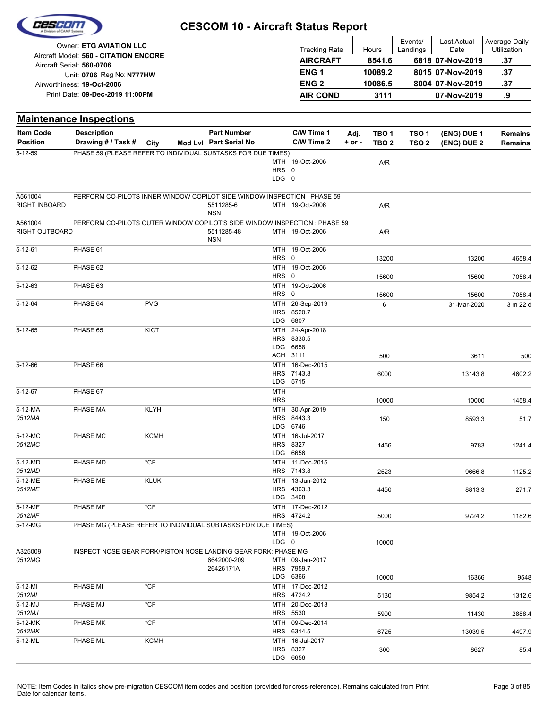

| Owner: ETG AVIATION LLC                                            | <b>Tracking Rate</b> | Hours   | Events/<br>Landings | <b>Last Actual</b><br>Date | Average Daily<br>Utilization |
|--------------------------------------------------------------------|----------------------|---------|---------------------|----------------------------|------------------------------|
| Aircraft Model: 560 - CITATION ENCORE<br>Aircraft Serial: 560-0706 | <b>AIRCRAFT</b>      | 8541.6  |                     | 6818 07-Nov-2019           | .37                          |
| Unit: 0706 Reg No: N777HW                                          | <b>ENG1</b>          | 10089.2 |                     | 8015 07-Nov-2019           | .37                          |
| Airworthiness: 19-Oct-2006                                         | <b>ENG 2</b>         | 10086.5 |                     | 8004 07-Nov-2019           | .37                          |
| Print Date: 09-Dec-2019 11:00PM                                    | <b>AIR COND</b>      | 3111    |                     | 07-Nov-2019                |                              |

| <b>Item Code</b><br>C/W Time 1<br><b>Description</b><br><b>Part Number</b><br>Adj.<br>TBO 1<br>TSO 1<br>(ENG) DUE 1<br><b>Remains</b><br><b>Position</b><br>Drawing # / Task # City<br>C/W Time 2<br>Mod Lvl Part Serial No<br>$+$ or $-$<br>TBO <sub>2</sub><br>TSO <sub>2</sub><br>(ENG) DUE 2<br><b>Remains</b><br>5-12-59<br>PHASE 59 (PLEASE REFER TO INDIVIDUAL SUBTASKS FOR DUE TIMES)<br>MTH 19-Oct-2006<br>A/R<br>HRS 0<br>LDG 0<br>A561004<br>PERFORM CO-PILOTS INNER WINDOW COPILOT SIDE WINDOW INSPECTION : PHASE 59<br>RIGHT INBOARD<br>MTH 19-Oct-2006<br>5511285-6<br>A/R<br><b>NSN</b><br>PERFORM CO-PILOTS OUTER WINDOW COPILOT'S SIDE WINDOW INSPECTION : PHASE 59<br>A561004<br>RIGHT OUTBOARD<br>5511285-48<br>MTH 19-Oct-2006<br>A/R<br><b>NSN</b><br>PHASE 61<br>$5 - 12 - 61$<br>MTH 19-Oct-2006<br>HRS 0<br>13200<br>13200<br>4658.4<br>MTH 19-Oct-2006<br>5-12-62<br>PHASE 62<br>HRS 0<br>15600<br>15600<br>7058.4<br>$5 - 12 - 63$<br>PHASE 63<br>MTH 19-Oct-2006<br>HRS 0<br>15600<br>15600<br>7058.4<br><b>PVG</b><br>$5 - 12 - 64$<br>PHASE 64<br>MTH 26-Sep-2019<br>6<br>31-Mar-2020<br>3 m 22 d<br>HRS 8520.7<br>LDG 6807<br>PHASE 65<br><b>KICT</b><br>MTH 24-Apr-2018<br>$5 - 12 - 65$<br>HRS 8330.5<br>LDG 6658<br>ACH 3111<br>500<br>3611<br>500<br>PHASE 66<br>MTH 16-Dec-2015<br>$5 - 12 - 66$<br>HRS 7143.8<br>6000<br>13143.8<br>4602.2<br>LDG 5715<br>$5 - 12 - 67$<br>PHASE 67<br><b>MTH</b><br><b>HRS</b><br>10000<br>10000<br>MTH 30-Apr-2019<br>5-12-MA<br>PHASE MA<br>KLYH<br>0512MA<br>HRS 8443.3<br>150<br>8593.3<br>51.7<br>LDG 6746<br><b>KCMH</b><br>MTH 16-Jul-2017<br>5-12-MC<br>PHASE MC<br>0512MC<br>HRS 8327<br>1456<br>9783<br>LDG 6656<br>PHASE MD<br>$*$ CF<br>MTH 11-Dec-2015<br>5-12-MD<br>0512MD<br>HRS 7143.8<br>2523<br>1125.2<br>9666.8<br>5-12-ME<br>MTH 13-Jun-2012<br>PHASE ME<br><b>KLUK</b><br>0512ME<br>HRS 4363.3<br>271.7<br>4450<br>8813.3<br>LDG 3468<br>$*$ CF<br>PHASE MF<br>MTH 17-Dec-2012<br>5-12-MF<br>0512MF<br>HRS 4724.2<br>5000<br>9724.2<br>1182.6<br>PHASE MG (PLEASE REFER TO INDIVIDUAL SUBTASKS FOR DUE TIMES)<br>5-12-MG<br>MTH 19-Oct-2006<br>LDG 0<br>10000<br>A325009<br>INSPECT NOSE GEAR FORK/PISTON NOSE LANDING GEAR FORK: PHASE MG<br>0512MG<br>6642000-209<br>MTH 09-Jan-2017<br>HRS 7959.7<br>26426171A<br>LDG 6366<br>10000<br>9548<br>16366<br>$*$ CF<br>MTH 17-Dec-2012<br>$5-12-Ml$<br>PHASE MI<br>0512MI<br>HRS 4724.2<br>5130<br>9854.2<br>1312.6<br>5-12-MJ<br>PHASE MJ<br>$*$ CF<br>MTH 20-Dec-2013<br>0512MJ<br>HRS 5530<br>5900<br>11430<br>2888.4<br>$*$ CF<br>5-12-MK<br>MTH 09-Dec-2014<br>PHASE MK<br>0512MK<br>HRS 6314.5<br>6725<br>13039.5<br>5-12-ML<br>PHASE ML<br><b>KCMH</b><br>MTH 16-Jul-2017<br>HRS 8327<br>300<br>8627<br>85.4<br>LDG 6656 | <b>Maintenance Inspections</b> |  |  |  |  |        |
|-------------------------------------------------------------------------------------------------------------------------------------------------------------------------------------------------------------------------------------------------------------------------------------------------------------------------------------------------------------------------------------------------------------------------------------------------------------------------------------------------------------------------------------------------------------------------------------------------------------------------------------------------------------------------------------------------------------------------------------------------------------------------------------------------------------------------------------------------------------------------------------------------------------------------------------------------------------------------------------------------------------------------------------------------------------------------------------------------------------------------------------------------------------------------------------------------------------------------------------------------------------------------------------------------------------------------------------------------------------------------------------------------------------------------------------------------------------------------------------------------------------------------------------------------------------------------------------------------------------------------------------------------------------------------------------------------------------------------------------------------------------------------------------------------------------------------------------------------------------------------------------------------------------------------------------------------------------------------------------------------------------------------------------------------------------------------------------------------------------------------------------------------------------------------------------------------------------------------------------------------------------------------------------------------------------------------------------------------------------------------------------------------------------------------------------------------------------------------------------------------------------------------------------------------------------------------------------------------------------------------------------------------------------------------------------------------------------------------------------------------------------------------|--------------------------------|--|--|--|--|--------|
|                                                                                                                                                                                                                                                                                                                                                                                                                                                                                                                                                                                                                                                                                                                                                                                                                                                                                                                                                                                                                                                                                                                                                                                                                                                                                                                                                                                                                                                                                                                                                                                                                                                                                                                                                                                                                                                                                                                                                                                                                                                                                                                                                                                                                                                                                                                                                                                                                                                                                                                                                                                                                                                                                                                                                                         |                                |  |  |  |  |        |
|                                                                                                                                                                                                                                                                                                                                                                                                                                                                                                                                                                                                                                                                                                                                                                                                                                                                                                                                                                                                                                                                                                                                                                                                                                                                                                                                                                                                                                                                                                                                                                                                                                                                                                                                                                                                                                                                                                                                                                                                                                                                                                                                                                                                                                                                                                                                                                                                                                                                                                                                                                                                                                                                                                                                                                         |                                |  |  |  |  |        |
|                                                                                                                                                                                                                                                                                                                                                                                                                                                                                                                                                                                                                                                                                                                                                                                                                                                                                                                                                                                                                                                                                                                                                                                                                                                                                                                                                                                                                                                                                                                                                                                                                                                                                                                                                                                                                                                                                                                                                                                                                                                                                                                                                                                                                                                                                                                                                                                                                                                                                                                                                                                                                                                                                                                                                                         |                                |  |  |  |  |        |
|                                                                                                                                                                                                                                                                                                                                                                                                                                                                                                                                                                                                                                                                                                                                                                                                                                                                                                                                                                                                                                                                                                                                                                                                                                                                                                                                                                                                                                                                                                                                                                                                                                                                                                                                                                                                                                                                                                                                                                                                                                                                                                                                                                                                                                                                                                                                                                                                                                                                                                                                                                                                                                                                                                                                                                         |                                |  |  |  |  |        |
|                                                                                                                                                                                                                                                                                                                                                                                                                                                                                                                                                                                                                                                                                                                                                                                                                                                                                                                                                                                                                                                                                                                                                                                                                                                                                                                                                                                                                                                                                                                                                                                                                                                                                                                                                                                                                                                                                                                                                                                                                                                                                                                                                                                                                                                                                                                                                                                                                                                                                                                                                                                                                                                                                                                                                                         |                                |  |  |  |  |        |
|                                                                                                                                                                                                                                                                                                                                                                                                                                                                                                                                                                                                                                                                                                                                                                                                                                                                                                                                                                                                                                                                                                                                                                                                                                                                                                                                                                                                                                                                                                                                                                                                                                                                                                                                                                                                                                                                                                                                                                                                                                                                                                                                                                                                                                                                                                                                                                                                                                                                                                                                                                                                                                                                                                                                                                         |                                |  |  |  |  |        |
|                                                                                                                                                                                                                                                                                                                                                                                                                                                                                                                                                                                                                                                                                                                                                                                                                                                                                                                                                                                                                                                                                                                                                                                                                                                                                                                                                                                                                                                                                                                                                                                                                                                                                                                                                                                                                                                                                                                                                                                                                                                                                                                                                                                                                                                                                                                                                                                                                                                                                                                                                                                                                                                                                                                                                                         |                                |  |  |  |  |        |
|                                                                                                                                                                                                                                                                                                                                                                                                                                                                                                                                                                                                                                                                                                                                                                                                                                                                                                                                                                                                                                                                                                                                                                                                                                                                                                                                                                                                                                                                                                                                                                                                                                                                                                                                                                                                                                                                                                                                                                                                                                                                                                                                                                                                                                                                                                                                                                                                                                                                                                                                                                                                                                                                                                                                                                         |                                |  |  |  |  |        |
|                                                                                                                                                                                                                                                                                                                                                                                                                                                                                                                                                                                                                                                                                                                                                                                                                                                                                                                                                                                                                                                                                                                                                                                                                                                                                                                                                                                                                                                                                                                                                                                                                                                                                                                                                                                                                                                                                                                                                                                                                                                                                                                                                                                                                                                                                                                                                                                                                                                                                                                                                                                                                                                                                                                                                                         |                                |  |  |  |  |        |
|                                                                                                                                                                                                                                                                                                                                                                                                                                                                                                                                                                                                                                                                                                                                                                                                                                                                                                                                                                                                                                                                                                                                                                                                                                                                                                                                                                                                                                                                                                                                                                                                                                                                                                                                                                                                                                                                                                                                                                                                                                                                                                                                                                                                                                                                                                                                                                                                                                                                                                                                                                                                                                                                                                                                                                         |                                |  |  |  |  |        |
|                                                                                                                                                                                                                                                                                                                                                                                                                                                                                                                                                                                                                                                                                                                                                                                                                                                                                                                                                                                                                                                                                                                                                                                                                                                                                                                                                                                                                                                                                                                                                                                                                                                                                                                                                                                                                                                                                                                                                                                                                                                                                                                                                                                                                                                                                                                                                                                                                                                                                                                                                                                                                                                                                                                                                                         |                                |  |  |  |  |        |
|                                                                                                                                                                                                                                                                                                                                                                                                                                                                                                                                                                                                                                                                                                                                                                                                                                                                                                                                                                                                                                                                                                                                                                                                                                                                                                                                                                                                                                                                                                                                                                                                                                                                                                                                                                                                                                                                                                                                                                                                                                                                                                                                                                                                                                                                                                                                                                                                                                                                                                                                                                                                                                                                                                                                                                         |                                |  |  |  |  |        |
|                                                                                                                                                                                                                                                                                                                                                                                                                                                                                                                                                                                                                                                                                                                                                                                                                                                                                                                                                                                                                                                                                                                                                                                                                                                                                                                                                                                                                                                                                                                                                                                                                                                                                                                                                                                                                                                                                                                                                                                                                                                                                                                                                                                                                                                                                                                                                                                                                                                                                                                                                                                                                                                                                                                                                                         |                                |  |  |  |  |        |
|                                                                                                                                                                                                                                                                                                                                                                                                                                                                                                                                                                                                                                                                                                                                                                                                                                                                                                                                                                                                                                                                                                                                                                                                                                                                                                                                                                                                                                                                                                                                                                                                                                                                                                                                                                                                                                                                                                                                                                                                                                                                                                                                                                                                                                                                                                                                                                                                                                                                                                                                                                                                                                                                                                                                                                         |                                |  |  |  |  |        |
|                                                                                                                                                                                                                                                                                                                                                                                                                                                                                                                                                                                                                                                                                                                                                                                                                                                                                                                                                                                                                                                                                                                                                                                                                                                                                                                                                                                                                                                                                                                                                                                                                                                                                                                                                                                                                                                                                                                                                                                                                                                                                                                                                                                                                                                                                                                                                                                                                                                                                                                                                                                                                                                                                                                                                                         |                                |  |  |  |  |        |
|                                                                                                                                                                                                                                                                                                                                                                                                                                                                                                                                                                                                                                                                                                                                                                                                                                                                                                                                                                                                                                                                                                                                                                                                                                                                                                                                                                                                                                                                                                                                                                                                                                                                                                                                                                                                                                                                                                                                                                                                                                                                                                                                                                                                                                                                                                                                                                                                                                                                                                                                                                                                                                                                                                                                                                         |                                |  |  |  |  |        |
|                                                                                                                                                                                                                                                                                                                                                                                                                                                                                                                                                                                                                                                                                                                                                                                                                                                                                                                                                                                                                                                                                                                                                                                                                                                                                                                                                                                                                                                                                                                                                                                                                                                                                                                                                                                                                                                                                                                                                                                                                                                                                                                                                                                                                                                                                                                                                                                                                                                                                                                                                                                                                                                                                                                                                                         |                                |  |  |  |  |        |
|                                                                                                                                                                                                                                                                                                                                                                                                                                                                                                                                                                                                                                                                                                                                                                                                                                                                                                                                                                                                                                                                                                                                                                                                                                                                                                                                                                                                                                                                                                                                                                                                                                                                                                                                                                                                                                                                                                                                                                                                                                                                                                                                                                                                                                                                                                                                                                                                                                                                                                                                                                                                                                                                                                                                                                         |                                |  |  |  |  |        |
|                                                                                                                                                                                                                                                                                                                                                                                                                                                                                                                                                                                                                                                                                                                                                                                                                                                                                                                                                                                                                                                                                                                                                                                                                                                                                                                                                                                                                                                                                                                                                                                                                                                                                                                                                                                                                                                                                                                                                                                                                                                                                                                                                                                                                                                                                                                                                                                                                                                                                                                                                                                                                                                                                                                                                                         |                                |  |  |  |  |        |
|                                                                                                                                                                                                                                                                                                                                                                                                                                                                                                                                                                                                                                                                                                                                                                                                                                                                                                                                                                                                                                                                                                                                                                                                                                                                                                                                                                                                                                                                                                                                                                                                                                                                                                                                                                                                                                                                                                                                                                                                                                                                                                                                                                                                                                                                                                                                                                                                                                                                                                                                                                                                                                                                                                                                                                         |                                |  |  |  |  |        |
|                                                                                                                                                                                                                                                                                                                                                                                                                                                                                                                                                                                                                                                                                                                                                                                                                                                                                                                                                                                                                                                                                                                                                                                                                                                                                                                                                                                                                                                                                                                                                                                                                                                                                                                                                                                                                                                                                                                                                                                                                                                                                                                                                                                                                                                                                                                                                                                                                                                                                                                                                                                                                                                                                                                                                                         |                                |  |  |  |  |        |
|                                                                                                                                                                                                                                                                                                                                                                                                                                                                                                                                                                                                                                                                                                                                                                                                                                                                                                                                                                                                                                                                                                                                                                                                                                                                                                                                                                                                                                                                                                                                                                                                                                                                                                                                                                                                                                                                                                                                                                                                                                                                                                                                                                                                                                                                                                                                                                                                                                                                                                                                                                                                                                                                                                                                                                         |                                |  |  |  |  |        |
|                                                                                                                                                                                                                                                                                                                                                                                                                                                                                                                                                                                                                                                                                                                                                                                                                                                                                                                                                                                                                                                                                                                                                                                                                                                                                                                                                                                                                                                                                                                                                                                                                                                                                                                                                                                                                                                                                                                                                                                                                                                                                                                                                                                                                                                                                                                                                                                                                                                                                                                                                                                                                                                                                                                                                                         |                                |  |  |  |  |        |
|                                                                                                                                                                                                                                                                                                                                                                                                                                                                                                                                                                                                                                                                                                                                                                                                                                                                                                                                                                                                                                                                                                                                                                                                                                                                                                                                                                                                                                                                                                                                                                                                                                                                                                                                                                                                                                                                                                                                                                                                                                                                                                                                                                                                                                                                                                                                                                                                                                                                                                                                                                                                                                                                                                                                                                         |                                |  |  |  |  |        |
|                                                                                                                                                                                                                                                                                                                                                                                                                                                                                                                                                                                                                                                                                                                                                                                                                                                                                                                                                                                                                                                                                                                                                                                                                                                                                                                                                                                                                                                                                                                                                                                                                                                                                                                                                                                                                                                                                                                                                                                                                                                                                                                                                                                                                                                                                                                                                                                                                                                                                                                                                                                                                                                                                                                                                                         |                                |  |  |  |  |        |
|                                                                                                                                                                                                                                                                                                                                                                                                                                                                                                                                                                                                                                                                                                                                                                                                                                                                                                                                                                                                                                                                                                                                                                                                                                                                                                                                                                                                                                                                                                                                                                                                                                                                                                                                                                                                                                                                                                                                                                                                                                                                                                                                                                                                                                                                                                                                                                                                                                                                                                                                                                                                                                                                                                                                                                         |                                |  |  |  |  | 1458.4 |
|                                                                                                                                                                                                                                                                                                                                                                                                                                                                                                                                                                                                                                                                                                                                                                                                                                                                                                                                                                                                                                                                                                                                                                                                                                                                                                                                                                                                                                                                                                                                                                                                                                                                                                                                                                                                                                                                                                                                                                                                                                                                                                                                                                                                                                                                                                                                                                                                                                                                                                                                                                                                                                                                                                                                                                         |                                |  |  |  |  |        |
|                                                                                                                                                                                                                                                                                                                                                                                                                                                                                                                                                                                                                                                                                                                                                                                                                                                                                                                                                                                                                                                                                                                                                                                                                                                                                                                                                                                                                                                                                                                                                                                                                                                                                                                                                                                                                                                                                                                                                                                                                                                                                                                                                                                                                                                                                                                                                                                                                                                                                                                                                                                                                                                                                                                                                                         |                                |  |  |  |  |        |
|                                                                                                                                                                                                                                                                                                                                                                                                                                                                                                                                                                                                                                                                                                                                                                                                                                                                                                                                                                                                                                                                                                                                                                                                                                                                                                                                                                                                                                                                                                                                                                                                                                                                                                                                                                                                                                                                                                                                                                                                                                                                                                                                                                                                                                                                                                                                                                                                                                                                                                                                                                                                                                                                                                                                                                         |                                |  |  |  |  |        |
|                                                                                                                                                                                                                                                                                                                                                                                                                                                                                                                                                                                                                                                                                                                                                                                                                                                                                                                                                                                                                                                                                                                                                                                                                                                                                                                                                                                                                                                                                                                                                                                                                                                                                                                                                                                                                                                                                                                                                                                                                                                                                                                                                                                                                                                                                                                                                                                                                                                                                                                                                                                                                                                                                                                                                                         |                                |  |  |  |  | 1241.4 |
|                                                                                                                                                                                                                                                                                                                                                                                                                                                                                                                                                                                                                                                                                                                                                                                                                                                                                                                                                                                                                                                                                                                                                                                                                                                                                                                                                                                                                                                                                                                                                                                                                                                                                                                                                                                                                                                                                                                                                                                                                                                                                                                                                                                                                                                                                                                                                                                                                                                                                                                                                                                                                                                                                                                                                                         |                                |  |  |  |  |        |
|                                                                                                                                                                                                                                                                                                                                                                                                                                                                                                                                                                                                                                                                                                                                                                                                                                                                                                                                                                                                                                                                                                                                                                                                                                                                                                                                                                                                                                                                                                                                                                                                                                                                                                                                                                                                                                                                                                                                                                                                                                                                                                                                                                                                                                                                                                                                                                                                                                                                                                                                                                                                                                                                                                                                                                         |                                |  |  |  |  |        |
|                                                                                                                                                                                                                                                                                                                                                                                                                                                                                                                                                                                                                                                                                                                                                                                                                                                                                                                                                                                                                                                                                                                                                                                                                                                                                                                                                                                                                                                                                                                                                                                                                                                                                                                                                                                                                                                                                                                                                                                                                                                                                                                                                                                                                                                                                                                                                                                                                                                                                                                                                                                                                                                                                                                                                                         |                                |  |  |  |  |        |
|                                                                                                                                                                                                                                                                                                                                                                                                                                                                                                                                                                                                                                                                                                                                                                                                                                                                                                                                                                                                                                                                                                                                                                                                                                                                                                                                                                                                                                                                                                                                                                                                                                                                                                                                                                                                                                                                                                                                                                                                                                                                                                                                                                                                                                                                                                                                                                                                                                                                                                                                                                                                                                                                                                                                                                         |                                |  |  |  |  |        |
|                                                                                                                                                                                                                                                                                                                                                                                                                                                                                                                                                                                                                                                                                                                                                                                                                                                                                                                                                                                                                                                                                                                                                                                                                                                                                                                                                                                                                                                                                                                                                                                                                                                                                                                                                                                                                                                                                                                                                                                                                                                                                                                                                                                                                                                                                                                                                                                                                                                                                                                                                                                                                                                                                                                                                                         |                                |  |  |  |  |        |
|                                                                                                                                                                                                                                                                                                                                                                                                                                                                                                                                                                                                                                                                                                                                                                                                                                                                                                                                                                                                                                                                                                                                                                                                                                                                                                                                                                                                                                                                                                                                                                                                                                                                                                                                                                                                                                                                                                                                                                                                                                                                                                                                                                                                                                                                                                                                                                                                                                                                                                                                                                                                                                                                                                                                                                         |                                |  |  |  |  |        |
|                                                                                                                                                                                                                                                                                                                                                                                                                                                                                                                                                                                                                                                                                                                                                                                                                                                                                                                                                                                                                                                                                                                                                                                                                                                                                                                                                                                                                                                                                                                                                                                                                                                                                                                                                                                                                                                                                                                                                                                                                                                                                                                                                                                                                                                                                                                                                                                                                                                                                                                                                                                                                                                                                                                                                                         |                                |  |  |  |  |        |
|                                                                                                                                                                                                                                                                                                                                                                                                                                                                                                                                                                                                                                                                                                                                                                                                                                                                                                                                                                                                                                                                                                                                                                                                                                                                                                                                                                                                                                                                                                                                                                                                                                                                                                                                                                                                                                                                                                                                                                                                                                                                                                                                                                                                                                                                                                                                                                                                                                                                                                                                                                                                                                                                                                                                                                         |                                |  |  |  |  |        |
|                                                                                                                                                                                                                                                                                                                                                                                                                                                                                                                                                                                                                                                                                                                                                                                                                                                                                                                                                                                                                                                                                                                                                                                                                                                                                                                                                                                                                                                                                                                                                                                                                                                                                                                                                                                                                                                                                                                                                                                                                                                                                                                                                                                                                                                                                                                                                                                                                                                                                                                                                                                                                                                                                                                                                                         |                                |  |  |  |  |        |
|                                                                                                                                                                                                                                                                                                                                                                                                                                                                                                                                                                                                                                                                                                                                                                                                                                                                                                                                                                                                                                                                                                                                                                                                                                                                                                                                                                                                                                                                                                                                                                                                                                                                                                                                                                                                                                                                                                                                                                                                                                                                                                                                                                                                                                                                                                                                                                                                                                                                                                                                                                                                                                                                                                                                                                         |                                |  |  |  |  |        |
|                                                                                                                                                                                                                                                                                                                                                                                                                                                                                                                                                                                                                                                                                                                                                                                                                                                                                                                                                                                                                                                                                                                                                                                                                                                                                                                                                                                                                                                                                                                                                                                                                                                                                                                                                                                                                                                                                                                                                                                                                                                                                                                                                                                                                                                                                                                                                                                                                                                                                                                                                                                                                                                                                                                                                                         |                                |  |  |  |  |        |
|                                                                                                                                                                                                                                                                                                                                                                                                                                                                                                                                                                                                                                                                                                                                                                                                                                                                                                                                                                                                                                                                                                                                                                                                                                                                                                                                                                                                                                                                                                                                                                                                                                                                                                                                                                                                                                                                                                                                                                                                                                                                                                                                                                                                                                                                                                                                                                                                                                                                                                                                                                                                                                                                                                                                                                         |                                |  |  |  |  |        |
|                                                                                                                                                                                                                                                                                                                                                                                                                                                                                                                                                                                                                                                                                                                                                                                                                                                                                                                                                                                                                                                                                                                                                                                                                                                                                                                                                                                                                                                                                                                                                                                                                                                                                                                                                                                                                                                                                                                                                                                                                                                                                                                                                                                                                                                                                                                                                                                                                                                                                                                                                                                                                                                                                                                                                                         |                                |  |  |  |  |        |
|                                                                                                                                                                                                                                                                                                                                                                                                                                                                                                                                                                                                                                                                                                                                                                                                                                                                                                                                                                                                                                                                                                                                                                                                                                                                                                                                                                                                                                                                                                                                                                                                                                                                                                                                                                                                                                                                                                                                                                                                                                                                                                                                                                                                                                                                                                                                                                                                                                                                                                                                                                                                                                                                                                                                                                         |                                |  |  |  |  |        |
|                                                                                                                                                                                                                                                                                                                                                                                                                                                                                                                                                                                                                                                                                                                                                                                                                                                                                                                                                                                                                                                                                                                                                                                                                                                                                                                                                                                                                                                                                                                                                                                                                                                                                                                                                                                                                                                                                                                                                                                                                                                                                                                                                                                                                                                                                                                                                                                                                                                                                                                                                                                                                                                                                                                                                                         |                                |  |  |  |  |        |
|                                                                                                                                                                                                                                                                                                                                                                                                                                                                                                                                                                                                                                                                                                                                                                                                                                                                                                                                                                                                                                                                                                                                                                                                                                                                                                                                                                                                                                                                                                                                                                                                                                                                                                                                                                                                                                                                                                                                                                                                                                                                                                                                                                                                                                                                                                                                                                                                                                                                                                                                                                                                                                                                                                                                                                         |                                |  |  |  |  |        |
|                                                                                                                                                                                                                                                                                                                                                                                                                                                                                                                                                                                                                                                                                                                                                                                                                                                                                                                                                                                                                                                                                                                                                                                                                                                                                                                                                                                                                                                                                                                                                                                                                                                                                                                                                                                                                                                                                                                                                                                                                                                                                                                                                                                                                                                                                                                                                                                                                                                                                                                                                                                                                                                                                                                                                                         |                                |  |  |  |  |        |
|                                                                                                                                                                                                                                                                                                                                                                                                                                                                                                                                                                                                                                                                                                                                                                                                                                                                                                                                                                                                                                                                                                                                                                                                                                                                                                                                                                                                                                                                                                                                                                                                                                                                                                                                                                                                                                                                                                                                                                                                                                                                                                                                                                                                                                                                                                                                                                                                                                                                                                                                                                                                                                                                                                                                                                         |                                |  |  |  |  | 4497.9 |
|                                                                                                                                                                                                                                                                                                                                                                                                                                                                                                                                                                                                                                                                                                                                                                                                                                                                                                                                                                                                                                                                                                                                                                                                                                                                                                                                                                                                                                                                                                                                                                                                                                                                                                                                                                                                                                                                                                                                                                                                                                                                                                                                                                                                                                                                                                                                                                                                                                                                                                                                                                                                                                                                                                                                                                         |                                |  |  |  |  |        |
|                                                                                                                                                                                                                                                                                                                                                                                                                                                                                                                                                                                                                                                                                                                                                                                                                                                                                                                                                                                                                                                                                                                                                                                                                                                                                                                                                                                                                                                                                                                                                                                                                                                                                                                                                                                                                                                                                                                                                                                                                                                                                                                                                                                                                                                                                                                                                                                                                                                                                                                                                                                                                                                                                                                                                                         |                                |  |  |  |  |        |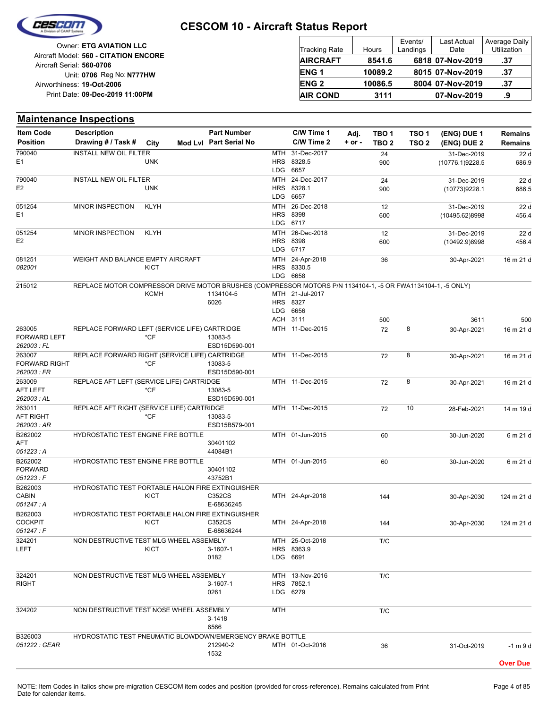

| <b>Owner: ETG AVIATION LLC</b>        |  |
|---------------------------------------|--|
| Aircraft Model: 560 - CITATION ENCORE |  |
| Aircraft Serial: 560-0706             |  |
| Unit: 0706 Reg No: N777HW             |  |
| Airworthiness: 19-Oct-2006            |  |
| Print Date: 09-Dec-2019 11:00PM       |  |
|                                       |  |

| Tracking Rate   | Hours   | Events/<br>Landings | <b>Last Actual</b><br>Date | Average Daily<br>Utilization |
|-----------------|---------|---------------------|----------------------------|------------------------------|
| AIRCRAFT        | 8541.6  |                     | 6818 07-Nov-2019           | .37                          |
| ENG 1           | 10089.2 |                     | 8015 07-Nov-2019           | .37                          |
| ENG 2           | 10086.5 |                     | 8004 07-Nov-2019           | .37                          |
| <b>AIR COND</b> | 3111    |                     | 07-Nov-2019                | .9                           |
|                 |         |                     |                            |                              |

#### **(ENG) DUE 2 (ENG) DUE 1 Maintenance Inspections** City **Mod Lvl Part Serial No Part Number C/W Time 1 C/W Time 2 + or - Adj. TBO 1 TBO 2 TSO 2 TSO 1 Remains** Description Part Number C/W Time 1 Adj. TBO 1 TSO 1 (ENG) DUE 1 Remains **Position Drawing # / Task # Item Code** LDG **HRS** MTH 6657 8328.5 31-Dec-2017 900 24 (10776.1)9228.5 31-Dec-2019 686.9  $\overline{22d}$ E1 790040 UNK INSTALL NEW OIL FILTER LDG **HRS** MTH 6657 8328.1 24-Dec-2017 900 24 (10773)9228.1 31-Dec-2019 686.5 22 d E2 790040 UNK INSTALL NEW OIL FILTER LDG **HRS** MTH 6717 8398 26-Dec-2018 600 12 (10495.62)8998 31-Dec-2019 456.4 22 d E1 051254 MINOR INSPECTION KLYH LDG HRS MTH 6717 8398 26-Dec-2018 600 12 (10492.9)8998 31-Dec-2019 456.4 22 d E2 051254 MINOR INSPECTION KLYH LDG **HRS** MTH 6658 8330.5 24-Apr-2018 36 30-Apr-2021 16 m 21 d *082001* 081251 KICT WEIGHT AND BALANCE EMPTY AIRCRAFT ACH LDG HRS MTH 21-Jul-2017 3111 6656 8327 500 6026 1134104-5 3611 500 215012 KCMH REPLACE MOTOR COMPRESSOR DRIVE MOTOR BRUSHES (COMPRESSOR MOTORS P/N 1134104-1, -5 OR FWA1134104-1, -5 ONLY) MTH 11-Dec-2015 72 8 ESD15D590-001 13083-5 30-Apr-2021 16 m 21 d *262003 : FL* FORWARD LEFT 263005 \*CF REPLACE FORWARD LEFT (SERVICE LIFE) CARTRIDGE MTH 11-Dec-2015 72 8 ESD15D590-001 13083-5 30-Apr-2021 16 m 21 d *262003 : FR* FORWARD RIGHT 263007 \*CF REPLACE FORWARD RIGHT (SERVICE LIFE) CARTRIDGE MTH 11-Dec-2015 72 8 ESD15D590-001 13083-5 30-Apr-2021 16 m 21 d *262003 : AL* AFT LEFT 263009 \*CF REPLACE AFT LEFT (SERVICE LIFE) CARTRIDGE MTH 11-Dec-2015 72 10 ESD15B579-001 13083-5 28-Feb-2021 14 m 19 d *262003 : AR* AFT RIGHT 263011 \*CF REPLACE AFT RIGHT (SERVICE LIFE) CARTRIDGE MTH 01-Jun-2015 60 44084B1 30401102 30-Jun-2020 6 m 21 d *051223 : A* AFT B262002 HYDROSTATIC TEST ENGINE FIRE BOTTLE MTH 01-Jun-2015 60 43752B1 30401102 30-Jun-2020 6 m 21 d *051223 : F* FORWARD B262002 HYDROSTATIC TEST ENGINE FIRE BOTTLE MTH 24-Apr-2018 144 C352CS 30-Apr-2030 124 m 21 d E-68636245 *051247 : A* CABIN B262003 **KICT** HYDROSTATIC TEST PORTABLE HALON FIRE EXTINGUISHER MTH 24-Apr-2018 144 C352CS 30-Apr-2030 124 m 21 d E-68636244 *051247 : F* **COCKPIT** B262003 **KICT** HYDROSTATIC TEST PORTABLE HALON FIRE EXTINGUISHER LDG HRS 8363.9 MTH 25-Oct-2018 T/C 6691 0182 LEFT 3-1607-1 324201 **KICT** NON DESTRUCTIVE TEST MLG WHEEL ASSEMBLY LDG **HRS** MTH 6279 7852.1 13-Nov-2016 T/C 0261 RIGHT 3-1607-1 324201 NON DESTRUCTIVE TEST MLG WHEEL ASSEMBLY MTH T/C 6566 3-1418 324202 NON DESTRUCTIVE TEST NOSE WHEEL ASSEMBLY MTH 01-Oct-2016 36 1532 *051222 : GEAR* 212940-2 31-Oct-2019 -1 m 9 d B326003 HYDROSTATIC TEST PNEUMATIC BLOWDOWN/EMERGENCY BRAKE BOTTLE **Over Due**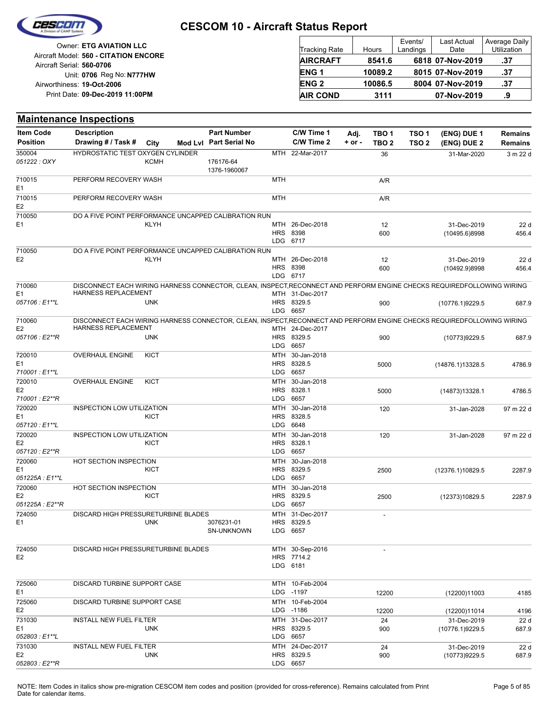

| <b>Tracking Rate</b> | Hours   | Events/<br>Landings | <b>Last Actual</b><br>Date | Average Daily<br>Utilization |
|----------------------|---------|---------------------|----------------------------|------------------------------|
| <b>AIRCRAFT</b>      | 8541.6  |                     | 6818 07-Nov-2019           | .37                          |
| <b>ENG1</b>          | 10089.2 |                     | 8015 07-Nov-2019           | .37                          |
| <b>ENG 2</b>         | 10086.5 |                     | 8004 07-Nov-2019           | .37                          |
| <b>AIR COND</b>      | 3111    |                     | 07-Nov-2019                | .9                           |

|                                             | <b>Maintenance Inspections</b>                                                                                                                       |             |                                              |                   |                                                |                  |                           |                           |                                |                           |
|---------------------------------------------|------------------------------------------------------------------------------------------------------------------------------------------------------|-------------|----------------------------------------------|-------------------|------------------------------------------------|------------------|---------------------------|---------------------------|--------------------------------|---------------------------|
| <b>Item Code</b><br><b>Position</b>         | <b>Description</b><br>Drawing # / Task #                                                                                                             | City        | <b>Part Number</b><br>Mod Lvl Part Serial No |                   | C/W Time 1<br>C/W Time 2                       | Adj.<br>$+ or -$ | TBO 1<br>TBO <sub>2</sub> | TSO 1<br>TSO <sub>2</sub> | (ENG) DUE 1<br>(ENG) DUE 2     | Remains<br><b>Remains</b> |
| 350004<br>051222 : OXY                      | HYDROSTATIC TEST OXYGEN CYLINDER                                                                                                                     | <b>KCMH</b> | 176176-64<br>1376-1960067                    |                   | MTH 22-Mar-2017                                |                  | 36                        |                           | 31-Mar-2020                    | 3 m 22 d                  |
| 710015<br>E1                                | PERFORM RECOVERY WASH                                                                                                                                |             |                                              | MTH               |                                                |                  | A/R                       |                           |                                |                           |
| 710015<br>E <sub>2</sub>                    | PERFORM RECOVERY WASH                                                                                                                                |             |                                              | <b>MTH</b>        |                                                |                  | A/R                       |                           |                                |                           |
| 710050<br>E1                                | DO A FIVE POINT PERFORMANCE UNCAPPED CALIBRATION RUN                                                                                                 | <b>KLYH</b> |                                              |                   | MTH 26-Dec-2018<br><b>HRS 8398</b><br>LDG 6717 |                  | 12<br>600                 |                           | 31-Dec-2019<br>(10495.6)8998   | 22d<br>456.4              |
| 710050<br>E <sub>2</sub>                    | DO A FIVE POINT PERFORMANCE UNCAPPED CALIBRATION RUN                                                                                                 | <b>KLYH</b> |                                              |                   | MTH 26-Dec-2018<br>HRS 8398<br>LDG 6717        |                  | 12<br>600                 |                           | 31-Dec-2019<br>(10492.9)8998   | 22d<br>456.4              |
| 710060<br>E1<br>057106: E1**L               | DISCONNECT EACH WIRING HARNESS CONNECTOR, CLEAN, INSPECT,RECONNECT AND PERFORM ENGINE CHECKS REQUIREDFOLLOWING WIRING<br><b>HARNESS REPLACEMENT</b>  | <b>UNK</b>  |                                              |                   | MTH 31-Dec-2017<br>HRS 8329.5<br>LDG 6657      |                  | 900                       |                           | (10776.1)9229.5                | 687.9                     |
| 710060<br>E <sub>2</sub><br>057106 : E2**R  | DISCONNECT EACH WIRING HARNESS CONNECTOR, CLEAN, INSPECT, RECONNECT AND PERFORM ENGINE CHECKS REQUIREDFOLLOWING WIRING<br><b>HARNESS REPLACEMENT</b> | <b>UNK</b>  |                                              |                   | MTH 24-Dec-2017<br>HRS 8329.5                  |                  | 900                       |                           | (10773)9229.5                  | 687.9                     |
| 720010<br>E1<br>710001: E1**L               | <b>OVERHAUL ENGINE</b>                                                                                                                               | <b>KICT</b> |                                              | <b>LDG</b><br>MTH | 6657<br>30-Jan-2018<br>HRS 8328.5<br>LDG 6657  |                  | 5000                      |                           | (14876.1)13328.5               | 4786.9                    |
| 720010<br>E <sub>2</sub><br>710001: E2**R   | <b>OVERHAUL ENGINE</b>                                                                                                                               | KICT        |                                              | MTH<br><b>LDG</b> | 30-Jan-2018<br>HRS 8328.1<br>6657              |                  | 5000                      |                           | (14873)13328.1                 | 4786.5                    |
| 720020<br>E <sub>1</sub><br>057120 : E1**L  | INSPECTION LOW UTILIZATION                                                                                                                           | <b>KICT</b> |                                              | MTH               | 30-Jan-2018<br>HRS 8328.5<br>LDG 6648          |                  | 120                       |                           | 31-Jan-2028                    | 97 m 22 d                 |
| 720020<br>E <sub>2</sub><br>057120 : E2**R  | INSPECTION LOW UTILIZATION                                                                                                                           | KICT        |                                              | MTH<br><b>LDG</b> | 30-Jan-2018<br>HRS 8328.1<br>6657              |                  | 120                       |                           | 31-Jan-2028                    | 97 m 22 d                 |
| 720060<br>E1<br>051225A : E1**L             | HOT SECTION INSPECTION                                                                                                                               | KICT        |                                              | MTH               | 30-Jan-2018<br>HRS 8329.5<br>LDG 6657          |                  | 2500                      |                           | (12376.1)10829.5               | 2287.9                    |
| 720060<br>E <sub>2</sub><br>051225A : E2**R | HOT SECTION INSPECTION                                                                                                                               | KICT        |                                              | <b>MTH</b>        | 30-Jan-2018<br>HRS 8329.5<br>LDG 6657          |                  | 2500                      |                           | (12373)10829.5                 | 2287.9                    |
| 724050<br>E1                                | DISCARD HIGH PRESSURETURBINE BLADES                                                                                                                  | <b>UNK</b>  | 3076231-01<br>SN-UNKNOWN                     |                   | MTH 31-Dec-2017<br>HRS 8329.5<br>LDG 6657      |                  |                           |                           |                                |                           |
| 724050<br>E <sub>2</sub>                    | DISCARD HIGH PRESSURETURBINE BLADES                                                                                                                  |             |                                              |                   | MTH 30-Sep-2016<br>HRS 7714.2<br>LDG 6181      |                  |                           |                           |                                |                           |
| 725060<br>E1                                | DISCARD TURBINE SUPPORT CASE                                                                                                                         |             |                                              |                   | MTH 10-Feb-2004<br>LDG -1197                   |                  | 12200                     |                           | (12200)11003                   | 4185                      |
| 725060<br>E2                                | DISCARD TURBINE SUPPORT CASE                                                                                                                         |             |                                              |                   | MTH 10-Feb-2004<br>LDG -1186                   |                  | 12200                     |                           | (12200)11014                   | 4196                      |
| 731030<br>E1<br>052803 : E1**L              | <b>INSTALL NEW FUEL FILTER</b>                                                                                                                       | <b>UNK</b>  |                                              |                   | MTH 31-Dec-2017<br>HRS 8329.5<br>LDG 6657      |                  | 24<br>900                 |                           | 31-Dec-2019<br>(10776.1)9229.5 | 22d<br>687.9              |
| 731030<br>E <sub>2</sub><br>052803: E2**R   | <b>INSTALL NEW FUEL FILTER</b>                                                                                                                       | <b>UNK</b>  |                                              |                   | MTH 24-Dec-2017<br>HRS 8329.5<br>LDG 6657      |                  | 24<br>900                 |                           | 31-Dec-2019<br>(10773)9229.5   | 22d<br>687.9              |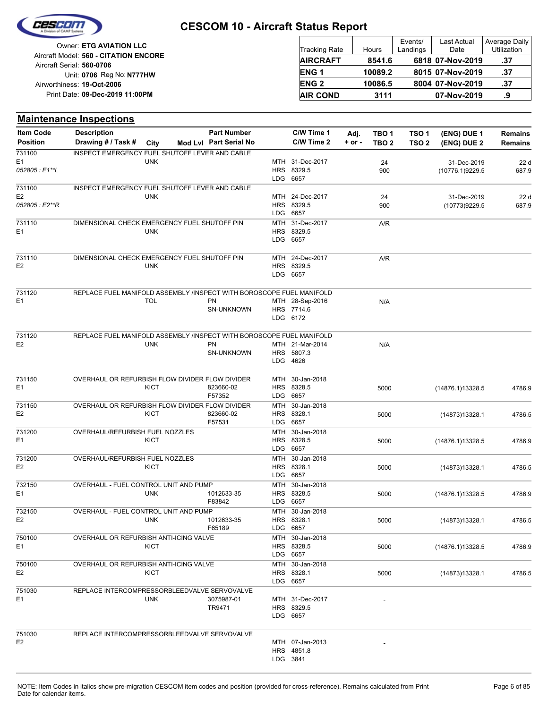

Reg No: **N777HW** Unit: **0706 09-Dec-2019 11:00PM** Print Date: **19-Oct-2006** Airworthiness: Owner: **ETG AVIATION LLC** Aircraft Serial: **560-0706** Aircraft Model: **560 - CITATION ENCORE**

| <b>Tracking Rate</b> | Hours   | Events/<br>Landings | <b>Last Actual</b><br>Date | Average Daily<br>Utilization |
|----------------------|---------|---------------------|----------------------------|------------------------------|
| <b>AIRCRAFT</b>      | 8541.6  |                     | 6818 07-Nov-2019           | .37                          |
| <b>ENG1</b>          | 10089.2 |                     | 8015 07-Nov-2019           | .37                          |
| <b>ENG 2</b>         | 10086.5 |                     | 8004 07-Nov-2019           | .37                          |
| <b>AIR COND</b>      | 3111    |                     | 07-Nov-2019                | .9                           |

#### **(ENG) DUE 2 (ENG) DUE 1 Maintenance Inspections** City **Mod Lvl Part Serial No Part Number C/W Time 1 C/W Time 2 + or - Adj. TBO 1 TBO 2 TSO 2 TSO 1 Remains** Description Part Number C/W Time 1 Adj. TBO 1 TSO 1 (ENG) DUE 1 Remains **Position Drawing # / Task # Item Code** LDG **HRS** MTH 31-Dec-2017 6657 8329.5 900 24 (10776.1)9229.5 31-Dec-2019 687.9 22 d *052805 : E1\*\*L* E1 731100 UNK INSPECT EMERGENCY FUEL SHUTOFF LEVER AND CABLE LDG HRS **MTH** 6657 8329.5 24-Dec-2017 900 24 (10773)9229.5 31-Dec-2019 687.9 22 d *052805 : E2\*\*R* E2 731100 UNK INSPECT EMERGENCY FUEL SHUTOFF LEVER AND CABLE LDG HRS MTH 6657 8329.5 31-Dec-2017 A/R E1 731110 UNK DIMENSIONAL CHECK EMERGENCY FUEL SHUTOFF PIN LDG HRS 8329.5 MTH 24-Dec-2017 A/R 6657 E2 731110 UNK DIMENSIONAL CHECK EMERGENCY FUEL SHUTOFF PIN LDG 6172 HRS 7714.6 MTH 28-Sep-2016 N/A SN-UNKNOWN E1 PN PN 731120 TOL REPLACE FUEL MANIFOLD ASSEMBLY /INSPECT WITH BOROSCOPE FUEL MANIFOLD LDG HRS 5807.3 MTH 21-Mar-2014 N/A 4626 SN-UNKNOWN E2 PN DNK PN 731120 UNK REPLACE FUEL MANIFOLD ASSEMBLY /INSPECT WITH BOROSCOPE FUEL MANIFOLD LDG **HRS** MTH 6657 8328.5 30-Jan-2018 5000 F57352 E1 823660-02 (14876.1)13328.5 4786.9 731150 **KICT** OVERHAUL OR REFURBISH FLOW DIVIDER FLOW DIVIDER LDG **HRS MTH** 6657 8328.1 30-Jan-2018 5000 F57531 E2 823660-02 (14873)13328.1 4786.5 731150 KICT OVERHAUL OR REFURBISH FLOW DIVIDER FLOW DIVIDER LDG **HRS MTH** 6657 8328.5 30-Jan-2018 E1 5000 (14876.1)13328.5 4786.9 731200 **KICT** OVERHAUL/REFURBISH FUEL NOZZLES LDG HRS MTH 6657 8328.1 30-Jan-2018 E2 5000 (14873)13328.1 4786.5 731200 KICT OVERHAUL/REFURBISH FUEL NOZZLES LDG **HRS MTH** 6657 8328.5 30-Jan-2018 5000 F83842 E1 UNK 1012633-35 HRS 8328.5 5000 (14876.1)13328.5 4786.9 732150 UNK OVERHAUL - FUEL CONTROL UNIT AND PUMP LDG **HRS** MTH 6657 8328.1 30-Jan-2018 5000 F65189 E2 1012633-35 (14873)13328.1 4786.5 732150 UNK OVERHAUL - FUEL CONTROL UNIT AND PUMP LDG **HRS** MTH 6657 8328.5 30-Jan-2018 E1 5000 (14876.1)13328.5 4786.9 750100 **KICT** OVERHAUL OR REFURBISH ANTI-ICING VALVE LDG HRS **MTH** 6657 8328.1 30-Jan-2018 E2 5000 (14873)13328.1 4786.5 750100 KICT OVERHAUL OR REFURBISH ANTI-ICING VALVE LDG HRS 8329.5 MTH 31-Dec-2017 - 6657 TR9471 E1 3075987-01 751030 UNK REPLACE INTERCOMPRESSORBLEEDVALVE SERVOVALVE LDG 3841 HRS MTH 07-Jan-2013 4851.8  $E2$  of the contract of the contract of the contract of the contract of the contract of the contract of the contract of the contract of the contract of the contract of the contract of the contract of the contract of the c 751030 REPLACE INTERCOMPRESSORBLEEDVALVE SERVOVALVE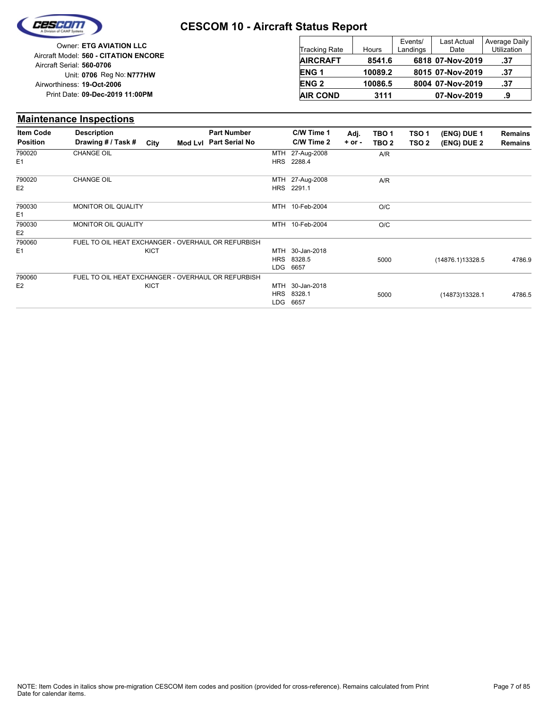

|                                       |                      |         | Events/  | <b>Last Actual</b> | Average  |
|---------------------------------------|----------------------|---------|----------|--------------------|----------|
| Owner: ETG AVIATION LLC               | <b>Tracking Rate</b> | Hours   | Landings | Date               | Utilizat |
| Aircraft Model: 560 - CITATION ENCORE | <b>AIRCRAFT</b>      | 8541.6  |          | 6818 07-Nov-2019   | .37      |
| Aircraft Serial: 560-0706             |                      |         |          |                    |          |
| Unit: 0706 Reg No: N777HW             | <b>ENG1</b>          | 10089.2 |          | 8015 07-Nov-2019   | .37      |
| Airworthiness: 19-Oct-2006            | <b>ENG 2</b>         | 10086.5 |          | 8004 07-Nov-2019   | .37      |
| Print Date: 09-Dec-2019 11:00PM       | <b>AIR COND</b>      | 3111    |          | 07-Nov-2019        | .9       |
|                                       |                      |         |          |                    |          |

#### **Maintenance Inspections**

| <b>Item Code</b> | <b>Description</b>                                 | <b>Part Number</b>     |            | C/W Time 1      | Adj.       | TBO <sub>1</sub> | TSO <sub>1</sub> | (ENG) DUE 1      | Remains        |
|------------------|----------------------------------------------------|------------------------|------------|-----------------|------------|------------------|------------------|------------------|----------------|
| <b>Position</b>  | Drawing # / Task #<br>City                         | Mod Lvl Part Serial No |            | C/W Time 2      | $+$ or $-$ | TBO <sub>2</sub> | TSO <sub>2</sub> | (ENG) DUE 2      | <b>Remains</b> |
| 790020           | <b>CHANGE OIL</b>                                  |                        | MTH        | 27-Aug-2008     |            | A/R              |                  |                  |                |
| E <sub>1</sub>   |                                                    |                        | <b>HRS</b> | 2288.4          |            |                  |                  |                  |                |
| 790020           | <b>CHANGE OIL</b>                                  |                        |            | MTH 27-Aug-2008 |            | A/R              |                  |                  |                |
| E <sub>2</sub>   |                                                    |                        |            | HRS 2291.1      |            |                  |                  |                  |                |
| 790030           | MONITOR OIL QUALITY                                |                        |            | MTH 10-Feb-2004 |            | O/C              |                  |                  |                |
| E <sub>1</sub>   |                                                    |                        |            |                 |            |                  |                  |                  |                |
| 790030           | <b>MONITOR OIL QUALITY</b>                         |                        |            | MTH 10-Feb-2004 |            | O/C              |                  |                  |                |
| E <sub>2</sub>   |                                                    |                        |            |                 |            |                  |                  |                  |                |
| 790060           | FUEL TO OIL HEAT EXCHANGER - OVERHAUL OR REFURBISH |                        |            |                 |            |                  |                  |                  |                |
| E <sub>1</sub>   | KICT                                               |                        |            | MTH 30-Jan-2018 |            |                  |                  |                  |                |
|                  |                                                    |                        |            | HRS 8328.5      |            | 5000             |                  | (14876.1)13328.5 | 4786.9         |
|                  |                                                    |                        | LDG        | 6657            |            |                  |                  |                  |                |
| 790060           | FUEL TO OIL HEAT EXCHANGER - OVERHAUL OR REFURBISH |                        |            |                 |            |                  |                  |                  |                |
| E <sub>2</sub>   | <b>KICT</b>                                        |                        |            | MTH 30-Jan-2018 |            |                  |                  |                  |                |
|                  |                                                    |                        | <b>HRS</b> | 8328.1          |            | 5000             |                  | (14873)13328.1   | 4786.5         |
|                  |                                                    |                        | LDG        | 6657            |            |                  |                  |                  |                |

Last Actual Date

Average Daily **Utilization**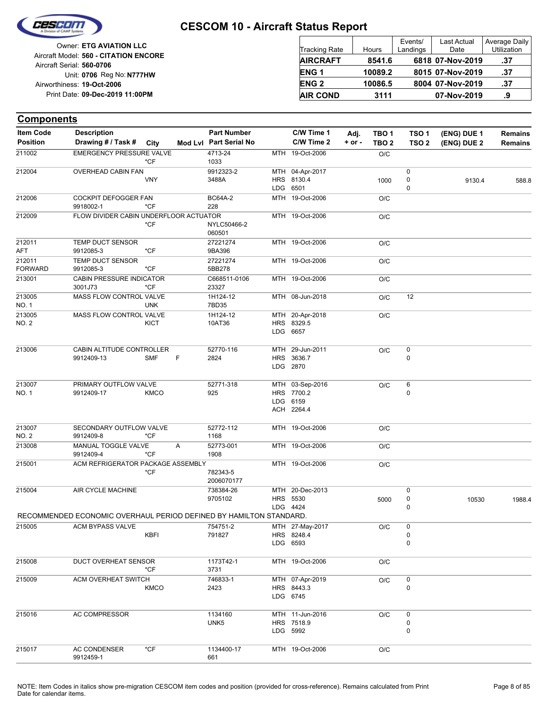

**Components**

#### **CESCOM 10 - Aircraft Status Report**

| Owner: ETG AVIATION LLC                                            | Tracking Rate    | Hours   | Events/<br>Landings | <b>Last Actual</b><br>Date | Average Daily<br><b>Utilization</b> |
|--------------------------------------------------------------------|------------------|---------|---------------------|----------------------------|-------------------------------------|
| Aircraft Model: 560 - CITATION ENCORE<br>Aircraft Serial: 560-0706 | <b>AIRCRAFT</b>  | 8541.6  |                     | 6818 07-Nov-2019           | .37                                 |
| Unit: 0706 Reg No: N777HW                                          | ENG <sub>1</sub> | 10089.2 |                     | 8015 07-Nov-2019           | .37                                 |
| Airworthiness: 19-Oct-2006                                         | <b>ENG 2</b>     | 10086.5 |                     | 8004 07-Nov-2019           | -37                                 |
| Print Date: 09-Dec-2019 11:00PM                                    | <b>AIR COND</b>  | 3111    |                     | 07-Nov-2019                | .9                                  |

#### **(ENG) DUE 2 (ENG) DUE 1** City **Mod Lvl Part Serial No Part Number C/W Time 1 C/W Time 2 + or - Adj. TBO 1 TBO 2 TSO 2 TSO 1 Remains** Description Part Number C/W Time 1 Adj. TBO 1 TSO 1 (ENG) DUE 1 Remains **Position Drawing # / Task # Item Code** MTH 19-Oct-2006 O/C 1033 211002 4713-24 EMERGENCY PRESSURE VALVE \*CF LDG HRS MTH 04-Apr-2017 6501 8130.4 0 0  $\overline{0}$ 3488A 1000 9912323-2 9130.4 588.8 212004 VNY OVERHEAD CABIN FAN MTH 19-Oct-2006 O/C 228 212006 BC64A-2 COCKPIT DEFOGGER FAN 9918002-1 \*CF MTH 19-Oct-2006 O/C 060501 NYLC50466-2 212009 \*CF FLOW DIVIDER CABIN UNDERFLOOR ACTUATOR MTH 19-Oct-2006 O/C 9BA396 27221274 AFT 212011 9912085-3 \*CF TEMP DUCT SENSOR MTH 19-Oct-2006 0/C 5BB278 27221274 FORWARD 212011 9912085-3 \*CF TEMP DUCT SENSOR MTH 19-Oct-2006 O/C 23327 213001 C668511-0106 CABIN PRESSURE INDICATOR 3001J73 \*CF MTH 08-Jun-2018 O/C 12 7BD35 1H124-12 NO. 1 213005 UNK MASS FLOW CONTROL VALVE LDG 6657 HRS 8329.5 MTH 20-Apr-2018 O/C 10AT36 1H124-12 NO. 2 213005 **KICT** MASS FLOW CONTROL VALVE LDG HRS MTH 2870 3636.7 29-Jun-2011 0  $O/C$  0 2824 213006 52770-116 CABIN ALTITUDE CONTROLLER 9912409-13 SMF F ACH LDG **HRS** MTH 2264.4 6159 7700.2 03-Sep-2016  $\Omega$  $O/C$  6 925 52771-318 NO. 1 213007 9912409-17 KMCO PRIMARY OUTFLOW VALVE MTH 19-Oct-2006 O/C 1168 52772-112 NO. 2 213007 9912409-8 \*CF SECONDARY OUTFLOW VALVE MTH 19-Oct-2006 O/C 1908 213008 52773-001 MANUAL TOGGLE VALVE 9912409-4 A \*CF  $MTH$  19-Oct-2006  $O/C$ 2006070177 782343-5 215001 \*CF ACM REFRIGERATOR PACKAGE ASSEMBLY LDG HRS 5530 9705102 5000 MTH 20-Dec-2013 4424 0 0  $\overline{0}$ 738384-26 10530 1988.4 215004 AIR CYCLE MACHINE RECOMMENDED ECONOMIC OVERHAUL PERIOD DEFINED BY HAMILTON STANDARD. LDG HRS 8248.4 MTH 27-May-2017 6593 0  $\Omega$  $O/C$  0 791827 215005 754751-2 ACM BYPASS VALVE KBFI MTH 19-Oct-2006 O/C 3731 215008 1173T42-1 DUCT OVERHEAT SENSOR \*CF LDG 6745 HRS 8443.3 MTH 07-Apr-2019 0  $O/C$  0 2423 215009 746833-1 ACM OVERHEAT SWITCH KMCO LDG HRS MTH 5992 7518.9 11-Jun-2016 0 0  $O/C$  0 UNK5 215016 AC COMPRESSOR 1134160 MTH 19-Oct-2006 O/C 215017 1134400-17 AC CONDENSER \*CF

661

9912459-1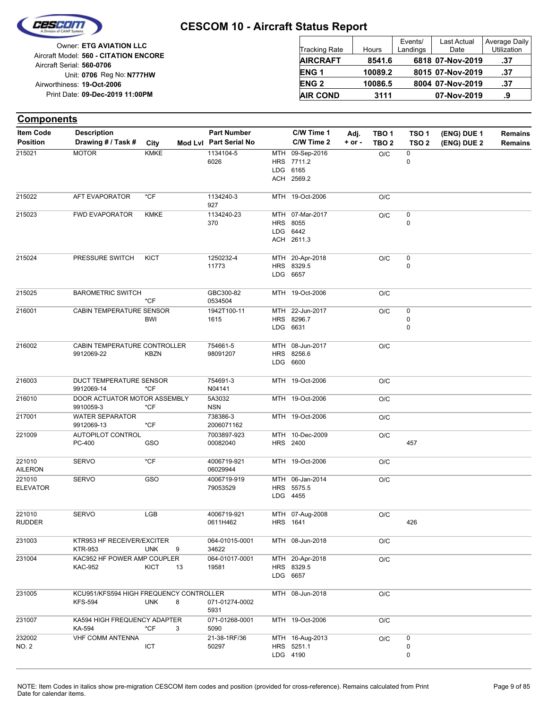

| <b>Tracking Rate</b> | Hours   | Events/<br>Landings | <b>Last Actual</b><br>Date | Average Daily<br>Utilization |
|----------------------|---------|---------------------|----------------------------|------------------------------|
| <b>AIRCRAFT</b>      | 8541.6  |                     | 6818 07-Nov-2019           | .37                          |
| <b>ENG1</b>          | 10089.2 |                     | 8015 07-Nov-2019           | .37                          |
| <b>ENG 2</b>         | 10086.5 |                     | 8004 07-Nov-2019           | .37                          |
| <b>AIR COND</b>      | 3111    |                     | 07-Nov-2019                | .9                           |

| <b>Components</b>                   |                                                           |                   |                                              |                                                         |                    |                                      |                                      |                            |                                  |
|-------------------------------------|-----------------------------------------------------------|-------------------|----------------------------------------------|---------------------------------------------------------|--------------------|--------------------------------------|--------------------------------------|----------------------------|----------------------------------|
| <b>Item Code</b><br><b>Position</b> | <b>Description</b><br>Drawing # / Task #                  | City              | <b>Part Number</b><br>Mod Lvl Part Serial No | C/W Time 1<br>C/W Time 2                                | Adj.<br>$+$ or $-$ | TBO <sub>1</sub><br>TBO <sub>2</sub> | TSO <sub>1</sub><br>TSO <sub>2</sub> | (ENG) DUE 1<br>(ENG) DUE 2 | <b>Remains</b><br><b>Remains</b> |
| 215021                              | <b>MOTOR</b>                                              | <b>KMKE</b>       | 1134104-5<br>6026                            | MTH 09-Sep-2016<br>HRS 7711.2<br>LDG 6165<br>ACH 2569.2 |                    | O/C                                  | 0<br>0                               |                            |                                  |
| 215022                              | AFT EVAPORATOR                                            | *CF               | 1134240-3<br>927                             | MTH 19-Oct-2006                                         |                    | O/C                                  |                                      |                            |                                  |
| 215023                              | <b>FWD EVAPORATOR</b>                                     | <b>KMKE</b>       | 1134240-23<br>370                            | MTH 07-Mar-2017<br>HRS 8055<br>LDG 6442<br>ACH 2611.3   |                    | O/C                                  | 0<br>0                               |                            |                                  |
| 215024                              | PRESSURE SWITCH                                           | <b>KICT</b>       | 1250232-4<br>11773                           | MTH 20-Apr-2018<br>HRS 8329.5<br>LDG 6657               |                    | O/C                                  | 0<br>0                               |                            |                                  |
| 215025                              | <b>BAROMETRIC SWITCH</b>                                  | $*$ CF            | GBC300-82<br>0534504                         | MTH 19-Oct-2006                                         |                    | O/C                                  |                                      |                            |                                  |
| 216001                              | CABIN TEMPERATURE SENSOR                                  | <b>BWI</b>        | 1942T100-11<br>1615                          | MTH 22-Jun-2017<br>HRS 8296.7<br>LDG 6631               |                    | O/C                                  | 0<br>0<br>0                          |                            |                                  |
| 216002                              | CABIN TEMPERATURE CONTROLLER<br>9912069-22                | <b>KBZN</b>       | 754661-5<br>98091207                         | MTH 08-Jun-2017<br>HRS 8256.6<br>LDG 6600               |                    | O/C                                  |                                      |                            |                                  |
| 216003                              | DUCT TEMPERATURE SENSOR<br>9912069-14                     | *CF               | 754691-3<br>N04141                           | MTH 19-Oct-2006                                         |                    | O/C                                  |                                      |                            |                                  |
| 216010                              | DOOR ACTUATOR MOTOR ASSEMBLY<br>9910059-3                 | *CF               | 5A3032<br><b>NSN</b>                         | MTH 19-Oct-2006                                         |                    | O/C                                  |                                      |                            |                                  |
| 217001                              | <b>WATER SEPARATOR</b><br>9912069-13                      | *CF               | 738386-3<br>2006071162                       | MTH 19-Oct-2006                                         |                    | O/C                                  |                                      |                            |                                  |
| 221009                              | AUTOPILOT CONTROL<br>PC-400                               | GSO               | 7003897-923<br>00082040                      | MTH 10-Dec-2009<br><b>HRS</b> 2400                      |                    | O/C                                  | 457                                  |                            |                                  |
| 221010<br><b>AILERON</b>            | <b>SERVO</b>                                              | $*$ CF            | 4006719-921<br>06029944                      | MTH 19-Oct-2006                                         |                    | O/C                                  |                                      |                            |                                  |
| 221010<br><b>ELEVATOR</b>           | <b>SERVO</b>                                              | GSO               | 4006719-919<br>79053529                      | MTH 06-Jan-2014<br>HRS 5575.5<br>LDG 4455               |                    | O/C                                  |                                      |                            |                                  |
| 221010<br><b>RUDDER</b>             | <b>SERVO</b>                                              | LGB               | 4006719-921<br>0611H462                      | MTH 07-Aug-2008<br>HRS 1641                             |                    | O/C                                  | 426                                  |                            |                                  |
| 231003                              | KTR953 HF RECEIVER/EXCITER<br><b>KTR-953</b>              | <b>UNK</b><br>9   | 064-01015-0001<br>34622                      | MTH 08-Jun-2018                                         |                    | O/C                                  |                                      |                            |                                  |
| 231004                              | KAC952 HF POWER AMP COUPLER<br><b>KAC-952</b>             | <b>KICT</b><br>13 | 064-01017-0001<br>19581                      | MTH 20-Apr-2018<br>HRS 8329.5<br>LDG 6657               |                    | $O/C$                                |                                      |                            |                                  |
| 231005                              | KCU951/KFS594 HIGH FREQUENCY CONTROLLER<br><b>KFS-594</b> | <b>UNK</b><br>8   | 071-01274-0002<br>5931                       | MTH 08-Jun-2018                                         |                    | O/C                                  |                                      |                            |                                  |
| 231007                              | KA594 HIGH FREQUENCY ADAPTER<br>KA-594                    | *CF<br>3          | 071-01268-0001<br>5090                       | MTH 19-Oct-2006                                         |                    | O/C                                  |                                      |                            |                                  |
| 232002<br>NO. 2                     | <b>VHF COMM ANTENNA</b>                                   | ICT               | 21-38-1RF/36<br>50297                        | MTH 16-Aug-2013<br>HRS 5251.1<br>LDG 4190               |                    | O/C                                  | 0<br>0<br>0                          |                            |                                  |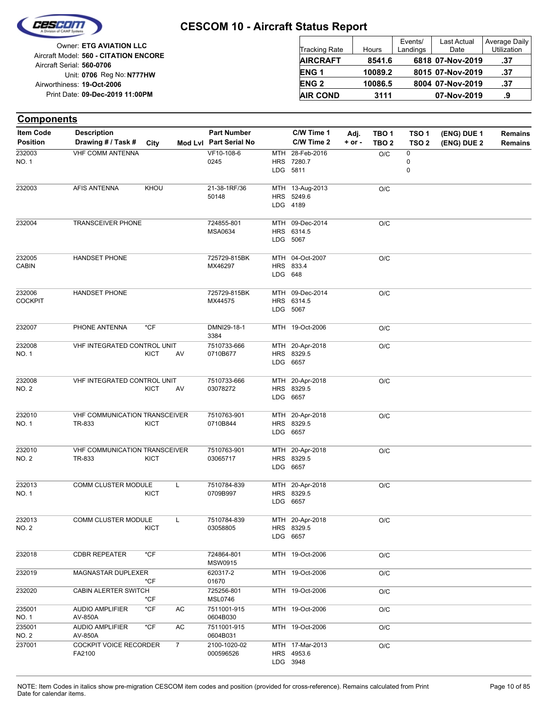

| <b>Tracking Rate</b> | Hours   | Events/<br>Landings | <b>Last Actual</b><br>Date | Average Daily<br>Utilization |
|----------------------|---------|---------------------|----------------------------|------------------------------|
| <b>AIRCRAFT</b>      | 8541.6  |                     | 6818 07-Nov-2019           | .37                          |
| ENG <sub>1</sub>     | 10089.2 |                     | 8015 07-Nov-2019           | .37                          |
| <b>ENG 2</b>         | 10086.5 |                     | 8004 07-Nov-2019           | .37                          |
| <b>AIR COND</b>      | 3111    |                     | 07-Nov-2019                | .9                           |

| <b>Components</b>        |                                                |             |                |                              |         |                                           |            |                  |                     |             |                |
|--------------------------|------------------------------------------------|-------------|----------------|------------------------------|---------|-------------------------------------------|------------|------------------|---------------------|-------------|----------------|
| <b>Item Code</b>         | <b>Description</b>                             |             |                | <b>Part Number</b>           |         | C/W Time 1                                | Adj.       | TBO <sub>1</sub> | TSO <sub>1</sub>    | (ENG) DUE 1 | <b>Remains</b> |
| <b>Position</b>          | Drawing # / Task #                             | City        |                | Mod Lvl Part Serial No       |         | C/W Time 2                                | $+$ or $-$ | TBO <sub>2</sub> | TSO <sub>2</sub>    | (ENG) DUE 2 | Remains        |
| 232003<br>NO. 1          | <b>VHF COMM ANTENNA</b>                        |             |                | VF10-108-6<br>0245           | MTH     | 28-Feb-2016<br>HRS 7280.7<br>LDG 5811     |            | O/C              | 0<br>$\pmb{0}$<br>0 |             |                |
| 232003                   | AFIS ANTENNA                                   | KHOU        |                | 21-38-1RF/36<br>50148        |         | MTH 13-Aug-2013<br>HRS 5249.6<br>LDG 4189 |            | O/C              |                     |             |                |
| 232004                   | TRANSCEIVER PHONE                              |             |                | 724855-801<br>MSA0634        |         | MTH 09-Dec-2014<br>HRS 6314.5<br>LDG 5067 |            | O/C              |                     |             |                |
| 232005<br>CABIN          | <b>HANDSET PHONE</b>                           |             |                | 725729-815BK<br>MX46297      | LDG 648 | MTH 04-Oct-2007<br>HRS 833.4              |            | O/C              |                     |             |                |
| 232006<br><b>COCKPIT</b> | <b>HANDSET PHONE</b>                           |             |                | 725729-815BK<br>MX44575      |         | MTH 09-Dec-2014<br>HRS 6314.5<br>LDG 5067 |            | O/C              |                     |             |                |
| 232007                   | PHONE ANTENNA                                  | *CF         |                | DMNI29-18-1<br>3384          |         | MTH 19-Oct-2006                           |            | O/C              |                     |             |                |
| 232008<br>NO. 1          | VHF INTEGRATED CONTROL UNIT                    | <b>KICT</b> | AV             | 7510733-666<br>0710B677      |         | MTH 20-Apr-2018<br>HRS 8329.5<br>LDG 6657 |            | O/C              |                     |             |                |
| 232008<br>NO. 2          | VHF INTEGRATED CONTROL UNIT                    | <b>KICT</b> | AV             | 7510733-666<br>03078272      |         | MTH 20-Apr-2018<br>HRS 8329.5<br>LDG 6657 |            | O/C              |                     |             |                |
| 232010<br>NO. 1          | VHF COMMUNICATION TRANSCEIVER<br>TR-833        | KICT        |                | 7510763-901<br>0710B844      |         | MTH 20-Apr-2018<br>HRS 8329.5<br>LDG 6657 |            | O/C              |                     |             |                |
| 232010<br>NO. 2          | <b>VHF COMMUNICATION TRANSCEIVER</b><br>TR-833 | <b>KICT</b> |                | 7510763-901<br>03065717      |         | MTH 20-Apr-2018<br>HRS 8329.5<br>LDG 6657 |            | O/C              |                     |             |                |
| 232013<br>NO. 1          | COMM CLUSTER MODULE                            | <b>KICT</b> | L              | 7510784-839<br>0709B997      |         | MTH 20-Apr-2018<br>HRS 8329.5<br>LDG 6657 |            | O/C              |                     |             |                |
| 232013<br>NO. 2          | COMM CLUSTER MODULE                            | KICT        | L              | 7510784-839<br>03058805      |         | MTH 20-Apr-2018<br>HRS 8329.5<br>LDG 6657 |            | O/C              |                     |             |                |
| 232018                   | <b>CDBR REPEATER</b>                           | $*$ CF      |                | 724864-801<br>MSW0915        |         | MTH 19-Oct-2006                           |            | $\rm O/C$        |                     |             |                |
| 232019                   | MAGNASTAR DUPLEXER                             | *CF         |                | 620317-2<br>01670            |         | MTH 19-Oct-2006                           |            | O/C              |                     |             |                |
| 232020                   | CABIN ALERTER SWITCH                           | *CF         |                | 725256-801<br><b>MSL0746</b> |         | MTH 19-Oct-2006                           |            | O/C              |                     |             |                |
| 235001<br><b>NO. 1</b>   | <b>AUDIO AMPLIFIER</b><br>AV-850A              | $*$ CF      | AC             | 7511001-915<br>0604B030      |         | MTH 19-Oct-2006                           |            | $\rm O/C$        |                     |             |                |
| 235001<br>NO. 2          | <b>AUDIO AMPLIFIER</b><br>AV-850A              | *CF         | AC             | 7511001-915<br>0604B031      |         | MTH 19-Oct-2006                           |            | O/C              |                     |             |                |
| 237001                   | COCKPIT VOICE RECORDER<br>FA2100               |             | $\overline{7}$ | 2100-1020-02<br>000596526    |         | MTH 17-Mar-2013<br>HRS 4953.6<br>LDG 3948 |            | O/C              |                     |             |                |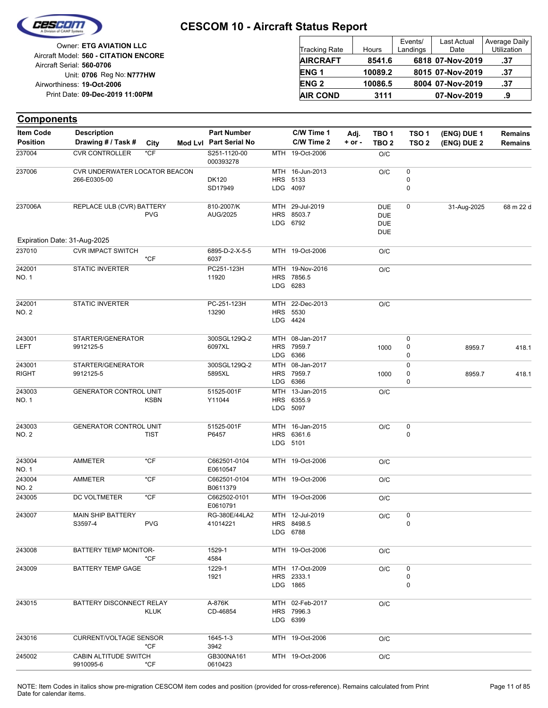

| <b>Tracking Rate</b> | Hours   | Events/<br>Landings | <b>Last Actual</b><br>Date | Average Daily<br>Utilization |
|----------------------|---------|---------------------|----------------------------|------------------------------|
| <b>AIRCRAFT</b>      | 8541.6  |                     | 6818 07-Nov-2019           | .37                          |
| ENG <sub>1</sub>     | 10089.2 |                     | 8015 07-Nov-2019           | .37                          |
| <b>ENG 2</b>         | 10086.5 |                     | 8004 07-Nov-2019           | .37                          |
| <b>AIR COND</b>      | 3111    |                     | 07-Nov-2019                | .9                           |

| <b>Components</b> |                                                          |             |                           |            |                 |            |                  |                  |             |                |
|-------------------|----------------------------------------------------------|-------------|---------------------------|------------|-----------------|------------|------------------|------------------|-------------|----------------|
| Item Code         | <b>Description</b>                                       |             | <b>Part Number</b>        |            | C/W Time 1      | Adj.       | TBO <sub>1</sub> | TSO <sub>1</sub> | (ENG) DUE 1 | <b>Remains</b> |
| <b>Position</b>   | Drawing # / Task #                                       | City        | Mod Lvl Part Serial No    |            | C/W Time 2      | $+$ or $-$ | TBO <sub>2</sub> | TSO <sub>2</sub> | (ENG) DUE 2 | Remains        |
| 237004            | <b>CVR CONTROLLER</b>                                    | $*$ CF      | S251-1120-00<br>000393278 |            | MTH 19-Oct-2006 |            | O/C              |                  |             |                |
| 237006            | CVR UNDERWATER LOCATOR BEACON                            |             |                           |            | MTH 16-Jun-2013 |            | $\rm O/C$        | $\pmb{0}$        |             |                |
|                   | 266-E0305-00                                             |             | <b>DK120</b>              | <b>HRS</b> | 5133            |            |                  | $\pmb{0}$        |             |                |
|                   |                                                          |             | SD17949                   |            | LDG 4097        |            |                  | 0                |             |                |
| 237006A           | REPLACE ULB (CVR) BATTERY                                |             | 810-2007/K                |            | MTH 29-Jul-2019 |            | <b>DUE</b>       | 0                | 31-Aug-2025 | 68 m 22 d      |
|                   |                                                          | <b>PVG</b>  | AUG/2025                  |            | HRS 8503.7      |            | <b>DUE</b>       |                  |             |                |
|                   |                                                          |             |                           |            | LDG 6792        |            | <b>DUE</b>       |                  |             |                |
|                   |                                                          |             |                           |            |                 |            | <b>DUE</b>       |                  |             |                |
| 237010            | Expiration Date: 31-Aug-2025<br><b>CVR IMPACT SWITCH</b> |             | 6895-D-2-X-5-5            |            | MTH 19-Oct-2006 |            | O/C              |                  |             |                |
|                   |                                                          | $*$ CF      | 6037                      |            |                 |            |                  |                  |             |                |
| 242001            | <b>STATIC INVERTER</b>                                   |             | PC251-123H                |            | MTH 19-Nov-2016 |            | $\rm O/C$        |                  |             |                |
| <b>NO.1</b>       |                                                          |             | 11920                     | <b>HRS</b> | 7856.5          |            |                  |                  |             |                |
|                   |                                                          |             |                           |            | LDG 6283        |            |                  |                  |             |                |
| 242001            | <b>STATIC INVERTER</b>                                   |             | PC-251-123H               | MTH        | 22-Dec-2013     |            | O/C              |                  |             |                |
| <b>NO. 2</b>      |                                                          |             | 13290                     | <b>HRS</b> | 5530            |            |                  |                  |             |                |
|                   |                                                          |             |                           |            | LDG 4424        |            |                  |                  |             |                |
| 243001            | STARTER/GENERATOR                                        |             | 300SGL129Q-2              |            | MTH 08-Jan-2017 |            |                  | 0                |             |                |
| <b>LEFT</b>       | 9912125-5                                                |             | 6097XL                    | <b>HRS</b> | 7959.7          |            | 1000             | 0                | 8959.7      | 418.1          |
|                   |                                                          |             |                           |            | LDG 6366        |            |                  | 0                |             |                |
| 243001            | STARTER/GENERATOR                                        |             | 300SGL129Q-2              |            | MTH 08-Jan-2017 |            |                  | $\pmb{0}$        |             |                |
| <b>RIGHT</b>      | 9912125-5                                                |             | 5895XL                    | <b>HRS</b> | 7959.7          |            | 1000             | 0                | 8959.7      | 418.1          |
|                   |                                                          |             |                           | LDG        | 6366            |            |                  | $\mathbf 0$      |             |                |
| 243003            | <b>GENERATOR CONTROL UNIT</b>                            |             | 51525-001F                |            | MTH 13-Jan-2015 |            | O/C              |                  |             |                |
| NO. 1             |                                                          | <b>KSBN</b> | Y11044                    | <b>HRS</b> | 6355.9          |            |                  |                  |             |                |
|                   |                                                          |             |                           |            | LDG 5097        |            |                  |                  |             |                |
| 243003            | <b>GENERATOR CONTROL UNIT</b>                            |             | 51525-001F                | MTH        | 16-Jan-2015     |            | O/C              | $\pmb{0}$        |             |                |
| NO. 2             |                                                          | <b>TIST</b> | P6457                     |            | HRS 6361.6      |            |                  | 0                |             |                |
|                   |                                                          |             |                           | LDG        | 5101            |            |                  |                  |             |                |
| 243004            | AMMETER                                                  | $*$ CF      | C662501-0104              |            | MTH 19-Oct-2006 |            | O/C              |                  |             |                |
| <b>NO.1</b>       |                                                          |             | E0610547                  |            |                 |            |                  |                  |             |                |
| 243004            | AMMETER                                                  | $*$ CF      | C662501-0104              |            | MTH 19-Oct-2006 |            | O/C              |                  |             |                |
| NO. 2             |                                                          |             | B0611379                  |            |                 |            |                  |                  |             |                |
| 243005            | DC VOLTMETER                                             | $*$ CF      | C662502-0101<br>E0610791  |            | MTH 19-Oct-2006 |            | O/C              |                  |             |                |
| 243007            | <b>MAIN SHIP BATTERY</b>                                 |             | RG-380E/44LA2             |            | MTH 12-Jul-2019 |            | O/C              | 0                |             |                |
|                   | S3597-4                                                  | <b>PVG</b>  | 41014221                  |            | HRS 8498.5      |            |                  | 0                |             |                |
|                   |                                                          |             |                           |            | LDG 6788        |            |                  |                  |             |                |
| 243008            | BATTERY TEMP MONITOR-                                    |             | 1529-1                    |            | MTH 19-Oct-2006 |            | O/C              |                  |             |                |
|                   |                                                          | *CF         | 4584                      |            |                 |            |                  |                  |             |                |
| 243009            | <b>BATTERY TEMP GAGE</b>                                 |             | 1229-1                    |            | MTH 17-Oct-2009 |            | O/C              | 0                |             |                |
|                   |                                                          |             | 1921                      |            | HRS 2333.1      |            |                  | 0                |             |                |
|                   |                                                          |             |                           |            | LDG 1865        |            |                  | $\mathbf 0$      |             |                |
| 243015            | BATTERY DISCONNECT RELAY                                 |             | A-876K                    |            | MTH 02-Feb-2017 |            | O/C              |                  |             |                |
|                   |                                                          | <b>KLUK</b> | CD-46854                  |            | HRS 7996.3      |            |                  |                  |             |                |
|                   |                                                          |             |                           |            | LDG 6399        |            |                  |                  |             |                |
| 243016            | <b>CURRENT/VOLTAGE SENSOR</b>                            |             | 1645-1-3                  |            | MTH 19-Oct-2006 |            | O/C              |                  |             |                |
|                   |                                                          | $*CF$       | 3942                      |            |                 |            |                  |                  |             |                |
| 245002            | CABIN ALTITUDE SWITCH                                    |             | GB300NA161                |            | MTH 19-Oct-2006 |            | O/C              |                  |             |                |
|                   | 9910095-6                                                | *CF         | 0610423                   |            |                 |            |                  |                  |             |                |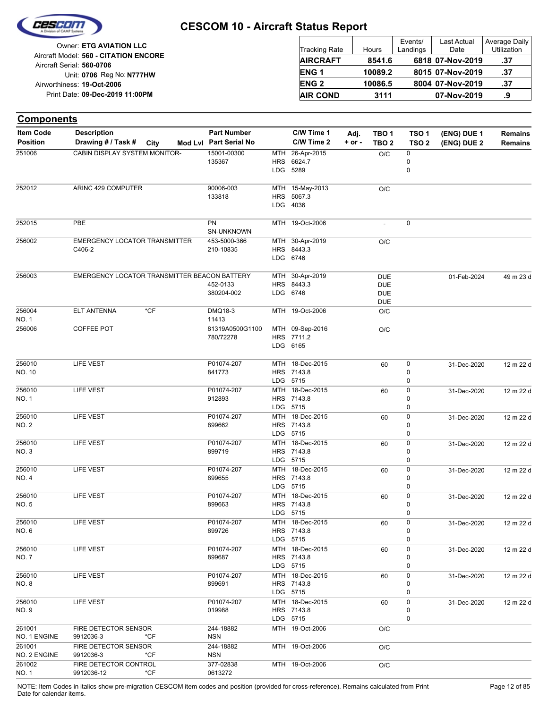

| Owner: ETG AVIATION LLC                                            | <b>Tracking Rate</b> | Hours   | Events/<br>Landings | <b>Last Actual</b><br>Date | Average Daily<br>Utilization |
|--------------------------------------------------------------------|----------------------|---------|---------------------|----------------------------|------------------------------|
| Aircraft Model: 560 - CITATION ENCORE<br>Aircraft Serial: 560-0706 | <b>AIRCRAFT</b>      | 8541.6  |                     | 6818 07-Nov-2019           | .37                          |
| Unit: 0706 Reg No: N777HW                                          | <b>ENG1</b>          | 10089.2 |                     | 8015 07-Nov-2019           | .37                          |
| Airworthiness: 19-Oct-2006                                         | <b>ENG 2</b>         | 10086.5 |                     | 8004 07-Nov-2019           | .37                          |
| Print Date: 09-Dec-2019 11:00PM                                    | <b>AIR COND</b>      | 3111    |                     | 07-Nov-2019                | .9                           |

| <b>Components</b>                   |                                                |        |                                              |            |                                           |                    |                                                      |                                      |                            |                                  |
|-------------------------------------|------------------------------------------------|--------|----------------------------------------------|------------|-------------------------------------------|--------------------|------------------------------------------------------|--------------------------------------|----------------------------|----------------------------------|
| <b>Item Code</b><br><b>Position</b> | <b>Description</b><br>Drawing # / Task #       | City   | <b>Part Number</b><br>Mod Lvl Part Serial No |            | C/W Time 1<br>C/W Time 2                  | Adj.<br>$+$ or $-$ | TBO 1<br>TBO <sub>2</sub>                            | TSO <sub>1</sub><br>TSO <sub>2</sub> | (ENG) DUE 1<br>(ENG) DUE 2 | <b>Remains</b><br><b>Remains</b> |
| 251006                              | CABIN DISPLAY SYSTEM MONITOR-                  |        | 15001-00300<br>135367                        | MTH<br>HRS | 26-Apr-2015<br>6624.7<br>LDG 5289         |                    | O/C                                                  | 0<br>0<br>0                          |                            |                                  |
| 252012                              | ARINC 429 COMPUTER                             |        | 90006-003<br>133818                          | HRS        | MTH 15-May-2013<br>5067.3<br>LDG 4036     |                    | O/C                                                  |                                      |                            |                                  |
| 252015                              | PBE                                            |        | PN<br>SN-UNKNOWN                             |            | MTH 19-Oct-2006                           |                    |                                                      | 0                                    |                            |                                  |
| 256002                              | <b>EMERGENCY LOCATOR TRANSMITTER</b><br>C406-2 |        | 453-5000-366<br>210-10835                    |            | MTH 30-Apr-2019<br>HRS 8443.3<br>LDG 6746 |                    | O/C                                                  |                                      |                            |                                  |
| 256003                              | EMERGENCY LOCATOR TRANSMITTER BEACON BATTERY   |        | 452-0133<br>380204-002                       |            | MTH 30-Apr-2019<br>HRS 8443.3<br>LDG 6746 |                    | <b>DUE</b><br><b>DUE</b><br><b>DUE</b><br><b>DUE</b> |                                      | 01-Feb-2024                | 49 m 23 d                        |
| 256004<br>NO. 1                     | <b>ELT ANTENNA</b>                             | $*$ CF | DMQ18-3<br>11413                             |            | MTH 19-Oct-2006                           |                    | O/C                                                  |                                      |                            |                                  |
| 256006                              | COFFEE POT                                     |        | 81319A0500G1100<br>780/72278                 |            | MTH 09-Sep-2016<br>HRS 7711.2<br>LDG 6165 |                    | O/C                                                  |                                      |                            |                                  |
| 256010<br>NO. 10                    | LIFE VEST                                      |        | P01074-207<br>841773                         |            | MTH 18-Dec-2015<br>HRS 7143.8<br>LDG 5715 |                    | 60                                                   | 0<br>$\mathbf 0$<br>0                | 31-Dec-2020                | 12 m 22 d                        |
| 256010<br>NO. 1                     | <b>LIFE VEST</b>                               |        | P01074-207<br>912893                         |            | MTH 18-Dec-2015<br>HRS 7143.8<br>LDG 5715 |                    | 60                                                   | 0<br>0<br>0                          | 31-Dec-2020                | 12 m 22 d                        |
| 256010<br><b>NO. 2</b>              | LIFE VEST                                      |        | P01074-207<br>899662                         |            | MTH 18-Dec-2015<br>HRS 7143.8<br>LDG 5715 |                    | 60                                                   | 0<br>0<br>0                          | 31-Dec-2020                | 12 m 22 d                        |
| 256010<br>NO. 3                     | LIFE VEST                                      |        | P01074-207<br>899719                         |            | MTH 18-Dec-2015<br>HRS 7143.8<br>LDG 5715 |                    | 60                                                   | 0<br>0<br>0                          | 31-Dec-2020                | 12 m 22 d                        |
| 256010<br>NO. 4                     | LIFE VEST                                      |        | P01074-207<br>899655                         |            | MTH 18-Dec-2015<br>HRS 7143.8<br>LDG 5715 |                    | 60                                                   | 0<br>0<br>0                          | 31-Dec-2020                | 12 m 22 d                        |
| 256010<br>NO. 5                     | <b>LIFE VEST</b>                               |        | P01074-207<br>899663                         |            | MTH 18-Dec-2015<br>HRS 7143.8<br>LDG 5715 |                    | 60                                                   | 0<br>0<br>$\Omega$                   | 31-Dec-2020                | 12 m 22 d                        |
| 256010<br>NO. 6                     | LIFE VEST                                      |        | P01074-207<br>899726                         |            | MTH 18-Dec-2015<br>HRS 7143.8<br>LDG 5715 |                    | 60                                                   | 0<br>0<br>0                          | 31-Dec-2020                | 12 m 22 d                        |
| 256010<br>NO. 7                     | LIFE VEST                                      |        | P01074-207<br>899687                         |            | MTH 18-Dec-2015<br>HRS 7143.8<br>LDG 5715 |                    | 60                                                   | 0<br>0<br>0                          | 31-Dec-2020                | 12 m 22 d                        |
| 256010<br>NO. 8                     | LIFE VEST                                      |        | P01074-207<br>899691                         |            | MTH 18-Dec-2015<br>HRS 7143.8<br>LDG 5715 |                    | 60                                                   | 0<br>0<br>0                          | 31-Dec-2020                | 12 m 22 d                        |
| 256010<br>NO. 9                     | LIFE VEST                                      |        | P01074-207<br>019988                         |            | MTH 18-Dec-2015<br>HRS 7143.8<br>LDG 5715 |                    | 60                                                   | 0<br>0<br>0                          | 31-Dec-2020                | 12 m 22 d                        |
| 261001<br>NO. 1 ENGINE              | FIRE DETECTOR SENSOR<br>9912036-3              | *CF    | 244-18882<br><b>NSN</b>                      |            | MTH 19-Oct-2006                           |                    | O/C                                                  |                                      |                            |                                  |
| 261001<br>NO. 2 ENGINE              | FIRE DETECTOR SENSOR<br>9912036-3              | *CF    | 244-18882<br><b>NSN</b>                      |            | MTH 19-Oct-2006                           |                    | O/C                                                  |                                      |                            |                                  |
| 261002<br>NO. 1                     | FIRE DETECTOR CONTROL<br>9912036-12            | *CF    | 377-02838<br>0613272                         |            | MTH 19-Oct-2006                           |                    | O/C                                                  |                                      |                            |                                  |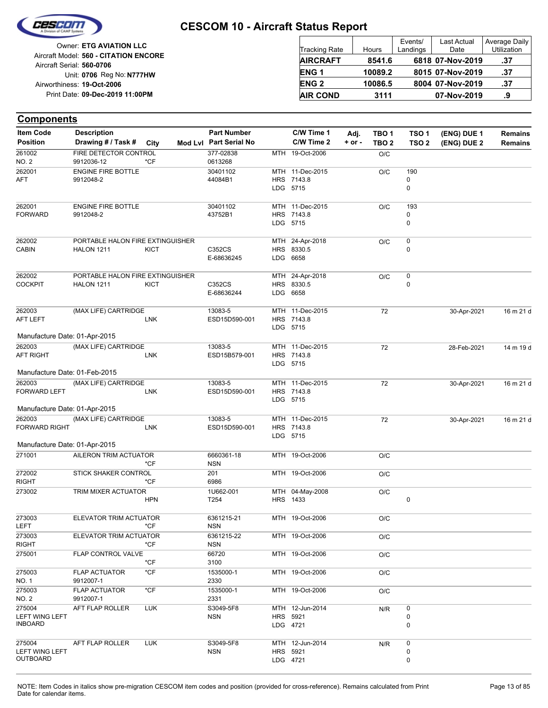

| Owner: ETG AVIATION LLC                                            | Tracking Rate          | Hours   | Events/<br>Landings | Last Actual<br>Date | Average Daily<br>Utilization |
|--------------------------------------------------------------------|------------------------|---------|---------------------|---------------------|------------------------------|
| Aircraft Model: 560 - CITATION ENCORE<br>Aircraft Serial: 560-0706 | <b>AIRCRAFT</b>        | 8541.6  |                     | 6818 07-Nov-2019    | .37                          |
| Unit: 0706 Reg No: N777HW                                          | ENG <sub>1</sub>       | 10089.2 |                     | 8015 07-Nov-2019    | .37                          |
| Airworthiness: 19-Oct-2006                                         | <b>ENG<sub>2</sub></b> | 10086.5 |                     | 8004 07-Nov-2019    | .37                          |
| Print Date: 09-Dec-2019 11:00PM                                    | <b>AIR COND</b>        | 3111    |                     | 07-Nov-2019         | .9                           |

#### **(ENG) DUE 2 (ENG) DUE 1 Components** City **Mod Lvl Part Serial No Part Number C/W Time 1 C/W Time 2 + or - Adj. TBO 1 TBO 2 TSO 2 TSO 1 Remains** Description Part Number C/W Time 1 Adj. TBO 1 TSO 1 (ENG) DUE 1 Remains **Position Drawing # / Task # Item Code** MTH 19-Oct-2006 O/C 0613268 377-02838 NO. 2 261002 9912036-12 \*CF FIRE DETECTOR CONTROL LDG HRS MTH 11-Dec-2015 5715 7143.8 0 0 O/C 190 44084B1 30401102 AFT 262001 9912048-2 ENGINE FIRE BOTTLE LDG 5715 HRS 7143.8 MTH 11-Dec-2015  $\Omega$ 0  $O/C$  193 43752B1 30401102 FORWARD 262001 9912048-2 ENGINE FIRE BOTTLE LDG HRS 8330.5 MTH 6658 24-Apr-2018 0  $O/C$  0 E-68636245 CABIN C352CS HALON 1211 KICT 262002 PORTABLE HALON FIRE EXTINGUISHER LDG HRS 8330.5 MTH 24-Apr-2018 6658  $\Omega$  $O/C$  0 E-68636244 COCKPIT C352CS HALON 1211 KICT 262002 PORTABLE HALON FIRE EXTINGUISHER LDG HRS 7143.8 MTH 11-Dec-2015 72 13083-5 30-Apr-2021 16 m 21 d 5715 ESD15D590-001 AFT LEFT 262003 LNK (MAX LIFE) CARTRIDGE Manufacture Date: 01-Apr-2015 LDG HRS MTH 11-Dec-2015 72 13083-5 28-Feb-2021 14 m 19 d 5715 7143.8 ESD15B579-001 AFT RIGHT 262003 LNK (MAX LIFE) CARTRIDGE Manufacture Date: 01-Feb-2015 LDG 5715 HRS MTH 7143.8 11-Dec-2015 72 ESD15D590-001 13083-5 MTH 11-Dec-2015 72 30-Apr-2021 16 m 21 d FORWARD LEFT 262003 LNK (MAX LIFE) CARTRIDGE Manufacture Date: 01-Apr-2015 LDG 5715 HRS 7143.8 MTH 11-Dec-2015 72 13083-5 30-Apr-2021 16 m 21 d ESD15D590-001 FORWARD RIGHT 262003 LNK (MAX LIFE) CARTRIDGE Manufacture Date: 01-Apr-2015 MTH 19-Oct-2006 O/C NSN 271001 6660361-18 AILERON TRIM ACTUATOR \*CF MTH 19-Oct-2006 O/C 6986 201 RIGHT 272002 \*CF STICK SHAKER CONTROL HRS MTH 04-May-2008 1433  $\Omega$ O/C T254 273002 1U662-001 TRIM MIXER ACTUATOR HPN MTH 19-Oct-2006 O/C NSN 6361215-21 LEFT 273003 \*CF ELEVATOR TRIM ACTUATOR MTH 19-Oct-2006 O/C NSN 6361215-22 RIGHT 273003 \*CF ELEVATOR TRIM ACTUATOR MTH 19-Oct-2006 O/C 3100 275001 66720 FLAP CONTROL VALVE \*CF MTH 19-Oct-2006 O/C 2330 1535000-1 NO. 1 275003 9912007-1 FLAP ACTUATOR \*CF MTH 19-Oct-2006 O/C 2331 1535000-1 NO. 2 275003 9912007-1 FLAP ACTUATOR \*CF LDG 4721 HRS 5921 MTH 12-Jun-2014 0 0  $N/R$  0 NSN S3049-5F8 LEFT WING LEFT INBOARD 275004 AFT FLAP ROLLER LUK LDG 4721 **HRS** MTH 12-Jun-2014 5921 0 0 N/R 0 **NSN** S3049-5F8 LEFT WING LEFT **OUTBOARD** 275004 AFT FLAP ROLLER LUK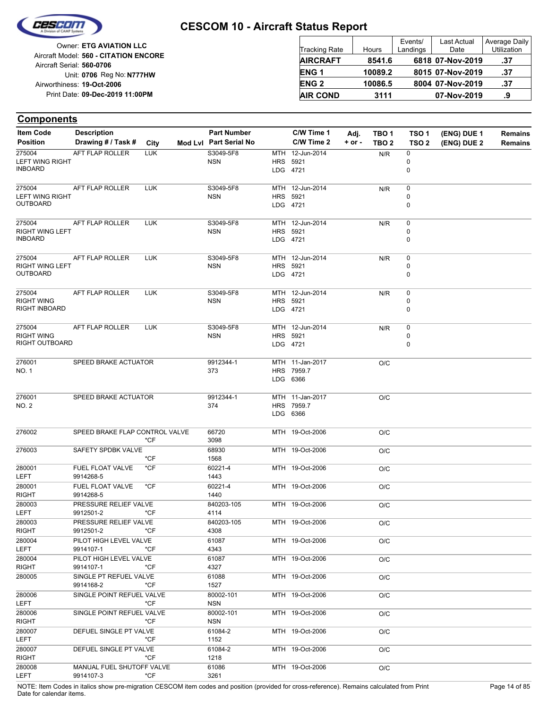

Reg No: **N777HW** Unit: **0706 09-Dec-2019 11:00PM** Print Date: **19-Oct-2006** Airworthiness: Owner: **ETG AVIATION LLC** Aircraft Serial: **560-0706** Aircraft Model: **560 - CITATION ENCORE**

| <b>Tracking Rate</b> | Hours   | Events/<br>Landings | <b>Last Actual</b><br>Date | Average Daily<br>Utilization |
|----------------------|---------|---------------------|----------------------------|------------------------------|
| <b>AIRCRAFT</b>      | 8541.6  |                     | 6818 07-Nov-2019           | .37                          |
| <b>ENG1</b>          | 10089.2 |                     | 8015 07-Nov-2019           | .37                          |
| <b>ENG 2</b>         | 10086.5 |                     | 8004 07-Nov-2019           | .37                          |
| <b>AIR COND</b>      | 3111    |                     | 07-Nov-2019                | .9                           |

| <b>Item Code</b>       | <b>Description</b>                  |            | <b>Part Number</b>      |          | C/W Time 1      | Adj.       | TBO <sub>1</sub> | TSO <sub>1</sub> | (ENG) DUE 1 | Remains        |
|------------------------|-------------------------------------|------------|-------------------------|----------|-----------------|------------|------------------|------------------|-------------|----------------|
| <b>Position</b>        | Drawing # / Task #                  | City       | Mod Lvl Part Serial No  |          | C/W Time 2      | $+$ or $-$ | TBO <sub>2</sub> | TSO <sub>2</sub> | (ENG) DUE 2 | <b>Remains</b> |
| 275004                 | <b>AFT FLAP ROLLER</b>              | <b>LUK</b> | S3049-5F8               |          | MTH 12-Jun-2014 |            | N/R              | 0                |             |                |
| <b>LEFT WING RIGHT</b> |                                     |            | <b>NSN</b>              | HRS 5921 |                 |            |                  | 0                |             |                |
| <b>INBOARD</b>         |                                     |            |                         | LDG 4721 |                 |            |                  | 0                |             |                |
| 275004                 | <b>AFT FLAP ROLLER</b>              | <b>LUK</b> | S3049-5F8               |          | MTH 12-Jun-2014 |            | N/R              | 0                |             |                |
| <b>LEFT WING RIGHT</b> |                                     |            | <b>NSN</b>              | HRS 5921 |                 |            |                  | 0                |             |                |
| <b>OUTBOARD</b>        |                                     |            |                         | LDG 4721 |                 |            |                  | 0                |             |                |
| 275004                 | AFT FLAP ROLLER                     | <b>LUK</b> | S3049-5F8               |          | MTH 12-Jun-2014 |            | N/R              | 0                |             |                |
| <b>RIGHT WING LEFT</b> |                                     |            | <b>NSN</b>              | HRS 5921 |                 |            |                  | 0                |             |                |
| <b>INBOARD</b>         |                                     |            |                         | LDG 4721 |                 |            |                  | 0                |             |                |
| 275004                 | AFT FLAP ROLLER                     | <b>LUK</b> | S3049-5F8               |          | MTH 12-Jun-2014 |            | N/R              | 0                |             |                |
| <b>RIGHT WING LEFT</b> |                                     |            | <b>NSN</b>              | HRS 5921 |                 |            |                  | 0                |             |                |
| <b>OUTBOARD</b>        |                                     |            |                         | LDG 4721 |                 |            |                  | 0                |             |                |
| 275004                 | AFT FLAP ROLLER                     | <b>LUK</b> | S3049-5F8               |          | MTH 12-Jun-2014 |            | N/R              | 0                |             |                |
| <b>RIGHT WING</b>      |                                     |            | <b>NSN</b>              | HRS 5921 |                 |            |                  | 0                |             |                |
| RIGHT INBOARD          |                                     |            |                         | LDG 4721 |                 |            |                  | 0                |             |                |
| 275004                 | AFT FLAP ROLLER                     | <b>LUK</b> | S3049-5F8               |          | MTH 12-Jun-2014 |            | N/R              | 0                |             |                |
| <b>RIGHT WING</b>      |                                     |            | <b>NSN</b>              | HRS 5921 |                 |            |                  | 0                |             |                |
| RIGHT OUTBOARD         |                                     |            |                         | LDG 4721 |                 |            |                  | 0                |             |                |
| 276001                 | SPEED BRAKE ACTUATOR                |            | 9912344-1               |          | MTH 11-Jan-2017 |            | O/C              |                  |             |                |
| NO. 1                  |                                     |            | 373                     |          | HRS 7959.7      |            |                  |                  |             |                |
|                        |                                     |            |                         | LDG 6366 |                 |            |                  |                  |             |                |
| 276001                 | SPEED BRAKE ACTUATOR                |            | 9912344-1               |          | MTH 11-Jan-2017 |            | O/C              |                  |             |                |
| NO. 2                  |                                     |            | 374                     |          | HRS 7959.7      |            |                  |                  |             |                |
|                        |                                     |            |                         |          | LDG 6366        |            |                  |                  |             |                |
| 276002                 | SPEED BRAKE FLAP CONTROL VALVE      |            | 66720                   |          | MTH 19-Oct-2006 |            | O/C              |                  |             |                |
|                        |                                     | *CF        | 3098                    |          |                 |            |                  |                  |             |                |
| 276003                 | SAFETY SPDBK VALVE                  | *CF        | 68930<br>1568           |          | MTH 19-Oct-2006 |            | O/C              |                  |             |                |
| 280001                 | FUEL FLOAT VALVE                    | *CF        | 60221-4                 |          | MTH 19-Oct-2006 |            | O/C              |                  |             |                |
| LEFT                   | 9914268-5                           |            | 1443                    |          |                 |            |                  |                  |             |                |
| 280001                 | FUEL FLOAT VALVE                    | *CF        | 60221-4                 |          | MTH 19-Oct-2006 |            | O/C              |                  |             |                |
| <b>RIGHT</b>           | 9914268-5<br>PRESSURE RELIEF VALVE  |            | 1440                    |          | MTH 19-Oct-2006 |            |                  |                  |             |                |
| 280003<br>LEFT         | 9912501-2                           | *CF        | 840203-105<br>4114      |          |                 |            | O/C              |                  |             |                |
| 280003                 | PRESSURE RELIEF VALVE               |            | 840203-105              |          | MTH 19-Oct-2006 |            | O/C              |                  |             |                |
| <b>RIGHT</b>           | 9912501-2                           | *CF        | 4308                    |          |                 |            |                  |                  |             |                |
| 280004<br>LEFT         | PILOT HIGH LEVEL VALVE<br>9914107-1 | *CF        | 61087<br>4343           |          | MTH 19-Oct-2006 |            | O/C              |                  |             |                |
| 280004                 | PILOT HIGH LEVEL VALVE              |            | 61087                   |          | MTH 19-Oct-2006 |            | O/C              |                  |             |                |
| <b>RIGHT</b>           | 9914107-1                           | *CF        | 4327                    |          |                 |            |                  |                  |             |                |
| 280005                 | SINGLE PT REFUEL VALVE              |            | 61088                   |          | MTH 19-Oct-2006 |            | O/C              |                  |             |                |
|                        | 9914168-2                           | *CF        | 1527                    |          |                 |            |                  |                  |             |                |
| 280006<br>LEFT         | SINGLE POINT REFUEL VALVE           | *CF        | 80002-101<br><b>NSN</b> |          | MTH 19-Oct-2006 |            | O/C              |                  |             |                |
| 280006                 | SINGLE POINT REFUEL VALVE           |            | 80002-101               |          | MTH 19-Oct-2006 |            | O/C              |                  |             |                |
| <b>RIGHT</b><br>280007 | DEFUEL SINGLE PT VALVE              | *CF        | <b>NSN</b><br>61084-2   |          | MTH 19-Oct-2006 |            | O/C              |                  |             |                |
| LEFT                   |                                     | *CF        | 1152                    |          |                 |            |                  |                  |             |                |
| 280007<br>RIGHT        | DEFUEL SINGLE PT VALVE              | *CF        | 61084-2<br>1218         |          | MTH 19-Oct-2006 |            | O/C              |                  |             |                |
| 280008                 | MANUAL FUEL SHUTOFF VALVE           |            | 61086                   |          | MTH 19-Oct-2006 |            | O/C              |                  |             |                |
| <b>LEFT</b>            | 9914107-3                           | *CF        | 3261                    |          |                 |            |                  |                  |             |                |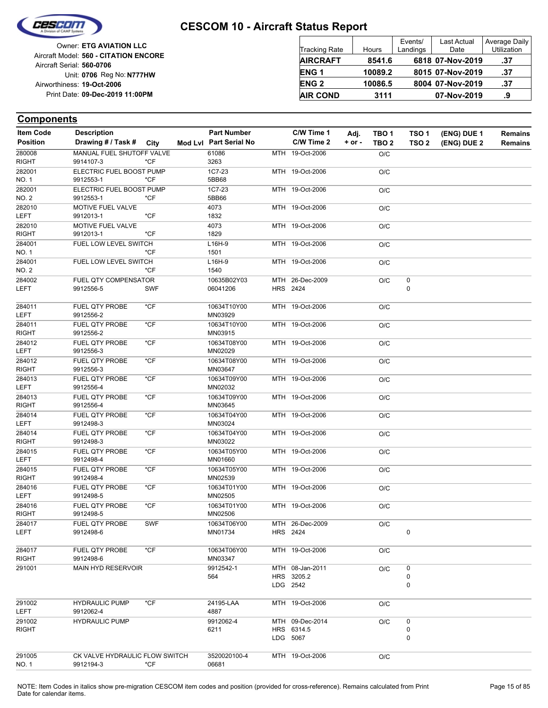

Reg No: **N777HW** Unit: **0706 09-Dec-2019 11:00PM** Print Date: **19-Oct-2006** Airworthiness: Owner: **ETG AVIATION LLC** Aircraft Serial: **560-0706** Aircraft Model: **560 - CITATION ENCORE**

| <b>Tracking Rate</b> | Hours   | Events/<br>Landings | <b>Last Actual</b><br>Date | Average Daily<br>Utilization |
|----------------------|---------|---------------------|----------------------------|------------------------------|
| <b>AIRCRAFT</b>      | 8541.6  |                     | 6818 07-Nov-2019           | .37                          |
| <b>ENG1</b>          | 10089.2 |                     | 8015 07-Nov-2019           | .37                          |
| <b>ENG 2</b>         | 10086.5 |                     | 8004 07-Nov-2019           | .37                          |
| <b>AIR COND</b>      | 3111    |                     | 07-Nov-2019                | .9                           |

| <b>Item Code</b>       | <b>Description</b>                          |            | <b>Part Number</b>     | C/W Time 1      | Adj.       | TBO 1            | TSO <sub>1</sub> | (ENG) DUE 1 | <b>Remains</b> |
|------------------------|---------------------------------------------|------------|------------------------|-----------------|------------|------------------|------------------|-------------|----------------|
| <b>Position</b>        | Drawing # / Task # City                     |            | Mod Lvl Part Serial No | C/W Time 2      | $+$ or $-$ | TBO <sub>2</sub> | TSO <sub>2</sub> | (ENG) DUE 2 | <b>Remains</b> |
| 280008                 | MANUAL FUEL SHUTOFF VALVE                   |            | 61086                  | MTH 19-Oct-2006 |            | O/C              |                  |             |                |
| <b>RIGHT</b>           | 9914107-3                                   | *CF        | 3263                   |                 |            |                  |                  |             |                |
| 282001                 | ELECTRIC FUEL BOOST PUMP                    |            | 1C7-23                 | MTH 19-Oct-2006 |            | O/C              |                  |             |                |
| NO. 1                  | 9912553-1                                   | *CF        | 5BB68                  |                 |            |                  |                  |             |                |
| 282001                 | ELECTRIC FUEL BOOST PUMP                    |            | 1C7-23                 | MTH 19-Oct-2006 |            | O/C              |                  |             |                |
| NO. 2                  | 9912553-1                                   | *CF        | 5BB66                  |                 |            |                  |                  |             |                |
| 282010                 | MOTIVE FUEL VALVE                           |            | 4073                   | MTH 19-Oct-2006 |            | O/C              |                  |             |                |
| LEFT                   | 9912013-1                                   | $*$ CF     | 1832                   |                 |            |                  |                  |             |                |
| 282010                 | MOTIVE FUEL VALVE                           |            | 4073                   | MTH 19-Oct-2006 |            | O/C              |                  |             |                |
| <b>RIGHT</b>           | 9912013-1                                   | *CF        | 1829                   |                 |            |                  |                  |             |                |
| 284001                 | FUEL LOW LEVEL SWITCH                       |            | L16H-9                 | MTH 19-Oct-2006 |            | O/C              |                  |             |                |
| NO. 1                  |                                             | *CF        | 1501                   |                 |            |                  |                  |             |                |
| 284001                 | FUEL LOW LEVEL SWITCH                       |            | L16H-9                 | MTH 19-Oct-2006 |            | O/C              |                  |             |                |
| NO. 2                  |                                             | *CF        | 1540                   |                 |            |                  |                  |             |                |
| 284002                 | FUEL QTY COMPENSATOR                        |            | 10635B02Y03            | MTH 26-Dec-2009 |            | O/C              | 0                |             |                |
| LEFT                   | 9912556-5                                   | <b>SWF</b> | 06041206               | HRS 2424        |            |                  | 0                |             |                |
|                        |                                             |            |                        |                 |            |                  |                  |             |                |
| 284011                 | <b>FUEL QTY PROBE</b>                       | *CF        | 10634T10Y00            | MTH 19-Oct-2006 |            | O/C              |                  |             |                |
| LEFT                   | 9912556-2                                   |            | MN03929                |                 |            |                  |                  |             |                |
| 284011                 | FUEL QTY PROBE                              | *CF        | 10634T10Y00            | MTH 19-Oct-2006 |            | O/C              |                  |             |                |
| <b>RIGHT</b>           | 9912556-2                                   |            | MN03915                |                 |            |                  |                  |             |                |
| 284012                 | FUEL QTY PROBE                              | $*$ CF     | 10634T08Y00            | MTH 19-Oct-2006 |            | O/C              |                  |             |                |
| <b>LEFT</b>            | 9912556-3                                   |            | MN02029                |                 |            |                  |                  |             |                |
| 284012                 | FUEL QTY PROBE                              | *CF        | 10634T08Y00            | MTH 19-Oct-2006 |            | O/C              |                  |             |                |
| RIGHT                  | 9912556-3                                   |            | MN03647                |                 |            |                  |                  |             |                |
| 284013                 | <b>FUEL QTY PROBE</b>                       | $*$ CF     | 10634T09Y00            | MTH 19-Oct-2006 |            | O/C              |                  |             |                |
| LEFT                   | 9912556-4                                   |            | MN02032                |                 |            |                  |                  |             |                |
| 284013<br><b>RIGHT</b> | FUEL QTY PROBE                              | $*$ CF     | 10634T09Y00            | MTH 19-Oct-2006 |            | O/C              |                  |             |                |
|                        | 9912556-4                                   |            | MN03645                |                 |            |                  |                  |             |                |
| 284014<br><b>LEFT</b>  | FUEL QTY PROBE<br>9912498-3                 | $*$ CF     | 10634T04Y00<br>MN03024 | MTH 19-Oct-2006 |            | O/C              |                  |             |                |
| 284014                 | <b>FUEL QTY PROBE</b>                       | $*$ CF     | 10634T04Y00            | MTH 19-Oct-2006 |            |                  |                  |             |                |
| <b>RIGHT</b>           | 9912498-3                                   |            | MN03022                |                 |            | O/C              |                  |             |                |
| 284015                 | FUEL QTY PROBE                              | *CF        | 10634T05Y00            | MTH 19-Oct-2006 |            |                  |                  |             |                |
| LEFT                   | 9912498-4                                   |            | MN01660                |                 |            | O/C              |                  |             |                |
| 284015                 | FUEL QTY PROBE                              | $*$ CF     | 10634T05Y00            | MTH 19-Oct-2006 |            | O/C              |                  |             |                |
| <b>RIGHT</b>           | 9912498-4                                   |            | MN02539                |                 |            |                  |                  |             |                |
| 284016                 | FUEL QTY PROBE                              | *CF        | 10634T01Y00            | MTH 19-Oct-2006 |            | O/C              |                  |             |                |
| <b>LEFT</b>            | 9912498-5                                   |            | MN02505                |                 |            |                  |                  |             |                |
| 284016                 | <b>FUEL QTY PROBE</b>                       | *CF        | 10634T01Y00            | MTH 19-Oct-2006 |            | O/C              |                  |             |                |
| RIGHT                  | 9912498-5                                   |            | MN02506                |                 |            |                  |                  |             |                |
| 284017                 | <b>FUEL QTY PROBE</b>                       | <b>SWF</b> | 10634T06Y00            | MTH 26-Dec-2009 |            | O/C              |                  |             |                |
| LEFT                   | 9912498-6                                   |            | MN01734                | HRS 2424        |            |                  | 0                |             |                |
|                        |                                             |            |                        |                 |            |                  |                  |             |                |
| 284017                 | FUEL QTY PROBE                              | $*$ CF     | 10634T06Y00            | MTH 19-Oct-2006 |            | O/C              |                  |             |                |
| RIGHT                  | 9912498-6                                   |            | MN03347                |                 |            |                  |                  |             |                |
| 291001                 | <b>MAIN HYD RESERVOIR</b>                   |            | 9912542-1              | MTH 08-Jan-2011 |            | O/C              | 0                |             |                |
|                        |                                             |            | 564                    | HRS 3205.2      |            |                  | $\pmb{0}$        |             |                |
|                        |                                             |            |                        | LDG 2542        |            |                  | $\mathbf 0$      |             |                |
|                        |                                             |            |                        |                 |            |                  |                  |             |                |
| 291002                 | <b>HYDRAULIC PUMP</b>                       | $*CF$      | 24195-LAA              | MTH 19-Oct-2006 |            | O/C              |                  |             |                |
| LEFT                   | 9912062-4                                   |            | 4887                   |                 |            |                  |                  |             |                |
| 291002                 | <b>HYDRAULIC PUMP</b>                       |            | 9912062-4              | MTH 09-Dec-2014 |            | O/C              | 0                |             |                |
| RIGHT                  |                                             |            | 6211                   | HRS 6314.5      |            |                  | $\pmb{0}$        |             |                |
|                        |                                             |            |                        | LDG 5067        |            |                  | 0                |             |                |
|                        |                                             |            |                        |                 |            |                  |                  |             |                |
| 291005<br>NO. 1        | CK VALVE HYDRAULIC FLOW SWITCH<br>9912194-3 | *CF        | 3520020100-4<br>06681  | MTH 19-Oct-2006 |            | O/C              |                  |             |                |
|                        |                                             |            |                        |                 |            |                  |                  |             |                |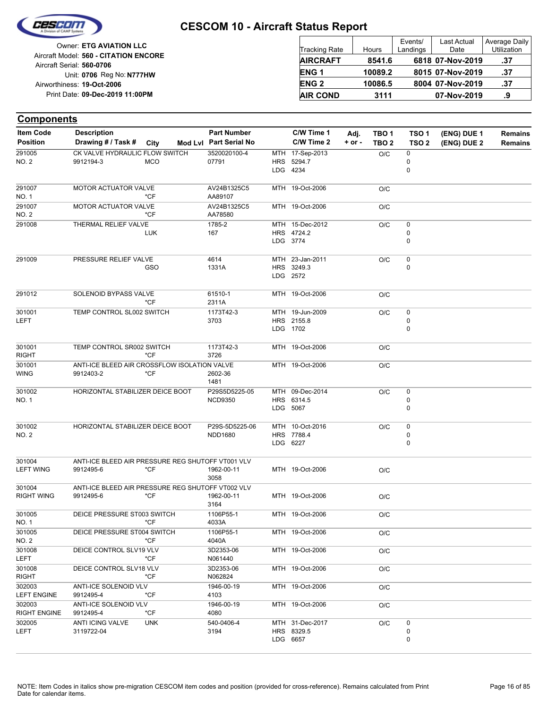

| <b>Tracking Rate</b> | Hours   | Events/<br>Landings | <b>Last Actual</b><br>Date | Average Daily<br>Utilization |
|----------------------|---------|---------------------|----------------------------|------------------------------|
| <b>AIRCRAFT</b>      | 8541.6  |                     | 6818 07-Nov-2019           | .37                          |
| <b>ENG1</b>          | 10089.2 |                     | 8015 07-Nov-2019           | .37                          |
| <b>ENG 2</b>         | 10086.5 |                     | 8004 07-Nov-2019           | .37                          |
| <b>AIR COND</b>      | 3111    |                     | 07-Nov-2019                | .9                           |

| <b>Components</b>             |                                                   |            |                                 |                               |          |                  |                  |             |                |
|-------------------------------|---------------------------------------------------|------------|---------------------------------|-------------------------------|----------|------------------|------------------|-------------|----------------|
| <b>Item Code</b>              | <b>Description</b>                                |            | <b>Part Number</b>              | C/W Time 1                    | Adj.     | TBO 1            | TSO <sub>1</sub> | (ENG) DUE 1 | <b>Remains</b> |
| <b>Position</b>               | Drawing # / Task #                                | City       | Mod Lvl Part Serial No          | C/W Time 2                    | $+ or -$ | TBO <sub>2</sub> | TSO <sub>2</sub> | (ENG) DUE 2 | <b>Remains</b> |
| 291005                        | CK VALVE HYDRAULIC FLOW SWITCH                    |            | 3520020100-4                    | MTH 17-Sep-2013               |          | O/C              | 0                |             |                |
| NO. 2                         | 9912194-3                                         | <b>MCO</b> | 07791                           | HRS 5294.7                    |          |                  | 0                |             |                |
|                               |                                                   |            |                                 | LDG 4234                      |          |                  | 0                |             |                |
| 291007                        | <b>MOTOR ACTUATOR VALVE</b>                       |            | AV24B1325C5                     | MTH 19-Oct-2006               |          | O/C              |                  |             |                |
| NO. 1                         |                                                   | *CF        | AA89107                         |                               |          |                  |                  |             |                |
| 291007                        | MOTOR ACTUATOR VALVE                              |            | AV24B1325C5                     | MTH 19-Oct-2006               |          | O/C              |                  |             |                |
| NO. 2                         |                                                   | *CF        | AA78580                         |                               |          |                  |                  |             |                |
| 291008                        | THERMAL RELIEF VALVE                              |            | 1785-2                          | MTH 15-Dec-2012<br>HRS 4724.2 |          | O/C              | 0<br>0           |             |                |
|                               |                                                   | <b>LUK</b> | 167                             | LDG 3774                      |          |                  | 0                |             |                |
|                               |                                                   |            |                                 |                               |          |                  |                  |             |                |
| 291009                        | PRESSURE RELIEF VALVE                             |            | 4614                            | MTH 23-Jan-2011               |          | O/C              | 0                |             |                |
|                               |                                                   | GSO        | 1331A                           | HRS 3249.3                    |          |                  | 0                |             |                |
|                               |                                                   |            |                                 | LDG 2572                      |          |                  |                  |             |                |
| 291012                        | SOLENOID BYPASS VALVE                             |            | 61510-1                         | MTH 19-Oct-2006               |          | O/C              |                  |             |                |
|                               |                                                   | *CF        | 2311A                           |                               |          |                  |                  |             |                |
| 301001                        | TEMP CONTROL SL002 SWITCH                         |            | 1173T42-3                       | MTH 19-Jun-2009               |          | O/C              | 0                |             |                |
| LEFT                          |                                                   |            | 3703                            | HRS 2155.8                    |          |                  | 0                |             |                |
|                               |                                                   |            |                                 | LDG 1702                      |          |                  | 0                |             |                |
| 301001                        | TEMP CONTROL SR002 SWITCH                         |            | 1173T42-3                       | MTH 19-Oct-2006               |          | O/C              |                  |             |                |
| <b>RIGHT</b>                  |                                                   | *CF        | 3726                            |                               |          |                  |                  |             |                |
| 301001                        | ANTI-ICE BLEED AIR CROSSFLOW ISOLATION VALVE      |            |                                 | MTH 19-Oct-2006               |          | O/C              |                  |             |                |
| <b>WING</b>                   | 9912403-2                                         | *CF        | 2602-36                         |                               |          |                  |                  |             |                |
|                               |                                                   |            | 1481                            |                               |          |                  |                  |             |                |
| 301002<br>NO. 1               | HORIZONTAL STABILIZER DEICE BOOT                  |            | P29S5D5225-05<br><b>NCD9350</b> | MTH 09-Dec-2014<br>HRS 6314.5 |          | O/C              | 0<br>0           |             |                |
|                               |                                                   |            |                                 | LDG 5067                      |          |                  | $\mathbf 0$      |             |                |
|                               |                                                   |            |                                 |                               |          |                  |                  |             |                |
| 301002                        | HORIZONTAL STABILIZER DEICE BOOT                  |            | P29S-5D5225-06                  | MTH 10-Oct-2016               |          | O/C              | 0                |             |                |
| <b>NO. 2</b>                  |                                                   |            | <b>NDD1680</b>                  | HRS 7788.4                    |          |                  | 0                |             |                |
|                               |                                                   |            |                                 | LDG 6227                      |          |                  | 0                |             |                |
| 301004                        | ANTI-ICE BLEED AIR PRESSURE REG SHUTOFF VT001 VLV |            |                                 |                               |          |                  |                  |             |                |
| <b>LEFT WING</b>              | 9912495-6                                         | $*CF$      | 1962-00-11                      | MTH 19-Oct-2006               |          | O/C              |                  |             |                |
|                               |                                                   |            | 3058                            |                               |          |                  |                  |             |                |
| 301004                        | ANTI-ICE BLEED AIR PRESSURE REG SHUTOFF VT002 VLV |            |                                 |                               |          |                  |                  |             |                |
| <b>RIGHT WING</b>             | 9912495-6                                         | *CF        | 1962-00-11<br>3164              | MTH 19-Oct-2006               |          | O/C              |                  |             |                |
| 301005                        | DEICE PRESSURE ST003 SWITCH                       |            | 1106P55-1                       | MTH 19-Oct-2006               |          | O/C              |                  |             |                |
| NO. 1                         |                                                   | $*CF$      | 4033A                           |                               |          |                  |                  |             |                |
| 301005                        | DEICE PRESSURE ST004 SWITCH                       |            | 1106P55-1                       | MTH 19-Oct-2006               |          | O/C              |                  |             |                |
| NO. 2                         |                                                   | $*CF$      | 4040A                           |                               |          |                  |                  |             |                |
| 301008<br>LEFT                | DEICE CONTROL SLV19 VLV                           | *CF        | 3D2353-06<br>N061440            | MTH 19-Oct-2006               |          | O/C              |                  |             |                |
| 301008                        | DEICE CONTROL SLV18 VLV                           |            | 3D2353-06                       | MTH 19-Oct-2006               |          | O/C              |                  |             |                |
| <b>RIGHT</b>                  |                                                   | $*$ CF     | N062824                         |                               |          |                  |                  |             |                |
| 302003                        | ANTI-ICE SOLENOID VLV                             |            | 1946-00-19                      | MTH 19-Oct-2006               |          | O/C              |                  |             |                |
| <b>LEFT ENGINE</b>            | 9912495-4                                         | *CF        | 4103                            |                               |          |                  |                  |             |                |
| 302003<br><b>RIGHT ENGINE</b> | ANTI-ICE SOLENOID VLV<br>9912495-4                | $*CF$      | 1946-00-19<br>4080              | MTH 19-Oct-2006               |          | O/C              |                  |             |                |
| 302005                        | ANTI ICING VALVE                                  | UNK        | 540-0406-4                      | MTH 31-Dec-2017               |          | O/C              | 0                |             |                |
| LEFT                          | 3119722-04                                        |            | 3194                            | HRS 8329.5                    |          |                  | 0                |             |                |
|                               |                                                   |            |                                 | LDG 6657                      |          |                  | 0                |             |                |
|                               |                                                   |            |                                 |                               |          |                  |                  |             |                |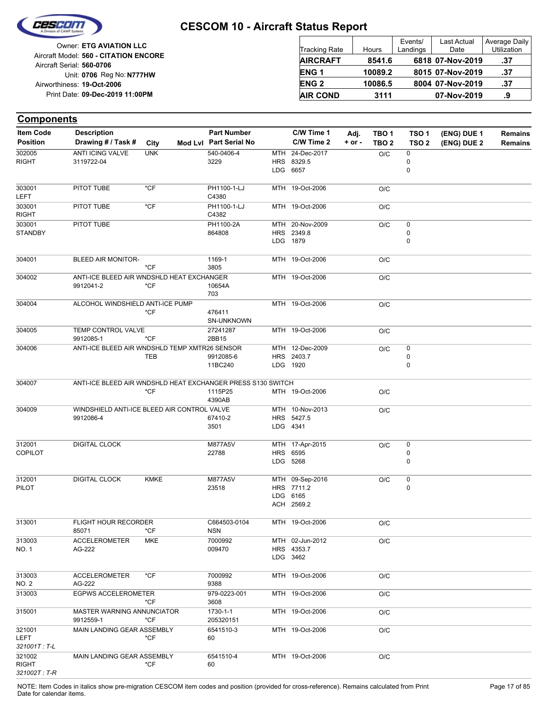

Reg No: **N777HW** Unit: **0706 09-Dec-2019 11:00PM** Print Date: **19-Oct-2006** Airworthiness: Owner: **ETG AVIATION LLC** Aircraft Serial: **560-0706** Aircraft Model: **560 - CITATION ENCORE**

| <b>Tracking Rate</b> | Hours   | Events/<br>Landings | <b>Last Actual</b><br>Date | Average Daily<br>Utilization |
|----------------------|---------|---------------------|----------------------------|------------------------------|
| <b>AIRCRAFT</b>      | 8541.6  |                     | 6818 07-Nov-2019           | .37                          |
| <b>ENG1</b>          | 10089.2 |                     | 8015 07-Nov-2019           | .37                          |
| <b>ENG 2</b>         | 10086.5 |                     | 8004 07-Nov-2019           | .37                          |
| <b>AIR COND</b>      | 3111    |                     | 07-Nov-2019                | .9                           |

#### **Components**

| Item Code                | <b>Description</b>                                          |             | <b>Part Number</b>     | C/W Time 1      | Adj.   | TBO <sub>1</sub> | TSO <sub>1</sub> | (ENG) DUE 1 | Remains        |
|--------------------------|-------------------------------------------------------------|-------------|------------------------|-----------------|--------|------------------|------------------|-------------|----------------|
| <b>Position</b>          | Drawing # / Task #                                          | City        | Mod Lvl Part Serial No | C/W Time 2      | + or - | TBO <sub>2</sub> | TSO <sub>2</sub> | (ENG) DUE 2 | <b>Remains</b> |
| 302005                   | ANTI ICING VALVE                                            | <b>UNK</b>  | 540-0406-4             | MTH 24-Dec-2017 |        | O/C              | 0                |             |                |
| <b>RIGHT</b>             | 3119722-04                                                  |             | 3229                   | HRS 8329.5      |        |                  | 0                |             |                |
|                          |                                                             |             |                        | LDG 6657        |        |                  | 0                |             |                |
| 303001                   | PITOT TUBE                                                  | $*$ CF      | PH1100-1-LJ            | MTH 19-Oct-2006 |        | O/C              |                  |             |                |
| <b>LEFT</b>              |                                                             |             | C4380                  |                 |        |                  |                  |             |                |
| 303001                   | PITOT TUBE                                                  | $*$ CF      | PH1100-1-LJ            | MTH 19-Oct-2006 |        | O/C              |                  |             |                |
| RIGHT                    |                                                             |             | C4382                  |                 |        |                  |                  |             |                |
| 303001                   | PITOT TUBE                                                  |             | PH1100-2A              | MTH 20-Nov-2009 |        | O/C              | 0                |             |                |
| <b>STANDBY</b>           |                                                             |             | 864808                 | HRS 2349.8      |        |                  | 0                |             |                |
|                          |                                                             |             |                        | LDG 1879        |        |                  | 0                |             |                |
| 304001                   | <b>BLEED AIR MONITOR-</b>                                   |             | 1169-1                 | MTH 19-Oct-2006 |        | O/C              |                  |             |                |
|                          |                                                             | $*CF$       | 3805                   |                 |        |                  |                  |             |                |
| 304002                   | ANTI-ICE BLEED AIR WNDSHLD HEAT EXCHANGER                   |             |                        | MTH 19-Oct-2006 |        | O/C              |                  |             |                |
|                          | 9912041-2                                                   | $*$ CF      | 10654A                 |                 |        |                  |                  |             |                |
|                          |                                                             |             | 703                    |                 |        |                  |                  |             |                |
| 304004                   | ALCOHOL WINDSHIELD ANTI-ICE PUMP                            |             |                        | MTH 19-Oct-2006 |        | O/C              |                  |             |                |
|                          |                                                             | $*$ CF      | 476411                 |                 |        |                  |                  |             |                |
|                          |                                                             |             | SN-UNKNOWN             |                 |        |                  |                  |             |                |
| 304005                   | TEMP CONTROL VALVE                                          |             | 27241287               | MTH 19-Oct-2006 |        | O/C              |                  |             |                |
|                          | 9912085-1                                                   | $*CF$       | 2BB15                  |                 |        |                  |                  |             |                |
| 304006                   | ANTI-ICE BLEED AIR WNDSHLD TEMP XMTR26 SENSOR               |             |                        | MTH 12-Dec-2009 |        | O/C              | 0                |             |                |
|                          |                                                             | TEB         | 9912085-6              | HRS 2403.7      |        |                  | 0                |             |                |
|                          |                                                             |             | 11BC240                | LDG 1920        |        |                  | 0                |             |                |
| 304007                   | ANTI-ICE BLEED AIR WNDSHLD HEAT EXCHANGER PRESS S130 SWITCH |             |                        |                 |        |                  |                  |             |                |
|                          |                                                             | $*$ CF      | 1115P25                | MTH 19-Oct-2006 |        | O/C              |                  |             |                |
|                          |                                                             |             | 4390AB                 |                 |        |                  |                  |             |                |
| 304009                   | WINDSHIELD ANTI-ICE BLEED AIR CONTROL VALVE                 |             |                        | MTH 10-Nov-2013 |        | O/C              |                  |             |                |
|                          | 9912086-4                                                   |             | 67410-2                | HRS 5427.5      |        |                  |                  |             |                |
|                          |                                                             |             | 3501                   | LDG 4341        |        |                  |                  |             |                |
|                          | <b>DIGITAL CLOCK</b>                                        |             | M877A5V                | MTH 17-Apr-2015 |        |                  |                  |             |                |
| 312001<br><b>COPILOT</b> |                                                             |             | 22788                  | HRS 6595        |        | O/C              | 0<br>0           |             |                |
|                          |                                                             |             |                        | LDG 5268        |        |                  | 0                |             |                |
|                          |                                                             |             |                        |                 |        |                  |                  |             |                |
| 312001                   | DIGITAL CLOCK                                               | <b>KMKE</b> | M877A5V                | MTH 09-Sep-2016 |        | O/C              | 0                |             |                |
| <b>PILOT</b>             |                                                             |             | 23518                  | HRS 7711.2      |        |                  | 0                |             |                |
|                          |                                                             |             |                        | LDG 6165        |        |                  |                  |             |                |
|                          |                                                             |             |                        | ACH 2569.2      |        |                  |                  |             |                |
|                          |                                                             |             |                        |                 |        |                  |                  |             |                |
| 313001                   | <b>FLIGHT HOUR RECORDER</b>                                 |             | C664503-0104           | MTH 19-Oct-2006 |        | O/C              |                  |             |                |
|                          | 85071                                                       | *CF         | <b>NSN</b>             |                 |        |                  |                  |             |                |
| 313003                   | <b>ACCELEROMETER</b>                                        | MKE         | 7000992                | MTH 02-Jun-2012 |        | O/C              |                  |             |                |
| NO. 1                    | AG-222                                                      |             | 009470                 | HRS 4353.7      |        |                  |                  |             |                |
|                          |                                                             |             |                        | LDG 3462        |        |                  |                  |             |                |
| 313003                   | <b>ACCELEROMETER</b>                                        | $*$ CF      | 7000992                | MTH 19-Oct-2006 |        |                  |                  |             |                |
| NO. 2                    | AG-222                                                      |             | 9388                   |                 |        | O/C              |                  |             |                |
| 313003                   | <b>EGPWS ACCELEROMETER</b>                                  |             |                        |                 |        |                  |                  |             |                |
|                          |                                                             | *CF         | 979-0223-001<br>3608   | MTH 19-Oct-2006 |        | O/C              |                  |             |                |
| 315001                   | MASTER WARNING ANNUNCIATOR                                  |             | 1730-1-1               | MTH 19-Oct-2006 |        |                  |                  |             |                |
|                          | 9912559-1                                                   | $*CF$       | 205320151              |                 |        | O/C              |                  |             |                |
| 321001                   | MAIN LANDING GEAR ASSEMBLY                                  |             | 6541510-3              | MTH 19-Oct-2006 |        | O/C              |                  |             |                |
| LEFT                     |                                                             | *CF         | 60                     |                 |        |                  |                  |             |                |
| 321001T: T-L             |                                                             |             |                        |                 |        |                  |                  |             |                |
| 321002                   | MAIN LANDING GEAR ASSEMBLY                                  |             | 6541510-4              | MTH 19-Oct-2006 |        | O/C              |                  |             |                |
| <b>RIGHT</b>             |                                                             | *CF         | 60                     |                 |        |                  |                  |             |                |
| 321002T: T-R             |                                                             |             |                        |                 |        |                  |                  |             |                |

NOTE: Item Codes in italics show pre-migration CESCOM item codes and position (provided for cross-reference). Remains calculated from Print Page 17 of 85 Date for calendar items.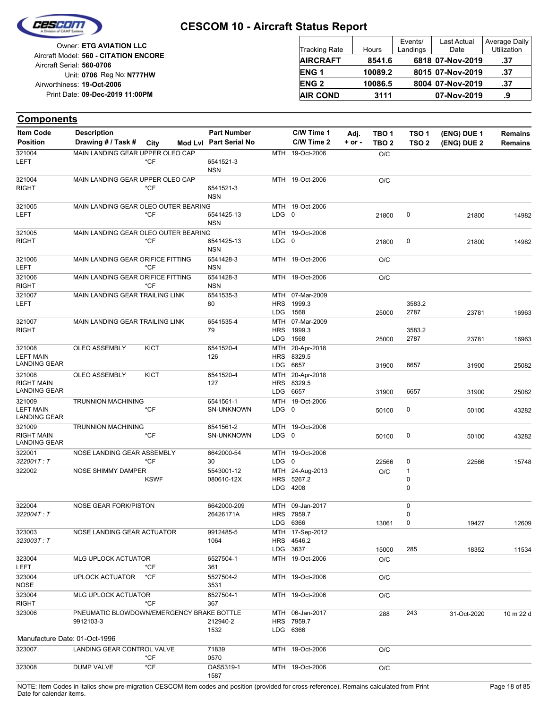

| <b>Tracking Rate</b> | Hours   | Events/<br>Landings | <b>Last Actual</b><br>Date | Average Daily<br>Utilization |
|----------------------|---------|---------------------|----------------------------|------------------------------|
| <b>AIRCRAFT</b>      | 8541.6  |                     | 6818 07-Nov-2019           | .37                          |
| <b>ENG1</b>          | 10089.2 |                     | 8015 07-Nov-2019           | .37                          |
| <b>ENG 2</b>         | 10086.5 |                     | 8004 07-Nov-2019           | .37                          |
| <b>AIR COND</b>      | 3111    |                     | 07-Nov-2019                | .9                           |

| <b>Components</b>                                 |                                                        |             |                                |                                 |                                           |          |                  |                       |             |                |
|---------------------------------------------------|--------------------------------------------------------|-------------|--------------------------------|---------------------------------|-------------------------------------------|----------|------------------|-----------------------|-------------|----------------|
| <b>Item Code</b>                                  | <b>Description</b>                                     |             | <b>Part Number</b>             |                                 | C/W Time 1                                | Adj.     | TBO 1            | TSO <sub>1</sub>      | (ENG) DUE 1 | <b>Remains</b> |
| <b>Position</b>                                   | Drawing # / Task #                                     | City        | Mod Lvl Part Serial No         |                                 | C/W Time 2                                | $+ or -$ | TBO <sub>2</sub> | TSO <sub>2</sub>      | (ENG) DUE 2 | Remains        |
| 321004<br>LEFT                                    | MAIN LANDING GEAR UPPER OLEO CAP                       | $*$ CF      | 6541521-3<br><b>NSN</b>        |                                 | MTH 19-Oct-2006                           |          | O/C              |                       |             |                |
| 321004<br>RIGHT                                   | MAIN LANDING GEAR UPPER OLEO CAP                       | *CF         | 6541521-3<br>NSN               |                                 | MTH 19-Oct-2006                           |          | O/C              |                       |             |                |
| 321005<br>LEFT                                    | MAIN LANDING GEAR OLEO OUTER BEARING                   | *CF         | 6541425-13<br><b>NSN</b>       | LDG <sub>0</sub>                | MTH 19-Oct-2006                           |          | 21800            | 0                     | 21800       | 14982          |
| 321005<br><b>RIGHT</b>                            | MAIN LANDING GEAR OLEO OUTER BEARING                   | *CF         | 6541425-13<br><b>NSN</b>       | LDG <sub>0</sub>                | MTH 19-Oct-2006                           |          | 21800            | 0                     | 21800       | 14982          |
| 321006<br>LEFT                                    | MAIN LANDING GEAR ORIFICE FITTING                      | *CF         | 6541428-3<br><b>NSN</b>        |                                 | MTH 19-Oct-2006                           |          | O/C              |                       |             |                |
| 321006<br><b>RIGHT</b>                            | MAIN LANDING GEAR ORIFICE FITTING                      | $*CF$       | 6541428-3<br><b>NSN</b>        |                                 | MTH 19-Oct-2006                           |          | O/C              |                       |             |                |
| 321007<br>LEFT                                    | MAIN LANDING GEAR TRAILING LINK                        |             | 6541535-3<br>80                | <b>HRS</b><br><b>LDG</b>        | MTH 07-Mar-2009<br>1999.3<br>1568         |          | 25000            | 3583.2<br>2787        | 23781       | 16963          |
| 321007<br><b>RIGHT</b>                            | MAIN LANDING GEAR TRAILING LINK                        |             | 6541535-4<br>79                | MTH<br><b>HRS</b><br><b>LDG</b> | 07-Mar-2009<br>1999.3<br>1568             |          | 25000            | 3583.2<br>2787        | 23781       | 16963          |
| 321008<br>LEFT MAIN<br>LANDING GEAR               | <b>OLEO ASSEMBLY</b>                                   | <b>KICT</b> | 6541520-4<br>126               | MTH<br><b>HRS</b><br><b>LDG</b> | 20-Apr-2018<br>8329.5<br>6657             |          | 31900            | 6657                  | 31900       | 25082          |
| 321008<br><b>RIGHT MAIN</b><br>LANDING GEAR       | OLEO ASSEMBLY                                          | <b>KICT</b> | 6541520-4<br>127               | MTH<br><b>HRS</b><br><b>LDG</b> | 20-Apr-2018<br>8329.5<br>6657             |          | 31900            | 6657                  | 31900       | 25082          |
| 321009<br><b>LEFT MAIN</b><br><b>LANDING GEAR</b> | <b>TRUNNION MACHINING</b>                              | *CF         | 6541561-1<br><b>SN-UNKNOWN</b> | LDG 0                           | MTH 19-Oct-2006                           |          | 50100            | 0                     | 50100       | 43282          |
| 321009<br><b>RIGHT MAIN</b><br>LANDING GEAR       | <b>TRUNNION MACHINING</b>                              | *CF         | 6541561-2<br><b>SN-UNKNOWN</b> | LDG <sub>0</sub>                | MTH 19-Oct-2006                           |          | 50100            | 0                     | 50100       | 43282          |
| 322001<br>322001T : T                             | NOSE LANDING GEAR ASSEMBLY                             | *CF         | 6642000-54<br>30               | MTH<br>LDG <sub>0</sub>         | 19-Oct-2006                               |          | 22566            | 0                     | 22566       | 15748          |
| 322002                                            | NOSE SHIMMY DAMPER                                     | <b>KSWF</b> | 5543001-12<br>080610-12X       | <b>HRS</b><br><b>LDG</b>        | MTH 24-Aug-2013<br>5267.2<br>4208         |          | O/C              | 1<br>0<br>0           |             |                |
| 322004<br>322004T : T                             | NOSE GEAR FORK/PISTON                                  |             | 6642000-209<br>26426171A       |                                 | MTH 09-Jan-2017<br>HRS 7959.7<br>LDG 6366 |          | 13061            | $\mathbf 0$<br>0<br>0 | 19427       | 12609          |
| 323003<br>323003T:T                               | NOSE LANDING GEAR ACTUATOR                             |             | 9912485-5<br>1064              |                                 | MTH 17-Sep-2012<br>HRS 4546.2<br>LDG 3637 |          | 15000            | 285                   | 18352       | 11534          |
| 323004<br>LEFT                                    | MLG UPLOCK ACTUATOR                                    | *CF         | 6527504-1<br>361               |                                 | MTH 19-Oct-2006                           |          | O/C              |                       |             |                |
| 323004<br>NOSE                                    | <b>UPLOCK ACTUATOR</b>                                 | *CF         | 5527504-2<br>3531              |                                 | MTH 19-Oct-2006                           |          | O/C              |                       |             |                |
| 323004<br><b>RIGHT</b>                            | MLG UPLOCK ACTUATOR                                    | *CF         | 6527504-1<br>367               |                                 | MTH 19-Oct-2006                           |          | O/C              |                       |             |                |
| 323006                                            | PNEUMATIC BLOWDOWN/EMERGENCY BRAKE BOTTLE<br>9912103-3 |             | 212940-2<br>1532               |                                 | MTH 06-Jan-2017<br>HRS 7959.7<br>LDG 6366 |          | 288              | 243                   | 31-Oct-2020 | 10 m 22 d      |
| Manufacture Date: 01-Oct-1996                     |                                                        |             |                                |                                 |                                           |          |                  |                       |             |                |
| 323007                                            | LANDING GEAR CONTROL VALVE                             | $*$ CF      | 71839<br>0570                  |                                 | MTH 19-Oct-2006                           |          | O/C              |                       |             |                |
| 323008                                            | DUMP VALVE                                             | $*$ CF      | OAS5319-1<br>1587              |                                 | MTH 19-Oct-2006                           |          | O/C              |                       |             |                |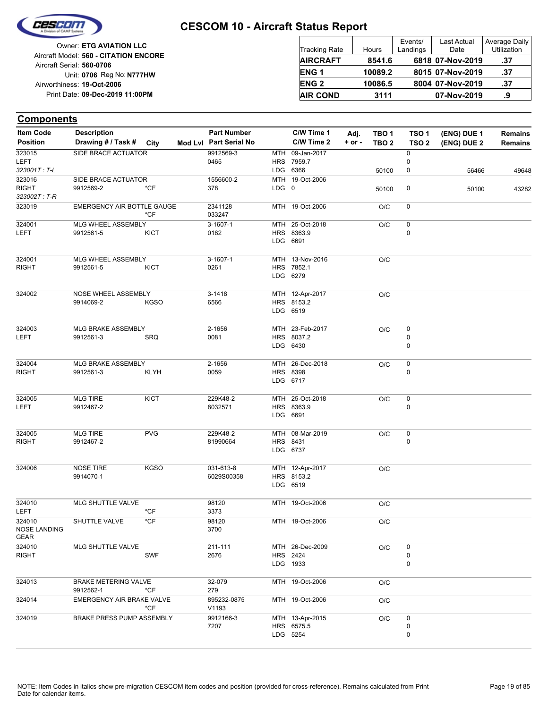

| <b>Owner: ETG AVIATION LLC</b>                                     | <b>Tracking Rate</b> | Hours   | Events/<br>Landings | Last Actual<br>Date | Average Daily<br><b>Utilization</b> |
|--------------------------------------------------------------------|----------------------|---------|---------------------|---------------------|-------------------------------------|
| Aircraft Model: 560 - CITATION ENCORE<br>Aircraft Serial: 560-0706 | <b>AIRCRAFT</b>      | 8541.6  |                     | 6818 07-Nov-2019    | .37                                 |
| Unit: 0706 Reg No: N777HW                                          | <b>ENG1</b>          | 10089.2 |                     | 8015 07-Nov-2019    | .37                                 |
| Airworthiness: 19-Oct-2006                                         | <b>ENG 2</b>         | 10086.5 |                     | 8004 07-Nov-2019    | .37                                 |
| Print Date: 09-Dec-2019 11:00PM                                    | <b>AIR COND</b>      | 3111    |                     | 07-Nov-2019         | .9                                  |

| <b>Item Code</b>       | <b>Description</b>               |                  | <b>Part Number</b>     |       | C/W Time 1                  | Adj.       | TBO 1            | TSO <sub>1</sub> | (ENG) DUE 1 | <b>Remains</b> |
|------------------------|----------------------------------|------------------|------------------------|-------|-----------------------------|------------|------------------|------------------|-------------|----------------|
| <b>Position</b>        | Drawing # / Task # City          |                  | Mod Lvl Part Serial No |       | C/W Time 2                  | $+$ or $-$ | TBO <sub>2</sub> | TSO <sub>2</sub> | (ENG) DUE 2 | <b>Remains</b> |
| 323015                 | SIDE BRACE ACTUATOR              |                  | 9912569-3              |       | MTH 09-Jan-2017             |            |                  | $\pmb{0}$        |             |                |
| LEFT<br>323001T: T-L   |                                  |                  | 0465                   |       | HRS 7959.7                  |            |                  | 0                |             |                |
| 323016                 |                                  |                  | 1556600-2              |       | LDG 6366<br>MTH 19-Oct-2006 |            | 50100            | 0                | 56466       | 49648          |
| <b>RIGHT</b>           | SIDE BRACE ACTUATOR<br>9912569-2 | $*$ CF           | 378                    | LDG 0 |                             |            | 50100            | 0                | 50100       | 43282          |
| 323002T: T-R           |                                  |                  |                        |       |                             |            |                  |                  |             |                |
| 323019                 | EMERGENCY AIR BOTTLE GAUGE       |                  | 2341128                |       | MTH 19-Oct-2006             |            | O/C              | 0                |             |                |
|                        |                                  | $*$ CF           | 033247                 |       |                             |            |                  |                  |             |                |
| 324001                 | MLG WHEEL ASSEMBLY               |                  | $3-1607-1$             |       | MTH 25-Oct-2018             |            | O/C              | 0                |             |                |
| LEFT                   | 9912561-5                        | KICT             | 0182                   |       | HRS 8363.9                  |            |                  | 0                |             |                |
|                        |                                  |                  |                        |       | LDG 6691                    |            |                  |                  |             |                |
| 324001                 | MLG WHEEL ASSEMBLY               |                  | 3-1607-1               |       | MTH 13-Nov-2016             |            | O/C              |                  |             |                |
| <b>RIGHT</b>           | 9912561-5                        | <b>KICT</b>      | 0261                   |       | HRS 7852.1                  |            |                  |                  |             |                |
|                        |                                  |                  |                        |       | LDG 6279                    |            |                  |                  |             |                |
|                        |                                  |                  |                        |       |                             |            |                  |                  |             |                |
| 324002                 | NOSE WHEEL ASSEMBLY              |                  | 3-1418                 |       | MTH 12-Apr-2017             |            | O/C              |                  |             |                |
|                        | 9914069-2                        | <b>KGSO</b>      | 6566                   |       | HRS 8153.2<br>LDG 6519      |            |                  |                  |             |                |
|                        |                                  |                  |                        |       |                             |            |                  |                  |             |                |
| 324003                 | MLG BRAKE ASSEMBLY               |                  | 2-1656                 |       | MTH 23-Feb-2017             |            | O/C              | 0                |             |                |
| LEFT                   | 9912561-3                        | <b>SRQ</b>       | 0081                   |       | HRS 8037.2                  |            |                  | 0                |             |                |
|                        |                                  |                  |                        |       | LDG 6430                    |            |                  | 0                |             |                |
|                        |                                  |                  |                        |       |                             |            |                  |                  |             |                |
| 324004<br><b>RIGHT</b> | MLG BRAKE ASSEMBLY<br>9912561-3  | <b>KLYH</b>      | 2-1656<br>0059         |       | MTH 26-Dec-2018<br>HRS 8398 |            | O/C              | 0<br>0           |             |                |
|                        |                                  |                  |                        |       | LDG 6717                    |            |                  |                  |             |                |
|                        |                                  |                  |                        |       |                             |            |                  |                  |             |                |
| 324005                 | <b>MLG TIRE</b>                  | <b>KICT</b>      | 229K48-2               |       | MTH 25-Oct-2018             |            | O/C              | $\pmb{0}$        |             |                |
| LEFT                   | 9912467-2                        |                  | 8032571                |       | HRS 8363.9<br>LDG 6691      |            |                  | 0                |             |                |
|                        |                                  |                  |                        |       |                             |            |                  |                  |             |                |
| 324005                 | <b>MLG TIRE</b>                  | <b>PVG</b>       | 229K48-2               |       | MTH 08-Mar-2019             |            | O/C              | 0                |             |                |
| <b>RIGHT</b>           | 9912467-2                        |                  | 81990664               |       | HRS 8431                    |            |                  | 0                |             |                |
|                        |                                  |                  |                        |       | LDG 6737                    |            |                  |                  |             |                |
| 324006                 | <b>NOSE TIRE</b>                 | <b>KGSO</b>      | 031-613-8              |       | MTH 12-Apr-2017             |            | O/C              |                  |             |                |
|                        | 9914070-1                        |                  | 6029S00358             |       | HRS 8153.2                  |            |                  |                  |             |                |
|                        |                                  |                  |                        |       | LDG 6519                    |            |                  |                  |             |                |
|                        |                                  |                  |                        |       |                             |            |                  |                  |             |                |
| 324010                 | MLG SHUTTLE VALVE                |                  | 98120                  |       | MTH 19-Oct-2006             |            | O/C              |                  |             |                |
| LEFT<br>324010         | SHUTTLE VALVE                    | $*$ CF<br>$*$ CF | 3373<br>98120          |       |                             |            |                  |                  |             |                |
| NOSE LANDING           |                                  |                  | 3700                   |       | MTH 19-Oct-2006             |            | O/C              |                  |             |                |
| GEAR                   |                                  |                  |                        |       |                             |            |                  |                  |             |                |
| 324010                 | MLG SHUTTLE VALVE                |                  | 211-111                |       | MTH 26-Dec-2009             |            | O/C              | 0                |             |                |
| <b>RIGHT</b>           |                                  | <b>SWF</b>       | 2676                   |       | <b>HRS</b> 2424             |            |                  | 0                |             |                |
|                        |                                  |                  |                        |       | LDG 1933                    |            |                  | 0                |             |                |
| 324013                 | <b>BRAKE METERING VALVE</b>      |                  | 32-079                 |       | MTH 19-Oct-2006             |            | O/C              |                  |             |                |
|                        | 9912562-1                        | *CF              | 279                    |       |                             |            |                  |                  |             |                |
| 324014                 | EMERGENCY AIR BRAKE VALVE        |                  | 895232-0875            |       | MTH 19-Oct-2006             |            | O/C              |                  |             |                |
|                        |                                  | $*$ CF           | V1193                  |       |                             |            |                  |                  |             |                |
| 324019                 | BRAKE PRESS PUMP ASSEMBLY        |                  | 9912166-3              |       | MTH 13-Apr-2015             |            | O/C              | 0                |             |                |
|                        |                                  |                  | 7207                   |       | HRS 6575.5<br>LDG 5254      |            |                  | 0<br>0           |             |                |
|                        |                                  |                  |                        |       |                             |            |                  |                  |             |                |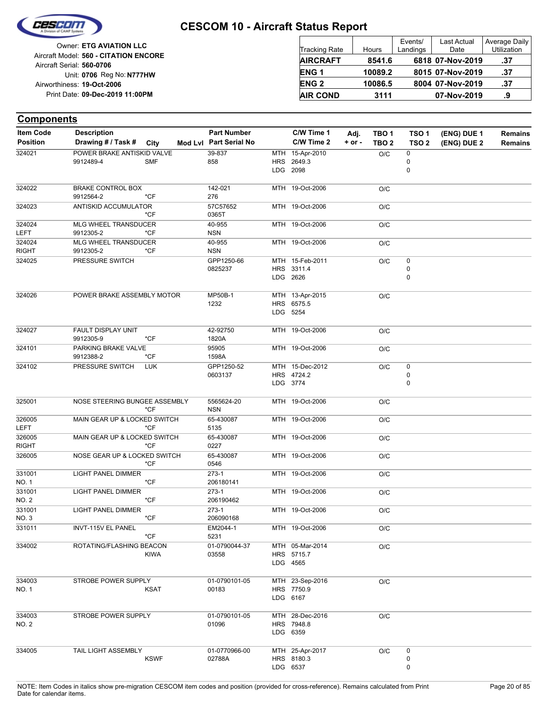

Reg No: **N777HW** Unit: **0706 09-Dec-2019 11:00PM** Print Date: **19-Oct-2006** Airworthiness: Owner: **ETG AVIATION LLC** Aircraft Serial: **560-0706** Aircraft Model: **560 - CITATION ENCORE**

| <b>Tracking Rate</b> | Hours   | Events/<br>Landings | <b>Last Actual</b><br>Date | Average Daily<br>Utilization |
|----------------------|---------|---------------------|----------------------------|------------------------------|
| <b>AIRCRAFT</b>      | 8541.6  |                     | 6818 07-Nov-2019           | .37                          |
| <b>ENG1</b>          | 10089.2 |                     | 8015 07-Nov-2019           | .37                          |
| <b>ENG 2</b>         | 10086.5 |                     | 8004 07-Nov-2019           | .37                          |
| <b>AIR COND</b>      | 3111    |                     | 07-Nov-2019                | .9                           |

| <b>Item Code</b>       | <b>Description</b>                      |             | <b>Part Number</b>       | C/W Time 1                                | Adj.       | TBO <sub>1</sub> | TSO <sub>1</sub> | (ENG) DUE 1 | <b>Remains</b> |
|------------------------|-----------------------------------------|-------------|--------------------------|-------------------------------------------|------------|------------------|------------------|-------------|----------------|
| <b>Position</b>        | Drawing # / Task # City                 |             | Mod Lvl Part Serial No   | C/W Time 2                                | $+$ or $-$ | TBO <sub>2</sub> | TSO <sub>2</sub> | (ENG) DUE 2 | <b>Remains</b> |
| 324021                 | POWER BRAKE ANTISKID VALVE<br>9912489-4 | <b>SMF</b>  | 39-837<br>858            | MTH 15-Apr-2010<br>HRS 2649.3<br>LDG 2098 |            | O/C              | 0<br>0<br>0      |             |                |
| 324022                 | <b>BRAKE CONTROL BOX</b><br>9912564-2   | *CF         | 142-021<br>276           | MTH 19-Oct-2006                           |            | O/C              |                  |             |                |
| 324023                 | ANTISKID ACCUMULATOR                    | *CF         | 57C57652<br>0365T        | MTH 19-Oct-2006                           |            | O/C              |                  |             |                |
| 324024<br>LEFT         | MLG WHEEL TRANSDUCER<br>9912305-2       | $*CF$       | 40-955<br><b>NSN</b>     | MTH 19-Oct-2006                           |            | O/C              |                  |             |                |
| 324024<br><b>RIGHT</b> | MLG WHEEL TRANSDUCER<br>9912305-2       | $*$ CF      | 40-955<br><b>NSN</b>     | MTH 19-Oct-2006                           |            | O/C              |                  |             |                |
| 324025                 | PRESSURE SWITCH                         |             | GPP1250-66<br>0825237    | MTH 15-Feb-2011<br>HRS 3311.4<br>LDG 2626 |            | O/C              | 0<br>0<br>0      |             |                |
| 324026                 | POWER BRAKE ASSEMBLY MOTOR              |             | MP50B-1<br>1232          | MTH 13-Apr-2015<br>HRS 6575.5<br>LDG 5254 |            | O/C              |                  |             |                |
| 324027                 | FAULT DISPLAY UNIT<br>9912305-9         | $*$ CF      | 42-92750<br>1820A        | MTH 19-Oct-2006                           |            | O/C              |                  |             |                |
| 324101                 | PARKING BRAKE VALVE<br>9912388-2        | $*CF$       | 95905<br>1598A           | MTH 19-Oct-2006                           |            | O/C              |                  |             |                |
| 324102                 | PRESSURE SWITCH                         | <b>LUK</b>  | GPP1250-52<br>0603137    | MTH 15-Dec-2012<br>HRS 4724.2<br>LDG 3774 |            | O/C              | 0<br>0<br>0      |             |                |
| 325001                 | NOSE STEERING BUNGEE ASSEMBLY           | $*CF$       | 5565624-20<br><b>NSN</b> | MTH 19-Oct-2006                           |            | O/C              |                  |             |                |
| 326005<br>LEFT         | MAIN GEAR UP & LOCKED SWITCH            | $*$ CF      | 65-430087<br>5135        | MTH 19-Oct-2006                           |            | O/C              |                  |             |                |
| 326005<br><b>RIGHT</b> | MAIN GEAR UP & LOCKED SWITCH            | $*CF$       | 65-430087<br>0227        | MTH 19-Oct-2006                           |            | O/C              |                  |             |                |
| 326005                 | NOSE GEAR UP & LOCKED SWITCH            | $*CF$       | 65-430087<br>0546        | MTH 19-Oct-2006                           |            | O/C              |                  |             |                |
| 331001<br>NO. 1        | <b>LIGHT PANEL DIMMER</b>               | $*CF$       | $273-1$<br>206180141     | MTH 19-Oct-2006                           |            | O/C              |                  |             |                |
| 331001<br><b>NO. 2</b> | <b>LIGHT PANEL DIMMER</b>               | $*$ CF      | 273-1<br>206190462       | MTH 19-Oct-2006                           |            | O/C              |                  |             |                |
| 331001<br>NO. 3        | <b>LIGHT PANEL DIMMER</b>               | $*$ CF      | $273-1$<br>206090168     | MTH 19-Oct-2006                           |            | O/C              |                  |             |                |
| 331011                 | <b>INVT-115V EL PANEL</b>               | $*$ CF      | EM2044-1<br>5231         | MTH 19-Oct-2006                           |            | O/C              |                  |             |                |
| 334002                 | ROTATING/FLASHING BEACON                | <b>KIWA</b> | 01-0790044-37<br>03558   | MTH 05-Mar-2014<br>HRS 5715.7<br>LDG 4565 |            | O/C              |                  |             |                |
| 334003<br>NO. 1        | STROBE POWER SUPPLY                     | <b>KSAT</b> | 01-0790101-05<br>00183   | MTH 23-Sep-2016<br>HRS 7750.9<br>LDG 6167 |            | O/C              |                  |             |                |
| 334003<br>NO. 2        | STROBE POWER SUPPLY                     |             | 01-0790101-05<br>01096   | MTH 28-Dec-2016<br>HRS 7948.8<br>LDG 6359 |            | O/C              |                  |             |                |
| 334005                 | TAIL LIGHT ASSEMBLY                     | <b>KSWF</b> | 01-0770966-00<br>02788A  | MTH 25-Apr-2017<br>HRS 8180.3<br>LDG 6537 |            | O/C              | 0<br>0<br>0      |             |                |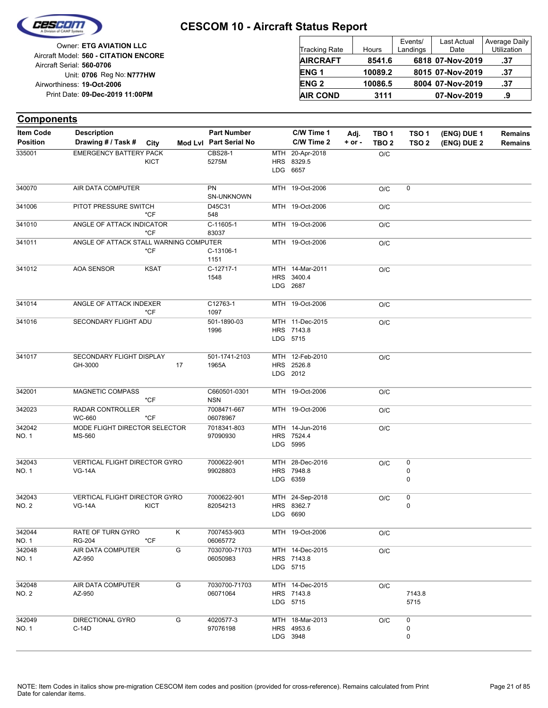

| <b>Tracking Rate</b> | Hours   | Events/<br>Landings | <b>Last Actual</b><br>Date | Average Daily<br>Utilization |
|----------------------|---------|---------------------|----------------------------|------------------------------|
| <b>AIRCRAFT</b>      | 8541.6  |                     | 6818 07-Nov-2019           | .37                          |
| <b>ENG1</b>          | 10089.2 |                     | 8015 07-Nov-2019           | .37                          |
| <b>ENG 2</b>         | 10086.5 |                     | 8004 07-Nov-2019           | .37                          |
| <b>AIR COND</b>      | 3111    |                     | 07-Nov-2019                | .9                           |

| <b>Components</b>                   |                                                       |             |    |                                              |                                           |                    |                                      |                                      |                            |                           |
|-------------------------------------|-------------------------------------------------------|-------------|----|----------------------------------------------|-------------------------------------------|--------------------|--------------------------------------|--------------------------------------|----------------------------|---------------------------|
| <b>Item Code</b><br><b>Position</b> | <b>Description</b><br>Drawing # / Task #              | City        |    | <b>Part Number</b><br>Mod Lvl Part Serial No | C/W Time 1<br>C/W Time 2                  | Adj.<br>$+$ or $-$ | TBO <sub>1</sub><br>TBO <sub>2</sub> | TSO <sub>1</sub><br>TSO <sub>2</sub> | (ENG) DUE 1<br>(ENG) DUE 2 | <b>Remains</b><br>Remains |
| 335001                              | <b>EMERGENCY BATTERY PACK</b>                         | <b>KICT</b> |    | <b>CBS28-1</b><br>5275M                      | MTH 20-Apr-2018<br>HRS 8329.5<br>LDG 6657 |                    | O/C                                  |                                      |                            |                           |
| 340070                              | AIR DATA COMPUTER                                     |             |    | PN<br>SN-UNKNOWN                             | MTH 19-Oct-2006                           |                    | O/C                                  | 0                                    |                            |                           |
| 341006                              | PITOT PRESSURE SWITCH                                 | *CF         |    | D45C31<br>548                                | MTH 19-Oct-2006                           |                    | O/C                                  |                                      |                            |                           |
| 341010                              | ANGLE OF ATTACK INDICATOR                             | $*$ CF      |    | C-11605-1<br>83037                           | MTH 19-Oct-2006                           |                    | O/C                                  |                                      |                            |                           |
| 341011                              | ANGLE OF ATTACK STALL WARNING COMPUTER                | $*$ CF      |    | C-13106-1<br>1151                            | MTH 19-Oct-2006                           |                    | O/C                                  |                                      |                            |                           |
| 341012                              | <b>AOA SENSOR</b>                                     | <b>KSAT</b> |    | C-12717-1<br>1548                            | MTH 14-Mar-2011<br>HRS 3400.4<br>LDG 2687 |                    | O/C                                  |                                      |                            |                           |
| 341014                              | ANGLE OF ATTACK INDEXER                               | $*$ CF      |    | C12763-1<br>1097                             | MTH 19-Oct-2006                           |                    | O/C                                  |                                      |                            |                           |
| 341016                              | SECONDARY FLIGHT ADU                                  |             |    | 501-1890-03<br>1996                          | MTH 11-Dec-2015<br>HRS 7143.8<br>LDG 5715 |                    | O/C                                  |                                      |                            |                           |
| 341017                              | SECONDARY FLIGHT DISPLAY<br>GH-3000                   |             | 17 | 501-1741-2103<br>1965A                       | MTH 12-Feb-2010<br>HRS 2526.8<br>LDG 2012 |                    | O/C                                  |                                      |                            |                           |
| 342001                              | MAGNETIC COMPASS                                      | $*$ CF      |    | C660501-0301<br><b>NSN</b>                   | MTH 19-Oct-2006                           |                    | O/C                                  |                                      |                            |                           |
| 342023                              | RADAR CONTROLLER<br><b>WC-660</b>                     | $*$ CF      |    | 7008471-667<br>06078967                      | MTH 19-Oct-2006                           |                    | O/C                                  |                                      |                            |                           |
| 342042<br>NO. 1                     | MODE FLIGHT DIRECTOR SELECTOR<br>MS-560               |             |    | 7018341-803<br>97090930                      | MTH 14-Jun-2016<br>HRS 7524.4<br>LDG 5995 |                    | O/C                                  |                                      |                            |                           |
| 342043<br>NO. 1                     | <b>VERTICAL FLIGHT DIRECTOR GYRO</b><br><b>VG-14A</b> |             |    | 7000622-901<br>99028803                      | MTH 28-Dec-2016<br>HRS 7948.8<br>LDG 6359 |                    | O/C                                  | 0<br>0<br>0                          |                            |                           |
| 342043<br>NO. 2                     | <b>VERTICAL FLIGHT DIRECTOR GYRO</b><br><b>VG-14A</b> | <b>KICT</b> |    | 7000622-901<br>82054213                      | MTH 24-Sep-2018<br>HRS 8362.7<br>LDG 6690 |                    | O/C                                  | 0<br>0                               |                            |                           |
| 342044<br>NO. 1                     | RATE OF TURN GYRO<br><b>RG-204</b>                    | *CF         | Κ  | 7007453-903<br>06065772                      | MTH 19-Oct-2006                           |                    | O/C                                  |                                      |                            |                           |
| 342048<br>NO. 1                     | AIR DATA COMPUTER<br>AZ-950                           |             | G  | 7030700-71703<br>06050983                    | MTH 14-Dec-2015<br>HRS 7143.8<br>LDG 5715 |                    | O/C                                  |                                      |                            |                           |
| 342048<br>NO. 2                     | AIR DATA COMPUTER<br>AZ-950                           |             | G  | 7030700-71703<br>06071064                    | MTH 14-Dec-2015<br>HRS 7143.8<br>LDG 5715 |                    | O/C                                  | 7143.8<br>5715                       |                            |                           |
| 342049<br>NO. 1                     | DIRECTIONAL GYRO<br>C-14D                             |             | G  | 4020577-3<br>97076198                        | MTH 18-Mar-2013<br>HRS 4953.6<br>LDG 3948 |                    | O/C                                  | 0<br>0<br>0                          |                            |                           |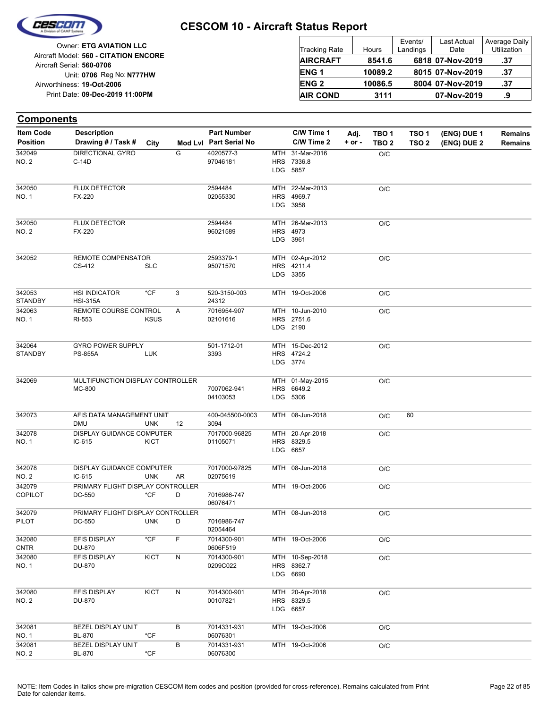

Reg No: **N777HW** Unit: **0706 09-Dec-2019 11:00PM** Print Date: **19-Oct-2006** Airworthiness: Owner: **ETG AVIATION LLC** Aircraft Serial: **560-0706** Aircraft Model: **560 - CITATION ENCORE**

| <b>Tracking Rate</b> | Hours   | Events/<br>Landings | <b>Last Actual</b><br>Date | Average Daily<br>Utilization |
|----------------------|---------|---------------------|----------------------------|------------------------------|
| <b>AIRCRAFT</b>      | 8541.6  |                     | 6818 07-Nov-2019           | .37                          |
| <b>ENG1</b>          | 10089.2 |                     | 8015 07-Nov-2019           | .37                          |
| <b>ENG 2</b>         | 10086.5 |                     | 8004 07-Nov-2019           | .37                          |
| <b>AIR COND</b>      | 3111    |                     | 07-Nov-2019                | .9                           |

| <b>Item Code</b>         | <b>Description</b>                           |             |    | <b>Part Number</b>        | C/W Time 1                                | Adj.       | TBO 1            | TSO <sub>1</sub> | (ENG) DUE 1 | Remains        |
|--------------------------|----------------------------------------------|-------------|----|---------------------------|-------------------------------------------|------------|------------------|------------------|-------------|----------------|
| <b>Position</b>          | Drawing # / Task #                           | City        |    | Mod Lvl Part Serial No    | C/W Time 2                                | $+$ or $-$ | TBO <sub>2</sub> | TSO <sub>2</sub> | (ENG) DUE 2 | <b>Remains</b> |
| 342049<br><b>NO. 2</b>   | <b>DIRECTIONAL GYRO</b><br>$C-14D$           |             | G  | 4020577-3<br>97046181     | MTH 31-Mar-2016<br>HRS 7336.8<br>LDG 5857 |            | $\rm O/C$        |                  |             |                |
| 342050<br>NO. 1          | FLUX DETECTOR<br>FX-220                      |             |    | 2594484<br>02055330       | MTH 22-Mar-2013<br>HRS 4969.7<br>LDG 3958 |            | O/C              |                  |             |                |
| 342050<br><b>NO. 2</b>   | <b>FLUX DETECTOR</b><br>FX-220               |             |    | 2594484<br>96021589       | MTH 26-Mar-2013<br>HRS 4973<br>LDG 3961   |            | O/C              |                  |             |                |
| 342052                   | REMOTE COMPENSATOR<br>CS-412                 | <b>SLC</b>  |    | 2593379-1<br>95071570     | MTH 02-Apr-2012<br>HRS 4211.4<br>LDG 3355 |            | O/C              |                  |             |                |
| 342053<br><b>STANDBY</b> | <b>HSI INDICATOR</b><br><b>HSI-315A</b>      | *CF         | 3  | 520-3150-003<br>24312     | MTH 19-Oct-2006                           |            | O/C              |                  |             |                |
| 342063<br>NO. 1          | REMOTE COURSE CONTROL<br>RI-553              | <b>KSUS</b> | Α  | 7016954-907<br>02101616   | MTH 10-Jun-2010<br>HRS 2751.6<br>LDG 2190 |            | O/C              |                  |             |                |
| 342064<br><b>STANDBY</b> | <b>GYRO POWER SUPPLY</b><br><b>PS-855A</b>   | <b>LUK</b>  |    | 501-1712-01<br>3393       | MTH 15-Dec-2012<br>HRS 4724.2<br>LDG 3774 |            | O/C              |                  |             |                |
| 342069                   | MULTIFUNCTION DISPLAY CONTROLLER<br>MC-800   |             |    | 7007062-941<br>04103053   | MTH 01-May-2015<br>HRS 6649.2<br>LDG 5306 |            | O/C              |                  |             |                |
| 342073                   | AFIS DATA MANAGEMENT UNIT<br><b>DMU</b>      | <b>UNK</b>  | 12 | 400-045500-0003<br>3094   | MTH 08-Jun-2018                           |            | O/C              | 60               |             |                |
| 342078<br>NO. 1          | <b>DISPLAY GUIDANCE COMPUTER</b><br>$IC-615$ | <b>KICT</b> |    | 7017000-96825<br>01105071 | MTH 20-Apr-2018<br>HRS 8329.5<br>LDG 6657 |            | O/C              |                  |             |                |
| 342078<br><b>NO. 2</b>   | DISPLAY GUIDANCE COMPUTER<br>$IC-615$        | <b>UNK</b>  | AR | 7017000-97825<br>02075619 | MTH 08-Jun-2018                           |            | O/C              |                  |             |                |
| 342079<br><b>COPILOT</b> | PRIMARY FLIGHT DISPLAY CONTROLLER<br>DC-550  | *CF         | D  | 7016986-747<br>06076471   | MTH 19-Oct-2006                           |            | O/C              |                  |             |                |
| 342079<br>PILOT          | PRIMARY FLIGHT DISPLAY CONTROLLER<br>DC-550  | <b>UNK</b>  | D  | 7016986-747<br>02054464   | MTH 08-Jun-2018                           |            | O/C              |                  |             |                |
| 342080<br><b>CNTR</b>    | EFIS DISPLAY<br>DU-870                       | *CF         | F  | 7014300-901<br>0606F519   | MTH 19-Oct-2006                           |            | O/C              |                  |             |                |
| 342080<br><b>NO.1</b>    | EFIS DISPLAY<br>DU-870                       | KICT        | N  | 7014300-901<br>0209C022   | MTH 10-Sep-2018<br>HRS 8362.7<br>LDG 6690 |            | $\rm O/C$        |                  |             |                |
| 342080<br>NO. 2          | EFIS DISPLAY<br>DU-870                       | <b>KICT</b> | Ν  | 7014300-901<br>00107821   | MTH 20-Apr-2018<br>HRS 8329.5<br>LDG 6657 |            | $\rm O/C$        |                  |             |                |
| 342081<br><b>NO. 1</b>   | BEZEL DISPLAY UNIT<br>BL-870                 | *CF         | в  | 7014331-931<br>06076301   | MTH 19-Oct-2006                           |            | O/C              |                  |             |                |
| 342081<br><b>NO. 2</b>   | BEZEL DISPLAY UNIT<br>BL-870                 | *CF         | В  | 7014331-931<br>06076300   | MTH 19-Oct-2006                           |            | O/C              |                  |             |                |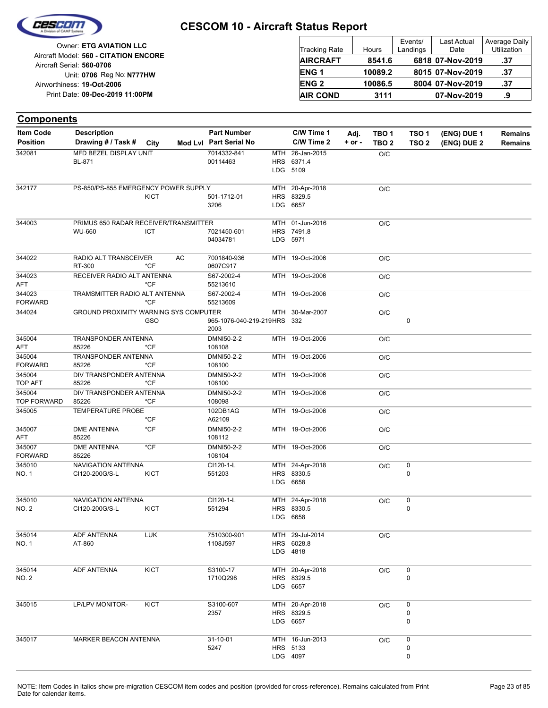

| <b>Tracking Rate</b> | Hours   | Events/<br>Landings | <b>Last Actual</b><br>Date | Average Daily<br>Utilization |
|----------------------|---------|---------------------|----------------------------|------------------------------|
| <b>AIRCRAFT</b>      | 8541.6  |                     | 6818 07-Nov-2019           | .37                          |
| <b>ENG1</b>          | 10089.2 |                     | 8015 07-Nov-2019           | .37                          |
| <b>ENG 2</b>         | 10086.5 |                     | 8004 07-Nov-2019           | .37                          |
| <b>AIR COND</b>      | 3111    |                     | 07-Nov-2019                | .9                           |

| <b>Components</b>                   |                                                 |             |                                              |     |                                           |                    |                                      |                                      |                            |                           |
|-------------------------------------|-------------------------------------------------|-------------|----------------------------------------------|-----|-------------------------------------------|--------------------|--------------------------------------|--------------------------------------|----------------------------|---------------------------|
| <b>Item Code</b><br><b>Position</b> | <b>Description</b><br>Drawing # / Task #        | City        | <b>Part Number</b><br>Mod Lvl Part Serial No |     | C/W Time 1<br>C/W Time 2                  | Adj.<br>$+$ or $-$ | TBO <sub>1</sub><br>TBO <sub>2</sub> | TSO <sub>1</sub><br>TSO <sub>2</sub> | (ENG) DUE 1<br>(ENG) DUE 2 | <b>Remains</b><br>Remains |
| 342081                              | MFD BEZEL DISPLAY UNIT<br>BL-871                |             | 7014332-841<br>00114463                      | MTH | 26-Jan-2015<br>HRS 6371.4<br>LDG 5109     |                    | O/C                                  |                                      |                            |                           |
| 342177                              | PS-850/PS-855 EMERGENCY POWER SUPPLY            | <b>KICT</b> | 501-1712-01<br>3206                          |     | MTH 20-Apr-2018<br>HRS 8329.5<br>LDG 6657 |                    | O/C                                  |                                      |                            |                           |
| 344003                              | PRIMUS 650 RADAR RECEIVER/TRANSMITTER<br>WU-660 | <b>ICT</b>  | 7021450-601<br>04034781                      |     | MTH 01-Jun-2016<br>HRS 7491.8<br>LDG 5971 |                    | O/C                                  |                                      |                            |                           |
| 344022                              | RADIO ALT TRANSCEIVER<br>RT-300                 | AC<br>$*CF$ | 7001840-936<br>0607C917                      |     | MTH 19-Oct-2006                           |                    | O/C                                  |                                      |                            |                           |
| 344023<br>AFT                       | RECEIVER RADIO ALT ANTENNA                      | *CF         | S67-2002-4<br>55213610                       |     | MTH 19-Oct-2006                           |                    | O/C                                  |                                      |                            |                           |
| 344023<br><b>FORWARD</b>            | TRAMSMITTER RADIO ALT ANTENNA                   | $*$ CF      | S67-2002-4<br>55213609                       |     | MTH 19-Oct-2006                           |                    | O/C                                  |                                      |                            |                           |
| 344024                              | <b>GROUND PROXIMITY WARNING SYS COMPUTER</b>    | GSO         | 965-1076-040-219-219HRS 332<br>2003          |     | MTH 30-Mar-2007                           |                    | O/C                                  | $\pmb{0}$                            |                            |                           |
| 345004<br><b>AFT</b>                | TRANSPONDER ANTENNA<br>85226                    | *CF         | DMNI50-2-2<br>108108                         |     | MTH 19-Oct-2006                           |                    | O/C                                  |                                      |                            |                           |
| 345004<br><b>FORWARD</b>            | TRANSPONDER ANTENNA<br>85226                    | *CF         | DMNI50-2-2<br>108100                         |     | MTH 19-Oct-2006                           |                    | O/C                                  |                                      |                            |                           |
| 345004<br><b>TOP AFT</b>            | DIV TRANSPONDER ANTENNA<br>85226                | *CF         | DMNI50-2-2<br>108100                         |     | MTH 19-Oct-2006                           |                    | O/C                                  |                                      |                            |                           |
| 345004<br><b>TOP FORWARD</b>        | DIV TRANSPONDER ANTENNA<br>85226                | *CF         | DMNI50-2-2<br>108098                         |     | MTH 19-Oct-2006                           |                    | O/C                                  |                                      |                            |                           |
| 345005                              | <b>TEMPERATURE PROBE</b>                        | *CF         | 102DB1AG<br>A62109                           |     | MTH 19-Oct-2006                           |                    | O/C                                  |                                      |                            |                           |
| 345007<br>AFT                       | <b>DME ANTENNA</b><br>85226                     | $*$ CF      | DMNI50-2-2<br>108112                         |     | MTH 19-Oct-2006                           |                    | O/C                                  |                                      |                            |                           |
| 345007<br><b>FORWARD</b>            | <b>DME ANTENNA</b><br>85226                     | $*$ CF      | DMNI50-2-2<br>108104                         |     | MTH 19-Oct-2006                           |                    | O/C                                  |                                      |                            |                           |
| 345010<br>NO. 1                     | NAVIGATION ANTENNA<br>CI120-200G/S-L            | <b>KICT</b> | CI120-1-L<br>551203                          |     | MTH 24-Apr-2018<br>HRS 8330.5<br>LDG 6658 |                    | O/C                                  | 0<br>0                               |                            |                           |
| 345010<br>NO. 2                     | NAVIGATION ANTENNA<br>CI120-200G/S-L            | KICT        | CI120-1-L<br>551294                          |     | MTH 24-Apr-2018<br>HRS 8330.5<br>LDG 6658 |                    | O/C                                  | 0<br>$\mathbf 0$                     |                            |                           |
| 345014<br>NO. 1                     | ADF ANTENNA<br>AT-860                           | <b>LUK</b>  | 7510300-901<br>1108J597                      |     | MTH 29-Jul-2014<br>HRS 6028.8<br>LDG 4818 |                    | O/C                                  |                                      |                            |                           |
| 345014<br>NO. 2                     | ADF ANTENNA                                     | <b>KICT</b> | S3100-17<br>1710Q298                         |     | MTH 20-Apr-2018<br>HRS 8329.5<br>LDG 6657 |                    | O/C                                  | 0<br>0                               |                            |                           |
| 345015                              | LP/LPV MONITOR-                                 | <b>KICT</b> | S3100-607<br>2357                            |     | MTH 20-Apr-2018<br>HRS 8329.5<br>LDG 6657 |                    | O/C                                  | 0<br>0<br>0                          |                            |                           |
| 345017                              | MARKER BEACON ANTENNA                           |             | $31 - 10 - 01$<br>5247                       |     | MTH 16-Jun-2013<br>HRS 5133<br>LDG 4097   |                    | O/C                                  | 0<br>0<br>0                          |                            |                           |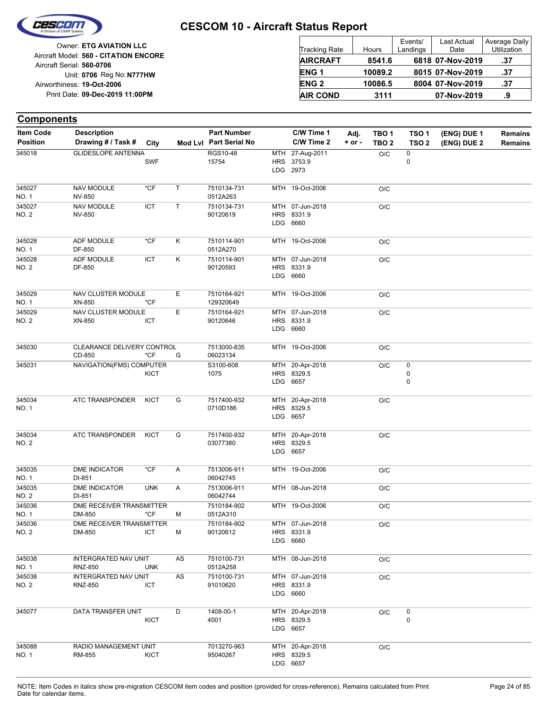

| <b>Tracking Rate</b> | Hours   | Events/<br>Landings | <b>Last Actual</b><br>Date | Average Daily<br>Utilization |
|----------------------|---------|---------------------|----------------------------|------------------------------|
| <b>AIRCRAFT</b>      | 8541.6  |                     | 6818 07-Nov-2019           | .37                          |
| <b>ENG1</b>          | 10089.2 |                     | 8015 07-Nov-2019           | .37                          |
| <b>ENG 2</b>         | 10086.5 |                     | 8004 07-Nov-2019           | .37                          |
| <b>AIR COND</b>      | 3111    |                     | 07-Nov-2019                | .9                           |

| <b>Components</b>      |                                        |             |    |                          |                                           |            |                  |                  |             |                |
|------------------------|----------------------------------------|-------------|----|--------------------------|-------------------------------------------|------------|------------------|------------------|-------------|----------------|
| <b>Item Code</b>       | <b>Description</b>                     |             |    | <b>Part Number</b>       | C/W Time 1                                | Adj.       | TBO <sub>1</sub> | TSO <sub>1</sub> | (ENG) DUE 1 | <b>Remains</b> |
| <b>Position</b>        | Drawing # / Task #                     | City        |    | Mod Lvl Part Serial No   | C/W Time 2                                | $+$ or $-$ | TBO <sub>2</sub> | TSO <sub>2</sub> | (ENG) DUE 2 | <b>Remains</b> |
| 345018                 | <b>GLIDESLOPE ANTENNA</b>              | <b>SWF</b>  |    | <b>RGS10-48</b><br>15754 | MTH 27-Aug-2011<br>HRS 3753.9<br>LDG 2973 |            | O/C              | 0<br>0           |             |                |
| 345027<br><b>NO. 1</b> | <b>NAV MODULE</b><br><b>NV-850</b>     | *CF         | T  | 7510134-731<br>0512A263  | MTH 19-Oct-2006                           |            | O/C              |                  |             |                |
| 345027<br>NO. 2        | <b>NAV MODULE</b><br><b>NV-850</b>     | ICT         | T  | 7510134-731<br>90120619  | MTH 07-Jun-2018<br>HRS 8331.9<br>LDG 6660 |            | O/C              |                  |             |                |
| 345028<br><b>NO. 1</b> | ADF MODULE<br>DF-850                   | *CF         | Κ  | 7510114-901<br>0512A270  | MTH 19-Oct-2006                           |            | O/C              |                  |             |                |
| 345028<br><b>NO. 2</b> | <b>ADF MODULE</b><br>DF-850            | ICT         | Κ  | 7510114-901<br>90120593  | MTH 07-Jun-2018<br>HRS 8331.9<br>LDG 6660 |            | O/C              |                  |             |                |
| 345029<br><b>NO. 1</b> | NAV CLUSTER MODULE<br>XN-850           | *CF         | Е  | 7510164-921<br>129320649 | MTH 19-Oct-2006                           |            | O/C              |                  |             |                |
| 345029<br>NO. 2        | NAV CLUSTER MODULE<br>XN-850           | ICT         | Е  | 7510164-921<br>90120646  | MTH 07-Jun-2018<br>HRS 8331.9<br>LDG 6660 |            | O/C              |                  |             |                |
| 345030                 | CLEARANCE DELIVERY CONTROL<br>CD-850   | $*$ CF      | G  | 7513000-835<br>06023134  | MTH 19-Oct-2006                           |            | O/C              |                  |             |                |
| 345031                 | NAVIGATION(FMS) COMPUTER               | <b>KICT</b> |    | S3100-608<br>1075        | MTH 20-Apr-2018<br>HRS 8329.5<br>LDG 6657 |            | O/C              | 0<br>0<br>0      |             |                |
| 345034<br>NO. 1        | <b>ATC TRANSPONDER</b>                 | <b>KICT</b> | G  | 7517400-932<br>0710D186  | MTH 20-Apr-2018<br>HRS 8329.5<br>LDG 6657 |            | O/C              |                  |             |                |
| 345034<br>NO. 2        | ATC TRANSPONDER                        | <b>KICT</b> | G  | 7517400-932<br>03077380  | MTH 20-Apr-2018<br>HRS 8329.5<br>LDG 6657 |            | O/C              |                  |             |                |
| 345035<br>NO. 1        | <b>DME INDICATOR</b><br>DI-851         | $*$ CF      | Α  | 7513006-911<br>06042745  | MTH 19-Oct-2006                           |            | O/C              |                  |             |                |
| 345035<br><b>NO. 2</b> | DME INDICATOR<br>DI-851                | <b>UNK</b>  | A  | 7513006-911<br>06042744  | MTH 08-Jun-2018                           |            | O/C              |                  |             |                |
| 345036<br>NO. 1        | DME RECEIVER TRANSMITTER<br>DM-850     | *CF         | M  | 7510184-902<br>0512A310  | MTH 19-Oct-2006                           |            | O/C              |                  |             |                |
| 345036<br><b>NO. 2</b> | DME RECEIVER TRANSMITTER<br>DM-850     | ICT         | м  | 7510184-902<br>90120612  | MTH 07-Jun-2018<br>HRS 8331.9<br>LDG 6660 |            | O/C              |                  |             |                |
| 345038<br><b>NO. 1</b> | INTERGRATED NAV UNIT<br><b>RNZ-850</b> | <b>UNK</b>  | AS | 7510100-731<br>0512A258  | MTH 08-Jun-2018                           |            | O/C              |                  |             |                |
| 345038<br>NO. 2        | INTERGRATED NAV UNIT<br><b>RNZ-850</b> | <b>ICT</b>  | AS | 7510100-731<br>91010620  | MTH 07-Jun-2018<br>HRS 8331.9<br>LDG 6660 |            | O/C              |                  |             |                |
| 345077                 | DATA TRANSFER UNIT                     | <b>KICT</b> | D  | 1408-00-1<br>4001        | MTH 20-Apr-2018<br>HRS 8329.5<br>LDG 6657 |            | O/C              | 0<br>0           |             |                |
| 345088<br>NO. 1        | RADIO MANAGEMENT UNIT<br>RM-855        | <b>KICT</b> |    | 7013270-963<br>95040267  | MTH 20-Apr-2018<br>HRS 8329.5<br>LDG 6657 |            | $\rm O/C$        |                  |             |                |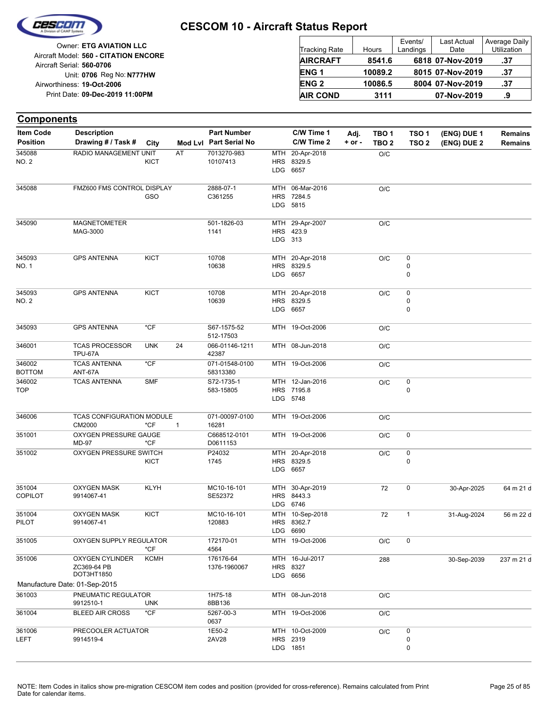

| <b>Tracking Rate</b> | Hours   | Events/<br>Landings | <b>Last Actual</b><br>Date | Average Daily<br>Utilization |
|----------------------|---------|---------------------|----------------------------|------------------------------|
| <b>AIRCRAFT</b>      | 8541.6  |                     | 6818 07-Nov-2019           | .37                          |
| <b>ENG1</b>          | 10089.2 |                     | 8015 07-Nov-2019           | .37                          |
| <b>ENG 2</b>         | 10086.5 |                     | 8004 07-Nov-2019           | .37                          |
| <b>AIR COND</b>      | 3111    |                     | 07-Nov-2019                | .9                           |

| <b>Components</b>        |                                                     |             |              |                            |         |                                           |            |                  |                     |             |                |
|--------------------------|-----------------------------------------------------|-------------|--------------|----------------------------|---------|-------------------------------------------|------------|------------------|---------------------|-------------|----------------|
| <b>Item Code</b>         | <b>Description</b>                                  |             |              | <b>Part Number</b>         |         | C/W Time 1                                | Adj.       | TBO <sub>1</sub> | TSO <sub>1</sub>    | (ENG) DUE 1 | <b>Remains</b> |
| <b>Position</b>          | Drawing # / Task #                                  | City        |              | Mod Lvl Part Serial No     |         | C/W Time 2                                | $+$ or $-$ | TBO <sub>2</sub> | TSO <sub>2</sub>    | (ENG) DUE 2 | <b>Remains</b> |
| 345088<br><b>NO. 2</b>   | RADIO MANAGEMENT UNIT                               | <b>KICT</b> | AT           | 7013270-983<br>10107413    |         | MTH 20-Apr-2018<br>HRS 8329.5<br>LDG 6657 |            | O/C              |                     |             |                |
| 345088                   | FMZ600 FMS CONTROL DISPLAY                          | GSO         |              | 2888-07-1<br>C361255       |         | MTH 06-Mar-2016<br>HRS 7284.5<br>LDG 5815 |            | O/C              |                     |             |                |
| 345090                   | <b>MAGNETOMETER</b><br>MAG-3000                     |             |              | 501-1826-03<br>1141        | LDG 313 | MTH 29-Apr-2007<br>HRS 423.9              |            | O/C              |                     |             |                |
| 345093<br>NO. 1          | <b>GPS ANTENNA</b>                                  | <b>KICT</b> |              | 10708<br>10638             |         | MTH 20-Apr-2018<br>HRS 8329.5<br>LDG 6657 |            | O/C              | $\pmb{0}$<br>0<br>0 |             |                |
| 345093<br>NO. 2          | <b>GPS ANTENNA</b>                                  | <b>KICT</b> |              | 10708<br>10639             |         | MTH 20-Apr-2018<br>HRS 8329.5<br>LDG 6657 |            | O/C              | 0<br>0<br>0         |             |                |
| 345093                   | <b>GPS ANTENNA</b>                                  | $*$ CF      |              | S67-1575-52<br>512-17503   |         | MTH 19-Oct-2006                           |            | O/C              |                     |             |                |
| 346001                   | <b>TCAS PROCESSOR</b><br><b>TPU-67A</b>             | <b>UNK</b>  | 24           | 066-01146-1211<br>42387    |         | MTH 08-Jun-2018                           |            | O/C              |                     |             |                |
| 346002<br><b>BOTTOM</b>  | <b>TCAS ANTENNA</b><br>ANT-67A                      | $*$ CF      |              | 071-01548-0100<br>58313380 |         | MTH 19-Oct-2006                           |            | O/C              |                     |             |                |
| 346002<br><b>TOP</b>     | <b>TCAS ANTENNA</b>                                 | <b>SMF</b>  |              | S72-1735-1<br>583-15805    |         | MTH 12-Jan-2016<br>HRS 7195.8<br>LDG 5748 |            | O/C              | 0<br>0              |             |                |
| 346006                   | TCAS CONFIGURATION MODULE<br>CM2000                 | $*$ CF      | $\mathbf{1}$ | 071-00097-0100<br>16281    |         | MTH 19-Oct-2006                           |            | O/C              |                     |             |                |
| 351001                   | OXYGEN PRESSURE GAUGE<br><b>MD-97</b>               | $*$ CF      |              | C668512-0101<br>D0611153   |         | MTH 19-Oct-2006                           |            | O/C              | 0                   |             |                |
| 351002                   | OXYGEN PRESSURE SWITCH                              | KICT        |              | P24032<br>1745             |         | MTH 20-Apr-2018<br>HRS 8329.5<br>LDG 6657 |            | O/C              | 0<br>0              |             |                |
| 351004<br><b>COPILOT</b> | <b>OXYGEN MASK</b><br>9914067-41                    | <b>KLYH</b> |              | MC10-16-101<br>SE52372     |         | MTH 30-Apr-2019<br>HRS 8443.3<br>LDG 6746 |            | 72               | 0                   | 30-Apr-2025 | 64 m 21 d      |
| 351004<br>PILOT          | OXYGEN MASK<br>9914067-41                           | KICT        |              | MC10-16-101<br>120883      |         | MTH 10-Sep-2018<br>HRS 8362.7<br>LDG 6690 |            | 72               |                     | 31-Aug-2024 | 56 m 22 d      |
| 351005                   | OXYGEN SUPPLY REGULATOR                             | $*$ CF      |              | 172170-01<br>4564          |         | MTH 19-Oct-2006                           |            | O/C              | $\mathsf 0$         |             |                |
| 351006                   | <b>OXYGEN CYLINDER</b><br>ZC369-64 PB<br>DOT3HT1850 | <b>KCMH</b> |              | 176176-64<br>1376-1960067  |         | MTH 16-Jul-2017<br>HRS 8327<br>LDG 6656   |            | 288              |                     | 30-Sep-2039 | 237 m 21 d     |
|                          | Manufacture Date: 01-Sep-2015                       |             |              |                            |         |                                           |            |                  |                     |             |                |
| 361003                   | PNEUMATIC REGULATOR<br>9912510-1                    | <b>UNK</b>  |              | 1H75-18<br>8BB136          |         | MTH 08-Jun-2018                           |            | O/C              |                     |             |                |
| 361004                   | <b>BLEED AIR CROSS</b>                              | $*$ CF      |              | 5267-00-3<br>0637          |         | MTH 19-Oct-2006                           |            | $\rm O/C$        |                     |             |                |
| 361006<br><b>LEFT</b>    | PRECOOLER ACTUATOR<br>9914519-4                     |             |              | 1E50-2<br>2AV28            |         | MTH 10-Oct-2009<br>HRS 2319<br>LDG 1851   |            | O/C              | 0<br>0<br>0         |             |                |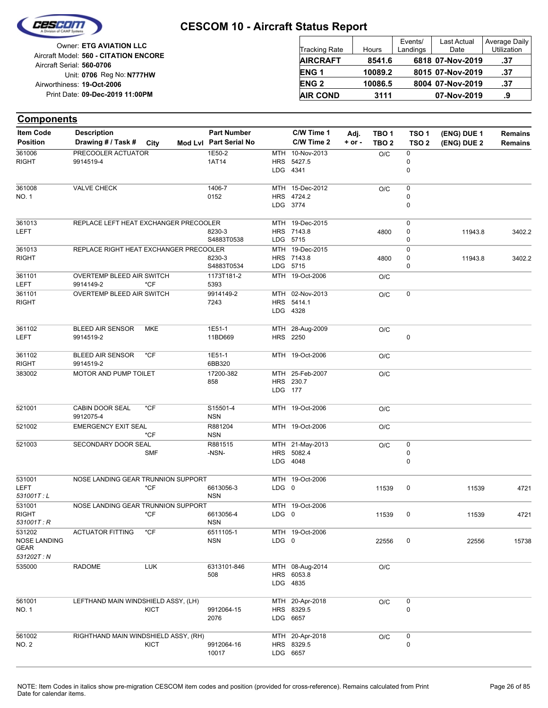

| Owner: ETG AVIATION LLC                                            | Tracking Rate   | Hours   | Events/<br>Landings | <b>Last Actual</b><br>Date | Average Daily<br>Utilization |
|--------------------------------------------------------------------|-----------------|---------|---------------------|----------------------------|------------------------------|
| Aircraft Model: 560 - CITATION ENCORE<br>Aircraft Serial: 560-0706 | <b>AIRCRAFT</b> | 8541.6  |                     | 6818 07-Nov-2019           | .37                          |
| Unit: 0706 Reg No: N777HW                                          | <b>ENG1</b>     | 10089.2 |                     | 8015 07-Nov-2019           | .37                          |
| Airworthiness: 19-Oct-2006                                         | <b>ENG 2</b>    | 10086.5 |                     | 8004 07-Nov-2019           | .37                          |
| Print Date: 09-Dec-2019 11:00PM                                    | <b>AIR COND</b> | 3111    |                     | 07-Nov-2019                |                              |

| <b>Components</b>                                   |                                          |             |                                              |         |                                           |                  |                                      |                                      |                            |                                  |
|-----------------------------------------------------|------------------------------------------|-------------|----------------------------------------------|---------|-------------------------------------------|------------------|--------------------------------------|--------------------------------------|----------------------------|----------------------------------|
| <b>Item Code</b><br><b>Position</b>                 | <b>Description</b><br>Drawing # / Task # | City        | <b>Part Number</b><br>Mod Lvl Part Serial No |         | C/W Time 1<br>C/W Time 2                  | Adj.<br>$+ or -$ | TBO <sub>1</sub><br>TBO <sub>2</sub> | TSO <sub>1</sub><br>TSO <sub>2</sub> | (ENG) DUE 1<br>(ENG) DUE 2 | <b>Remains</b><br><b>Remains</b> |
| 361006<br>RIGHT                                     | PRECOOLER ACTUATOR<br>9914519-4          |             | 1E50-2<br>1AT14                              |         | MTH 10-Nov-2013<br>HRS 5427.5<br>LDG 4341 |                  | O/C                                  | 0<br>0<br>0                          |                            |                                  |
| 361008<br>NO. 1                                     | <b>VALVE CHECK</b>                       |             | 1406-7<br>0152                               |         | MTH 15-Dec-2012<br>HRS 4724.2<br>LDG 3774 |                  | O/C                                  | 0<br>0<br>0                          |                            |                                  |
| 361013<br>LEFT                                      | REPLACE LEFT HEAT EXCHANGER PRECOOLER    |             | 8230-3<br>S4883T0538                         |         | MTH 19-Dec-2015<br>HRS 7143.8<br>LDG 5715 |                  | 4800                                 | 0<br>0<br>0                          | 11943.8                    | 3402.2                           |
| 361013<br>RIGHT                                     | REPLACE RIGHT HEAT EXCHANGER PRECOOLER   |             | 8230-3<br>S4883T0534                         |         | MTH 19-Dec-2015<br>HRS 7143.8<br>LDG 5715 |                  | 4800                                 | 0<br>0<br>0                          | 11943.8                    | 3402.2                           |
| 361101<br>LEFT                                      | OVERTEMP BLEED AIR SWITCH<br>9914149-2   | $*CF$       | 1173T181-2<br>5393                           |         | MTH 19-Oct-2006                           |                  | O/C                                  |                                      |                            |                                  |
| 361101<br>RIGHT                                     | OVERTEMP BLEED AIR SWITCH                |             | 9914149-2<br>7243                            |         | MTH 02-Nov-2013<br>HRS 5414.1<br>LDG 4328 |                  | O/C                                  | 0                                    |                            |                                  |
| 361102<br>LEFT                                      | <b>BLEED AIR SENSOR</b><br>9914519-2     | MKE         | 1E51-1<br>11BD669                            |         | MTH 28-Aug-2009<br>HRS 2250               |                  | O/C                                  | 0                                    |                            |                                  |
| 361102<br>RIGHT                                     | <b>BLEED AIR SENSOR</b><br>9914519-2     | $*CF$       | 1E51-1<br>6BB320                             |         | MTH 19-Oct-2006                           |                  | O/C                                  |                                      |                            |                                  |
| 383002                                              | MOTOR AND PUMP TOILET                    |             | 17200-382<br>858                             | LDG 177 | MTH 25-Feb-2007<br>HRS 230.7              |                  | O/C                                  |                                      |                            |                                  |
| 521001                                              | <b>CABIN DOOR SEAL</b><br>9912075-4      | $*$ CF      | S15501-4<br><b>NSN</b>                       |         | MTH 19-Oct-2006                           |                  | O/C                                  |                                      |                            |                                  |
| 521002                                              | <b>EMERGENCY EXIT SEAL</b>               | *CF         | R881204<br><b>NSN</b>                        |         | MTH 19-Oct-2006                           |                  | O/C                                  |                                      |                            |                                  |
| 521003                                              | SECONDARY DOOR SEAL                      | <b>SMF</b>  | R881515<br>-NSN-                             |         | MTH 21-May-2013<br>HRS 5082.4<br>LDG 4048 |                  | O/C                                  | 0<br>0<br>0                          |                            |                                  |
| 531001<br>LEFT<br>531001T:L                         | NOSE LANDING GEAR TRUNNION SUPPORT       | $*$ CF      | 6613056-3<br><b>NSN</b>                      | LDG 0   | MTH 19-Oct-2006                           |                  | 11539                                | 0                                    | 11539                      | 4721                             |
| 531001<br><b>RIGHT</b><br>531001T: R                | NOSE LANDING GEAR TRUNNION SUPPORT       | *CF         | 6613056-4<br><b>NSN</b>                      | LDG 0   | MTH 19-Oct-2006                           |                  | 11539                                | 0                                    | 11539                      | 4721                             |
| 531202<br><b>NOSE LANDING</b><br>GEAR<br>531202T: N | <b>ACTUATOR FITTING</b>                  | *CF         | 6511105-1<br><b>NSN</b>                      | LDG 0   | MTH 19-Oct-2006                           |                  | 22556                                | 0                                    | 22556                      | 15738                            |
| 535000                                              | <b>RADOME</b>                            | <b>LUK</b>  | 6313101-846<br>508                           |         | MTH 08-Aug-2014<br>HRS 6053.8<br>LDG 4835 |                  | O/C                                  |                                      |                            |                                  |
| 561001<br>NO. 1                                     | LEFTHAND MAIN WINDSHIELD ASSY, (LH)      | <b>KICT</b> | 9912064-15<br>2076                           |         | MTH 20-Apr-2018<br>HRS 8329.5<br>LDG 6657 |                  | O/C                                  | 0<br>0                               |                            |                                  |
| 561002<br>NO. 2                                     | RIGHTHAND MAIN WINDSHIELD ASSY, (RH)     | KICT        | 9912064-16<br>10017                          |         | MTH 20-Apr-2018<br>HRS 8329.5<br>LDG 6657 |                  | O/C                                  | 0<br>0                               |                            |                                  |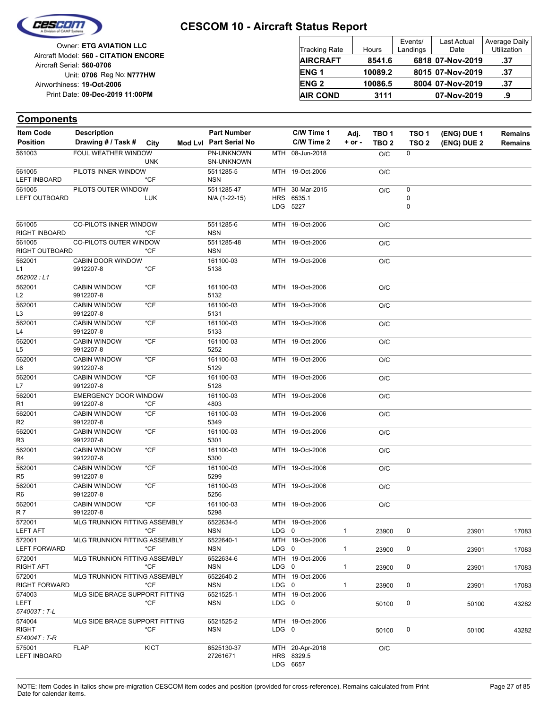

|                            | <b>Owner: ETG AVIATION LLC</b>        |
|----------------------------|---------------------------------------|
|                            | Aircraft Model: 560 - CITATION ENCORE |
| Aircraft Serial: 560-0706  |                                       |
|                            | Unit: 0706 Reg No: N777HW             |
| Airworthiness: 19-Oct-2006 |                                       |
|                            | Print Date: 09-Dec-2019 11:00PM       |
|                            |                                       |

| <b>Tracking Rate</b> | Hours   | Events/<br>Landings | Last Actual<br>Date | Average Daily<br>Utilization |
|----------------------|---------|---------------------|---------------------|------------------------------|
| <b>AIRCRAFT</b>      | 8541.6  |                     | 6818 07-Nov-2019    | .37                          |
| <b>ENG1</b>          | 10089.2 |                     | 8015 07-Nov-2019    | .37                          |
| <b>ENG 2</b>         | 10086.5 |                     | 8004 07-Nov-2019    | .37                          |
| <b>AIR COND</b>      | 3111    |                     | 07-Nov-2019         | .9                           |

| <b>Item Code</b>                       | <b>Description</b>                        |             | <b>Part Number</b>              |       | C/W Time 1                                | Adj.         | TBO 1            | TSO <sub>1</sub> | (ENG) DUE 1 | <b>Remains</b> |
|----------------------------------------|-------------------------------------------|-------------|---------------------------------|-------|-------------------------------------------|--------------|------------------|------------------|-------------|----------------|
| <b>Position</b>                        | Drawing # / Task # City                   |             | Mod Lvl Part Serial No          |       | C/W Time 2                                | $+$ or $-$   | TBO <sub>2</sub> | TSO <sub>2</sub> | (ENG) DUE 2 | <b>Remains</b> |
| 561003                                 | FOUL WEATHER WINDOW                       | <b>UNK</b>  | PN-UNKNOWN<br><b>SN-UNKNOWN</b> |       | MTH 08-Jun-2018                           |              | O/C              | $\mathbf 0$      |             |                |
| 561005<br><b>LEFT INBOARD</b>          | PILOTS INNER WINDOW                       | *CF         | 5511285-5<br><b>NSN</b>         |       | MTH 19-Oct-2006                           |              | O/C              |                  |             |                |
| 561005                                 | PILOTS OUTER WINDOW                       |             | 5511285-47                      |       | MTH 30-Mar-2015                           |              | O/C              | 0                |             |                |
| <b>LEFT OUTBOARD</b>                   |                                           | <b>LUK</b>  | N/A (1-22-15)                   |       | HRS 6535.1<br>LDG 5227                    |              |                  | 0<br>0           |             |                |
| 561005<br>RIGHT INBOARD                | CO-PILOTS INNER WINDOW                    | $*CF$       | 5511285-6<br><b>NSN</b>         |       | MTH 19-Oct-2006                           |              | O/C              |                  |             |                |
| 561005<br>RIGHT OUTBOARD               | <b>CO-PILOTS OUTER WINDOW</b>             | *CF         | 5511285-48<br><b>NSN</b>        |       | MTH 19-Oct-2006                           |              | O/C              |                  |             |                |
| 562001<br>L1<br>562002:L1              | CABIN DOOR WINDOW<br>9912207-8            | *CF         | 161100-03<br>5138               |       | MTH 19-Oct-2006                           |              | O/C              |                  |             |                |
| 562001<br>L <sub>2</sub>               | <b>CABIN WINDOW</b><br>9912207-8          | $*$ CF      | 161100-03<br>5132               |       | MTH 19-Oct-2006                           |              | O/C              |                  |             |                |
| 562001<br>L3                           | <b>CABIN WINDOW</b><br>9912207-8          | $*$ CF      | 161100-03<br>5131               |       | MTH 19-Oct-2006                           |              | O/C              |                  |             |                |
| 562001<br>L4                           | <b>CABIN WINDOW</b><br>9912207-8          | $*$ CF      | 161100-03<br>5133               |       | MTH 19-Oct-2006                           |              | O/C              |                  |             |                |
| 562001<br>L5                           | <b>CABIN WINDOW</b><br>9912207-8          | $*$ CF      | 161100-03<br>5252               |       | MTH 19-Oct-2006                           |              | O/C              |                  |             |                |
| 562001<br>L6                           | <b>CABIN WINDOW</b><br>9912207-8          | $*$ CF      | 161100-03<br>5129               |       | MTH 19-Oct-2006                           |              | O/C              |                  |             |                |
| 562001<br>L7                           | <b>CABIN WINDOW</b><br>9912207-8          | $*$ CF      | 161100-03<br>5128               |       | MTH 19-Oct-2006                           |              | O/C              |                  |             |                |
| 562001<br>R <sub>1</sub>               | <b>EMERGENCY DOOR WINDOW</b><br>9912207-8 | $*$ CF      | 161100-03<br>4803               |       | MTH 19-Oct-2006                           |              | O/C              |                  |             |                |
| 562001<br>R <sub>2</sub>               | <b>CABIN WINDOW</b><br>9912207-8          | $*$ CF      | 161100-03<br>5349               |       | MTH 19-Oct-2006                           |              | O/C              |                  |             |                |
| 562001<br>R <sub>3</sub>               | <b>CABIN WINDOW</b><br>9912207-8          | $*$ CF      | 161100-03<br>5301               |       | MTH 19-Oct-2006                           |              | O/C              |                  |             |                |
| 562001<br>R4                           | <b>CABIN WINDOW</b><br>9912207-8          | $*$ CF      | 161100-03<br>5300               |       | MTH 19-Oct-2006                           |              | O/C              |                  |             |                |
| 562001<br>R <sub>5</sub>               | <b>CABIN WINDOW</b><br>9912207-8          | $*$ CF      | 161100-03<br>5299               |       | MTH 19-Oct-2006                           |              | O/C              |                  |             |                |
| 562001<br>R <sub>6</sub>               | <b>CABIN WINDOW</b><br>9912207-8          | $*$ CF      | 161100-03<br>5256               |       | MTH 19-Oct-2006                           |              | O/C              |                  |             |                |
| 562001<br>R 7                          | <b>CABIN WINDOW</b><br>9912207-8          | $*$ CF      | 161100-03<br>5298               |       | MTH 19-Oct-2006                           |              | O/C              |                  |             |                |
| 572001<br><b>LEFT AFT</b>              | MLG TRUNNION FITTING ASSEMBLY             | *CF         | 6522634-5<br><b>NSN</b>         | LDG 0 | MTH 19-Oct-2006                           | $\mathbf{1}$ | 23900            | 0                | 23901       | 17083          |
| 572001<br><b>LEFT FORWARD</b>          | MLG TRUNNION FITTING ASSEMBLY             | *CF         | 6522640-1<br><b>NSN</b>         | LDG 0 | MTH 19-Oct-2006                           | $\mathbf{1}$ | 23900            | 0                | 23901       | 17083          |
| 572001<br><b>RIGHT AFT</b>             | MLG TRUNNION FITTING ASSEMBLY             | *CF         | 6522634-6<br><b>NSN</b>         | LDG 0 | MTH 19-Oct-2006                           | $\mathbf{1}$ | 23900            | 0                | 23901       | 17083          |
| 572001<br><b>RIGHT FORWARD</b>         | MLG TRUNNION FITTING ASSEMBLY             | *CF         | 6522640-2<br><b>NSN</b>         | LDG 0 | MTH 19-Oct-2006                           | 1            | 23900            | 0                | 23901       | 17083          |
| 574003<br>LEFT<br>574003T: T-L         | MLG SIDE BRACE SUPPORT FITTING            | *CF         | 6521525-1<br><b>NSN</b>         | LDG 0 | MTH 19-Oct-2006                           |              | 50100            | 0                | 50100       | 43282          |
| 574004<br><b>RIGHT</b><br>574004T: T-R | MLG SIDE BRACE SUPPORT FITTING            | *CF         | 6521525-2<br><b>NSN</b>         | LDG 0 | MTH 19-Oct-2006                           |              | 50100            | 0                | 50100       | 43282          |
| 575001<br><b>LEFT INBOARD</b>          | <b>FLAP</b>                               | <b>KICT</b> | 6525130-37<br>27261671          |       | MTH 20-Apr-2018<br>HRS 8329.5<br>LDG 6657 |              | O/C              |                  |             |                |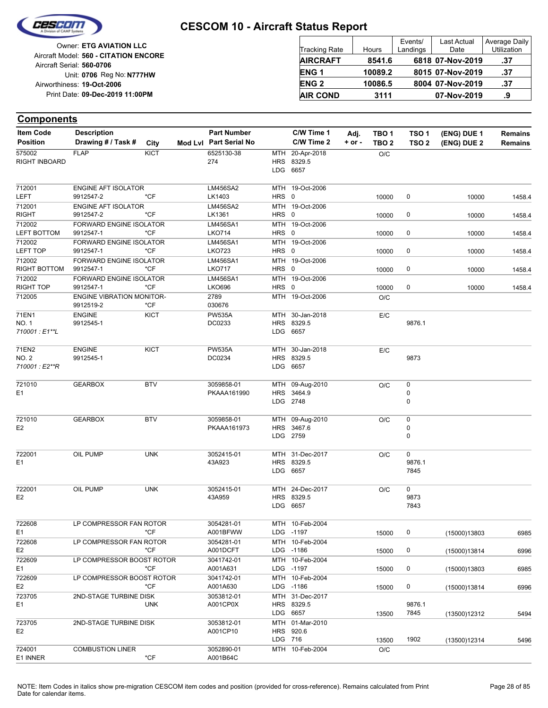

| Owner: ETG AVIATION LLC                                            | Tracking Rate    | Hours   | Events/<br>Landings | Last Actual<br>Date | Average<br>Utilizat |
|--------------------------------------------------------------------|------------------|---------|---------------------|---------------------|---------------------|
| Aircraft Model: 560 - CITATION ENCORE<br>Aircraft Serial: 560-0706 | <b>AIRCRAFT</b>  | 8541.6  |                     | 6818 07-Nov-2019    | .37                 |
| Unit: 0706 Reg No: N777HW                                          | ENG <sub>1</sub> | 10089.2 |                     | 8015 07-Nov-2019    | .37                 |
| Airworthiness: 19-Oct-2006                                         | <b>ENG 2</b>     | 10086.5 |                     | 8004 07-Nov-2019    | .37                 |
| Print Date: 09-Dec-2019 11:00PM                                    | <b>AIR COND</b>  | 3111    |                     | 07-Nov-2019         | .9                  |
|                                                                    |                  |         |                     |                     |                     |

#### **Components**

| <b>Item Code</b> | <b>Description</b>               |             | <b>Part Number</b>      |         | C/W Time 1                    | Adj.       | TBO 1            | TSO <sub>1</sub> | (ENG) DUE 1  | <b>Remains</b> |
|------------------|----------------------------------|-------------|-------------------------|---------|-------------------------------|------------|------------------|------------------|--------------|----------------|
| <b>Position</b>  | Drawing # / Task #               | City        | Mod Lvl Part Serial No  |         | C/W Time 2                    | $+$ or $-$ | TBO <sub>2</sub> | TSO <sub>2</sub> | (ENG) DUE 2  | <b>Remains</b> |
| 575002           | <b>FLAP</b>                      | <b>KICT</b> | 6525130-38              |         | MTH 20-Apr-2018               |            | O/C              |                  |              |                |
| RIGHT INBOARD    |                                  |             | 274                     |         | HRS 8329.5                    |            |                  |                  |              |                |
|                  |                                  |             |                         |         | LDG 6657                      |            |                  |                  |              |                |
| 712001           | <b>ENGINE AFT ISOLATOR</b>       |             | LM456SA2                |         | MTH 19-Oct-2006               |            |                  |                  |              |                |
| <b>LEFT</b>      | 9912547-2                        | *CF         | LK1403                  | HRS 0   |                               |            | 10000            | 0                | 10000        | 1458.4         |
| 712001           | <b>ENGINE AFT ISOLATOR</b>       |             | <b>LM456SA2</b>         |         | MTH 19-Oct-2006               |            |                  |                  |              |                |
| <b>RIGHT</b>     | 9912547-2                        | *CF         | LK1361                  | HRS 0   |                               |            | 10000            | 0                | 10000        | 1458.4         |
| 712002           | FORWARD ENGINE ISOLATOR          |             | LM456SA1                |         | MTH 19-Oct-2006               |            |                  |                  |              |                |
| LEFT BOTTOM      | 9912547-1                        | $*CF$       | <b>LKO714</b>           | HRS 0   |                               |            | 10000            | 0                | 10000        | 1458.4         |
| 712002           | FORWARD ENGINE ISOLATOR          |             | LM456SA1                |         | MTH 19-Oct-2006               |            |                  |                  |              |                |
| LEFT TOP         | 9912547-1                        | *CF         | <b>LKO723</b>           | HRS 0   |                               |            | 10000            | 0                | 10000        | 1458.4         |
| 712002           | FORWARD ENGINE ISOLATOR          |             | LM456SA1                |         | MTH 19-Oct-2006               |            |                  |                  |              |                |
| RIGHT BOTTOM     | 9912547-1                        | $*$ CF      | <b>LKO717</b>           | HRS 0   |                               |            | 10000            | 0                | 10000        | 1458.4         |
| 712002           | FORWARD ENGINE ISOLATOR          |             | LM456SA1                |         | MTH 19-Oct-2006               |            |                  |                  |              |                |
| RIGHT TOP        | 9912547-1                        | $*$ CF      | <b>LKO696</b>           | HRS 0   |                               |            | 10000            | 0                | 10000        | 1458.4         |
| 712005           | <b>ENGINE VIBRATION MONITOR-</b> |             | 2789                    |         | MTH 19-Oct-2006               |            | O/C              |                  |              |                |
|                  | 9912519-2                        | $*$ CF      | 030676                  |         |                               |            |                  |                  |              |                |
| 71EN1<br>NO. 1   | <b>ENGINE</b><br>9912545-1       | <b>KICT</b> | <b>PW535A</b><br>DC0233 |         | MTH 30-Jan-2018<br>HRS 8329.5 |            | E/C              | 9876.1           |              |                |
| 710001: E1**L    |                                  |             |                         |         | LDG 6657                      |            |                  |                  |              |                |
|                  |                                  |             |                         |         |                               |            |                  |                  |              |                |
| 71EN2            | <b>ENGINE</b>                    | <b>KICT</b> | <b>PW535A</b>           |         | MTH 30-Jan-2018               |            | E/C              |                  |              |                |
| NO. 2            | 9912545-1                        |             | DC0234                  |         | HRS 8329.5                    |            |                  | 9873             |              |                |
| 710001: E2**R    |                                  |             |                         |         | LDG 6657                      |            |                  |                  |              |                |
|                  |                                  |             |                         |         |                               |            |                  |                  |              |                |
| 721010           | <b>GEARBOX</b>                   | <b>BTV</b>  | 3059858-01              |         | MTH 09-Aug-2010               |            | O/C              | 0                |              |                |
| E <sub>1</sub>   |                                  |             | PKAAA161990             |         | HRS 3464.9                    |            |                  | 0                |              |                |
|                  |                                  |             |                         |         | LDG 2748                      |            |                  | 0                |              |                |
| 721010           | <b>GEARBOX</b>                   | <b>BTV</b>  | 3059858-01              |         | MTH 09-Aug-2010               |            | O/C              | 0                |              |                |
| E <sub>2</sub>   |                                  |             | PKAAA161973             |         | HRS 3467.6                    |            |                  | 0                |              |                |
|                  |                                  |             |                         |         | LDG 2759                      |            |                  | 0                |              |                |
|                  |                                  |             |                         |         |                               |            |                  |                  |              |                |
| 722001           | OIL PUMP                         | <b>UNK</b>  | 3052415-01              |         | MTH 31-Dec-2017               |            | O/C              | 0                |              |                |
| E1               |                                  |             | 43A923                  |         | HRS 8329.5                    |            |                  | 9876.1           |              |                |
|                  |                                  |             |                         |         | LDG 6657                      |            |                  | 7845             |              |                |
| 722001           | OIL PUMP                         | <b>UNK</b>  | 3052415-01              |         | MTH 24-Dec-2017               |            | O/C              | 0                |              |                |
| E <sub>2</sub>   |                                  |             | 43A959                  |         | HRS 8329.5                    |            |                  | 9873             |              |                |
|                  |                                  |             |                         |         | LDG 6657                      |            |                  | 7843             |              |                |
|                  |                                  |             |                         |         |                               |            |                  |                  |              |                |
| 722608           | LP COMPRESSOR FAN ROTOR          |             | 3054281-01              |         | MTH 10-Feb-2004               |            |                  |                  |              |                |
| E1               |                                  | $*$ CF      | A001BFWW                |         | LDG -1197                     |            | 15000            | 0                | (15000)13803 | 6985           |
| 722608           | LP COMPRESSOR FAN ROTOR          |             | 3054281-01              |         | MTH 10-Feb-2004               |            |                  |                  |              |                |
| E <sub>2</sub>   |                                  | $*$ CF      | A001DCFT                |         | LDG -1186                     |            | 15000            | 0                | (15000)13814 | 6996           |
| 722609           | LP COMPRESSOR BOOST ROTOR        |             | 3041742-01              |         | MTH 10-Feb-2004               |            |                  |                  |              |                |
| E1               |                                  | *CF         | A001A631                |         | LDG -1197                     |            | 15000            | 0                | (15000)13803 | 6985           |
| 722609           | LP COMPRESSOR BOOST ROTOR        |             | 3041742-01              |         | MTH 10-Feb-2004               |            |                  |                  |              |                |
| E2               |                                  | $*CF$       | A001A630                |         | LDG -1186                     |            | 15000            | 0                | (15000)13814 | 6996           |
| 723705           | 2ND-STAGE TURBINE DISK           |             | 3053812-01              |         | MTH 31-Dec-2017               |            |                  | 9876.1           |              |                |
| E1               |                                  | <b>UNK</b>  | A001CP0X                |         | HRS 8329.5<br>LDG 6657        |            | 13500            | 7845             | (13500)12312 | 5494           |
| 723705           | 2ND-STAGE TURBINE DISK           |             | 3053812-01              |         | MTH 01-Mar-2010               |            |                  |                  |              |                |
| E <sub>2</sub>   |                                  |             | A001CP10                |         | HRS 920.6                     |            |                  |                  |              |                |
|                  |                                  |             |                         | LDG 716 |                               |            | 13500            | 1902             | (13500)12314 | 5496           |
| 724001           | <b>COMBUSTION LINER</b>          |             | 3052890-01              |         | MTH 10-Feb-2004               |            | O/C              |                  |              |                |
| E1 INNER         |                                  | *CF         | A001B64C                |         |                               |            |                  |                  |              |                |

Average Daily Utilization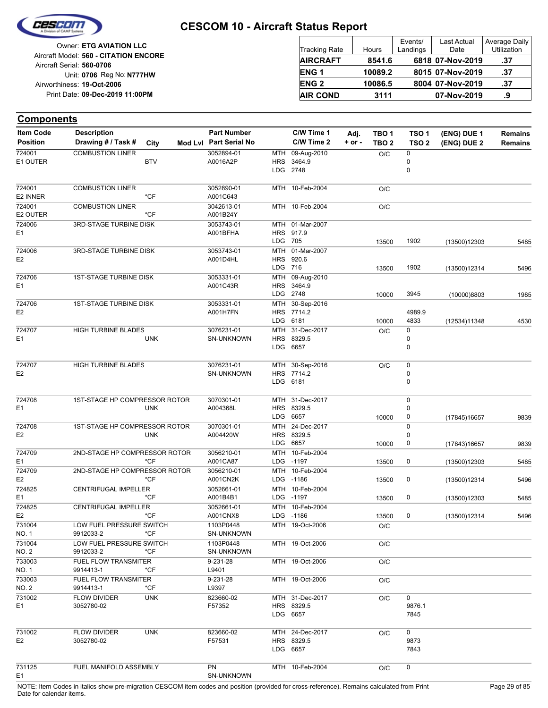

Reg No: **N777HW** Unit: **0706 09-Dec-2019 11:00PM** Print Date: **19-Oct-2006** Airworthiness: Owner: **ETG AVIATION LLC** Aircraft Serial: **560-0706** Aircraft Model: **560 - CITATION ENCORE**

| <b>Tracking Rate</b> | Hours   | Events/<br>Landings | <b>Last Actual</b><br>Date | Average Daily<br>Utilization |
|----------------------|---------|---------------------|----------------------------|------------------------------|
| <b>AIRCRAFT</b>      | 8541.6  |                     | 6818 07-Nov-2019           | .37                          |
| <b>ENG1</b>          | 10089.2 |                     | 8015 07-Nov-2019           | .37                          |
| <b>ENG 2</b>         | 10086.5 |                     | 8004 07-Nov-2019           | .37                          |
| <b>AIR COND</b>      | 3111    |                     | 07-Nov-2019                | .9                           |

| <b>Item Code</b> | <b>Description</b>                |            | <b>Part Number</b>     |            | C/W Time 1                    | Adj.       | TBO 1            | TSO <sub>1</sub> | (ENG) DUE 1  | <b>Remains</b> |
|------------------|-----------------------------------|------------|------------------------|------------|-------------------------------|------------|------------------|------------------|--------------|----------------|
| <b>Position</b>  | Drawing # / Task #                | City       | Mod Lvl Part Serial No |            | C/W Time 2                    | $+$ or $-$ | TBO <sub>2</sub> | TSO <sub>2</sub> | (ENG) DUE 2  | <b>Remains</b> |
| 724001           | <b>COMBUSTION LINER</b>           |            | 3052894-01             | MTH        | 09-Aug-2010                   |            | O/C              | 0                |              |                |
| E1 OUTER         |                                   | <b>BTV</b> | A0016A2P               | HRS        | 3464.9                        |            |                  | 0                |              |                |
|                  |                                   |            |                        |            | LDG 2748                      |            |                  | 0                |              |                |
| 724001           | <b>COMBUSTION LINER</b>           |            | 3052890-01             |            | MTH 10-Feb-2004               |            | O/C              |                  |              |                |
| E2 INNER         |                                   | *CF        | A001C643               |            |                               |            |                  |                  |              |                |
| 724001           | <b>COMBUSTION LINER</b>           |            | 3042613-01             |            | MTH 10-Feb-2004               |            | O/C              |                  |              |                |
| E2 OUTER         |                                   | *CF        | A001B24Y               |            |                               |            |                  |                  |              |                |
| 724006           | 3RD-STAGE TURBINE DISK            |            | 3053743-01             |            | MTH 01-Mar-2007               |            |                  |                  |              |                |
| E1               |                                   |            | A001BFHA               |            | HRS 917.9                     |            |                  |                  |              |                |
|                  |                                   |            |                        | LDG        | 705                           |            | 13500            | 1902             | (13500)12303 | 5485           |
| 724006           | 3RD-STAGE TURBINE DISK            |            | 3053743-01             |            | MTH 01-Mar-2007               |            |                  |                  |              |                |
| E <sub>2</sub>   |                                   |            | A001D4HL               |            | HRS 920.6                     |            |                  |                  |              |                |
|                  |                                   |            |                        |            | LDG 716                       |            | 13500            | 1902             | (13500)12314 | 5496           |
| 724706           | <b>1ST-STAGE TURBINE DISK</b>     |            | 3053331-01             |            | MTH 09-Aug-2010               |            |                  |                  |              |                |
| E <sub>1</sub>   |                                   |            | A001C43R               |            | HRS 3464.9                    |            |                  |                  |              |                |
|                  |                                   |            |                        | LDG.       | 2748                          |            | 10000            | 3945             | (10000)8803  | 1985           |
| 724706           | <b>1ST-STAGE TURBINE DISK</b>     |            | 3053331-01             | MTH        | 30-Sep-2016                   |            |                  |                  |              |                |
| E <sub>2</sub>   |                                   |            | A001H7FN               |            | HRS 7714.2                    |            |                  | 4989.9           |              |                |
|                  |                                   |            |                        |            | LDG 6181                      |            | 10000            | 4833             | (12534)11348 | 4530           |
| 724707           | HIGH TURBINE BLADES               |            | 3076231-01             | MTH        | 31-Dec-2017                   |            | O/C              | 0                |              |                |
| E1               |                                   | <b>UNK</b> | SN-UNKNOWN             |            | HRS 8329.5                    |            |                  | 0                |              |                |
|                  |                                   |            |                        |            | LDG 6657                      |            |                  | 0                |              |                |
| 724707           | <b>HIGH TURBINE BLADES</b>        |            | 3076231-01             |            |                               |            |                  |                  |              |                |
| E2               |                                   |            | <b>SN-UNKNOWN</b>      | MTH        | 30-Sep-2016<br>HRS 7714.2     |            | O/C              | 0<br>0           |              |                |
|                  |                                   |            |                        |            | LDG 6181                      |            |                  | $\mathbf 0$      |              |                |
|                  |                                   |            |                        |            |                               |            |                  |                  |              |                |
| 724708           | 1ST-STAGE HP COMPRESSOR ROTOR     |            | 3070301-01             |            | MTH 31-Dec-2017               |            |                  | 0                |              |                |
| E <sub>1</sub>   |                                   | <b>UNK</b> | A004368L               |            | HRS 8329.5                    |            |                  | 0                |              |                |
|                  |                                   |            |                        |            | LDG 6657                      |            | 10000            | 0                | (17845)16657 | 9839           |
| 724708           | 1ST-STAGE HP COMPRESSOR ROTOR     |            | 3070301-01             | MTH        | 24-Dec-2017                   |            |                  | 0                |              |                |
| E <sub>2</sub>   |                                   | <b>UNK</b> | A004420W               |            | HRS 8329.5                    |            |                  | 0                |              |                |
|                  |                                   |            |                        | LDG.       | 6657                          |            | 10000            | 0                | (17843)16657 | 9839           |
| 724709           | 2ND-STAGE HP COMPRESSOR ROTOR     |            | 3056210-01             |            | MTH 10-Feb-2004               |            |                  |                  |              |                |
| Ε1               |                                   | *CF        | A001CA87               |            | LDG -1197                     |            | 13500            | 0                | (13500)12303 | 5485           |
| 724709           | 2ND-STAGE HP COMPRESSOR ROTOR     |            | 3056210-01             | MTH        | 10-Feb-2004                   |            |                  |                  |              |                |
| E <sub>2</sub>   |                                   | $*$ CF     | A001CN2K               | <b>LDG</b> | -1186                         |            | 13500            | 0                | (13500)12314 | 5496           |
| 724825           | <b>CENTRIFUGAL IMPELLER</b>       |            | 3052661-01             | MTH        | 10-Feb-2004                   |            |                  |                  |              |                |
| E <sub>1</sub>   |                                   | *CF        | A001B4B1               |            | LDG -1197                     |            | 13500            | 0                | (13500)12303 | 5485           |
| 724825           | <b>CENTRIFUGAL IMPELLER</b>       |            | 3052661-01             | MTH        | 10-Feb-2004                   |            |                  |                  |              |                |
| E <sub>2</sub>   |                                   | *CF        | A001CNX8               |            | LDG -1186                     |            | 13500            | 0                | (13500)12314 | 5496           |
| 731004           | LOW FUEL PRESSURE SWITCH          |            | 1103P0448              |            | MTH 19-Oct-2006               |            | O/C              |                  |              |                |
| NO. 1            | 9912033-2                         | *CF        | SN-UNKNOWN             |            |                               |            |                  |                  |              |                |
| 731004           | LOW FUEL PRESSURE SWITCH          |            | 1103P0448              |            | MTH 19-Oct-2006               |            | O/C              |                  |              |                |
| NO. 2            | 9912033-2                         | *CF        | <b>SN-UNKNOWN</b>      |            |                               |            |                  |                  |              |                |
| 733003           | <b>FUEL FLOW TRANSMITER</b>       |            | 9-231-28               |            | MTH 19-Oct-2006               |            | O/C              |                  |              |                |
| NO. 1            | 9914413-1                         | *CF        | L9401                  |            |                               |            |                  |                  |              |                |
| 733003           | <b>FUEL FLOW TRANSMITER</b>       |            | 9-231-28               |            | MTH 19-Oct-2006               |            | O/C              |                  |              |                |
| NO. 2            | 9914413-1                         | *CF        | L9397                  |            |                               |            |                  |                  |              |                |
| 731002           | <b>FLOW DIVIDER</b>               | <b>UNK</b> | 823660-02              |            | MTH 31-Dec-2017               |            | O/C              | 0                |              |                |
| E1               | 3052780-02                        |            | F57352                 |            | HRS 8329.5                    |            |                  | 9876.1           |              |                |
|                  |                                   |            |                        |            | LDG 6657                      |            |                  | 7845             |              |                |
|                  |                                   |            |                        |            |                               |            |                  | 0                |              |                |
| 731002<br>E2     | <b>FLOW DIVIDER</b><br>3052780-02 | <b>UNK</b> | 823660-02<br>F57531    |            | MTH 24-Dec-2017<br>HRS 8329.5 |            | O/C              | 9873             |              |                |
|                  |                                   |            |                        |            | LDG 6657                      |            |                  | 7843             |              |                |
|                  |                                   |            |                        |            |                               |            |                  |                  |              |                |
| 731125           | FUEL MANIFOLD ASSEMBLY            |            | PN                     |            | MTH 10-Feb-2004               |            | O/C              | 0                |              |                |
| E1               |                                   |            | <b>SN-UNKNOWN</b>      |            |                               |            |                  |                  |              |                |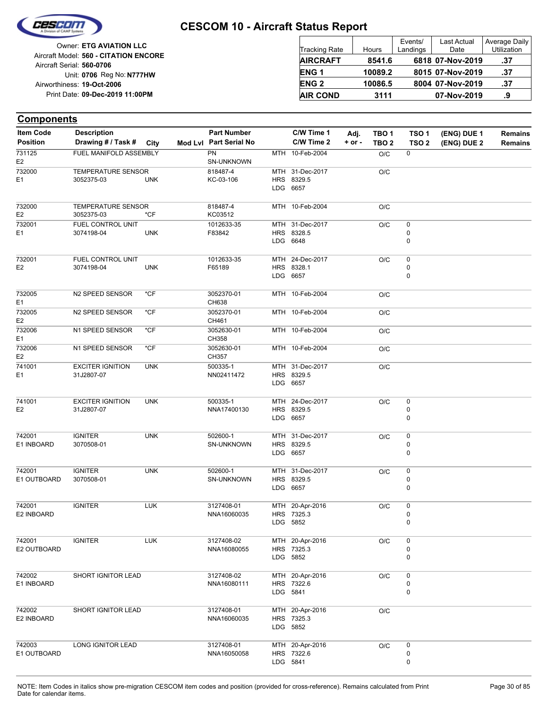

Reg No: **N777HW** Unit: **0706 09-Dec-2019 11:00PM** Print Date: **19-Oct-2006** Airworthiness: Owner: **ETG AVIATION LLC** Aircraft Serial: **560-0706** Aircraft Model: **560 - CITATION ENCORE**

| <b>Tracking Rate</b> | Hours   | Events/<br>Landings | Last Actual<br>Date | Average Daily<br>Utilization |
|----------------------|---------|---------------------|---------------------|------------------------------|
| <b>AIRCRAFT</b>      | 8541.6  |                     | 6818 07-Nov-2019    | .37                          |
| <b>ENG1</b>          | 10089.2 |                     | 8015 07-Nov-2019    | .37                          |
| <b>ENG 2</b>         | 10086.5 |                     | 8004 07-Nov-2019    | .37                          |
| <b>AIR COND</b>      | 3111    |                     | 07-Nov-2019         | .9                           |

| <b>Item Code</b>         | <b>Description</b>        |            | <b>Part Number</b>      | C/W Time 1             | Adj.   | TBO <sub>1</sub> | TSO <sub>1</sub> | (ENG) DUE 1 | <b>Remains</b> |
|--------------------------|---------------------------|------------|-------------------------|------------------------|--------|------------------|------------------|-------------|----------------|
| <b>Position</b>          | Drawing # / Task # City   |            | Mod Lvl Part Serial No  | C/W Time 2             | + or - | TBO <sub>2</sub> | TSO <sub>2</sub> | (ENG) DUE 2 | <b>Remains</b> |
| 731125<br>E <sub>2</sub> | FUEL MANIFOLD ASSEMBLY    |            | <b>PN</b><br>SN-UNKNOWN | MTH 10-Feb-2004        |        | O/C              | 0                |             |                |
| 732000                   | <b>TEMPERATURE SENSOR</b> |            | 818487-4                | MTH 31-Dec-2017        |        | O/C              |                  |             |                |
| E1                       | 3052375-03                | <b>UNK</b> | KC-03-106               | HRS 8329.5             |        |                  |                  |             |                |
|                          |                           |            |                         | LDG 6657               |        |                  |                  |             |                |
| 732000                   | TEMPERATURE SENSOR        |            | 818487-4                | MTH 10-Feb-2004        |        | O/C              |                  |             |                |
| E <sub>2</sub>           | 3052375-03                | *CF        | KC03512                 |                        |        |                  |                  |             |                |
| 732001                   | FUEL CONTROL UNIT         |            | 1012633-35              | MTH 31-Dec-2017        |        | O/C              | 0                |             |                |
| E <sub>1</sub>           | 3074198-04                | <b>UNK</b> | F83842                  | HRS 8328.5             |        |                  | 0                |             |                |
|                          |                           |            |                         | LDG 6648               |        |                  | 0                |             |                |
| 732001                   | FUEL CONTROL UNIT         |            | 1012633-35              | MTH 24-Dec-2017        |        | O/C              | 0                |             |                |
| E <sub>2</sub>           | 3074198-04                | <b>UNK</b> | F65189                  | HRS 8328.1             |        |                  | 0                |             |                |
|                          |                           |            |                         | LDG 6657               |        |                  | 0                |             |                |
| 732005                   | N2 SPEED SENSOR           | *CF        | 3052370-01              | MTH 10-Feb-2004        |        | O/C              |                  |             |                |
| E <sub>1</sub>           |                           |            | CH638                   |                        |        |                  |                  |             |                |
| 732005                   | N2 SPEED SENSOR           | $*$ CF     | 3052370-01              | MTH 10-Feb-2004        |        | O/C              |                  |             |                |
| E <sub>2</sub><br>732006 | N1 SPEED SENSOR           | $*$ CF     | CH461<br>3052630-01     | MTH 10-Feb-2004        |        | O/C              |                  |             |                |
| E <sub>1</sub>           |                           |            | CH358                   |                        |        |                  |                  |             |                |
| 732006                   | N1 SPEED SENSOR           | $*$ CF     | 3052630-01              | MTH 10-Feb-2004        |        | O/C              |                  |             |                |
| E <sub>2</sub>           |                           |            | CH357                   |                        |        |                  |                  |             |                |
| 741001                   | <b>EXCITER IGNITION</b>   | <b>UNK</b> | 500335-1                | MTH 31-Dec-2017        |        | O/C              |                  |             |                |
| E1                       | 31J2807-07                |            | NN02411472              | HRS 8329.5<br>LDG 6657 |        |                  |                  |             |                |
|                          |                           |            |                         |                        |        |                  |                  |             |                |
| 741001                   | <b>EXCITER IGNITION</b>   | <b>UNK</b> | 500335-1                | MTH 24-Dec-2017        |        | O/C              | $\pmb{0}$        |             |                |
| E <sub>2</sub>           | 31J2807-07                |            | NNA17400130             | HRS 8329.5             |        |                  | 0                |             |                |
|                          |                           |            |                         | LDG 6657               |        |                  | 0                |             |                |
| 742001                   | <b>IGNITER</b>            | <b>UNK</b> | 502600-1                | MTH 31-Dec-2017        |        | O/C              | 0                |             |                |
| E1 INBOARD               | 3070508-01                |            | SN-UNKNOWN              | HRS 8329.5             |        |                  | 0                |             |                |
|                          |                           |            |                         | LDG 6657               |        |                  | 0                |             |                |
| 742001                   | <b>IGNITER</b>            | <b>UNK</b> | 502600-1                | MTH 31-Dec-2017        |        | O/C              | 0                |             |                |
| E1 OUTBOARD              | 3070508-01                |            | SN-UNKNOWN              | HRS 8329.5             |        |                  | 0                |             |                |
|                          |                           |            |                         | LDG 6657               |        |                  | 0                |             |                |
| 742001                   | <b>IGNITER</b>            | <b>LUK</b> | 3127408-01              | MTH 20-Apr-2016        |        | O/C              | 0                |             |                |
| E2 INBOARD               |                           |            | NNA16060035             | HRS 7325.3             |        |                  | 0                |             |                |
|                          |                           |            |                         | LDG 5852               |        |                  | 0                |             |                |
| 742001                   | <b>IGNITER</b>            | <b>LUK</b> | 3127408-02              | MTH 20-Apr-2016        |        | O/C              | 0                |             |                |
| E2 OUTBOARD              |                           |            | NNA16080055             | HRS 7325.3             |        |                  | 0                |             |                |
|                          |                           |            |                         | LDG 5852               |        |                  | 0                |             |                |
|                          |                           |            |                         |                        |        |                  |                  |             |                |
| 742002                   | SHORT IGNITOR LEAD        |            | 3127408-02              | MTH 20-Apr-2016        |        | O/C              | 0                |             |                |
| E1 INBOARD               |                           |            | NNA16080111             | HRS 7322.6             |        |                  | 0                |             |                |
|                          |                           |            |                         | LDG 5841               |        |                  | 0                |             |                |
| 742002                   | SHORT IGNITOR LEAD        |            | 3127408-01              | MTH 20-Apr-2016        |        | O/C              |                  |             |                |
| E2 INBOARD               |                           |            | NNA16060035             | HRS 7325.3             |        |                  |                  |             |                |
|                          |                           |            |                         | LDG 5852               |        |                  |                  |             |                |
| 742003                   | LONG IGNITOR LEAD         |            | 3127408-01              | MTH 20-Apr-2016        |        | O/C              | 0                |             |                |
| E1 OUTBOARD              |                           |            | NNA16050058             | HRS 7322.6             |        |                  | 0                |             |                |
|                          |                           |            |                         | LDG 5841               |        |                  | 0                |             |                |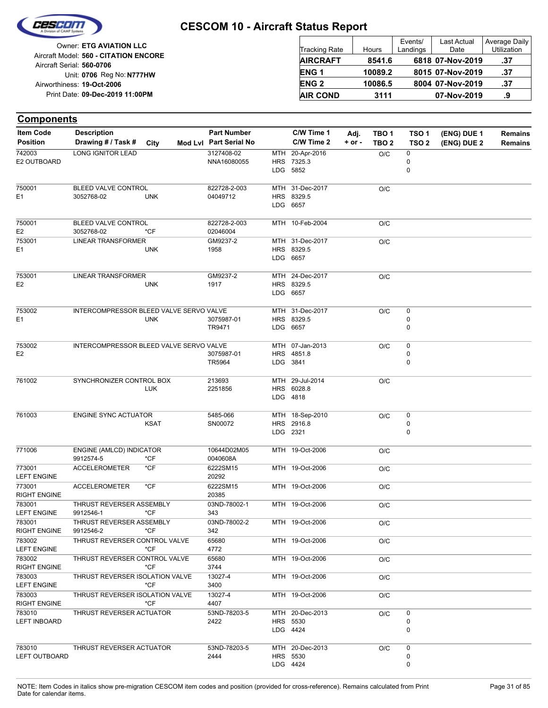

| Owner: ETG AVIATION LLC                                            | <b>Tracking Rate</b> | Hours   | Events/<br>Landings | Last Actual<br>Date | Average Daily<br>Utilization |
|--------------------------------------------------------------------|----------------------|---------|---------------------|---------------------|------------------------------|
| Aircraft Model: 560 - CITATION ENCORE<br>Aircraft Serial: 560-0706 | <b>AIRCRAFT</b>      | 8541.6  |                     | 6818 07-Nov-2019    | .37                          |
| Unit: 0706 Reg No: N777HW                                          | <b>ENG1</b>          | 10089.2 |                     | 8015 07-Nov-2019    | .37                          |
| Airworthiness: 19-Oct-2006                                         | <b>ENG 2</b>         | 10086.5 |                     | 8004 07-Nov-2019    | .37                          |
| Print Date: 09-Dec-2019 11:00PM                                    | <b>AIR COND</b>      | 3111    |                     | 07-Nov-2019         | .9                           |

#### **(ENG) DUE 2 (ENG) DUE 1 Components** City **Mod Lvl Part Serial No Part Number C/W Time 1 C/W Time 2 + or - Adj. TBO 1 TBO 2 TSO 2 TSO 1 Remains** Description Part Number C/W Time 1 Adj. TBO 1 TSO 1 (ENG) DUE 1 Remains **Position Drawing # / Task # Item Code** LDG **HRS** MTH 5852 7325.3 20-Apr-2016 0 0  $O/C$  0 NNA16080055 3127408-02 E2 OUTBOARD 742003 LONG IGNITOR LEAD LDG **HRS** MTH 31-Dec-2017 O/C 6657 8329.5 04049712 822728-2-003 E1 750001 3052768-02 UNK BLEED VALVE CONTROL MTH 10-Feb-2004 0/C 02046004 822728-2-003 E2 750001 3052768-02 \*CF BLEED VALVE CONTROL LDG 6657 HRS 8329.5 MTH 31-Dec-2017 O/C 1958 GM9237-2 E1 753001 UNK LINEAR TRANSFORMER LDG HRS 8329.5 MTH 24-Dec-2017 O/C 6657 1917 GM9237-2 E2 753001 UNK LINEAR TRANSFORMER LDG HRS 8329.5 MTH 31-Dec-2017 6657 0 0  $O/C$  0 TR9471 E1 3075987-01 753002 UNK INTERCOMPRESSOR BLEED VALVE SERVO VALVE LDG HRS MTH 3841 4851.8 07-Jan-2013  $\Omega$ 0  $O/C$  0 TR5964 E2 3075987-01 753002 INTERCOMPRESSOR BLEED VALVE SERVO VALVE LDG HRS 6028.8 MTH 29-Jul-2014 O/C 4818 2251856 761002 213693 SYNCHRONIZER CONTROL BOX LUK LDG HRS MTH 2321 2916.8 18-Sep-2010 0  $\Omega$  $O/C$  0 SN00072 761003 5485-066 ENGINE SYNC ACTUATOR **KSAT** MTH 19-Oct-2006 O/C 0040608A 771006 10644D02M05 ENGINE (AMLCD) INDICATOR 9912574-5 \*CF MTH 19-Oct-2006 O/C 20292 6222SM15 LEFT ENGINE 773001 ACCELEROMETER \*CF MTH 19-Oct-2006 O/C 20385 6222SM15 RIGHT ENGINE 773001 ACCELEROMETER \*CF MTH 19-Oct-2006 O/C 343 03ND-78002-1 LEFT ENGINE 783001 9912546-1 \*CF THRUST REVERSER ASSEMBLY MTH 19-Oct-2006 O/C 342 03ND-78002-2 RIGHT ENGINE 783001 9912546-2 \*CF THRUST REVERSER ASSEMBLY MTH 19-Oct-2006 O/C 4772 65680 LEFT ENGINE 783002 \*CF THRUST REVERSER CONTROL VALVE MTH 19-Oct-2006 O/C 3744 65680 RIGHT ENGINE 783002 \*CF THRUST REVERSER CONTROL VALVE MTH 19-Oct-2006 O/C 3400 13027-4 LEFT ENGINE 783003 \*CF THRUST REVERSER ISOLATION VALVE MTH 19-Oct-2006 O/C 4407 13027-4 RIGHT ENGINE 783003 \*CF THRUST REVERSER ISOLATION VALVE LDG HRS 5530 MTH 20-Dec-2013 4424 0 0  $O/C$  0 2422 53ND-78203-5 LEFT INBOARD 783010 THRUST REVERSER ACTUATOR LDG 4424 **HRS** MTH 5530 20-Dec-2013 0 0  $O/C$  0 2444 53ND-78203-5 LEFT OUTBOARD 783010 THRUST REVERSER ACTUATOR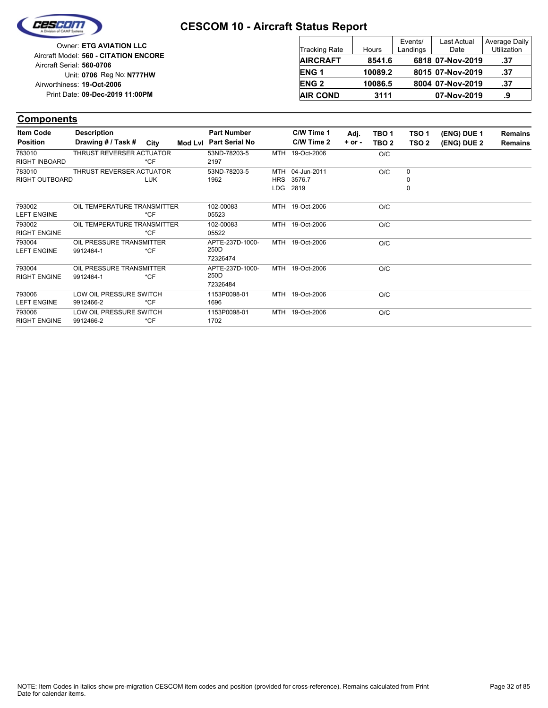

| Owner: ETG AVIATION LLC                                            | <b>Tracking Rate</b> | Hours   | Events/<br>Landings | <b>Last Actual</b><br>Date | Average Daily<br>Utilization |
|--------------------------------------------------------------------|----------------------|---------|---------------------|----------------------------|------------------------------|
| Aircraft Model: 560 - CITATION ENCORE<br>Aircraft Serial: 560-0706 | <b>AIRCRAFT</b>      | 8541.6  |                     | 6818 07-Nov-2019           | .37                          |
| Unit: 0706 Reg No: N777HW                                          | <b>ENG1</b>          | 10089.2 |                     | 8015 07-Nov-2019           | .37                          |
| Airworthiness: 19-Oct-2006                                         | <b>ENG 2</b>         | 10086.5 |                     | 8004 07-Nov-2019           | .37                          |
| Print Date: 09-Dec-2019 11:00PM                                    | <b>AIR COND</b>      | 3111    |                     | 07-Nov-2019                | .9                           |

| <b>Item Code</b>     | <b>Description</b>          |            | <b>Part Number</b>     | C/W Time 1      | Adj.     | TBO <sub>1</sub> | TSO <sub>1</sub> | (ENG) DUE 1 | <b>Remains</b> |
|----------------------|-----------------------------|------------|------------------------|-----------------|----------|------------------|------------------|-------------|----------------|
| <b>Position</b>      | Drawing # / Task # City     |            | Mod Lvl Part Serial No | C/W Time 2      | $+ or -$ | TBO <sub>2</sub> | TSO <sub>2</sub> | (ENG) DUE 2 | <b>Remains</b> |
| 783010               | THRUST REVERSER ACTUATOR    |            | 53ND-78203-5           | MTH 19-Oct-2006 |          | O/C              |                  |             |                |
| <b>RIGHT INBOARD</b> |                             | $*CF$      | 2197                   |                 |          |                  |                  |             |                |
| 783010               | THRUST REVERSER ACTUATOR    |            | 53ND-78203-5           | MTH 04-Jun-2011 |          | O/C              | 0                |             |                |
| RIGHT OUTBOARD       |                             | <b>LUK</b> | 1962                   | HRS 3576.7      |          |                  | 0                |             |                |
|                      |                             |            |                        | LDG 2819        |          |                  | 0                |             |                |
| 793002               | OIL TEMPERATURE TRANSMITTER |            | 102-00083              | MTH 19-Oct-2006 |          | O/C              |                  |             |                |
| <b>LEFT ENGINE</b>   |                             | $*CF$      | 05523                  |                 |          |                  |                  |             |                |
| 793002               | OIL TEMPERATURE TRANSMITTER |            | 102-00083              | MTH 19-Oct-2006 |          | O/C              |                  |             |                |
| <b>RIGHT ENGINE</b>  |                             | $*CF$      | 05522                  |                 |          |                  |                  |             |                |
| 793004               | OIL PRESSURE TRANSMITTER    |            | APTE-237D-1000-        | MTH 19-Oct-2006 |          | O/C              |                  |             |                |
| <b>LEFT ENGINE</b>   | 9912464-1                   | $*CF$      | 250D                   |                 |          |                  |                  |             |                |
|                      |                             |            | 72326474               |                 |          |                  |                  |             |                |
| 793004               | OIL PRESSURE TRANSMITTER    |            | APTE-237D-1000-        | MTH 19-Oct-2006 |          | O/C              |                  |             |                |
| <b>RIGHT ENGINE</b>  | 9912464-1                   | $*CF$      | 250D                   |                 |          |                  |                  |             |                |
|                      |                             |            | 72326484               |                 |          |                  |                  |             |                |
| 793006               | LOW OIL PRESSURE SWITCH     |            | 1153P0098-01           | MTH 19-Oct-2006 |          | O/C              |                  |             |                |
| <b>LEFT ENGINE</b>   | 9912466-2                   | *CF        | 1696                   |                 |          |                  |                  |             |                |
| 793006               | LOW OIL PRESSURE SWITCH     |            | 1153P0098-01           | MTH 19-Oct-2006 |          | O/C              |                  |             |                |
| <b>RIGHT ENGINE</b>  | 9912466-2                   | $*CF$      | 1702                   |                 |          |                  |                  |             |                |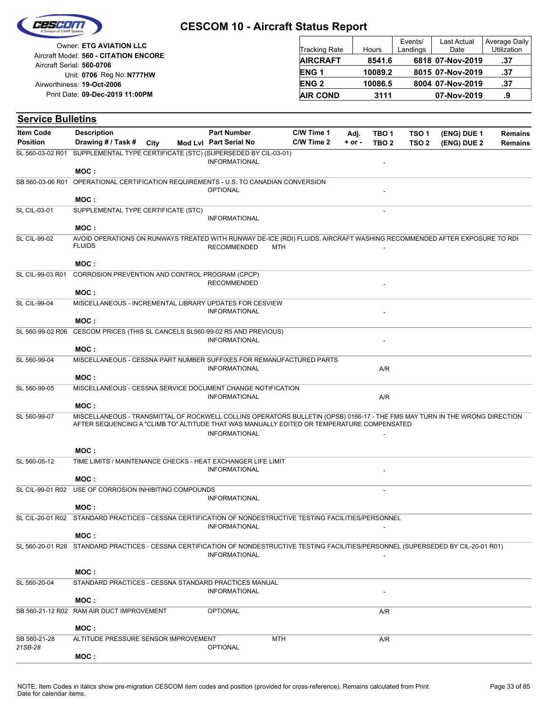

| Owner: ETG AVIATION LLC                                            | <b>Tracking Rate</b> | Hours   | Events/<br>Landings | <b>Last Actual</b><br>Date | Average Daily<br>Utilization |
|--------------------------------------------------------------------|----------------------|---------|---------------------|----------------------------|------------------------------|
| Aircraft Model: 560 - CITATION ENCORE<br>Aircraft Serial: 560-0706 | <b>AIRCRAFT</b>      | 8541.6  |                     | 6818 07-Nov-2019           | .37                          |
| Unit: 0706 Reg No: N777HW                                          | <b>ENG1</b>          | 10089.2 |                     | 8015 07-Nov-2019           | .37                          |
| Airworthiness: 19-Oct-2006                                         | <b>ENG 2</b>         | 10086.5 |                     | 8004 07-Nov-2019           | .37                          |
| Print Date: 09-Dec-2019 11:00PM                                    | <b>AIR COND</b>      | 3111    |                     | 07-Nov-2019                | .9                           |

| <b>Service Bulletins</b> |                                                                                                                                          |      |                        |            |            |            |                  |                  |             |                |
|--------------------------|------------------------------------------------------------------------------------------------------------------------------------------|------|------------------------|------------|------------|------------|------------------|------------------|-------------|----------------|
| <b>Item Code</b>         | <b>Description</b>                                                                                                                       |      | <b>Part Number</b>     |            | C/W Time 1 | Adj.       | TBO <sub>1</sub> | TSO <sub>1</sub> | (ENG) DUE 1 | <b>Remains</b> |
| <b>Position</b>          | Drawing # / Task #                                                                                                                       | City | Mod Lvl Part Serial No |            | C/W Time 2 | $+$ or $-$ | TBO <sub>2</sub> | TSO <sub>2</sub> | (ENG) DUE 2 | <b>Remains</b> |
| SL 560-03-02 R01         | SUPPLEMENTAL TYPE CERTIFICATE (STC) (SUPERSEDED BY CIL-03-01)                                                                            |      | <b>INFORMATIONAL</b>   |            |            |            |                  |                  |             |                |
|                          | MOC:                                                                                                                                     |      |                        |            |            |            |                  |                  |             |                |
| SB 560-03-06 R01         | OPERATIONAL CERTIFICATION REQUIREMENTS - U.S. TO CANADIAN CONVERSION                                                                     |      | <b>OPTIONAL</b>        |            |            |            |                  |                  |             |                |
|                          | MOC:                                                                                                                                     |      |                        |            |            |            |                  |                  |             |                |
| <b>SL CIL-03-01</b>      | SUPPLEMENTAL TYPE CERTIFICATE (STC)                                                                                                      |      |                        |            |            |            |                  |                  |             |                |
|                          | MOC:                                                                                                                                     |      | <b>INFORMATIONAL</b>   |            |            |            |                  |                  |             |                |
| <b>SL CIL-99-02</b>      | AVOID OPERATIONS ON RUNWAYS TREATED WITH RUNWAY DE-ICE (RDI) FLUIDS. AIRCRAFT WASHING RECOMMENDED AFTER EXPOSURE TO RDI<br><b>FLUIDS</b> |      | <b>RECOMMENDED</b>     | <b>MTH</b> |            |            |                  |                  |             |                |
|                          | MOC:                                                                                                                                     |      |                        |            |            |            |                  |                  |             |                |
| SL CIL-99-03 R01         | CORROSION PREVENTION AND CONTROL PROGRAM (CPCP)                                                                                          |      | <b>RECOMMENDED</b>     |            |            |            |                  |                  |             |                |
|                          | MOC:                                                                                                                                     |      |                        |            |            |            |                  |                  |             |                |
| <b>SL CIL-99-04</b>      | MISCELLANEOUS - INCREMENTAL LIBRARY UPDATES FOR CESVIEW                                                                                  |      | <b>INFORMATIONAL</b>   |            |            |            |                  |                  |             |                |
|                          | MOC:                                                                                                                                     |      |                        |            |            |            |                  |                  |             |                |
| SL 560-99-02 R06         | CESCOM PRICES (THIS SL CANCELS SL560-99-02 R5 AND PREVIOUS)                                                                              |      | <b>INFORMATIONAL</b>   |            |            |            |                  |                  |             |                |
|                          | MOC:                                                                                                                                     |      |                        |            |            |            |                  |                  |             |                |
| SL 560-99-04             | MISCELLANEOUS - CESSNA PART NUMBER SUFFIXES FOR REMANUFACTURED PARTS                                                                     |      | <b>INFORMATIONAL</b>   |            |            |            | A/R              |                  |             |                |
|                          | MOC:                                                                                                                                     |      |                        |            |            |            |                  |                  |             |                |
| SL 560-99-05             | MISCELLANEOUS - CESSNA SERVICE DOCUMENT CHANGE NOTIFICATION                                                                              |      | <b>INFORMATIONAL</b>   |            |            |            | A/R              |                  |             |                |
|                          | MOC:<br>MISCELLANEOUS - TRANSMITTAL OF ROCKWELL COLLINS OPERATORS BULLETIN (OPSB) 0166-17 - THE FMS MAY TURN IN THE WRONG DIRECTION      |      |                        |            |            |            |                  |                  |             |                |
| SL 560-99-07             | AFTER SEQUENCING A "CLIMB TO" ALTITUDE THAT WAS MANUALLY EDITED OR TEMPERATURE COMPENSATED                                               |      | <b>INFORMATIONAL</b>   |            |            |            |                  |                  |             |                |
|                          | MOC:                                                                                                                                     |      |                        |            |            |            |                  |                  |             |                |
| SL 560-05-12             | TIME LIMITS / MAINTENANCE CHECKS - HEAT EXCHANGER LIFE LIMIT                                                                             |      |                        |            |            |            |                  |                  |             |                |
|                          | MOC:                                                                                                                                     |      | <b>INFORMATIONAL</b>   |            |            |            |                  |                  |             |                |
| SL CIL-99-01 R02         | USE OF CORROSION INHIBITING COMPOUNDS                                                                                                    |      |                        |            |            |            |                  |                  |             |                |
|                          | MOC:                                                                                                                                     |      | <b>INFORMATIONAL</b>   |            |            |            |                  |                  |             |                |
|                          | SL CIL-20-01 R02 STANDARD PRACTICES - CESSNA CERTIFICATION OF NONDESTRUCTIVE TESTING FACILITIES/PERSONNEL                                |      |                        |            |            |            |                  |                  |             |                |
|                          |                                                                                                                                          |      | <b>INFORMATIONAL</b>   |            |            |            |                  |                  |             |                |
|                          | MOC:                                                                                                                                     |      |                        |            |            |            |                  |                  |             |                |
| SL 560-20-01 R26         | STANDARD PRACTICES - CESSNA CERTIFICATION OF NONDESTRUCTIVE TESTING FACILITIES/PERSONNEL (SUPERSEDED BY CIL-20-01 R01)                   |      | <b>INFORMATIONAL</b>   |            |            |            |                  |                  |             |                |
|                          | MOC:                                                                                                                                     |      |                        |            |            |            |                  |                  |             |                |
| SL 560-20-04             | STANDARD PRACTICES - CESSNA STANDARD PRACTICES MANUAL                                                                                    |      | <b>INFORMATIONAL</b>   |            |            |            |                  |                  |             |                |
|                          | MOC:                                                                                                                                     |      |                        |            |            |            |                  |                  |             |                |
|                          | SB 560-21-12 R02 RAM AIR DUCT IMPROVEMENT                                                                                                |      | <b>OPTIONAL</b>        |            |            |            | A/R              |                  |             |                |
|                          | MOC:                                                                                                                                     |      |                        |            |            |            |                  |                  |             |                |
| SB 560-21-28<br>21SB-28  | ALTITUDE PRESSURE SENSOR IMPROVEMENT                                                                                                     |      | <b>OPTIONAL</b>        | <b>MTH</b> |            |            | A/R              |                  |             |                |
|                          | MOC:                                                                                                                                     |      |                        |            |            |            |                  |                  |             |                |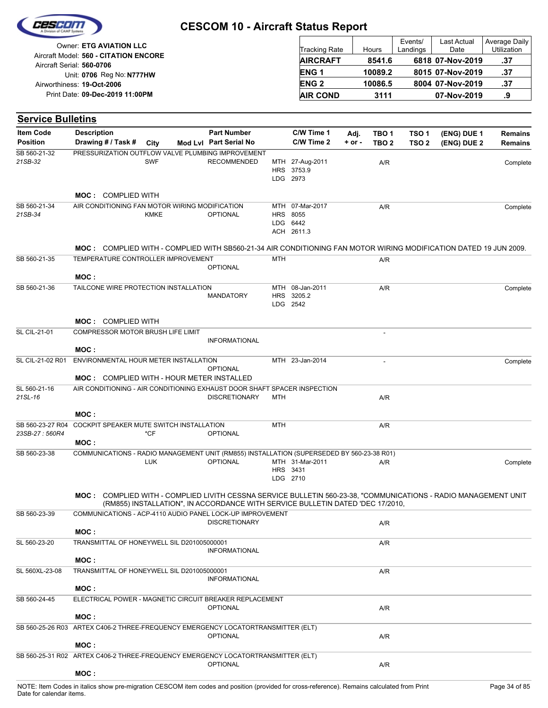

| Owner: ETG AVIATION LLC                                            | <b>Tracking Rate</b> | Hours   | Events/<br>Landings | Last Actual<br>Date | Average Daily<br><b>Utilization</b> |
|--------------------------------------------------------------------|----------------------|---------|---------------------|---------------------|-------------------------------------|
| Aircraft Model: 560 - CITATION ENCORE<br>Aircraft Serial: 560-0706 | <b>AIRCRAFT</b>      | 8541.6  |                     | 6818 07-Nov-2019    | .37                                 |
| Unit: 0706 Reg No: N777HW                                          | <b>ENG1</b>          | 10089.2 |                     | 8015 07-Nov-2019    | .37                                 |
| Airworthiness: 19-Oct-2006                                         | <b>ENG 2</b>         | 10086.5 |                     | 8004 07-Nov-2019    | .37                                 |
| Print Date: 09-Dec-2019 11:00PM                                    | <b>AIR COND</b>      | 3111    |                     | 07-Nov-2019         | .9                                  |

| <b>Service Bulletins</b>           |                                                                                                                              |             |                                                                                |            |                                                       |            |                          |                  |             |                |
|------------------------------------|------------------------------------------------------------------------------------------------------------------------------|-------------|--------------------------------------------------------------------------------|------------|-------------------------------------------------------|------------|--------------------------|------------------|-------------|----------------|
| <b>Item Code</b>                   | <b>Description</b>                                                                                                           |             | <b>Part Number</b>                                                             |            | C/W Time 1                                            | Adj.       | TBO <sub>1</sub>         | TSO <sub>1</sub> | (ENG) DUE 1 | <b>Remains</b> |
| <b>Position</b>                    | Drawing # / Task #                                                                                                           | City        | Mod Lvl Part Serial No                                                         |            | C/W Time 2                                            | $+$ or $-$ | TBO <sub>2</sub>         | TSO <sub>2</sub> | (ENG) DUE 2 | Remains        |
| SB 560-21-32<br>21SB-32            | PRESSURIZATION OUTFLOW VALVE PLUMBING IMPROVEMENT                                                                            | <b>SWF</b>  | <b>RECOMMENDED</b>                                                             |            | MTH 27-Aug-2011<br>HRS 3753.9<br>LDG 2973             |            | A/R                      |                  |             | Complete       |
|                                    | <b>MOC: COMPLIED WITH</b>                                                                                                    |             |                                                                                |            |                                                       |            |                          |                  |             |                |
| SB 560-21-34<br>21SB-34            | AIR CONDITIONING FAN MOTOR WIRING MODIFICATION                                                                               | <b>KMKE</b> | <b>OPTIONAL</b>                                                                |            | MTH 07-Mar-2017<br>HRS 8055<br>LDG 6442<br>ACH 2611.3 |            | A/R                      |                  |             | Complete       |
|                                    | <b>MOC:</b> COMPLIED WITH - COMPLIED WITH SB560-21-34 AIR CONDITIONING FAN MOTOR WIRING MODIFICATION DATED 19 JUN 2009.      |             |                                                                                |            |                                                       |            |                          |                  |             |                |
| SB 560-21-35                       | TEMPERATURE CONTROLLER IMPROVEMENT                                                                                           |             |                                                                                | <b>MTH</b> |                                                       |            | A/R                      |                  |             |                |
|                                    | MOC:                                                                                                                         |             | <b>OPTIONAL</b>                                                                |            |                                                       |            |                          |                  |             |                |
| SB 560-21-36                       | TAILCONE WIRE PROTECTION INSTALLATION                                                                                        |             | <b>MANDATORY</b>                                                               |            | MTH 08-Jan-2011<br>HRS 3205.2<br>LDG 2542             |            | A/R                      |                  |             | Complete       |
|                                    | <b>MOC: COMPLIED WITH</b>                                                                                                    |             |                                                                                |            |                                                       |            |                          |                  |             |                |
| <b>SL CIL-21-01</b>                | COMPRESSOR MOTOR BRUSH LIFE LIMIT                                                                                            |             | <b>INFORMATIONAL</b>                                                           |            |                                                       |            |                          |                  |             |                |
|                                    | MOC:                                                                                                                         |             |                                                                                |            |                                                       |            |                          |                  |             |                |
| SL CIL-21-02 R01                   | ENVIRONMENTAL HOUR METER INSTALLATION                                                                                        |             | <b>OPTIONAL</b>                                                                |            | MTH 23-Jan-2014                                       |            | $\overline{\phantom{a}}$ |                  |             | Complete       |
| SL 560-21-16                       | <b>MOC: COMPLIED WITH - HOUR METER INSTALLED</b><br>AIR CONDITIONING - AIR CONDITIONING EXHAUST DOOR SHAFT SPACER INSPECTION |             |                                                                                |            |                                                       |            |                          |                  |             |                |
| 21SL-16                            |                                                                                                                              |             | <b>DISCRETIONARY</b>                                                           | MTH        |                                                       |            | A/R                      |                  |             |                |
|                                    | MOC:                                                                                                                         |             |                                                                                |            |                                                       |            |                          |                  |             |                |
| SB 560-23-27 R04<br>23SB-27: 560R4 | COCKPIT SPEAKER MUTE SWITCH INSTALLATION<br>MOC:                                                                             | *CF         | <b>OPTIONAL</b>                                                                | <b>MTH</b> |                                                       |            | A/R                      |                  |             |                |
| SB 560-23-38                       | COMMUNICATIONS - RADIO MANAGEMENT UNIT (RM855) INSTALLATION (SUPERSEDED BY 560-23-38 R01)                                    |             |                                                                                |            |                                                       |            |                          |                  |             |                |
|                                    |                                                                                                                              | <b>LUK</b>  | <b>OPTIONAL</b>                                                                |            | MTH 31-Mar-2011<br>HRS 3431<br>LDG 2710               |            | A/R                      |                  |             | Complete       |
|                                    | MOC: COMPLIED WITH - COMPLIED LIVITH CESSNA SERVICE BULLETIN 560-23-38, "COMMUNICATIONS - RADIO MANAGEMENT UNIT              |             | (RM855) INSTALLATION", IN ACCORDANCE WITH SERVICE BULLETIN DATED 'DEC 17/2010, |            |                                                       |            |                          |                  |             |                |
| SB 560-23-39                       | COMMUNICATIONS - ACP-4110 AUDIO PANEL LOCK-UP IMPROVEMENT                                                                    |             | <b>DISCRETIONARY</b>                                                           |            |                                                       |            | A/R                      |                  |             |                |
|                                    | MOC:                                                                                                                         |             |                                                                                |            |                                                       |            |                          |                  |             |                |
| SL 560-23-20                       | TRANSMITTAL OF HONEYWELL SIL D201005000001                                                                                   |             | <b>INFORMATIONAL</b>                                                           |            |                                                       |            | A/R                      |                  |             |                |
|                                    | MOC:                                                                                                                         |             |                                                                                |            |                                                       |            |                          |                  |             |                |
| SL 560XL-23-08                     | TRANSMITTAL OF HONEYWELL SIL D201005000001<br>MOC:                                                                           |             | <b>INFORMATIONAL</b>                                                           |            |                                                       |            | A/R                      |                  |             |                |
| SB 560-24-45                       | ELECTRICAL POWER - MAGNETIC CIRCUIT BREAKER REPLACEMENT                                                                      |             |                                                                                |            |                                                       |            |                          |                  |             |                |
|                                    | MOC:                                                                                                                         |             | <b>OPTIONAL</b>                                                                |            |                                                       |            | A/R                      |                  |             |                |
|                                    | SB 560-25-26 R03 ARTEX C406-2 THREE-FREQUENCY EMERGENCY LOCATORTRANSMITTER (ELT)                                             |             | <b>OPTIONAL</b>                                                                |            |                                                       |            |                          |                  |             |                |
|                                    | MOC:                                                                                                                         |             |                                                                                |            |                                                       |            | A/R                      |                  |             |                |
|                                    | SB 560-25-31 R02 ARTEX C406-2 THREE-FREQUENCY EMERGENCY LOCATORTRANSMITTER (ELT)                                             |             | <b>OPTIONAL</b>                                                                |            |                                                       |            | A/R                      |                  |             |                |
|                                    | MOC:                                                                                                                         |             |                                                                                |            |                                                       |            |                          |                  |             |                |
|                                    |                                                                                                                              |             |                                                                                |            |                                                       |            |                          |                  |             |                |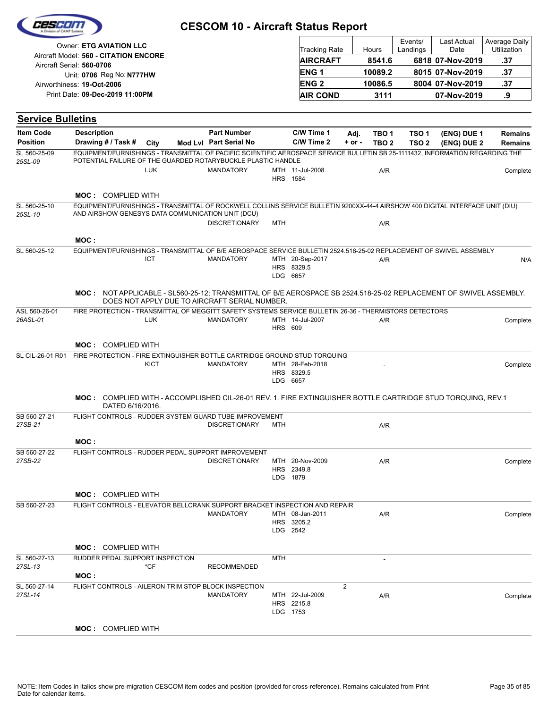|                                     |                                                                                                                                                                                                             | <b>CESCOM 10 - Aircraft Status Report</b>    |                |                                           |                  |                                      |                                      |                                                |                                     |
|-------------------------------------|-------------------------------------------------------------------------------------------------------------------------------------------------------------------------------------------------------------|----------------------------------------------|----------------|-------------------------------------------|------------------|--------------------------------------|--------------------------------------|------------------------------------------------|-------------------------------------|
|                                     | Owner: ETG AVIATION LLC<br>Aircraft Model: 560 - CITATION ENCORE                                                                                                                                            |                                              |                | <b>Tracking Rate</b><br><b>AIRCRAFT</b>   |                  | Hours<br>8541.6                      | Events/<br>Landings                  | <b>Last Actual</b><br>Date<br>6818 07-Nov-2019 | Average Daily<br>Utilization<br>.37 |
|                                     | Aircraft Serial: 560-0706                                                                                                                                                                                   |                                              |                | <b>ENG1</b>                               |                  | 10089.2                              |                                      | 8015 07-Nov-2019                               | .37                                 |
|                                     | Unit: 0706 Reg No: N777HW<br>Airworthiness: 19-Oct-2006                                                                                                                                                     |                                              |                | <b>ENG2</b>                               |                  | 10086.5                              |                                      | 8004 07-Nov-2019                               | .37                                 |
|                                     | Print Date: 09-Dec-2019 11:00PM                                                                                                                                                                             |                                              |                | <b>AIR COND</b>                           |                  | 3111                                 |                                      | 07-Nov-2019                                    | .9                                  |
|                                     |                                                                                                                                                                                                             |                                              |                |                                           |                  |                                      |                                      |                                                |                                     |
| <b>Service Bulletins</b>            |                                                                                                                                                                                                             |                                              |                |                                           |                  |                                      |                                      |                                                |                                     |
| <b>Item Code</b><br><b>Position</b> | <b>Description</b><br>Drawing # / Task #<br>City                                                                                                                                                            | <b>Part Number</b><br>Mod Lvl Part Serial No |                | C/W Time 1<br>C/W Time 2                  | Adj.<br>$+ or -$ | TBO <sub>1</sub><br>TBO <sub>2</sub> | TSO <sub>1</sub><br>TSO <sub>2</sub> | (ENG) DUE 1<br>(ENG) DUE 2                     | <b>Remains</b><br><b>Remains</b>    |
| SL 560-25-09<br>25SL-09             | EQUIPMENT/FURNISHINGS - TRANSMITTAL OF PACIFIC SCIENTIFIC AEROSPACE SERVICE BULLETIN SB 25-1111432, INFORMATION REGARDING THE<br>POTENTIAL FAILURE OF THE GUARDED ROTARYBUCKLE PLASTIC HANDLE<br><b>LUK</b> | <b>MANDATORY</b>                             |                | MTH 11-Jul-2008<br><b>HRS</b> 1584        |                  | A/R                                  |                                      |                                                | Complete                            |
|                                     | <b>MOC: COMPLIED WITH</b>                                                                                                                                                                                   |                                              |                |                                           |                  |                                      |                                      |                                                |                                     |
| SL 560-25-10<br>25SL-10             | EQUIPMENT/FURNISHINGS - TRANSMITTAL OF ROCKWELL COLLINS SERVICE BULLETIN 9200XX-44-4 AIRSHOW 400 DIGITAL INTERFACE UNIT (DIU)<br>AND AIRSHOW GENESYS DATA COMMUNICATION UNIT (DCU)                          | <b>DISCRETIONARY</b>                         | <b>MTH</b>     |                                           |                  | A/R                                  |                                      |                                                |                                     |
|                                     | MOC:                                                                                                                                                                                                        |                                              |                |                                           |                  |                                      |                                      |                                                |                                     |
| SL 560-25-12                        | EQUIPMENT/FURNISHINGS - TRANSMITTAL OF B/E AEROSPACE SERVICE BULLETIN 2524.518-25-02 REPLACEMENT OF SWIVEL ASSEMBLY<br><b>ICT</b>                                                                           | <b>MANDATORY</b>                             |                | MTH 20-Sep-2017<br>HRS 8329.5<br>LDG 6657 |                  | A/R                                  |                                      |                                                | N/A                                 |
|                                     | MOC: NOT APPLICABLE - SL560-25-12; TRANSMITTAL OF B/E AEROSPACE SB 2524.518-25-02 REPLACEMENT OF SWIVEL ASSEMBLY.<br>DOES NOT APPLY DUE TO AIRCRAFT SERIAL NUMBER.                                          |                                              |                |                                           |                  |                                      |                                      |                                                |                                     |
| ASL 560-26-01<br>26ASL-01           | FIRE PROTECTION - TRANSMITTAL OF MEGGITT SAFETY SYSTEMS SERVICE BULLETIN 26-36 - THERMISTORS DETECTORS<br><b>LUK</b>                                                                                        | <b>MANDATORY</b>                             | <b>HRS 609</b> | MTH 14-Jul-2007                           |                  | A/R                                  |                                      |                                                | Complete                            |
|                                     | <b>MOC: COMPLIED WITH</b>                                                                                                                                                                                   |                                              |                |                                           |                  |                                      |                                      |                                                |                                     |
| SL CIL-26-01 R01                    | FIRE PROTECTION - FIRE EXTINGUISHER BOTTLE CARTRIDGE GROUND STUD TORQUING<br><b>KICT</b>                                                                                                                    | <b>MANDATORY</b>                             |                | MTH 28-Feb-2018<br>HRS 8329.5<br>LDG 6657 |                  |                                      |                                      |                                                | Complete                            |
|                                     | <b>MOC:</b> COMPLIED WITH - ACCOMPLISHED CIL-26-01 REV. 1. FIRE EXTINGUISHER BOTTLE CARTRIDGE STUD TORQUING, REV.1<br>DATED 6/16/2016.                                                                      |                                              |                |                                           |                  |                                      |                                      |                                                |                                     |
| SB 560-27-21<br>27SB-21             | FLIGHT CONTROLS - RUDDER SYSTEM GUARD TUBE IMPROVEMENT                                                                                                                                                      | <b>DISCRETIONARY</b>                         | MTH            |                                           |                  | A/R                                  |                                      |                                                |                                     |
|                                     | MOC:                                                                                                                                                                                                        |                                              |                |                                           |                  |                                      |                                      |                                                |                                     |
| SB 560-27-22<br>27SB-22             | FLIGHT CONTROLS - RUDDER PEDAL SUPPORT IMPROVEMENT                                                                                                                                                          | <b>DISCRETIONARY</b>                         |                | MTH 20-Nov-2009<br>HRS 2349.8<br>LDG 1879 |                  | A/R                                  |                                      |                                                | Complete                            |
|                                     | <b>MOC: COMPLIED WITH</b>                                                                                                                                                                                   |                                              |                |                                           |                  |                                      |                                      |                                                |                                     |
| SB 560-27-23                        | FLIGHT CONTROLS - ELEVATOR BELLCRANK SUPPORT BRACKET INSPECTION AND REPAIR                                                                                                                                  | <b>MANDATORY</b>                             |                | MTH 08-Jan-2011<br>HRS 3205.2<br>LDG 2542 |                  | A/R                                  |                                      |                                                | Complete                            |
|                                     | <b>MOC: COMPLIED WITH</b>                                                                                                                                                                                   |                                              |                |                                           |                  |                                      |                                      |                                                |                                     |
| SL 560-27-13<br>27SL-13             | RUDDER PEDAL SUPPORT INSPECTION<br>*CF                                                                                                                                                                      | <b>RECOMMENDED</b>                           | MTH            |                                           |                  |                                      |                                      |                                                |                                     |
| SL 560-27-14                        | MOC :<br>FLIGHT CONTROLS - AILERON TRIM STOP BLOCK INSPECTION                                                                                                                                               |                                              |                |                                           | $\overline{2}$   |                                      |                                      |                                                |                                     |
| 27SL-14                             |                                                                                                                                                                                                             | <b>MANDATORY</b>                             |                | MTH 22-Jul-2009<br>HRS 2215.8<br>LDG 1753 |                  | A/R                                  |                                      |                                                | Complete                            |
|                                     | <b>MOC: COMPLIED WITH</b>                                                                                                                                                                                   |                                              |                |                                           |                  |                                      |                                      |                                                |                                     |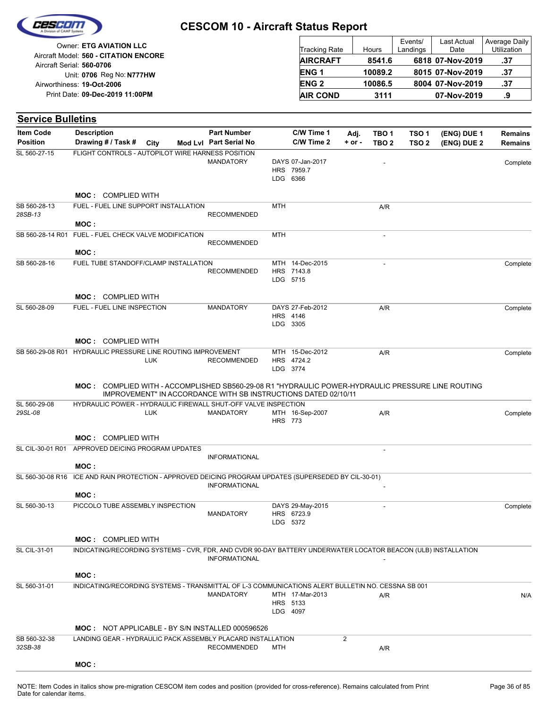

| Owner: ETG AVIATION LLC                                            | <b>Tracking Rate</b> | Hours   | Events/<br>Landings | Last Actual<br>Date | Average Daily<br>Utilization |
|--------------------------------------------------------------------|----------------------|---------|---------------------|---------------------|------------------------------|
| Aircraft Model: 560 - CITATION ENCORE<br>Aircraft Serial: 560-0706 | <b>AIRCRAFT</b>      | 8541.6  |                     | 6818 07-Nov-2019    | .37                          |
| Unit: 0706 Reg No: N777HW                                          | <b>ENG1</b>          | 10089.2 |                     | 8015 07-Nov-2019    | .37                          |
| Airworthiness: 19-Oct-2006                                         | <b>ENG 2</b>         | 10086.5 |                     | 8004 07-Nov-2019    | .37                          |
| Print Date: 09-Dec-2019 11:00PM                                    | <b>AIR COND</b>      | 3111    |                     | 07-Nov-2019         | .9                           |

| <b>Service Bulletins</b> |                                                                                                               |      |                                                                       |                |                                                 |            |                          |                  |             |                |
|--------------------------|---------------------------------------------------------------------------------------------------------------|------|-----------------------------------------------------------------------|----------------|-------------------------------------------------|------------|--------------------------|------------------|-------------|----------------|
| <b>Item Code</b>         | <b>Description</b>                                                                                            |      | <b>Part Number</b>                                                    |                | C/W Time 1                                      | Adj.       | TBO <sub>1</sub>         | TSO <sub>1</sub> | (ENG) DUE 1 | <b>Remains</b> |
| <b>Position</b>          | Drawing # / Task #                                                                                            | City | Mod Lyl Part Serial No                                                |                | C/W Time 2                                      | $+$ or $-$ | TBO <sub>2</sub>         | TSO <sub>2</sub> | (ENG) DUE 2 | Remains        |
| SL 560-27-15             | FLIGHT CONTROLS - AUTOPILOT WIRE HARNESS POSITION                                                             |      | <b>MANDATORY</b>                                                      |                | DAYS 07-Jan-2017<br>HRS 7959.7<br>LDG 6366      |            |                          |                  |             | Complete       |
|                          | <b>MOC: COMPLIED WITH</b>                                                                                     |      |                                                                       |                |                                                 |            |                          |                  |             |                |
| SB 560-28-13<br>28SB-13  | FUEL - FUEL LINE SUPPORT INSTALLATION                                                                         |      | <b>RECOMMENDED</b>                                                    | <b>MTH</b>     |                                                 |            | A/R                      |                  |             |                |
|                          | MOC:                                                                                                          |      |                                                                       |                |                                                 |            |                          |                  |             |                |
| SB 560-28-14 R01         | FUEL - FUEL CHECK VALVE MODIFICATION<br>MOC:                                                                  |      | <b>RECOMMENDED</b>                                                    | <b>MTH</b>     |                                                 |            | $\overline{\phantom{a}}$ |                  |             |                |
| SB 560-28-16             | FUEL TUBE STANDOFF/CLAMP INSTALLATION                                                                         |      | <b>RECOMMENDED</b>                                                    |                | MTH 14-Dec-2015<br>HRS 7143.8<br>LDG 5715       |            |                          |                  |             | Complete       |
|                          | <b>MOC: COMPLIED WITH</b>                                                                                     |      |                                                                       |                |                                                 |            |                          |                  |             |                |
| SL 560-28-09             | FUEL - FUEL LINE INSPECTION                                                                                   |      | <b>MANDATORY</b>                                                      |                | DAYS 27-Feb-2012<br><b>HRS 4146</b><br>LDG 3305 |            | A/R                      |                  |             | Complete       |
|                          | <b>MOC: COMPLIED WITH</b>                                                                                     |      |                                                                       |                |                                                 |            |                          |                  |             |                |
| SB 560-29-08 R01         | HYDRAULIC PRESSURE LINE ROUTING IMPROVEMENT<br><b>LUK</b>                                                     |      | <b>RECOMMENDED</b>                                                    |                | MTH 15-Dec-2012<br>HRS 4724.2<br>LDG 3774       |            | A/R                      |                  |             | Complete       |
|                          | MOC: COMPLIED WITH - ACCOMPLISHED SB560-29-08 R1 "HYDRAULIC POWER-HYDRAULIC PRESSURE LINE ROUTING             |      | <b>IMPROVEMENT" IN ACCORDANCE WITH SB INSTRUCTIONS DATED 02/10/11</b> |                |                                                 |            |                          |                  |             |                |
| SL 560-29-08<br>29SL-08  | HYDRAULIC POWER - HYDRAULIC FIREWALL SHUT-OFF VALVE INSPECTION<br><b>LUK</b>                                  |      | <b>MANDATORY</b>                                                      | <b>HRS 773</b> | MTH 16-Sep-2007                                 |            | A/R                      |                  |             | Complete       |
|                          | <b>MOC: COMPLIED WITH</b>                                                                                     |      |                                                                       |                |                                                 |            |                          |                  |             |                |
| SL CIL-30-01 R01         | APPROVED DEICING PROGRAM UPDATES                                                                              |      |                                                                       |                |                                                 |            | ٠                        |                  |             |                |
|                          | MOC:                                                                                                          |      | <b>INFORMATIONAL</b>                                                  |                |                                                 |            |                          |                  |             |                |
| SL 560-30-08 R16         | ICE AND RAIN PROTECTION - APPROVED DEICING PROGRAM UPDATES (SUPERSEDED BY CIL-30-01)                          |      |                                                                       |                |                                                 |            |                          |                  |             |                |
|                          |                                                                                                               |      | <b>INFORMATIONAL</b>                                                  |                |                                                 |            |                          |                  |             |                |
|                          | MOC:                                                                                                          |      |                                                                       |                |                                                 |            |                          |                  |             |                |
| SL 560-30-13             | PICCOLO TUBE ASSEMBLY INSPECTION                                                                              |      | <b>MANDATORY</b>                                                      |                | DAYS 29-May-2015<br>HRS 6723.9<br>LDG 5372      |            |                          |                  |             | Complete       |
|                          | <b>MOC: COMPLIED WITH</b>                                                                                     |      |                                                                       |                |                                                 |            |                          |                  |             |                |
| <b>SL CIL-31-01</b>      | INDICATING/RECORDING SYSTEMS - CVR, FDR, AND CVDR 90-DAY BATTERY UNDERWATER LOCATOR BEACON (ULB) INSTALLATION |      | <b>INFORMATIONAL</b>                                                  |                |                                                 |            |                          |                  |             |                |
|                          | MOC:                                                                                                          |      |                                                                       |                |                                                 |            |                          |                  |             |                |
| SL 560-31-01             | INDICATING/RECORDING SYSTEMS - TRANSMITTAL OF L-3 COMMUNICATIONS ALERT BULLETIN NO. CESSNA SB 001             |      | <b>MANDATORY</b>                                                      |                | MTH 17-Mar-2013<br>HRS 5133<br>LDG 4097         |            | A/R                      |                  |             | N/A            |
|                          | <b>MOC: NOT APPLICABLE - BY S/N INSTALLED 000596526</b>                                                       |      |                                                                       |                |                                                 |            |                          |                  |             |                |
| SB 560-32-38<br>32SB-38  | LANDING GEAR - HYDRAULIC PACK ASSEMBLY PLACARD INSTALLATION                                                   |      | <b>RECOMMENDED</b>                                                    | MTH            |                                                 | 2          | A/R                      |                  |             |                |
|                          | MOC:                                                                                                          |      |                                                                       |                |                                                 |            |                          |                  |             |                |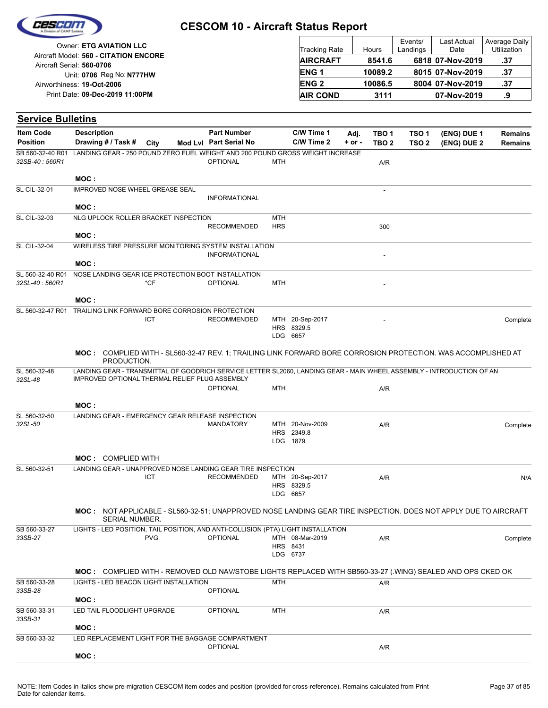

| Owner: ETG AVIATION LLC                                            | Tracking Rate   | Hours   | Events/<br>Landings | <b>Last Actual</b><br>Date | Average Daily<br><b>Utilization</b> |
|--------------------------------------------------------------------|-----------------|---------|---------------------|----------------------------|-------------------------------------|
| Aircraft Model: 560 - CITATION ENCORE<br>Aircraft Serial: 560-0706 | <b>AIRCRAFT</b> | 8541.6  |                     | 6818 07-Nov-2019           | .37                                 |
| Unit: 0706 Reg No: N777HW                                          | <b>ENG1</b>     | 10089.2 |                     | 8015 07-Nov-2019           | .37                                 |
| Airworthiness: 19-Oct-2006                                         | <b>ENG 2</b>    | 10086.5 |                     | 8004 07-Nov-2019           | .37                                 |
| Print Date: 09-Dec-2019 11:00PM                                    | <b>AIR COND</b> | 3111    |                     | 07-Nov-2019                | .9                                  |

| <b>Service Bulletins</b>            |                                                |                       |            |                                                                                   |            |                          |                    |                           |                                      |                                                                                                                       |                    |
|-------------------------------------|------------------------------------------------|-----------------------|------------|-----------------------------------------------------------------------------------|------------|--------------------------|--------------------|---------------------------|--------------------------------------|-----------------------------------------------------------------------------------------------------------------------|--------------------|
| <b>Item Code</b><br><b>Position</b> | <b>Description</b><br>Drawing # / Task #       |                       | City       | <b>Part Number</b><br>Mod Lvl Part Serial No                                      |            | C/W Time 1<br>C/W Time 2 | Adj.<br>$+$ or $-$ | TBO 1<br>TBO <sub>2</sub> | TSO <sub>1</sub><br>TSO <sub>2</sub> | (ENG) DUE 1<br>(ENG) DUE 2                                                                                            | Remains<br>Remains |
| SB 560-32-40 R01                    |                                                |                       |            | LANDING GEAR - 250 POUND ZERO FUEL WEIGHT AND 200 POUND GROSS WEIGHT INCREASE     |            |                          |                    |                           |                                      |                                                                                                                       |                    |
| 32SB-40: 560R1                      |                                                |                       |            | <b>OPTIONAL</b>                                                                   | MTH        |                          |                    | A/R                       |                                      |                                                                                                                       |                    |
|                                     | MOC:                                           |                       |            |                                                                                   |            |                          |                    |                           |                                      |                                                                                                                       |                    |
| SL CIL-32-01                        | <b>IMPROVED NOSE WHEEL GREASE SEAL</b>         |                       |            |                                                                                   |            |                          |                    |                           |                                      |                                                                                                                       |                    |
|                                     | MOC:                                           |                       |            | <b>INFORMATIONAL</b>                                                              |            |                          |                    |                           |                                      |                                                                                                                       |                    |
| SL CIL-32-03                        | NLG UPLOCK ROLLER BRACKET INSPECTION           |                       |            |                                                                                   | MTH        |                          |                    |                           |                                      |                                                                                                                       |                    |
|                                     |                                                |                       |            | <b>RECOMMENDED</b>                                                                | <b>HRS</b> |                          |                    | 300                       |                                      |                                                                                                                       |                    |
|                                     | MOC:                                           |                       |            |                                                                                   |            |                          |                    |                           |                                      |                                                                                                                       |                    |
| SL CIL-32-04                        |                                                |                       |            | WIRELESS TIRE PRESSURE MONITORING SYSTEM INSTALLATION<br><b>INFORMATIONAL</b>     |            |                          |                    |                           |                                      |                                                                                                                       |                    |
|                                     | MOC :                                          |                       |            |                                                                                   |            |                          |                    |                           |                                      |                                                                                                                       |                    |
| SL 560-32-40 R01<br>32SL-40: 560R1  |                                                |                       | *CF        | NOSE LANDING GEAR ICE PROTECTION BOOT INSTALLATION<br><b>OPTIONAL</b>             | <b>MTH</b> |                          |                    |                           |                                      |                                                                                                                       |                    |
|                                     | MOC:                                           |                       |            |                                                                                   |            |                          |                    |                           |                                      |                                                                                                                       |                    |
|                                     |                                                |                       |            | TRAILING LINK FORWARD BORE CORROSION PROTECTION                                   |            |                          |                    |                           |                                      |                                                                                                                       |                    |
| SL 560-32-47 R01                    |                                                |                       | <b>ICT</b> | <b>RECOMMENDED</b>                                                                |            | MTH 20-Sep-2017          |                    |                           |                                      |                                                                                                                       | Complete           |
|                                     |                                                |                       |            |                                                                                   |            | HRS 8329.5<br>LDG 6657   |                    |                           |                                      |                                                                                                                       |                    |
|                                     |                                                |                       |            |                                                                                   |            |                          |                    |                           |                                      |                                                                                                                       |                    |
|                                     |                                                | PRODUCTION.           |            |                                                                                   |            |                          |                    |                           |                                      | <b>MOC:</b> COMPLIED WITH - SL560-32-47 REV. 1; TRAILING LINK FORWARD BORE CORROSION PROTECTION. WAS ACCOMPLISHED AT  |                    |
| SL 560-32-48<br>32SL-48             | IMPROVED OPTIONAL THERMAL RELIEF PLUG ASSEMBLY |                       |            |                                                                                   |            |                          |                    |                           |                                      | LANDING GEAR - TRANSMITTAL OF GOODRICH SERVICE LETTER SL2060, LANDING GEAR - MAIN WHEEL ASSEMBLY - INTRODUCTION OF AN |                    |
|                                     |                                                |                       |            | <b>OPTIONAL</b>                                                                   | <b>MTH</b> |                          |                    | A/R                       |                                      |                                                                                                                       |                    |
|                                     | MOC:                                           |                       |            |                                                                                   |            |                          |                    |                           |                                      |                                                                                                                       |                    |
| SL 560-32-50                        |                                                |                       |            | LANDING GEAR - EMERGENCY GEAR RELEASE INSPECTION                                  |            |                          |                    |                           |                                      |                                                                                                                       |                    |
| 32SL-50                             |                                                |                       |            | <b>MANDATORY</b>                                                                  |            | MTH 20-Nov-2009          |                    | A/R                       |                                      |                                                                                                                       | Complete           |
|                                     |                                                |                       |            |                                                                                   |            | HRS 2349.8               |                    |                           |                                      |                                                                                                                       |                    |
|                                     |                                                |                       |            |                                                                                   |            | LDG 1879                 |                    |                           |                                      |                                                                                                                       |                    |
|                                     | <b>MOC: COMPLIED WITH</b>                      |                       |            |                                                                                   |            |                          |                    |                           |                                      |                                                                                                                       |                    |
| SL 560-32-51                        |                                                |                       |            | LANDING GEAR - UNAPPROVED NOSE LANDING GEAR TIRE INSPECTION                       |            |                          |                    |                           |                                      |                                                                                                                       |                    |
|                                     |                                                |                       | ICT        | <b>RECOMMENDED</b>                                                                |            | MTH 20-Sep-2017          |                    | A/R                       |                                      |                                                                                                                       | N/A                |
|                                     |                                                |                       |            |                                                                                   |            | HRS 8329.5               |                    |                           |                                      |                                                                                                                       |                    |
|                                     |                                                |                       |            |                                                                                   |            | LDG 6657                 |                    |                           |                                      |                                                                                                                       |                    |
|                                     |                                                | <b>SERIAL NUMBER.</b> |            |                                                                                   |            |                          |                    |                           |                                      | MOC: NOT APPLICABLE - SL560-32-51; UNAPPROVED NOSE LANDING GEAR TIRE INSPECTION. DOES NOT APPLY DUE TO AIRCRAFT       |                    |
| SB 560-33-27                        |                                                |                       |            | LIGHTS - LED POSITION, TAIL POSITION, AND ANTI-COLLISION (PTA) LIGHT INSTALLATION |            |                          |                    |                           |                                      |                                                                                                                       |                    |
| 33SB-27                             |                                                |                       | <b>PVG</b> | <b>OPTIONAL</b>                                                                   |            | MTH 08-Mar-2019          |                    | A/R                       |                                      |                                                                                                                       | Complete           |
|                                     |                                                |                       |            |                                                                                   |            | HRS 8431                 |                    |                           |                                      |                                                                                                                       |                    |
|                                     |                                                |                       |            |                                                                                   |            | LDG 6737                 |                    |                           |                                      |                                                                                                                       |                    |
|                                     |                                                |                       |            |                                                                                   |            |                          |                    |                           |                                      | MOC: COMPLIED WITH - REMOVED OLD NAV/STOBE LIGHTS REPLACED WITH SB560-33-27 (.WING) SEALED AND OPS CKED OK            |                    |
| SB 560-33-28                        | LIGHTS - LED BEACON LIGHT INSTALLATION         |                       |            |                                                                                   | MTH        |                          |                    | A/R                       |                                      |                                                                                                                       |                    |
| 33SB-28                             |                                                |                       |            | <b>OPTIONAL</b>                                                                   |            |                          |                    |                           |                                      |                                                                                                                       |                    |
|                                     | MOC:                                           |                       |            |                                                                                   |            |                          |                    |                           |                                      |                                                                                                                       |                    |
| SB 560-33-31<br>33SB-31             | LED TAIL FLOODLIGHT UPGRADE                    |                       |            | <b>OPTIONAL</b>                                                                   | MTH        |                          |                    | A/R                       |                                      |                                                                                                                       |                    |
|                                     | MOC :                                          |                       |            |                                                                                   |            |                          |                    |                           |                                      |                                                                                                                       |                    |
| SB 560-33-32                        |                                                |                       |            | LED REPLACEMENT LIGHT FOR THE BAGGAGE COMPARTMENT<br><b>OPTIONAL</b>              |            |                          |                    | A/R                       |                                      |                                                                                                                       |                    |
|                                     | MOC:                                           |                       |            |                                                                                   |            |                          |                    |                           |                                      |                                                                                                                       |                    |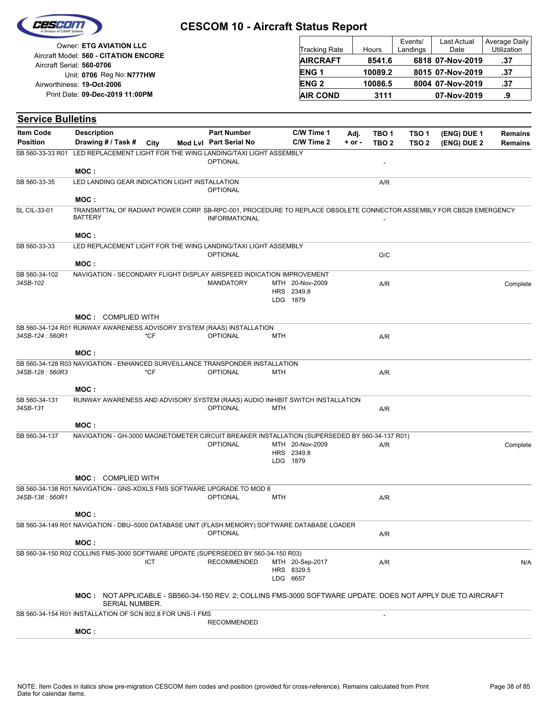| CES Elio |  |
|----------|--|
|          |  |
|          |  |

| Owner: ETG AVIATION LLC                                            | <b>Tracking Rate</b> | Hours   | Events/<br>Landings | Last Actual<br>Date | Average Daily<br>Utilization |
|--------------------------------------------------------------------|----------------------|---------|---------------------|---------------------|------------------------------|
| Aircraft Model: 560 - CITATION ENCORE<br>Aircraft Serial: 560-0706 | <b>AIRCRAFT</b>      | 8541.6  |                     | 6818 07-Nov-2019    | .37                          |
| Unit: 0706 Reg No: N777HW                                          | <b>ENG1</b>          | 10089.2 |                     | 8015 07-Nov-2019    | .37                          |
| Airworthiness: 19-Oct-2006                                         | <b>ENG 2</b>         | 10086.5 |                     | 8004 07-Nov-2019    | .37                          |
| Print Date: 09-Dec-2019 11:00PM                                    | <b>AIR COND</b>      | 3111    |                     | 07-Nov-2019         | .9                           |

| <b>Service Bulletins</b>                                  |                                                |                |            |                                                                                                                                             |            |                                           |                    |                                      |                                      |                            |                                  |
|-----------------------------------------------------------|------------------------------------------------|----------------|------------|---------------------------------------------------------------------------------------------------------------------------------------------|------------|-------------------------------------------|--------------------|--------------------------------------|--------------------------------------|----------------------------|----------------------------------|
| <b>Item Code</b><br><b>Position</b>                       | <b>Description</b><br>Drawing # / Task # City  |                |            | <b>Part Number</b><br>Mod Lvl Part Serial No                                                                                                |            | C/W Time 1<br>C/W Time 2                  | Adj.<br>$+$ or $-$ | TBO <sub>1</sub><br>TBO <sub>2</sub> | TSO <sub>1</sub><br>TSO <sub>2</sub> | (ENG) DUE 1<br>(ENG) DUE 2 | <b>Remains</b><br><b>Remains</b> |
| SB 560-33-33 R01                                          |                                                |                |            | LED REPLACEMENT LIGHT FOR THE WING LANDING/TAXI LIGHT ASSEMBLY<br><b>OPTIONAL</b>                                                           |            |                                           |                    | $\overline{\phantom{a}}$             |                                      |                            |                                  |
|                                                           | MOC:                                           |                |            |                                                                                                                                             |            |                                           |                    |                                      |                                      |                            |                                  |
| SB 560-33-35                                              | LED LANDING GEAR INDICATION LIGHT INSTALLATION |                |            | <b>OPTIONAL</b>                                                                                                                             |            |                                           |                    | A/R                                  |                                      |                            |                                  |
|                                                           | MOC:                                           |                |            |                                                                                                                                             |            |                                           |                    |                                      |                                      |                            |                                  |
| <b>SL CIL-33-01</b>                                       | <b>BATTERY</b>                                 |                |            | TRANSMITTAL OF RADIANT POWER CORP. SB-RPC-001, PROCEDURE TO REPLACE OBSOLETE CONNECTOR ASSEMBLY FOR CBS28 EMERGENCY<br><b>INFORMATIONAL</b> |            |                                           |                    |                                      |                                      |                            |                                  |
|                                                           | MOC:                                           |                |            |                                                                                                                                             |            |                                           |                    |                                      |                                      |                            |                                  |
| SB 560-33-33                                              |                                                |                |            | LED REPLACEMENT LIGHT FOR THE WING LANDING/TAXI LIGHT ASSEMBLY<br><b>OPTIONAL</b>                                                           |            |                                           |                    | O/C                                  |                                      |                            |                                  |
|                                                           | MOC:                                           |                |            |                                                                                                                                             |            |                                           |                    |                                      |                                      |                            |                                  |
| SB 560-34-102<br>34SB-102                                 |                                                |                |            | NAVIGATION - SECONDARY FLIGHT DISPLAY AIRSPEED INDICATION IMPROVEMENT<br><b>MANDATORY</b>                                                   |            | MTH 20-Nov-2009<br>HRS 2349.8<br>LDG 1879 |                    | A/R                                  |                                      |                            | Complete                         |
|                                                           | <b>MOC: COMPLIED WITH</b>                      |                |            |                                                                                                                                             |            |                                           |                    |                                      |                                      |                            |                                  |
|                                                           |                                                |                |            | SB 560-34-124 R01 RUNWAY AWARENESS ADVISORY SYSTEM (RAAS) INSTALLATION                                                                      |            |                                           |                    |                                      |                                      |                            |                                  |
| 34SB-124: 560R1                                           |                                                |                | $*CF$      | <b>OPTIONAL</b>                                                                                                                             | <b>MTH</b> |                                           |                    | A/R                                  |                                      |                            |                                  |
|                                                           | MOC:                                           |                |            |                                                                                                                                             |            |                                           |                    |                                      |                                      |                            |                                  |
| 34SB-128: 560R3                                           |                                                |                | $*CF$      | SB 560-34-128 R03 NAVIGATION - ENHANCED SURVEILLANCE TRANSPONDER INSTALLATION<br><b>OPTIONAL</b>                                            | MTH        |                                           |                    | A/R                                  |                                      |                            |                                  |
|                                                           | MOC:                                           |                |            |                                                                                                                                             |            |                                           |                    |                                      |                                      |                            |                                  |
| SB 560-34-131                                             |                                                |                |            | RUNWAY AWARENESS AND ADVISORY SYSTEM (RAAS) AUDIO INHIBIT SWITCH INSTALLATION                                                               |            |                                           |                    |                                      |                                      |                            |                                  |
| 34SB-131                                                  |                                                |                |            | <b>OPTIONAL</b>                                                                                                                             | <b>MTH</b> |                                           |                    | A/R                                  |                                      |                            |                                  |
|                                                           | MOC:                                           |                |            |                                                                                                                                             |            |                                           |                    |                                      |                                      |                            |                                  |
| SB 560-34-137                                             |                                                |                |            | NAVIGATION - GH-3000 MAGNETOMETER CIRCUIT BREAKER INSTALLATION (SUPERSEDED BY 560-34-137 R01)                                               |            |                                           |                    |                                      |                                      |                            |                                  |
|                                                           |                                                |                |            | <b>OPTIONAL</b>                                                                                                                             |            | MTH 20-Nov-2009                           |                    | A/R                                  |                                      |                            | Complete                         |
|                                                           |                                                |                |            |                                                                                                                                             |            | HRS 2349.8<br>LDG 1879                    |                    |                                      |                                      |                            |                                  |
|                                                           |                                                |                |            |                                                                                                                                             |            |                                           |                    |                                      |                                      |                            |                                  |
|                                                           | <b>MOC: COMPLIED WITH</b>                      |                |            |                                                                                                                                             |            |                                           |                    |                                      |                                      |                            |                                  |
|                                                           |                                                |                |            | SB 560-34-138 R01 NAVIGATION - GNS-XDXLS FMS SOFTWARE UPGRADE TO MOD 8                                                                      |            |                                           |                    |                                      |                                      |                            |                                  |
| 34SB-138: 560R1                                           |                                                |                |            | <b>OPTIONAL</b>                                                                                                                             | MTH        |                                           |                    | A/R                                  |                                      |                            |                                  |
|                                                           | MOC :                                          |                |            |                                                                                                                                             |            |                                           |                    |                                      |                                      |                            |                                  |
|                                                           |                                                |                |            | SB 560-34-149 R01 NAVIGATION - DBU–5000 DATABASE UNIT (FLASH MEMORY) SOFTWARE DATABASE LOADER<br><b>OPTIONAL</b>                            |            |                                           |                    | A/R                                  |                                      |                            |                                  |
|                                                           | MOC:                                           |                |            |                                                                                                                                             |            |                                           |                    |                                      |                                      |                            |                                  |
|                                                           |                                                |                | <b>ICT</b> | SB 560-34-150 R02 COLLINS FMS-3000 SOFTWARE UPDATE (SUPERSEDED BY 560-34-150 R03)<br><b>RECOMMENDED</b>                                     |            | MTH 20-Sep-2017<br>HRS 8329.5<br>LDG 6657 |                    | A/R                                  |                                      |                            | N/A                              |
|                                                           |                                                | SERIAL NUMBER. |            | MOC: NOT APPLICABLE - SB560-34-150 REV. 2; COLLINS FMS-3000 SOFTWARE UPDATE. DOES NOT APPLY DUE TO AIRCRAFT                                 |            |                                           |                    |                                      |                                      |                            |                                  |
| SB 560-34-154 R01 INSTALLATION OF SCN 802.8 FOR UNS-1 FMS |                                                |                |            |                                                                                                                                             |            |                                           |                    |                                      |                                      |                            |                                  |
|                                                           |                                                |                |            | <b>RECOMMENDED</b>                                                                                                                          |            |                                           |                    |                                      |                                      |                            |                                  |
|                                                           | MOC:                                           |                |            |                                                                                                                                             |            |                                           |                    |                                      |                                      |                            |                                  |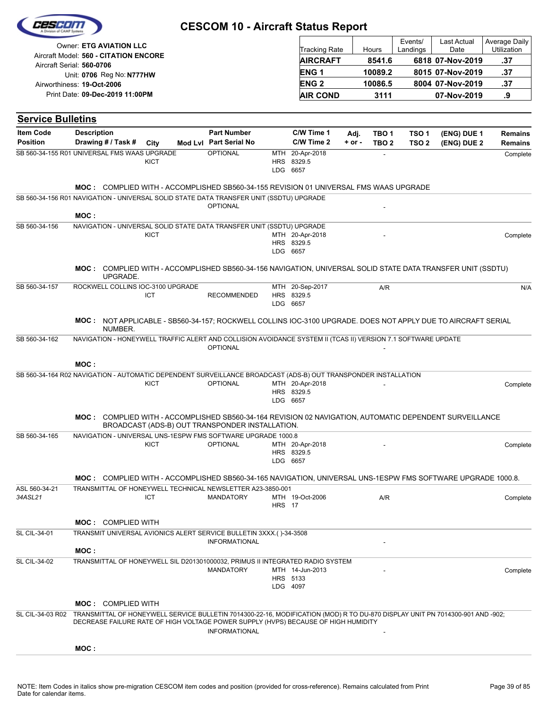|                                              | <b>Owner: ETG AVIATION LLC</b>                         |          |                                                                                                                                                                                                                                      |                        |               | <b>Tracking Rate</b>                      |            | Hours            | Events/<br>Landings | Last Actual<br>Date | Average Daily<br>Utilization |
|----------------------------------------------|--------------------------------------------------------|----------|--------------------------------------------------------------------------------------------------------------------------------------------------------------------------------------------------------------------------------------|------------------------|---------------|-------------------------------------------|------------|------------------|---------------------|---------------------|------------------------------|
|                                              | Aircraft Model: 560 - CITATION ENCORE                  |          |                                                                                                                                                                                                                                      |                        |               | <b>AIRCRAFT</b>                           |            | 8541.6           |                     | 6818 07-Nov-2019    | .37                          |
|                                              | Aircraft Serial: 560-0706<br>Unit: 0706 Reg No: N777HW |          |                                                                                                                                                                                                                                      |                        |               | <b>ENG1</b>                               |            | 10089.2          |                     | 8015 07-Nov-2019    | .37                          |
|                                              | Airworthiness: 19-Oct-2006                             |          |                                                                                                                                                                                                                                      |                        |               | <b>ENG2</b>                               |            | 10086.5          |                     | 8004 07-Nov-2019    | .37                          |
|                                              | Print Date: 09-Dec-2019 11:00PM                        |          |                                                                                                                                                                                                                                      |                        |               | <b>AIR COND</b>                           |            | 3111             |                     | 07-Nov-2019         | .9                           |
|                                              |                                                        |          |                                                                                                                                                                                                                                      |                        |               |                                           |            |                  |                     |                     |                              |
| <b>Service Bulletins</b>                     |                                                        |          |                                                                                                                                                                                                                                      |                        |               |                                           |            |                  |                     |                     |                              |
| <b>Item Code</b>                             | <b>Description</b>                                     |          |                                                                                                                                                                                                                                      | <b>Part Number</b>     |               | C/W Time 1                                | Adj.       | TBO <sub>1</sub> | TSO <sub>1</sub>    | (ENG) DUE 1         | <b>Remains</b>               |
| <b>Position</b>                              | Drawing # / Task #                                     |          | City                                                                                                                                                                                                                                 | Mod Lvl Part Serial No |               | C/W Time 2                                | $+$ or $-$ | TBO <sub>2</sub> | TSO <sub>2</sub>    | (ENG) DUE 2         | <b>Remains</b>               |
| SB 560-34-155 R01 UNIVERSAL FMS WAAS UPGRADE |                                                        |          | <b>KICT</b>                                                                                                                                                                                                                          | <b>OPTIONAL</b>        |               | MTH 20-Apr-2018<br>HRS 8329.5<br>LDG 6657 |            |                  |                     |                     | Complete                     |
|                                              |                                                        |          | <b>MOC:</b> COMPLIED WITH - ACCOMPLISHED SB560-34-155 REVISION 01 UNIVERSAL FMS WAAS UPGRADE<br>SB 560-34-156 R01 NAVIGATION - UNIVERSAL SOLID STATE DATA TRANSFER UNIT (SSDTU) UPGRADE                                              |                        |               |                                           |            |                  |                     |                     |                              |
|                                              | MOC:                                                   |          |                                                                                                                                                                                                                                      | <b>OPTIONAL</b>        |               |                                           |            |                  |                     |                     |                              |
| SB 560-34-156                                |                                                        |          | NAVIGATION - UNIVERSAL SOLID STATE DATA TRANSFER UNIT (SSDTU) UPGRADE                                                                                                                                                                |                        |               |                                           |            |                  |                     |                     |                              |
|                                              |                                                        |          | <b>KICT</b>                                                                                                                                                                                                                          |                        |               | MTH 20-Apr-2018<br>HRS 8329.5<br>LDG 6657 |            |                  |                     |                     | Complete                     |
|                                              |                                                        | UPGRADE. | MOC: COMPLIED WITH - ACCOMPLISHED SB560-34-156 NAVIGATION, UNIVERSAL SOLID STATE DATA TRANSFER UNIT (SSDTU)                                                                                                                          |                        |               |                                           |            |                  |                     |                     |                              |
| SB 560-34-157                                |                                                        |          | ROCKWELL COLLINS IOC-3100 UPGRADE<br>ICT                                                                                                                                                                                             | <b>RECOMMENDED</b>     |               | MTH 20-Sep-2017<br>HRS 8329.5<br>LDG 6657 |            | A/R              |                     |                     | N/A                          |
|                                              |                                                        | NUMBER.  | MOC: NOT APPLICABLE - SB560-34-157; ROCKWELL COLLINS IOC-3100 UPGRADE. DOES NOT APPLY DUE TO AIRCRAFT SERIAL                                                                                                                         |                        |               |                                           |            |                  |                     |                     |                              |
| SB 560-34-162                                |                                                        |          | NAVIGATION - HONEYWELL TRAFFIC ALERT AND COLLISION AVOIDANCE SYSTEM II (TCAS II) VERSION 7.1 SOFTWARE UPDATE                                                                                                                         | <b>OPTIONAL</b>        |               |                                           |            |                  |                     |                     |                              |
|                                              | MOC:                                                   |          |                                                                                                                                                                                                                                      |                        |               |                                           |            |                  |                     |                     |                              |
|                                              |                                                        |          | SB 560-34-164 R02 NAVIGATION - AUTOMATIC DEPENDENT SURVEILLANCE BROADCAST (ADS-B) OUT TRANSPONDER INSTALLATION<br>KICT                                                                                                               | <b>OPTIONAL</b>        |               | MTH 20-Apr-2018<br>HRS 8329.5<br>LDG 6657 |            |                  |                     |                     | Complete                     |
|                                              |                                                        |          | MOC: COMPLIED WITH - ACCOMPLISHED SB560-34-164 REVISION 02 NAVIGATION, AUTOMATIC DEPENDENT SURVEILLANCE<br>BROADCAST (ADS-B) OUT TRANSPONDER INSTALLATION.                                                                           |                        |               |                                           |            |                  |                     |                     |                              |
| SB 560-34-165                                |                                                        |          | NAVIGATION - UNIVERSAL UNS-1ESPW FMS SOFTWARE UPGRADE 1000.8                                                                                                                                                                         |                        |               |                                           |            |                  |                     |                     |                              |
|                                              |                                                        |          | KICT                                                                                                                                                                                                                                 | <b>OPTIONAL</b>        |               | MTH 20-Apr-2018<br>HRS 8329.5<br>LDG 6657 |            |                  |                     |                     | Complete                     |
|                                              |                                                        |          | MOC: COMPLIED WITH - ACCOMPLISHED SB560-34-165 NAVIGATION, UNIVERSAL UNS-1ESPW FMS SOFTWARE UPGRADE 1000.8.                                                                                                                          |                        |               |                                           |            |                  |                     |                     |                              |
| ASL 560-34-21<br>34ASL21                     |                                                        |          | TRANSMITTAL OF HONEYWELL TECHNICAL NEWSLETTER A23-3850-001<br>ICT                                                                                                                                                                    | <b>MANDATORY</b>       | <b>HRS</b> 17 | MTH 19-Oct-2006                           |            | A/R              |                     |                     | Complete                     |
|                                              |                                                        |          |                                                                                                                                                                                                                                      |                        |               |                                           |            |                  |                     |                     |                              |
| SL CIL-34-01                                 | <b>MOC: COMPLIED WITH</b>                              |          | TRANSMIT UNIVERSAL AVIONICS ALERT SERVICE BULLETIN 3XXX.()-34-3508                                                                                                                                                                   |                        |               |                                           |            |                  |                     |                     |                              |
|                                              | MOC :                                                  |          |                                                                                                                                                                                                                                      | <b>INFORMATIONAL</b>   |               |                                           |            |                  |                     |                     |                              |
| SL CIL-34-02                                 |                                                        |          | TRANSMITTAL OF HONEYWELL SIL D201301000032, PRIMUS II INTEGRATED RADIO SYSTEM                                                                                                                                                        |                        |               |                                           |            |                  |                     |                     |                              |
|                                              |                                                        |          |                                                                                                                                                                                                                                      | <b>MANDATORY</b>       |               | MTH 14-Jun-2013<br>HRS 5133<br>LDG 4097   |            |                  |                     |                     | Complete                     |
|                                              | <b>MOC: COMPLIED WITH</b>                              |          |                                                                                                                                                                                                                                      |                        |               |                                           |            |                  |                     |                     |                              |
|                                              |                                                        |          | SL CIL-34-03 R02 TRANSMITTAL OF HONEYWELL SERVICE BULLETIN 7014300-22-16, MODIFICATION (MOD) R TO DU-870 DISPLAY UNIT PN 7014300-901 AND -902;<br>DECREASE FAILURE RATE OF HIGH VOLTAGE POWER SUPPLY (HVPS) BECAUSE OF HIGH HUMIDITY | <b>INFORMATIONAL</b>   |               |                                           |            |                  |                     |                     |                              |
|                                              | MOC:                                                   |          |                                                                                                                                                                                                                                      |                        |               |                                           |            |                  |                     |                     |                              |
|                                              |                                                        |          |                                                                                                                                                                                                                                      |                        |               |                                           |            |                  |                     |                     |                              |

 $\Gamma$ 

Τ

Cesco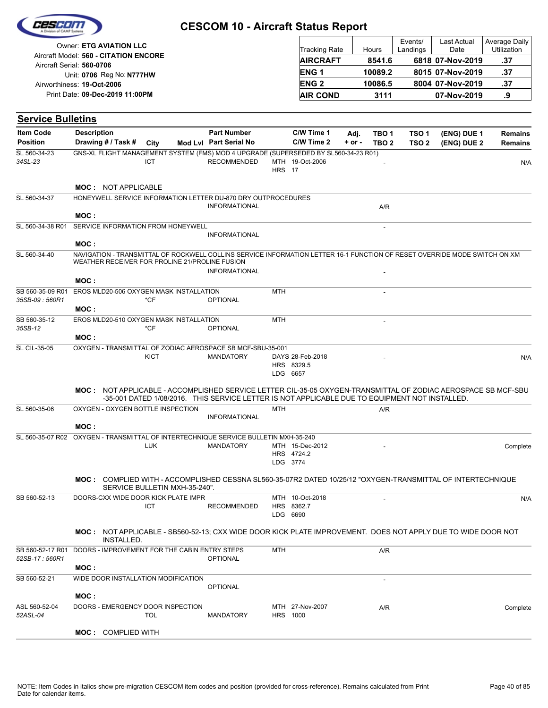|  | Cescon |  |
|--|--------|--|
|  |        |  |
|  |        |  |

| Owner: ETG AVIATION LLC               |                        |         | Events/  | Last Actual      | Average Daily      |
|---------------------------------------|------------------------|---------|----------|------------------|--------------------|
| Aircraft Model: 560 - CITATION ENCORE | <b>Tracking Rate</b>   | Hours   | Landings | Date             | <b>Utilization</b> |
| Aircraft Serial: 560-0706             | <b>AIRCRAFT</b>        | 8541.6  |          | 6818 07-Nov-2019 | .37                |
| Unit: 0706 Reg No: N777HW             | ENG <sub>1</sub>       | 10089.2 |          | 8015 07-Nov-2019 | .37                |
| Airworthiness: 19-Oct-2006            | <b>ENG<sub>2</sub></b> | 10086.5 |          | 8004 07-Nov-2019 | .37                |
| Print Date: 09-Dec-2019 11:00PM       | <b>AIR COND</b>        | 3111    |          | 07-Nov-2019      | .9                 |

#### **(ENG) DUE 2 (ENG) DUE 1 Service Bulletins** City **Mod Lvl Part Serial No Part Number C/W Time 1 C/W Time 2 + or - Adj. TBO 1 TBO 2 TSO 2 TSO 1 Remains** Description Part Number C/W Time 1 Adj. TBO 1 TSO 1 (ENG) DUE 1 Remains **Position Drawing # / Task # Item Code HRS** MTH 19-Oct-2006 17 34SL-23 ICT RECOMMENDED MTH 19-Oct-2006 N/A SL 560-34-23 ICT GNS-XL FLIGHT MANAGEMENT SYSTEM (FMS) MOD 4 UPGRADE (SUPERSEDED BY SL560-34-23 R01) **MOC :** NOT APPLICABLE INFORMATIONAL A/R SL 560-34-37 HONEYWELL SERVICE INFORMATION LETTER DU-870 DRY OUTPROCEDURES **MOC :** - INFORMATIONAL SL 560-34-38 R01 SERVICE INFORMATION FROM HONEYWELL **MOC : INFORMATIONAL** SL 560-34-40 NAVIGATION - TRANSMITTAL OF ROCKWELL COLLINS SERVICE INFORMATION LETTER 16-1 FUNCTION OF RESET OVERRIDE MODE SWITCH ON XM WEATHER RECEIVER FOR PROLINE 21/PROLINE FUSION **MOC :**  $MTH$ **35SB-09 : 560R1 CF \*CF \*CF OPTIONAL** SB 560-35-09 R01 EROS MLD20-506 OXYGEN MASK INSTALLATION \*CF **MOC :**  $MTH$  -**35SB-12 CF OPTIONAL** SB 560-35-12 \*CF EROS MLD20-510 OXYGEN MASK INSTALLATION **MOC :** LDG 6657 HRS 8329.5 DAYS MANDATORY 28-Feb-2018 - N/A SL CIL-35-05 **KICT** OXYGEN - TRANSMITTAL OF ZODIAC AEROSPACE SB MCF-SBU-35-001 NOT APPLICABLE - ACCOMPLISHED SERVICE LETTER CIL-35-05 OXYGEN-TRANSMITTAL OF ZODIAC AEROSPACE SB MCF-SBU **MOC :** -35-001 DATED 1/08/2016. THIS SERVICE LETTER IS NOT APPLICABLE DUE TO EQUIPMENT NOT INSTALLED. MTH A/R INFORMATIONAL SL 560-35-06 OXYGEN - OXYGEN BOTTLE INSPECTION **MOC :** LDG 3774 HRS 4724.2 MTH MANDATORY 15-Dec-2012 - Complete SL 560-35-07 R02 OXYGEN - TRANSMITTAL OF INTERTECHNIQUE SERVICE BULLETIN MXH-35-240 LUK <code>MOC</code> : COMPLIED WITH - ACCOMPLISHED CESSNA SL560-35-07R2 DATED 10/25/12 "OXYGEN-TRANSMITTAL OF INTERTECHNIQUE SERVICE BULLETIN MXH-35-240". LDG HRS 8362.7 MTH 10-Oct-2018 - 6690 RECOMMENDED SB 560-52-13 DOORS-CXX WIDE DOOR KICK PLATE IMPR MTH 10-Oct-2018 N/A ICT NOT APPLICABLE - SB560-52-13; CXX WIDE DOOR KICK PLATE IMPROVEMENT. DOES NOT APPLY DUE TO WIDE DOOR NOT **MOC :** INSTALLED. MTH A/R *52SB-17 : 560R1* OPTIONAL SB 560-52-17 R01 DOORS - IMPROVEMENT FOR THE CABIN ENTRY STEPS **MOC :** - **OPTIONAL** SB 560-52-21 WIDE DOOR INSTALLATION MODIFICATION **MOC :** HRS 1000 MTH 27-Nov-2007 A/R MANDATORY **Complete** *52ASL-04* ASL 560-52-04 TOL DOORS - EMERGENCY DOOR INSPECTION **MOC :** COMPLIED WITH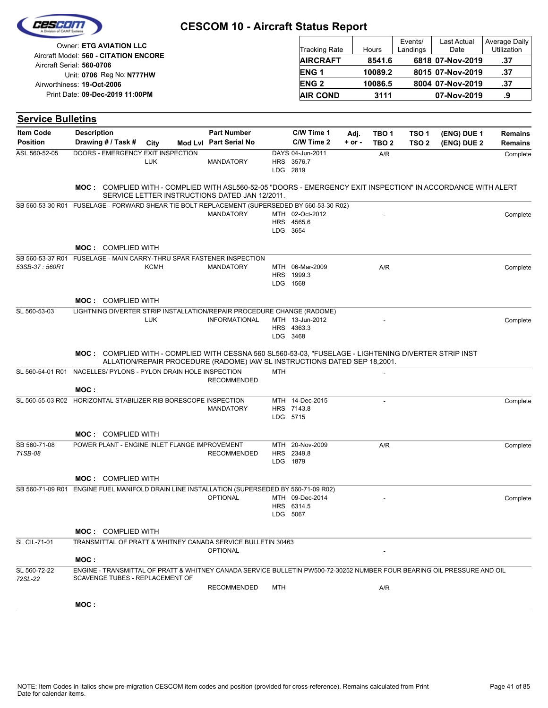|                          | Owner: ETG AVIATION LLC                                                                                                         |            |                                                                           |            | Tracking Rate                              |          | Hours            | Events/<br>Landings | Last Actual<br>Date | Average Dally<br>Utilization |
|--------------------------|---------------------------------------------------------------------------------------------------------------------------------|------------|---------------------------------------------------------------------------|------------|--------------------------------------------|----------|------------------|---------------------|---------------------|------------------------------|
|                          | Aircraft Model: 560 - CITATION ENCORE                                                                                           |            |                                                                           |            | <b>AIRCRAFT</b>                            |          | 8541.6           |                     | 6818 07-Nov-2019    | .37                          |
|                          | Aircraft Serial: 560-0706<br>Unit: 0706 Reg No: N777HW                                                                          |            |                                                                           |            | <b>ENG1</b>                                |          | 10089.2          |                     | 8015 07-Nov-2019    | .37                          |
|                          | Airworthiness: 19-Oct-2006                                                                                                      |            |                                                                           |            | <b>ENG2</b>                                |          | 10086.5          |                     | 8004 07-Nov-2019    | .37                          |
|                          | Print Date: 09-Dec-2019 11:00PM                                                                                                 |            |                                                                           |            | <b>AIR COND</b>                            |          | 3111             |                     | 07-Nov-2019         | .9                           |
| <b>Service Bulletins</b> |                                                                                                                                 |            |                                                                           |            |                                            |          |                  |                     |                     |                              |
| <b>Item Code</b>         | <b>Description</b>                                                                                                              |            | <b>Part Number</b>                                                        |            | C/W Time 1                                 | Adj.     | TBO 1            | TSO 1               | (ENG) DUE 1         | <b>Remains</b>               |
| <b>Position</b>          | Drawing # / Task #                                                                                                              | City       | Mod Lvl Part Serial No                                                    |            | C/W Time 2                                 | $+ or -$ | TBO <sub>2</sub> | TSO <sub>2</sub>    | (ENG) DUE 2         | <b>Remains</b>               |
| ASL 560-52-05            | DOORS - EMERGENCY EXIT INSPECTION                                                                                               | <b>LUK</b> | <b>MANDATORY</b>                                                          |            | DAYS 04-Jun-2011<br>HRS 3576.7<br>LDG 2819 |          | A/R              |                     |                     | Complete                     |
|                          | <b>MOC:</b> COMPLIED WITH - COMPLIED WITH ASL560-52-05 "DOORS - EMERGENCY EXIT INSPECTION" IN ACCORDANCE WITH ALERT             |            | SERVICE LETTER INSTRUCTIONS DATED JAN 12/2011.                            |            |                                            |          |                  |                     |                     |                              |
|                          | SB 560-53-30 R01 FUSELAGE - FORWARD SHEAR TIE BOLT REPLACEMENT (SUPERSEDED BY 560-53-30 R02)                                    |            | <b>MANDATORY</b>                                                          |            | MTH 02-Oct-2012<br>HRS 4565.6<br>LDG 3654  |          |                  |                     |                     | Complete                     |
|                          | <b>MOC: COMPLIED WITH</b>                                                                                                       |            |                                                                           |            |                                            |          |                  |                     |                     |                              |
| 53SB-37: 560R1           | SB 560-53-37 R01 FUSELAGE - MAIN CARRY-THRU SPAR FASTENER INSPECTION                                                            | KCMH       | <b>MANDATORY</b>                                                          |            | MTH 06-Mar-2009<br>HRS 1999.3<br>LDG 1568  |          | A/R              |                     |                     | Complete                     |
|                          | <b>MOC: COMPLIED WITH</b>                                                                                                       |            |                                                                           |            |                                            |          |                  |                     |                     |                              |
| SL 560-53-03             | LIGHTNING DIVERTER STRIP INSTALLATION/REPAIR PROCEDURE CHANGE (RADOME)                                                          |            |                                                                           |            |                                            |          |                  |                     |                     |                              |
|                          |                                                                                                                                 | <b>LUK</b> | <b>INFORMATIONAL</b>                                                      |            | MTH 13-Jun-2012<br>HRS 4363.3<br>LDG 3468  |          |                  |                     |                     | Complete                     |
|                          | MOC: COMPLIED WITH - COMPLIED WITH CESSNA 560 SL560-53-03, "FUSELAGE - LIGHTENING DIVERTER STRIP INST                           |            | ALLATION/REPAIR PROCEDURE (RADOME) IAW SL INSTRUCTIONS DATED SEP 18,2001. |            |                                            |          |                  |                     |                     |                              |
| SL 560-54-01 R01         | NACELLES/ PYLONS - PYLON DRAIN HOLE INSPECTION                                                                                  |            | <b>RECOMMENDED</b>                                                        | <b>MTH</b> |                                            |          |                  |                     |                     |                              |
|                          | MOC:<br>SL 560-55-03 R02 HORIZONTAL STABILIZER RIB BORESCOPE INSPECTION                                                         |            |                                                                           |            | MTH 14-Dec-2015                            |          |                  |                     |                     |                              |
|                          |                                                                                                                                 |            | <b>MANDATORY</b>                                                          |            | HRS 7143.8<br>LDG 5715                     |          |                  |                     |                     | Complete                     |
|                          | <b>MOC: COMPLIED WITH</b>                                                                                                       |            |                                                                           |            |                                            |          |                  |                     |                     |                              |
| SB 560-71-08<br>71SB-08  | POWER PLANT - ENGINE INLET FLANGE IMPROVEMENT                                                                                   |            | <b>RECOMMENDED</b>                                                        |            | MTH 20-Nov-2009<br>HRS 2349.8<br>LDG 1879  |          | A/R              |                     |                     | Complete                     |
|                          | <b>MOC: COMPLIED WITH</b>                                                                                                       |            |                                                                           |            |                                            |          |                  |                     |                     |                              |
|                          | SB 560-71-09 R01 ENGINE FUEL MANIFOLD DRAIN LINE INSTALLATION (SUPERSEDED BY 560-71-09 R02)                                     |            |                                                                           |            |                                            |          |                  |                     |                     |                              |
|                          |                                                                                                                                 |            | <b>OPTIONAL</b>                                                           |            | MTH 09-Dec-2014<br>HRS 6314.5<br>LDG 5067  |          |                  |                     |                     | Complete                     |
|                          | <b>MOC: COMPLIED WITH</b>                                                                                                       |            |                                                                           |            |                                            |          |                  |                     |                     |                              |
| <b>SL CIL-71-01</b>      | TRANSMITTAL OF PRATT & WHITNEY CANADA SERVICE BULLETIN 30463                                                                    |            | <b>OPTIONAL</b>                                                           |            |                                            |          |                  |                     |                     |                              |
| SL 560-72-22             | MOC:<br>ENGINE - TRANSMITTAL OF PRATT & WHITNEY CANADA SERVICE BULLETIN PW500-72-30252 NUMBER FOUR BEARING OIL PRESSURE AND OIL |            |                                                                           |            |                                            |          |                  |                     |                     |                              |
| 72SL-22                  | SCAVENGE TUBES - REPLACEMENT OF                                                                                                 |            |                                                                           |            |                                            |          |                  |                     |                     |                              |
|                          |                                                                                                                                 |            | <b>RECOMMENDED</b>                                                        | MTH        |                                            |          | A/R              |                     |                     |                              |
|                          | MOC:                                                                                                                            |            |                                                                           |            |                                            |          |                  |                     |                     |                              |

CESCON

Average Daily

Last Actual

Events/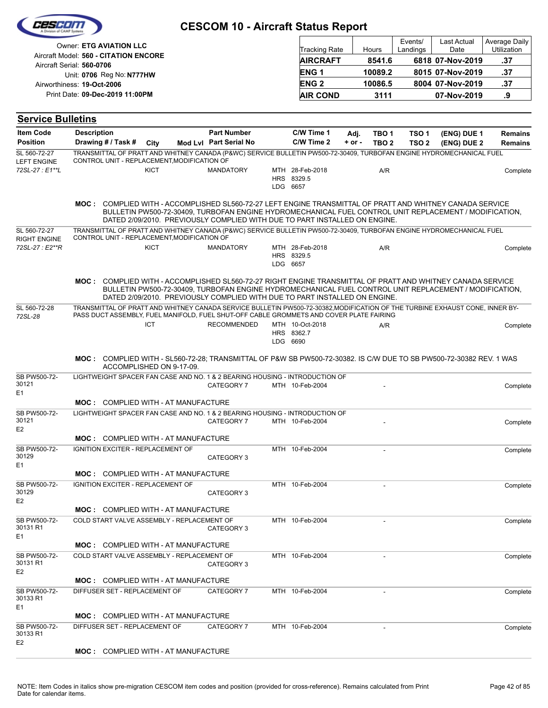| 2257 E I                                   |                                                                                                                                                                                                                        | <b>CESCOM 10 - Aircraft Status Report</b>                                                                                                                                            |                                           |            |                  |                     |                     |                              |
|--------------------------------------------|------------------------------------------------------------------------------------------------------------------------------------------------------------------------------------------------------------------------|--------------------------------------------------------------------------------------------------------------------------------------------------------------------------------------|-------------------------------------------|------------|------------------|---------------------|---------------------|------------------------------|
|                                            | <b>Owner: ETG AVIATION LLC</b><br>Aircraft Model: 560 - CITATION ENCORE                                                                                                                                                |                                                                                                                                                                                      | Tracking Rate                             |            | Hours            | Events/<br>Landings | Last Actual<br>Date | Average Daily<br>Utilization |
|                                            | Aircraft Serial: 560-0706                                                                                                                                                                                              |                                                                                                                                                                                      | <b>AIRCRAFT</b>                           |            | 8541.6           |                     | 6818 07-Nov-2019    | .37                          |
|                                            | Unit: 0706 Reg No: N777HW                                                                                                                                                                                              |                                                                                                                                                                                      | ENG <sub>1</sub>                          |            | 10089.2          |                     | 8015 07-Nov-2019    | .37                          |
|                                            | Airworthiness: 19-Oct-2006                                                                                                                                                                                             |                                                                                                                                                                                      | <b>ENG2</b>                               |            | 10086.5          |                     | 8004 07-Nov-2019    | .37                          |
|                                            | Print Date: 09-Dec-2019 11:00PM                                                                                                                                                                                        |                                                                                                                                                                                      | <b>AIR COND</b>                           |            | 3111             |                     | 07-Nov-2019         | .9                           |
| <b>Service Bulletins</b>                   |                                                                                                                                                                                                                        |                                                                                                                                                                                      |                                           |            |                  |                     |                     |                              |
| <b>Item Code</b>                           | <b>Description</b>                                                                                                                                                                                                     | <b>Part Number</b>                                                                                                                                                                   | C/W Time 1                                | Adj.       | TBO <sub>1</sub> | TSO <sub>1</sub>    | (ENG) DUE 1         | <b>Remains</b>               |
| <b>Position</b>                            | Drawing # / Task #<br>City                                                                                                                                                                                             | Mod Lvl Part Serial No                                                                                                                                                               | C/W Time 2                                | $+$ or $-$ | TBO <sub>2</sub> | TSO <sub>2</sub>    | (ENG) DUE 2         | <b>Remains</b>               |
| SL 560-72-27<br><b>LEFT ENGINE</b>         | TRANSMITTAL OF PRATT AND WHITNEY CANADA (P&WC) SERVICE BULLETIN PW500-72-30409, TURBOFAN ENGINE HYDROMECHANICAL FUEL<br>CONTROL UNIT - REPLACEMENT, MODIFICATION OF                                                    |                                                                                                                                                                                      |                                           |            |                  |                     |                     |                              |
| 72SL-27: E1**L                             | <b>KICT</b>                                                                                                                                                                                                            | <b>MANDATORY</b>                                                                                                                                                                     | MTH 28-Feb-2018<br>HRS 8329.5<br>LDG 6657 |            | A/R              |                     |                     | Complete                     |
|                                            | <b>MOC:</b> COMPLIED WITH - ACCOMPLISHED SL560-72-27 LEFT ENGINE TRANSMITTAL OF PRATT AND WHITNEY CANADA SERVICE                                                                                                       | BULLETIN PW500-72-30409, TURBOFAN ENGINE HYDROMECHANICAL FUEL CONTROL UNIT REPLACEMENT / MODIFICATION.<br>DATED 2/09/2010. PREVIOUSLY COMPLIED WITH DUE TO PART INSTALLED ON ENGINE. |                                           |            |                  |                     |                     |                              |
| SL 560-72-27<br><b>RIGHT ENGINE</b>        | TRANSMITTAL OF PRATT AND WHITNEY CANADA (P&WC) SERVICE BULLETIN PW500-72-30409, TURBOFAN ENGINE HYDROMECHANICAL FUEL<br>CONTROL UNIT - REPLACEMENT, MODIFICATION OF                                                    |                                                                                                                                                                                      |                                           |            |                  |                     |                     |                              |
| 72SL-27 : E2**R                            | <b>KICT</b>                                                                                                                                                                                                            | <b>MANDATORY</b>                                                                                                                                                                     | MTH 28-Feb-2018<br>HRS 8329.5<br>LDG 6657 |            | A/R              |                     |                     | Complete                     |
|                                            | MOC: COMPLIED WITH - ACCOMPLISHED SL560-72-27 RIGHT ENGINE TRANSMITTAL OF PRATT AND WHITNEY CANADA SERVICE                                                                                                             | BULLETIN PW500-72-30409, TURBOFAN ENGINE HYDROMECHANICAL FUEL CONTROL UNIT REPLACEMENT / MODIFICATION,<br>DATED 2/09/2010. PREVIOUSLY COMPLIED WITH DUE TO PART INSTALLED ON ENGINE. |                                           |            |                  |                     |                     |                              |
| SL 560-72-28<br>72SL-28                    | TRANSMITTAL OF PRATT AND WHITNEY CANADA SERVICE BULLETIN PW500-72-30382,MODIFICATION OF THE TURBINE EXHAUST CONE, INNER BY-<br>PASS DUCT ASSEMBLY, FUEL MANIFOLD, FUEL SHUT-OFF CABLE GROMMETS AND COVER PLATE FAIRING |                                                                                                                                                                                      |                                           |            |                  |                     |                     |                              |
|                                            | <b>ICT</b>                                                                                                                                                                                                             | <b>RECOMMENDED</b>                                                                                                                                                                   | MTH 10-Oct-2018<br>HRS 8362.7<br>LDG 6690 |            | A/R              |                     |                     | Complete                     |
|                                            | MOC: COMPLIED WITH - SL560-72-28; TRANSMITTAL OF P&W SB PW500-72-30382. IS C/W DUE TO SB PW500-72-30382 REV. 1 WAS<br>ACCOMPLISHED ON 9-17-09.                                                                         |                                                                                                                                                                                      |                                           |            |                  |                     |                     |                              |
| SB PW500-72-<br>30121<br>E <sub>1</sub>    | LIGHTWEIGHT SPACER FAN CASE AND NO. 1 & 2 BEARING HOUSING - INTRODUCTION OF                                                                                                                                            | CATEGORY 7                                                                                                                                                                           | MTH 10-Feb-2004                           |            |                  |                     |                     | Complete                     |
|                                            | <b>MOC: COMPLIED WITH - AT MANUFACTURE</b>                                                                                                                                                                             |                                                                                                                                                                                      |                                           |            |                  |                     |                     |                              |
| SB PW500-72-<br>30121<br>E <sub>2</sub>    | LIGHTWEIGHT SPACER FAN CASE AND NO. 1 & 2 BEARING HOUSING - INTRODUCTION OF                                                                                                                                            | CATEGORY 7 MTH 10-Feb-2004                                                                                                                                                           |                                           |            |                  |                     |                     | Complete                     |
|                                            | <b>MOC: COMPLIED WITH - AT MANUFACTURE</b>                                                                                                                                                                             |                                                                                                                                                                                      |                                           |            |                  |                     |                     |                              |
| SB PW500-72-<br>30129<br>E <sub>1</sub>    | IGNITION EXCITER - REPLACEMENT OF                                                                                                                                                                                      | CATEGORY 3                                                                                                                                                                           | MTH 10-Feb-2004                           |            |                  |                     |                     | Complete                     |
|                                            | <b>MOC: COMPLIED WITH - AT MANUFACTURE</b>                                                                                                                                                                             |                                                                                                                                                                                      |                                           |            |                  |                     |                     |                              |
| SB PW500-72-<br>30129<br>E <sub>2</sub>    | <b>IGNITION EXCITER - REPLACEMENT OF</b>                                                                                                                                                                               | CATEGORY 3                                                                                                                                                                           | MTH 10-Feb-2004                           |            |                  |                     |                     | Complete                     |
|                                            | <b>MOC: COMPLIED WITH - AT MANUFACTURE</b>                                                                                                                                                                             |                                                                                                                                                                                      |                                           |            |                  |                     |                     |                              |
| SB PW500-72-<br>30131 R1<br>E <sub>1</sub> | COLD START VALVE ASSEMBLY - REPLACEMENT OF                                                                                                                                                                             | CATEGORY 3                                                                                                                                                                           | MTH 10-Feb-2004                           |            |                  |                     |                     | Complete                     |
|                                            | <b>MOC: COMPLIED WITH - AT MANUFACTURE</b>                                                                                                                                                                             |                                                                                                                                                                                      |                                           |            |                  |                     |                     |                              |
| SB PW500-72-<br>30131 R1<br>E <sub>2</sub> | COLD START VALVE ASSEMBLY - REPLACEMENT OF                                                                                                                                                                             | CATEGORY 3                                                                                                                                                                           | MTH 10-Feb-2004                           |            |                  |                     |                     | Complete                     |
|                                            | <b>MOC:</b> COMPLIED WITH - AT MANUFACTURE                                                                                                                                                                             |                                                                                                                                                                                      |                                           |            |                  |                     |                     |                              |
| SB PW500-72-<br>30133 R1<br>E1             | DIFFUSER SET - REPLACEMENT OF                                                                                                                                                                                          | CATEGORY 7                                                                                                                                                                           | MTH 10-Feb-2004                           |            |                  |                     |                     | Complete                     |
|                                            | <b>MOC:</b> COMPLIED WITH - AT MANUFACTURE                                                                                                                                                                             |                                                                                                                                                                                      |                                           |            |                  |                     |                     |                              |
| SB PW500-72-<br>30133 R1<br>E <sub>2</sub> | DIFFUSER SET - REPLACEMENT OF                                                                                                                                                                                          | CATEGORY 7                                                                                                                                                                           | MTH 10-Feb-2004                           |            |                  |                     |                     | Complete                     |
|                                            | <b>MOC: COMPLIED WITH - AT MANUFACTURE</b>                                                                                                                                                                             |                                                                                                                                                                                      |                                           |            |                  |                     |                     |                              |

 $\overline{\phantom{a}}$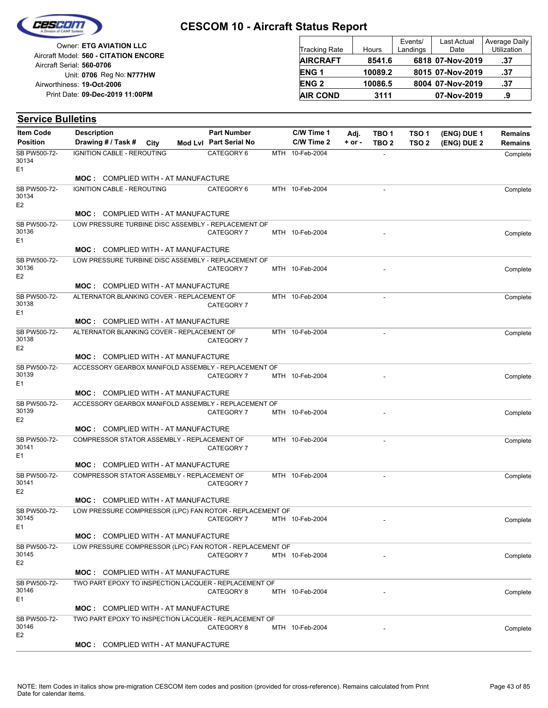

Reg No: **N777HW** Unit: **0706 09-Dec-2019 11:00PM** Print Date: **19-Oct-2006** Airworthiness: Owner: **ETG AVIATION LLC** Aircraft Serial: **560-0706** Aircraft Model: **560 - CITATION ENCORE**

| <b>Tracking Rate</b> | Hours   | Events/<br>Landings | <b>Last Actual</b><br>Date | Average Daily<br>Utilization |
|----------------------|---------|---------------------|----------------------------|------------------------------|
| <b>AIRCRAFT</b>      | 8541.6  |                     | 6818 07-Nov-2019           | .37                          |
| <b>ENG1</b>          | 10089.2 |                     | 8015 07-Nov-2019           | .37                          |
| <b>ENG2</b>          | 10086.5 |                     | 8004 07-Nov-2019           | .37                          |
| <b>AIR COND</b>      | 3111    |                     | 07-Nov-2019                | .9                           |

#### **(ENG) DUE 2 (ENG) DUE 1 Service Bulletins** City **Mod Lvl Part Serial No Part Number C/W Time 1 C/W Time 2 + or - Adj. TBO 1 TBO 2 TSO 2 TSO 1 Remains** Description Part Number C/W Time 1 Adj. TBO 1 TSO 1 (ENG) DUE 1 Remains **Position Drawing # / Task # Item Code** CATEGORY 6 MTH 10-Feb-2004 - COMPLETE COMPLETE COMPLETE E1 SB PW500-72- 30134 IGNITION CABLE - REROUTING **MOC :** COMPLIED WITH - AT MANUFACTURE CATEGORY 6 MTH 10-Feb-2004 - COMPLETE COMPLETE COMPLETE E2 SB PW500-72- 30134 IGNITION CABLE - REROUTING **MOC :** COMPLIED WITH - AT MANUFACTURE CATEGORY 7 MTH 10-Feb-2004 - Complete E1 SB PW500-72- 30136 LOW PRESSURE TURBINE DISC ASSEMBLY - REPLACEMENT OF **MOC :** COMPLIED WITH - AT MANUFACTURE CATEGORY 7 MTH 10-Feb-2004 - COMPLETE COMPLETE COMPLETE E2 SB PW500-72- 30136 LOW PRESSURE TURBINE DISC ASSEMBLY - REPLACEMENT OF **MOC :** COMPLIED WITH - AT MANUFACTURE MTH 10-Feb-2004 CATEGORY 7 Complete  $F<sub>1</sub>$ SB PW500-72- 30138 ALTERNATOR BLANKING COVER - REPLACEMENT OF **MOC :** COMPLIED WITH - AT MANUFACTURE MTH 10-Feb-2004 CATEGORY 7 Complete E2 SB PW500-72- 30138 ALTERNATOR BLANKING COVER - REPLACEMENT OF **MOC :** COMPLIED WITH - AT MANUFACTURE CATEGORY 7 MTH 10-Feb-2004 2007 COMPLETE COMPLETE COMPLETE E1 SB PW500-72- 30139 ACCESSORY GEARBOX MANIFOLD ASSEMBLY - REPLACEMENT OF **MOC :** COMPLIED WITH - AT MANUFACTURE CATEGORY 7 MTH 10-Feb-2004 - Complete E2 SB PW500-72- 30139 ACCESSORY GEARBOX MANIFOLD ASSEMBLY - REPLACEMENT OF **MOC :** COMPLIED WITH - AT MANUFACTURE MTH 10-Feb-2004 CATEGORY 7 Complete E1 SB PW500-72- 30141 COMPRESSOR STATOR ASSEMBLY - REPLACEMENT OF **MOC :** COMPLIED WITH - AT MANUFACTURE  $MTH$  10-Feb-2004 CATEGORY 7 Complete E2 SB PW500-72- 30141 COMPRESSOR STATOR ASSEMBLY - REPLACEMENT OF **MOC :** COMPLIED WITH - AT MANUFACTURE CATEGORY 7 MTH 10-Feb-2004 **- CATEGORY 7** Complete E1 SB PW500-72- 30145 LOW PRESSURE COMPRESSOR (LPC) FAN ROTOR - REPLACEMENT OF **MOC :** COMPLIED WITH - AT MANUFACTURE CATEGORY 7 MTH 10-Feb-2004 - COMPLETE COMPLETE E2 SB PW500-72- 30145 LOW PRESSURE COMPRESSOR (LPC) FAN ROTOR - REPLACEMENT OF **MOC :** COMPLIED WITH - AT MANUFACTURE CATEGORY 8 MTH 10-Feb-2004 - COMPlete COMPlete Complete E1 SB PW500-72- 30146 TWO PART EPOXY TO INSPECTION LACQUER - REPLACEMENT OF **MOC :** COMPLIED WITH - AT MANUFACTURE CATEGORY 8 MTH 10-Feb-2004 - COMPLETE COMPLETE COMPLETE E2 SB PW500-72- 30146 TWO PART EPOXY TO INSPECTION LACQUER - REPLACEMENT OF **MOC :** COMPLIED WITH - AT MANUFACTURE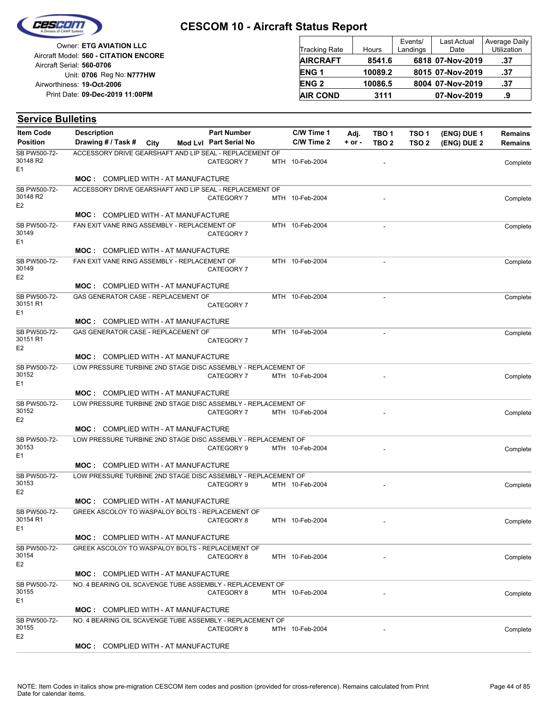

Reg No: **N777HW** Unit: **0706 09-Dec-2019 11:00PM** Print Date: **19-Oct-2006** Airworthiness: Owner: **ETG AVIATION LLC** Aircraft Serial: **560-0706** Aircraft Model: **560 - CITATION ENCORE**

| <b>Tracking Rate</b> | Hours   | Events/<br>Landings | <b>Last Actual</b><br>Date | <b>Average Daily</b><br>Utilization |
|----------------------|---------|---------------------|----------------------------|-------------------------------------|
| <b>AIRCRAFT</b>      | 8541.6  |                     | 6818 07-Nov-2019           | .37                                 |
| <b>ENG1</b>          | 10089.2 |                     | 8015 07-Nov-2019           | .37                                 |
| <b>ENG2</b>          | 10086.5 |                     | 8004 07-Nov-2019           | .37                                 |
| <b>AIR COND</b>      | 3111    |                     | 07-Nov-2019                | .9                                  |

| <b>Item Code</b>           | <b>Description</b>                                                                                          |  | <b>Part Number</b>     | C/W Time 1      | Adj.     | TBO 1            | TSO 1            | (ENG) DUE 1 | <b>Remains</b> |
|----------------------------|-------------------------------------------------------------------------------------------------------------|--|------------------------|-----------------|----------|------------------|------------------|-------------|----------------|
| <b>Position</b>            | Drawing # / Task # City                                                                                     |  | Mod Lvl Part Serial No | C/W Time 2      | $+ or -$ | TBO <sub>2</sub> | TSO <sub>2</sub> | (ENG) DUE 2 | <b>Remains</b> |
| SB PW500-72-               | ACCESSORY DRIVE GEARSHAFT AND LIP SEAL - REPLACEMENT OF                                                     |  |                        |                 |          |                  |                  |             |                |
| 30148 R2<br>E <sub>1</sub> |                                                                                                             |  | CATEGORY 7             | MTH 10-Feb-2004 |          |                  |                  |             | Complete       |
|                            | <b>MOC: COMPLIED WITH - AT MANUFACTURE</b>                                                                  |  |                        |                 |          |                  |                  |             |                |
| SB PW500-72-               | ACCESSORY DRIVE GEARSHAFT AND LIP SEAL - REPLACEMENT OF                                                     |  |                        |                 |          |                  |                  |             |                |
| 30148 R2                   |                                                                                                             |  | CATEGORY 7             | MTH 10-Feb-2004 |          |                  |                  |             | Complete       |
| E <sub>2</sub>             | <b>MOC: COMPLIED WITH - AT MANUFACTURE</b>                                                                  |  |                        |                 |          |                  |                  |             |                |
| SB PW500-72-               | FAN EXIT VANE RING ASSEMBLY - REPLACEMENT OF                                                                |  |                        | MTH 10-Feb-2004 |          | $\overline{a}$   |                  |             | Complete       |
| 30149                      |                                                                                                             |  | CATEGORY 7             |                 |          |                  |                  |             |                |
| E <sub>1</sub>             |                                                                                                             |  |                        |                 |          |                  |                  |             |                |
|                            | <b>MOC: COMPLIED WITH - AT MANUFACTURE</b>                                                                  |  |                        |                 |          |                  |                  |             |                |
| SB PW500-72-<br>30149      | FAN EXIT VANE RING ASSEMBLY - REPLACEMENT OF                                                                |  | CATEGORY 7             | MTH 10-Feb-2004 |          |                  |                  |             | Complete       |
| E <sub>2</sub>             |                                                                                                             |  |                        |                 |          |                  |                  |             |                |
|                            | <b>MOC: COMPLIED WITH - AT MANUFACTURE</b>                                                                  |  |                        |                 |          |                  |                  |             |                |
| SB PW500-72-<br>30151 R1   | GAS GENERATOR CASE - REPLACEMENT OF                                                                         |  |                        | MTH 10-Feb-2004 |          |                  |                  |             | Complete       |
| E <sub>1</sub>             |                                                                                                             |  | CATEGORY 7             |                 |          |                  |                  |             |                |
|                            | <b>MOC: COMPLIED WITH - AT MANUFACTURE</b>                                                                  |  |                        |                 |          |                  |                  |             |                |
| SB PW500-72-               | GAS GENERATOR CASE - REPLACEMENT OF                                                                         |  |                        | MTH 10-Feb-2004 |          | ÷,               |                  |             | Complete       |
| 30151 R1                   |                                                                                                             |  | CATEGORY 7             |                 |          |                  |                  |             |                |
| E <sub>2</sub>             | <b>MOC: COMPLIED WITH - AT MANUFACTURE</b>                                                                  |  |                        |                 |          |                  |                  |             |                |
| SB PW500-72-               | LOW PRESSURE TURBINE 2ND STAGE DISC ASSEMBLY - REPLACEMENT OF                                               |  |                        |                 |          |                  |                  |             |                |
| 30152                      |                                                                                                             |  | CATEGORY 7             | MTH 10-Feb-2004 |          |                  |                  |             | Complete       |
| E <sub>1</sub>             |                                                                                                             |  |                        |                 |          |                  |                  |             |                |
| SB PW500-72-               | <b>MOC: COMPLIED WITH - AT MANUFACTURE</b><br>LOW PRESSURE TURBINE 2ND STAGE DISC ASSEMBLY - REPLACEMENT OF |  |                        |                 |          |                  |                  |             |                |
| 30152                      |                                                                                                             |  | CATEGORY 7             | MTH 10-Feb-2004 |          |                  |                  |             | Complete       |
| E <sub>2</sub>             |                                                                                                             |  |                        |                 |          |                  |                  |             |                |
|                            | <b>MOC: COMPLIED WITH - AT MANUFACTURE</b>                                                                  |  |                        |                 |          |                  |                  |             |                |
| SB PW500-72-<br>30153      | LOW PRESSURE TURBINE 2ND STAGE DISC ASSEMBLY - REPLACEMENT OF                                               |  | CATEGORY 9             | MTH 10-Feb-2004 |          |                  |                  |             |                |
| E <sub>1</sub>             |                                                                                                             |  |                        |                 |          |                  |                  |             | Complete       |
|                            | <b>MOC: COMPLIED WITH - AT MANUFACTURE</b>                                                                  |  |                        |                 |          |                  |                  |             |                |
| SB PW500-72-               | LOW PRESSURE TURBINE 2ND STAGE DISC ASSEMBLY - REPLACEMENT OF                                               |  |                        |                 |          |                  |                  |             |                |
| 30153<br>E <sub>2</sub>    |                                                                                                             |  | CATEGORY 9             | MTH 10-Feb-2004 |          |                  |                  |             | Complete       |
|                            | <b>MOC: COMPLIED WITH - AT MANUFACTURE</b>                                                                  |  |                        |                 |          |                  |                  |             |                |
| SB PW500-72-               | GREEK ASCOLOY TO WASPALOY BOLTS - REPLACEMENT OF                                                            |  |                        |                 |          |                  |                  |             |                |
| 30154 R1                   |                                                                                                             |  | CATEGORY 8             | MTH 10-Feb-2004 |          |                  |                  |             | Complete       |
| E1                         |                                                                                                             |  |                        |                 |          |                  |                  |             |                |
| SB PW500-72-               | <b>MOC: COMPLIED WITH - AT MANUFACTURE</b><br>GREEK ASCOLOY TO WASPALOY BOLTS - REPLACEMENT OF              |  |                        |                 |          |                  |                  |             |                |
| 30154                      |                                                                                                             |  | CATEGORY 8             | MTH 10-Feb-2004 |          |                  |                  |             | Complete       |
| E <sub>2</sub>             |                                                                                                             |  |                        |                 |          |                  |                  |             |                |
|                            | <b>MOC: COMPLIED WITH - AT MANUFACTURE</b>                                                                  |  |                        |                 |          |                  |                  |             |                |
| SB PW500-72-<br>30155      | NO. 4 BEARING OIL SCAVENGE TUBE ASSEMBLY - REPLACEMENT OF                                                   |  | CATEGORY 8             | MTH 10-Feb-2004 |          |                  |                  |             |                |
| E <sub>1</sub>             |                                                                                                             |  |                        |                 |          |                  |                  |             | Complete       |
|                            | <b>MOC: COMPLIED WITH - AT MANUFACTURE</b>                                                                  |  |                        |                 |          |                  |                  |             |                |
| SB PW500-72-               | NO. 4 BEARING OIL SCAVENGE TUBE ASSEMBLY - REPLACEMENT OF                                                   |  |                        |                 |          |                  |                  |             |                |
| 30155<br>E <sub>2</sub>    |                                                                                                             |  | CATEGORY 8             | MTH 10-Feb-2004 |          |                  |                  |             | Complete       |
|                            | <b>MOC: COMPLIED WITH - AT MANUFACTURE</b>                                                                  |  |                        |                 |          |                  |                  |             |                |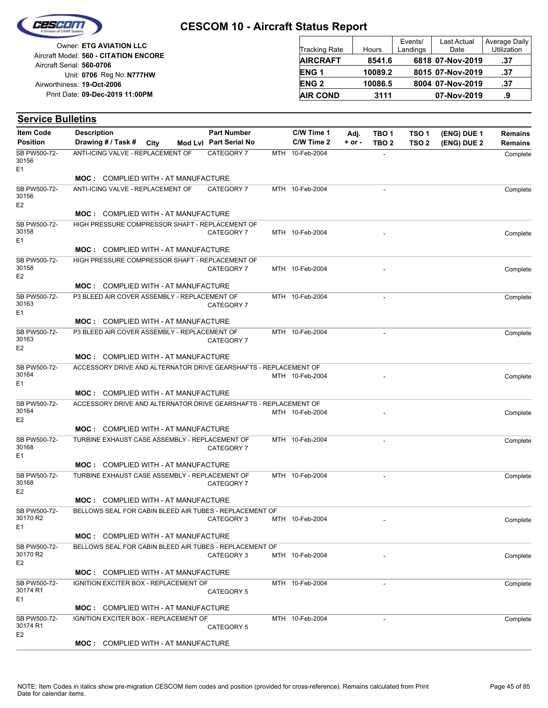

Reg No: **N777HW** Unit: **0706 09-Dec-2019 11:00PM** Print Date: **19-Oct-2006** Airworthiness: Owner: **ETG AVIATION LLC** Aircraft Serial: **560-0706** Aircraft Model: **560 - CITATION ENCORE**

| <b>Tracking Rate</b> | Hours   | Events/<br>Landings | <b>Last Actual</b><br>Date | Average Daily<br>Utilization |
|----------------------|---------|---------------------|----------------------------|------------------------------|
| <b>AIRCRAFT</b>      | 8541.6  |                     | 6818 07-Nov-2019           | .37                          |
| <b>ENG1</b>          | 10089.2 |                     | 8015 07-Nov-2019           | .37                          |
| <b>ENG2</b>          | 10086.5 |                     | 8004 07-Nov-2019           | .37                          |
| <b>AIR COND</b>      | 3111    |                     | 07-Nov-2019                | .9                           |

#### **(ENG) DUE 2 (ENG) DUE 1 Service Bulletins** City **Mod Lvl Part Serial No Part Number C/W Time 1 C/W Time 2 + or - Adj. TBO 1 TBO 2 TSO 2 TSO 1 Remains** Description Part Number C/W Time 1 Adj. TBO 1 TSO 1 (ENG) DUE 1 Remains **Position Drawing # / Task # Item Code** CATEGORY 7 MTH 10-Feb-2004 - COMPLETE COMPLETE COMPLETE E1 SB PW500-72- 30156 ANTI-ICING VALVE - REPLACEMENT OF **MOC :** COMPLIED WITH - AT MANUFACTURE CATEGORY 7 MTH 10-Feb-2004 - Complete E2 SB PW500-72- 30156 ANTI-ICING VALVE - REPLACEMENT OF **MOC :** COMPLIED WITH - AT MANUFACTURE CATEGORY 7 MTH 10-Feb-2004 - Complete E1 SB PW500-72- 30158 HIGH PRESSURE COMPRESSOR SHAFT - REPLACEMENT OF **MOC :** COMPLIED WITH - AT MANUFACTURE CATEGORY 7 MTH 10-Feb-2004 - COMPLETE COMPLETE COMPLETE E2 SB PW500-72- 30158 HIGH PRESSURE COMPRESSOR SHAFT - REPLACEMENT OF **MOC :** COMPLIED WITH - AT MANUFACTURE MTH 10-Feb-2004 CATEGORY 7 Complete  $F<sub>1</sub>$ SB PW500-72- 30163 P3 BLEED AIR COVER ASSEMBLY - REPLACEMENT OF **MOC :** COMPLIED WITH - AT MANUFACTURE MTH 10-Feb-2004 CATEGORY 7 Complete E2 SB PW500-72- 30163 P3 BLEED AIR COVER ASSEMBLY - REPLACEMENT OF **MOC :** COMPLIED WITH - AT MANUFACTURE MTH 10-Feb-2004 - Complete E1 SB PW500-72- 30164 ACCESSORY DRIVE AND ALTERNATOR DRIVE GEARSHAFTS - REPLACEMENT OF **MOC :** COMPLIED WITH - AT MANUFACTURE MTH 10-Feb-2004 - And Account of the Complete E2 SB PW500-72- 30164 ACCESSORY DRIVE AND ALTERNATOR DRIVE GEARSHAFTS - REPLACEMENT OF **MOC :** COMPLIED WITH - AT MANUFACTURE MTH 10-Feb-2004 CATEGORY 7 Complete E1 SB PW500-72- 30168 TURBINE EXHAUST CASE ASSEMBLY - REPLACEMENT OF **MOC :** COMPLIED WITH - AT MANUFACTURE  $MTH$  10-Feb-2004 CATEGORY 7 Complete E2 SB PW500-72- 30168 TURBINE EXHAUST CASE ASSEMBLY - REPLACEMENT OF **MOC :** COMPLIED WITH - AT MANUFACTURE CATEGORY 3 MTH 10-Feb-2004 - COMPLETE COMPLETE COMPLETE  $F<sub>1</sub>$ SB PW500-72- 30170 R2 BELLOWS SEAL FOR CABIN BLEED AIR TUBES - REPLACEMENT OF **MOC :** COMPLIED WITH - AT MANUFACTURE CATEGORY 3 MTH 10-Feb-2004 - COMPLETE COMPLETE E2 SB PW500-72- 30170 R2 BELLOWS SEAL FOR CABIN BLEED AIR TUBES - REPLACEMENT OF **MOC :** COMPLIED WITH - AT MANUFACTURE MTH 10-Feb-2004 - 2004 CATEGORY 5 Complete E1 SB PW500-72- 30174 R1 IGNITION EXCITER BOX - REPLACEMENT OF **MOC :** COMPLIED WITH - AT MANUFACTURE MTH 10-Feb-2004 CATEGORY 5 **Complete** E2 SB PW500-72- 30174 R1 IGNITION EXCITER BOX - REPLACEMENT OF **MOC :** COMPLIED WITH - AT MANUFACTURE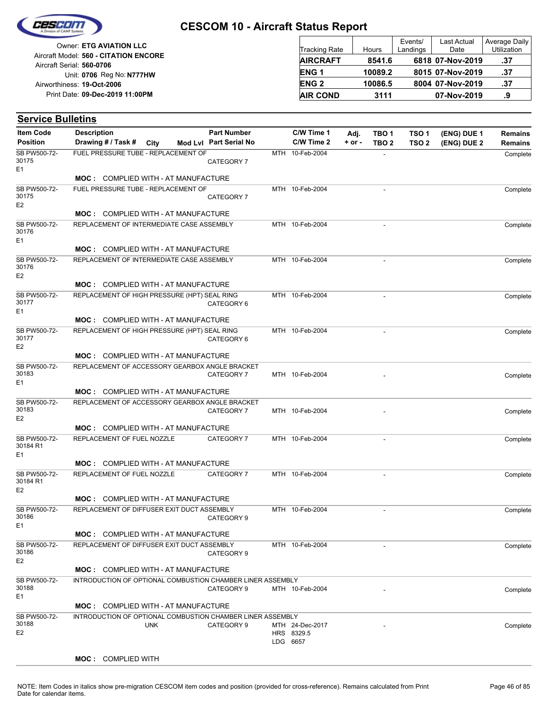

Reg No: **N777HW** Unit: **0706 09-Dec-2019 11:00PM** Print Date: **19-Oct-2006** Airworthiness: Owner: **ETG AVIATION LLC** Aircraft Serial: **560-0706** Aircraft Model: **560 - CITATION ENCORE**

| <b>Tracking Rate</b> | Hours   | Events/<br>Landings | <b>Last Actual</b><br>Date | Average Daily<br>Utilization |
|----------------------|---------|---------------------|----------------------------|------------------------------|
| <b>AIRCRAFT</b>      | 8541.6  |                     | 6818 07-Nov-2019           | .37                          |
| ENG <sub>1</sub>     | 10089.2 |                     | 8015 07-Nov-2019           | .37                          |
| <b>ENG2</b>          | 10086.5 |                     | 8004 07-Nov-2019           | .37                          |
| <b>AIR COND</b>      | 3111    |                     | 07-Nov-2019                | .9                           |

| <b>Item Code</b>                           | <b>Description</b>                                         | <b>Part Number</b>     | C/W Time 1                                | Adj.     | TBO 1                    | TSO <sub>1</sub> | (ENG) DUE 1 | <b>Remains</b> |
|--------------------------------------------|------------------------------------------------------------|------------------------|-------------------------------------------|----------|--------------------------|------------------|-------------|----------------|
| <b>Position</b>                            | Drawing # / Task # City                                    | Mod Lvl Part Serial No | C/W Time 2                                | $+ or -$ | TBO <sub>2</sub>         | TSO <sub>2</sub> | (ENG) DUE 2 | <b>Remains</b> |
| SB PW500-72-                               | FUEL PRESSURE TUBE - REPLACEMENT OF                        |                        | MTH 10-Feb-2004                           |          | $\sim$                   |                  |             | Complete       |
| 30175                                      |                                                            | CATEGORY 7             |                                           |          |                          |                  |             |                |
| E <sub>1</sub>                             | <b>MOC: COMPLIED WITH - AT MANUFACTURE</b>                 |                        |                                           |          |                          |                  |             |                |
| SB PW500-72-                               | FUEL PRESSURE TUBE - REPLACEMENT OF                        |                        | MTH 10-Feb-2004                           |          |                          |                  |             | Complete       |
| 30175                                      |                                                            | CATEGORY 7             |                                           |          |                          |                  |             |                |
| E <sub>2</sub>                             |                                                            |                        |                                           |          |                          |                  |             |                |
|                                            | <b>MOC: COMPLIED WITH - AT MANUFACTURE</b>                 |                        |                                           |          |                          |                  |             |                |
| SB PW500-72-<br>30176<br>E <sub>1</sub>    | REPLACEMENT OF INTERMEDIATE CASE ASSEMBLY                  |                        | MTH 10-Feb-2004                           |          |                          |                  |             | Complete       |
|                                            | MOC: COMPLIED WITH - AT MANUFACTURE                        |                        |                                           |          |                          |                  |             |                |
| SB PW500-72-<br>30176<br>E <sub>2</sub>    | REPLACEMENT OF INTERMEDIATE CASE ASSEMBLY                  |                        | MTH 10-Feb-2004                           |          |                          |                  |             | Complete       |
|                                            | <b>MOC: COMPLIED WITH - AT MANUFACTURE</b>                 |                        |                                           |          |                          |                  |             |                |
| SB PW500-72-<br>30177                      | REPLACEMENT OF HIGH PRESSURE (HPT) SEAL RING               | CATEGORY 6             | MTH 10-Feb-2004                           |          | $\blacksquare$           |                  |             | Complete       |
| E <sub>1</sub>                             |                                                            |                        |                                           |          |                          |                  |             |                |
|                                            | <b>MOC: COMPLIED WITH - AT MANUFACTURE</b>                 |                        |                                           |          |                          |                  |             |                |
| SB PW500-72-<br>30177<br>E <sub>2</sub>    | REPLACEMENT OF HIGH PRESSURE (HPT) SEAL RING               | CATEGORY 6             | MTH 10-Feb-2004                           |          | $\overline{a}$           |                  |             | Complete       |
|                                            | <b>MOC: COMPLIED WITH - AT MANUFACTURE</b>                 |                        |                                           |          |                          |                  |             |                |
| SB PW500-72-                               | REPLACEMENT OF ACCESSORY GEARBOX ANGLE BRACKET             |                        |                                           |          |                          |                  |             |                |
| 30183                                      |                                                            | CATEGORY 7             | MTH 10-Feb-2004                           |          |                          |                  |             | Complete       |
| E <sub>1</sub>                             | <b>MOC:</b> COMPLIED WITH - AT MANUFACTURE                 |                        |                                           |          |                          |                  |             |                |
| SB PW500-72-                               | REPLACEMENT OF ACCESSORY GEARBOX ANGLE BRACKET             |                        |                                           |          |                          |                  |             |                |
| 30183                                      |                                                            | CATEGORY 7             | MTH 10-Feb-2004                           |          |                          |                  |             | Complete       |
| E <sub>2</sub>                             |                                                            |                        |                                           |          |                          |                  |             |                |
|                                            | <b>MOC: COMPLIED WITH - AT MANUFACTURE</b>                 |                        |                                           |          |                          |                  |             |                |
| SB PW500-72-<br>30184 R1<br>E <sub>1</sub> | REPLACEMENT OF FUEL NOZZLE                                 | CATEGORY 7             | MTH 10-Feb-2004                           |          | $\overline{\phantom{a}}$ |                  |             | Complete       |
|                                            | <b>MOC: COMPLIED WITH - AT MANUFACTURE</b>                 |                        |                                           |          |                          |                  |             |                |
| SB PW500-72-<br>30184 R1                   | REPLACEMENT OF FUEL NOZZLE                                 | CATEGORY 7             | MTH 10-Feb-2004                           |          |                          |                  |             | Complete       |
| E <sub>2</sub>                             | <b>MOC: COMPLIED WITH - AT MANUFACTURE</b>                 |                        |                                           |          |                          |                  |             |                |
| SB PW500-72-                               | REPLACEMENT OF DIFFUSER EXIT DUCT ASSEMBLY                 |                        | MTH 10-Feb-2004                           |          | $\overline{\phantom{a}}$ |                  |             | Complete       |
| 30186                                      |                                                            | CATEGORY 9             |                                           |          |                          |                  |             |                |
| E1                                         |                                                            |                        |                                           |          |                          |                  |             |                |
|                                            | <b>MOC: COMPLIED WITH - AT MANUFACTURE</b>                 |                        |                                           |          |                          |                  |             |                |
| SB PW500-72-<br>30186<br>E <sub>2</sub>    | REPLACEMENT OF DIFFUSER EXIT DUCT ASSEMBLY                 | CATEGORY 9             | MTH 10-Feb-2004                           |          |                          |                  |             | Complete       |
|                                            | <b>MOC: COMPLIED WITH - AT MANUFACTURE</b>                 |                        |                                           |          |                          |                  |             |                |
| SB PW500-72-                               | INTRODUCTION OF OPTIONAL COMBUSTION CHAMBER LINER ASSEMBLY |                        |                                           |          |                          |                  |             |                |
| 30188                                      |                                                            | CATEGORY 9             | MTH 10-Feb-2004                           |          |                          |                  |             | Complete       |
| E <sub>1</sub>                             | <b>MOC: COMPLIED WITH - AT MANUFACTURE</b>                 |                        |                                           |          |                          |                  |             |                |
| SB PW500-72-                               | INTRODUCTION OF OPTIONAL COMBUSTION CHAMBER LINER ASSEMBLY |                        |                                           |          |                          |                  |             |                |
| 30188<br>E <sub>2</sub>                    | <b>UNK</b>                                                 | CATEGORY 9             | MTH 24-Dec-2017<br>HRS 8329.5<br>LDG 6657 |          |                          |                  |             | Complete       |
|                                            |                                                            |                        |                                           |          |                          |                  |             |                |
|                                            | <b>MOC:</b> COMPLIED WITH                                  |                        |                                           |          |                          |                  |             |                |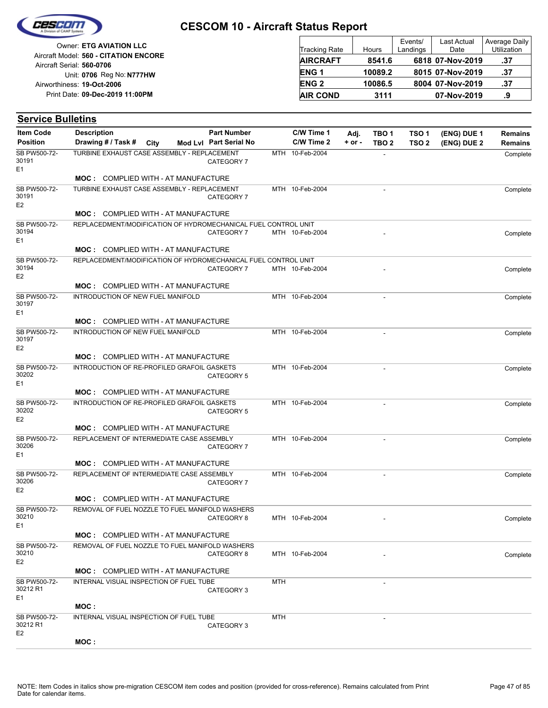

**Service Bulletins**

### **CESCOM 10 - Aircraft Status Report**

Reg No: **N777HW** Unit: **0706 09-Dec-2019 11:00PM** Print Date: **19-Oct-2006** Airworthiness: Owner: **ETG AVIATION LLC** Aircraft Serial: **560-0706** Aircraft Model: **560 - CITATION ENCORE**

| <b>Tracking Rate</b> | Hours   | Events/<br>Landings | <b>Last Actual</b><br>Date | Average Daily<br>Utilization |
|----------------------|---------|---------------------|----------------------------|------------------------------|
| <b>AIRCRAFT</b>      | 8541.6  |                     | 6818 07-Nov-2019           | .37                          |
| <b>ENG1</b>          | 10089.2 |                     | 8015 07-Nov-2019           | .37                          |
| <b>ENG2</b>          | 10086.5 |                     | 8004 07-Nov-2019           | .37                          |
| <b>AIR COND</b>      | 3111    |                     | 07-Nov-2019                | .9                           |

#### **(ENG) DUE 2 (ENG) DUE 1** City **Mod Lvl Part Serial No Part Number C/W Time 1 C/W Time 2 + or - Adj. TBO 1 TBO 2 TSO 2 TSO 1 Remains** Description Part Number C/W Time 1 Adj. TBO 1 TSO 1 (ENG) DUE 1 Remains **Position Drawing # / Task # Item Code** MTH 10-Feb-2004 CATEGORY 7 **Complete** E1 SB PW500-72- 30191 TURBINE EXHAUST CASE ASSEMBLY - REPLACEMENT **MOC :** COMPLIED WITH - AT MANUFACTURE MTH 10-Feb-2004 - 2004 CATEGORY 7 **Complete** E2 SB PW500-72- 30191 TURBINE EXHAUST CASE ASSEMBLY - REPLACEMENT **MOC :** COMPLIED WITH - AT MANUFACTURE CATEGORY 7 MTH 10-Feb-2004 - Complete E1 SB PW500-72- 30194 REPLACEDMENT/MODIFICATION OF HYDROMECHANICAL FUEL CONTROL UNIT **MOC :** COMPLIED WITH - AT MANUFACTURE CATEGORY 7 MTH 10-Feb-2004 - COMPLETE COMPLETE COMPLETE E2 SB PW500-72- 30194 REPLACEDMENT/MODIFICATION OF HYDROMECHANICAL FUEL CONTROL UNIT **MOC :** COMPLIED WITH - AT MANUFACTURE MTH 10-Feb-2004 - Complete  $F<sub>1</sub>$ SB PW500-72- 30197 INTRODUCTION OF NEW FUEL MANIFOLD **MOC :** COMPLIED WITH - AT MANUFACTURE MTH 10-Feb-2004 - Complete E2 SB PW500-72- 30197 INTRODUCTION OF NEW FUEL MANIFOLD **MOC :** COMPLIED WITH - AT MANUFACTURE MTH 10-Feb-2004 CATEGORY 5 Complete E1 SB PW500-72- 30202 INTRODUCTION OF RE-PROFILED GRAFOIL GASKETS **MOC :** COMPLIED WITH - AT MANUFACTURE MTH 10-Feb-2004 CATEGORY 5 **Complete** E2 SB PW500-72- 30202 INTRODUCTION OF RE-PROFILED GRAFOIL GASKETS **MOC :** COMPLIED WITH - AT MANUFACTURE MTH 10-Feb-2004 CATEGORY 7 **Complete** E1 SB PW500-72- 30206 REPLACEMENT OF INTERMEDIATE CASE ASSEMBLY **MOC :** COMPLIED WITH - AT MANUFACTURE MTH 10-Feb-2004 - 2004 CATEGORY 7 **Complete** E2 SB PW500-72- 30206 REPLACEMENT OF INTERMEDIATE CASE ASSEMBLY **MOC :** COMPLIED WITH - AT MANUFACTURE CATEGORY 8 MTH 10-Feb-2004 - Complete  $F<sub>1</sub>$ SB PW500-72- 30210 REMOVAL OF FUEL NOZZLE TO FUEL MANIFOLD WASHERS **MOC :** COMPLIED WITH - AT MANUFACTURE CATEGORY 8 MTH 10-Feb-2004 - COMPLETE COMPLETE COMPLETE E2 SB PW500-72- 30210 REMOVAL OF FUEL NOZZLE TO FUEL MANIFOLD WASHERS **MOC :** COMPLIED WITH - AT MANUFACTURE  $MTH$  -CATEGORY 3 E1 SB PW500-72- 30212 R1 INTERNAL VISUAL INSPECTION OF FUEL TUBE **MOC :**  $MTH$ CATEGORY 3 SB PW500-72- 30212 R1 INTERNAL VISUAL INSPECTION OF FUEL TUBE

**MOC :**

E2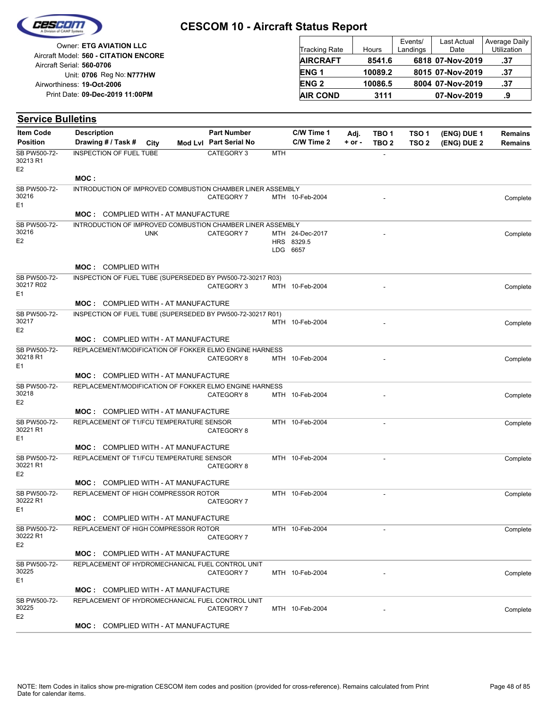

| Owner: ETG AVIATION LLC                                            | <b>Tracking Rate</b>   | Hours   | Events/<br>Landings | Last Actual<br>Date | Average Daily<br>Utilization |
|--------------------------------------------------------------------|------------------------|---------|---------------------|---------------------|------------------------------|
| Aircraft Model: 560 - CITATION ENCORE<br>Aircraft Serial: 560-0706 | <b>AIRCRAFT</b>        | 8541.6  |                     | 6818 07-Nov-2019    | .37                          |
| Unit: 0706 Reg No: N777HW                                          | ENG <sub>1</sub>       | 10089.2 |                     | 8015 07-Nov-2019    | .37                          |
| Airworthiness: 19-Oct-2006                                         | <b>ENG<sub>2</sub></b> | 10086.5 |                     | 8004 07-Nov-2019    | .37                          |
| Print Date: 09-Dec-2019 11:00PM                                    | <b>AIR COND</b>        | 3111    |                     | 07-Nov-2019         | .9                           |

| <b>Service Bulletins</b>            |                                                            |            |                                              |     |                                           |                    |                                      |                                      |                            |                                  |
|-------------------------------------|------------------------------------------------------------|------------|----------------------------------------------|-----|-------------------------------------------|--------------------|--------------------------------------|--------------------------------------|----------------------------|----------------------------------|
| <b>Item Code</b><br><b>Position</b> | <b>Description</b><br>Drawing # / Task #                   | City       | <b>Part Number</b><br>Mod Lvl Part Serial No |     | C/W Time 1<br>C/W Time 2                  | Adj.<br>$+$ or $-$ | TBO <sub>1</sub><br>TBO <sub>2</sub> | TSO <sub>1</sub><br>TSO <sub>2</sub> | (ENG) DUE 1<br>(ENG) DUE 2 | <b>Remains</b><br><b>Remains</b> |
| SB PW500-72-<br>30213 R1<br>E2      | INSPECTION OF FUEL TUBE                                    |            | CATEGORY 3                                   | MTH |                                           |                    |                                      |                                      |                            |                                  |
|                                     | MOC :                                                      |            |                                              |     |                                           |                    |                                      |                                      |                            |                                  |
| SB PW500-72-<br>30216<br>E1         | INTRODUCTION OF IMPROVED COMBUSTION CHAMBER LINER ASSEMBLY |            | CATEGORY 7                                   |     | MTH 10-Feb-2004                           |                    |                                      |                                      |                            | Complete                         |
|                                     | <b>MOC: COMPLIED WITH - AT MANUFACTURE</b>                 |            |                                              |     |                                           |                    |                                      |                                      |                            |                                  |
| SB PW500-72-<br>30216<br>E2         | INTRODUCTION OF IMPROVED COMBUSTION CHAMBER LINER ASSEMBLY | <b>UNK</b> | CATEGORY 7                                   |     | MTH 24-Dec-2017<br>HRS 8329.5<br>LDG 6657 |                    |                                      |                                      |                            | Complete                         |
|                                     | <b>MOC: COMPLIED WITH</b>                                  |            |                                              |     |                                           |                    |                                      |                                      |                            |                                  |
| SB PW500-72-<br>30217 R02<br>Ε1     | INSPECTION OF FUEL TUBE (SUPERSEDED BY PW500-72-30217 R03) |            | CATEGORY 3                                   |     | MTH 10-Feb-2004                           |                    |                                      |                                      |                            | Complete                         |
|                                     | MOC: COMPLIED WITH - AT MANUFACTURE                        |            |                                              |     |                                           |                    |                                      |                                      |                            |                                  |
| SB PW500-72-<br>30217<br>E2         | INSPECTION OF FUEL TUBE (SUPERSEDED BY PW500-72-30217 R01) |            |                                              |     | MTH 10-Feb-2004                           |                    |                                      |                                      |                            | Complete                         |
|                                     | <b>MOC: COMPLIED WITH - AT MANUFACTURE</b>                 |            |                                              |     |                                           |                    |                                      |                                      |                            |                                  |
| SB PW500-72-<br>30218 R1<br>E1      | REPLACEMENT/MODIFICATION OF FOKKER ELMO ENGINE HARNESS     |            | CATEGORY 8                                   |     | MTH 10-Feb-2004                           |                    |                                      |                                      |                            | Complete                         |
|                                     | <b>MOC: COMPLIED WITH - AT MANUFACTURE</b>                 |            |                                              |     |                                           |                    |                                      |                                      |                            |                                  |
| SB PW500-72-<br>30218<br>E2         | REPLACEMENT/MODIFICATION OF FOKKER ELMO ENGINE HARNESS     |            | CATEGORY 8                                   |     | MTH 10-Feb-2004                           |                    |                                      |                                      |                            | Complete                         |
|                                     | <b>MOC: COMPLIED WITH - AT MANUFACTURE</b>                 |            |                                              |     |                                           |                    |                                      |                                      |                            |                                  |
| SB PW500-72-<br>30221 R1<br>Ε1      | REPLACEMENT OF T1/FCU TEMPERATURE SENSOR                   |            | CATEGORY 8                                   |     | MTH 10-Feb-2004                           |                    | $\blacksquare$                       |                                      |                            | Complete                         |
|                                     | <b>MOC: COMPLIED WITH - AT MANUFACTURE</b>                 |            |                                              |     |                                           |                    |                                      |                                      |                            |                                  |
| SB PW500-72-<br>30221 R1<br>E2      | REPLACEMENT OF T1/FCU TEMPERATURE SENSOR                   |            | CATEGORY 8                                   |     | MTH 10-Feb-2004                           |                    |                                      |                                      |                            | Complete                         |
|                                     | <b>MOC: COMPLIED WITH - AT MANUFACTURE</b>                 |            |                                              |     |                                           |                    |                                      |                                      |                            |                                  |
| SB PW500-72-<br>30222 R1<br>E1      | REPLACEMENT OF HIGH COMPRESSOR ROTOR                       |            | CATEGORY 7                                   |     | MTH 10-Feb-2004                           |                    |                                      |                                      |                            | Complete                         |
|                                     | <b>MOC: COMPLIED WITH - AT MANUFACTURE</b>                 |            |                                              |     |                                           |                    |                                      |                                      |                            |                                  |
| SB PW500-72-<br>30222 R1<br>E2      | REPLACEMENT OF HIGH COMPRESSOR ROTOR                       |            | CATEGORY 7                                   |     | MTH 10-Feb-2004                           |                    |                                      |                                      |                            | Complete                         |
|                                     | <b>MOC:</b> COMPLIED WITH - AT MANUFACTURE                 |            |                                              |     |                                           |                    |                                      |                                      |                            |                                  |
| SB PW500-72-<br>30225<br>E1         | REPLACEMENT OF HYDROMECHANICAL FUEL CONTROL UNIT           |            | CATEGORY 7                                   |     | MTH 10-Feb-2004                           |                    |                                      |                                      |                            | Complete                         |
|                                     | <b>MOC: COMPLIED WITH - AT MANUFACTURE</b>                 |            |                                              |     |                                           |                    |                                      |                                      |                            |                                  |
| SB PW500-72-<br>30225<br>E2         | REPLACEMENT OF HYDROMECHANICAL FUEL CONTROL UNIT           |            | CATEGORY 7                                   |     | MTH 10-Feb-2004                           |                    |                                      |                                      |                            | Complete                         |
|                                     | MOC: COMPLIED WITH - AT MANUFACTURE                        |            |                                              |     |                                           |                    |                                      |                                      |                            |                                  |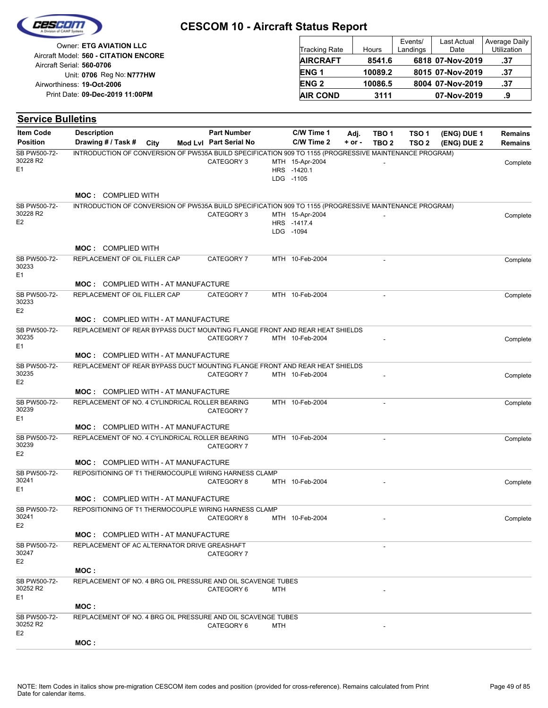|                                                                    | <b>CESCOM 10 - Aircraft Status Report</b> |         |                     |                     |                              |
|--------------------------------------------------------------------|-------------------------------------------|---------|---------------------|---------------------|------------------------------|
| Owner: ETG AVIATION LLC                                            | Tracking Rate                             | Hours   | Events/<br>Landings | Last Actual<br>Date | Average Daily<br>Utilization |
| Aircraft Model: 560 - CITATION ENCORE<br>Aircraft Serial: 560-0706 | <b>AIRCRAFT</b>                           | 8541.6  |                     | 6818 07-Nov-2019    | .37                          |
| Unit: 0706 Reg No: N777HW                                          | <b>ENG1</b>                               | 10089.2 |                     | 8015 07-Nov-2019    | .37                          |
| Airworthiness: 19-Oct-2006                                         | <b>ENG 2</b>                              | 10086.5 |                     | 8004 07-Nov-2019    | .37                          |
| Print Date: 09-Dec-2019 11:00PM                                    | <b>AIR COND</b>                           | 3111    |                     | 07-Nov-2019         | .9                           |

| <b>Service Bulletins</b>                   |                                                                                                        |      |                        |     |                                             |            |                          |                  |             |                |
|--------------------------------------------|--------------------------------------------------------------------------------------------------------|------|------------------------|-----|---------------------------------------------|------------|--------------------------|------------------|-------------|----------------|
| <b>Item Code</b>                           | <b>Description</b>                                                                                     |      | <b>Part Number</b>     |     | C/W Time 1                                  | Adj.       | TBO <sub>1</sub>         | TSO <sub>1</sub> | (ENG) DUE 1 | <b>Remains</b> |
| <b>Position</b>                            | Drawing # / Task #                                                                                     | City | Mod Lvl Part Serial No |     | C/W Time 2                                  | $+$ or $-$ | TBO <sub>2</sub>         | TSO <sub>2</sub> | (ENG) DUE 2 | <b>Remains</b> |
| SB PW500-72-<br>30228 R2<br>E <sub>1</sub> | INTRODUCTION OF CONVERSION OF PW535A BUILD SPECIFICATION 909 TO 1155 (PROGRESSIVE MAINTENANCE PROGRAM) |      | CATEGORY 3             |     | MTH 15-Apr-2004<br>HRS -1420.1<br>LDG -1105 |            |                          |                  |             | Complete       |
|                                            | <b>MOC: COMPLIED WITH</b>                                                                              |      |                        |     |                                             |            |                          |                  |             |                |
| SB PW500-72-                               | INTRODUCTION OF CONVERSION OF PW535A BUILD SPECIFICATION 909 TO 1155 (PROGRESSIVE MAINTENANCE PROGRAM) |      |                        |     |                                             |            |                          |                  |             |                |
| 30228 R2<br>E <sub>2</sub>                 |                                                                                                        |      | CATEGORY 3             |     | MTH 15-Apr-2004<br>HRS -1417.4<br>LDG -1094 |            |                          |                  |             | Complete       |
|                                            | <b>MOC: COMPLIED WITH</b>                                                                              |      |                        |     |                                             |            |                          |                  |             |                |
| SB PW500-72-<br>30233<br>E1                | REPLACEMENT OF OIL FILLER CAP                                                                          |      | CATEGORY 7             |     | MTH 10-Feb-2004                             |            | $\sim$                   |                  |             | Complete       |
|                                            | <b>MOC: COMPLIED WITH - AT MANUFACTURE</b>                                                             |      |                        |     |                                             |            |                          |                  |             |                |
| SB PW500-72-<br>30233<br>E <sub>2</sub>    | REPLACEMENT OF OIL FILLER CAP                                                                          |      | CATEGORY 7             |     | MTH 10-Feb-2004                             |            |                          |                  |             | Complete       |
|                                            | <b>MOC: COMPLIED WITH - AT MANUFACTURE</b>                                                             |      |                        |     |                                             |            |                          |                  |             |                |
| SB PW500-72-<br>30235<br>E1                | REPLACEMENT OF REAR BYPASS DUCT MOUNTING FLANGE FRONT AND REAR HEAT SHIELDS                            |      | CATEGORY 7             |     | MTH 10-Feb-2004                             |            |                          |                  |             | Complete       |
|                                            | <b>MOC: COMPLIED WITH - AT MANUFACTURE</b>                                                             |      |                        |     |                                             |            |                          |                  |             |                |
| SB PW500-72-<br>30235<br>E <sub>2</sub>    | REPLACEMENT OF REAR BYPASS DUCT MOUNTING FLANGE FRONT AND REAR HEAT SHIELDS                            |      | CATEGORY 7             |     | MTH 10-Feb-2004                             |            |                          |                  |             | Complete       |
|                                            | <b>MOC: COMPLIED WITH - AT MANUFACTURE</b>                                                             |      |                        |     |                                             |            |                          |                  |             |                |
| SB PW500-72-<br>30239<br>E <sub>1</sub>    | REPLACEMENT OF NO. 4 CYLINDRICAL ROLLER BEARING                                                        |      | CATEGORY 7             |     | MTH 10-Feb-2004                             |            | $\overline{\phantom{a}}$ |                  |             | Complete       |
|                                            | <b>MOC: COMPLIED WITH - AT MANUFACTURE</b>                                                             |      |                        |     |                                             |            |                          |                  |             |                |
| SB PW500-72-<br>30239<br>E <sub>2</sub>    | REPLACEMENT OF NO. 4 CYLINDRICAL ROLLER BEARING                                                        |      | CATEGORY 7             |     | MTH 10-Feb-2004                             |            |                          |                  |             | Complete       |
|                                            | <b>MOC: COMPLIED WITH - AT MANUFACTURE</b>                                                             |      |                        |     |                                             |            |                          |                  |             |                |
| SB PW500-72-<br>30241<br>E1                | REPOSITIONING OF T1 THERMOCOUPLE WIRING HARNESS CLAMP                                                  |      | CATEGORY 8             |     | MTH 10-Feb-2004                             |            |                          |                  |             | Complete       |
|                                            | <b>MOC: COMPLIED WITH - AT MANUFACTURE</b>                                                             |      |                        |     |                                             |            |                          |                  |             |                |
| SB PW500-72-<br>30241<br>E <sub>2</sub>    | REPOSITIONING OF T1 THERMOCOUPLE WIRING HARNESS CLAMP                                                  |      | CATEGORY 8             |     | MTH 10-Feb-2004                             |            |                          |                  |             | Complete       |
|                                            | <b>MOC:</b> COMPLIED WITH - AT MANUFACTURE                                                             |      |                        |     |                                             |            |                          |                  |             |                |
| SB PW500-72-<br>30247<br>E <sub>2</sub>    | REPLACEMENT OF AC ALTERNATOR DRIVE GREASHAFT                                                           |      | CATEGORY 7             |     |                                             |            |                          |                  |             |                |
|                                            | MOC:                                                                                                   |      |                        |     |                                             |            |                          |                  |             |                |
| SB PW500-72-<br>30252 R2<br>E <sub>1</sub> | REPLACEMENT OF NO. 4 BRG OIL PRESSURE AND OIL SCAVENGE TUBES                                           |      | CATEGORY 6             | MTH |                                             |            |                          |                  |             |                |
|                                            | MOC :                                                                                                  |      |                        |     |                                             |            |                          |                  |             |                |
| SB PW500-72-<br>30252 R2<br>E <sub>2</sub> | REPLACEMENT OF NO. 4 BRG OIL PRESSURE AND OIL SCAVENGE TUBES                                           |      | CATEGORY 6             | MTH |                                             |            |                          |                  |             |                |
|                                            | MOC:                                                                                                   |      |                        |     |                                             |            |                          |                  |             |                |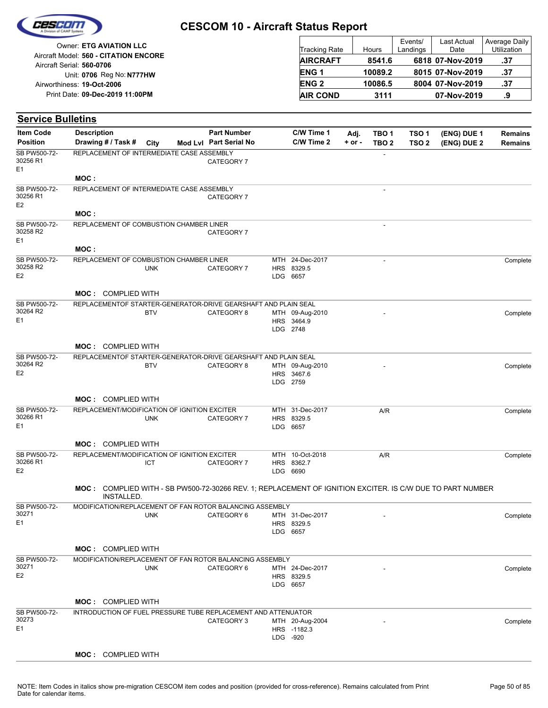

| <b>Owner: ETG AVIATION LLC</b>                                     | <b>Tracking Rate</b> | Hours   | Events/<br>Landings | <b>Last Actual</b><br>Date | Average Daily<br>Utilization |
|--------------------------------------------------------------------|----------------------|---------|---------------------|----------------------------|------------------------------|
| Aircraft Model: 560 - CITATION ENCORE<br>Aircraft Serial: 560-0706 | <b>AIRCRAFT</b>      | 8541.6  |                     | 6818 07-Nov-2019           | .37                          |
| Unit: 0706 Reg No: N777HW                                          | ENG <sub>1</sub>     | 10089.2 |                     | 8015 07-Nov-2019           | .37                          |
| Airworthiness: 19-Oct-2006                                         | <b>ENG 2</b>         | 10086.5 |                     | 8004 07-Nov-2019           | .37                          |
| Print Date: 09-Dec-2019 11:00PM                                    | <b>AIR COND</b>      | 3111    |                     | 07-Nov-2019                | .9                           |

| <b>Item Code</b>                           | <b>Description</b>                                                                                        |            | <b>Part Number</b>     |     | C/W Time 1                            | Adj.       | TBO <sub>1</sub>         | TSO <sub>1</sub> | (ENG) DUE 1 | <b>Remains</b> |
|--------------------------------------------|-----------------------------------------------------------------------------------------------------------|------------|------------------------|-----|---------------------------------------|------------|--------------------------|------------------|-------------|----------------|
| <b>Position</b>                            | Drawing # / Task #                                                                                        | City       | Mod Lvl Part Serial No |     | C/W Time 2                            | $+$ or $-$ | TBO <sub>2</sub>         | TSO <sub>2</sub> | (ENG) DUE 2 | <b>Remains</b> |
| SB PW500-72-<br>30256 R1<br>E <sub>1</sub> | REPLACEMENT OF INTERMEDIATE CASE ASSEMBLY                                                                 |            | CATEGORY 7             |     |                                       |            |                          |                  |             |                |
|                                            | MOC:                                                                                                      |            |                        |     |                                       |            |                          |                  |             |                |
| SB PW500-72-<br>30256 R1<br>E <sub>2</sub> | REPLACEMENT OF INTERMEDIATE CASE ASSEMBLY                                                                 |            | CATEGORY 7             |     |                                       |            |                          |                  |             |                |
|                                            | MOC:                                                                                                      |            |                        |     |                                       |            |                          |                  |             |                |
| SB PW500-72-<br>30258 R2<br>E <sub>1</sub> | REPLACEMENT OF COMBUSTION CHAMBER LINER                                                                   |            | CATEGORY 7             |     |                                       |            | ÷,                       |                  |             |                |
|                                            | MOC:                                                                                                      |            |                        |     |                                       |            |                          |                  |             |                |
| SB PW500-72-<br>30258 R2<br>E <sub>2</sub> | REPLACEMENT OF COMBUSTION CHAMBER LINER                                                                   | <b>UNK</b> | CATEGORY 7             | HRS | MTH 24-Dec-2017<br>8329.5<br>LDG 6657 |            | $\overline{\phantom{a}}$ |                  |             | Complete       |
|                                            | <b>MOC: COMPLIED WITH</b>                                                                                 |            |                        |     |                                       |            |                          |                  |             |                |
| SB PW500-72-                               | REPLACEMENTOF STARTER-GENERATOR-DRIVE GEARSHAFT AND PLAIN SEAL                                            |            |                        |     |                                       |            |                          |                  |             |                |
| 30264 R2                                   |                                                                                                           | <b>BTV</b> | CATEGORY 8             |     | MTH 09-Aug-2010                       |            |                          |                  |             | Complete       |
| E <sub>1</sub>                             |                                                                                                           |            |                        |     | HRS 3464.9<br>LDG 2748                |            |                          |                  |             |                |
|                                            | <b>MOC: COMPLIED WITH</b>                                                                                 |            |                        |     |                                       |            |                          |                  |             |                |
| SB PW500-72-                               | REPLACEMENTOF STARTER-GENERATOR-DRIVE GEARSHAFT AND PLAIN SEAL                                            |            |                        |     |                                       |            |                          |                  |             |                |
| 30264 R2                                   |                                                                                                           | <b>BTV</b> | CATEGORY 8             |     | MTH 09-Aug-2010                       |            |                          |                  |             | Complete       |
| E <sub>2</sub>                             |                                                                                                           |            |                        |     | HRS 3467.6<br>LDG 2759                |            |                          |                  |             |                |
|                                            |                                                                                                           |            |                        |     |                                       |            |                          |                  |             |                |
|                                            | <b>MOC: COMPLIED WITH</b>                                                                                 |            |                        |     |                                       |            |                          |                  |             |                |
| SB PW500-72-<br>30266 R1                   | REPLACEMENT/MODIFICATION OF IGNITION EXCITER                                                              |            |                        |     | MTH 31-Dec-2017                       |            | A/R                      |                  |             | Complete       |
| E <sub>1</sub>                             |                                                                                                           | <b>UNK</b> | CATEGORY 7             | HRS | 8329.5<br>LDG 6657                    |            |                          |                  |             |                |
|                                            |                                                                                                           |            |                        |     |                                       |            |                          |                  |             |                |
|                                            | <b>MOC: COMPLIED WITH</b>                                                                                 |            |                        |     |                                       |            |                          |                  |             |                |
| SB PW500-72-<br>30266 R1                   | REPLACEMENT/MODIFICATION OF IGNITION EXCITER                                                              |            |                        |     | MTH 10-Oct-2018                       |            | A/R                      |                  |             | Complete       |
| E <sub>2</sub>                             |                                                                                                           | ICT        | CATEGORY 7             |     | HRS 8362.7<br>LDG 6690                |            |                          |                  |             |                |
|                                            |                                                                                                           |            |                        |     |                                       |            |                          |                  |             |                |
|                                            | MOC: COMPLIED WITH - SB PW500-72-30266 REV. 1; REPLACEMENT OF IGNITION EXCITER. IS C/W DUE TO PART NUMBER |            |                        |     |                                       |            |                          |                  |             |                |
|                                            | INSTALLED.                                                                                                |            |                        |     |                                       |            |                          |                  |             |                |
| SB PW500-72-<br>30271                      | MODIFICATION/REPLACEMENT OF FAN ROTOR BALANCING ASSEMBLY                                                  | <b>UNK</b> | CATEGORY 6             |     | MTH 31-Dec-2017                       |            |                          |                  |             | Complete       |
| E1                                         |                                                                                                           |            |                        |     | HRS 8329.5                            |            |                          |                  |             |                |
|                                            |                                                                                                           |            |                        |     | LDG 6657                              |            |                          |                  |             |                |
|                                            | <b>MOC: COMPLIED WITH</b>                                                                                 |            |                        |     |                                       |            |                          |                  |             |                |
| SB PW500-72-                               | MODIFICATION/REPLACEMENT OF FAN ROTOR BALANCING ASSEMBLY                                                  |            |                        |     |                                       |            |                          |                  |             |                |
| 30271                                      |                                                                                                           | <b>UNK</b> | CATEGORY 6             |     | MTH 24-Dec-2017                       |            |                          |                  |             | Complete       |
| E <sub>2</sub>                             |                                                                                                           |            |                        |     | HRS 8329.5                            |            |                          |                  |             |                |
|                                            |                                                                                                           |            |                        |     | LDG 6657                              |            |                          |                  |             |                |
|                                            | <b>MOC: COMPLIED WITH</b>                                                                                 |            |                        |     |                                       |            |                          |                  |             |                |
| SB PW500-72-                               | INTRODUCTION OF FUEL PRESSURE TUBE REPLACEMENT AND ATTENUATOR                                             |            |                        |     |                                       |            |                          |                  |             |                |
| 30273                                      |                                                                                                           |            | CATEGORY 3             |     | MTH 20-Aug-2004                       |            |                          |                  |             | Complete       |
| E <sub>1</sub>                             |                                                                                                           |            |                        |     | HRS -1182.3<br>LDG -920               |            |                          |                  |             |                |
|                                            |                                                                                                           |            |                        |     |                                       |            |                          |                  |             |                |
|                                            | MOC: COMPLIED WITH                                                                                        |            |                        |     |                                       |            |                          |                  |             |                |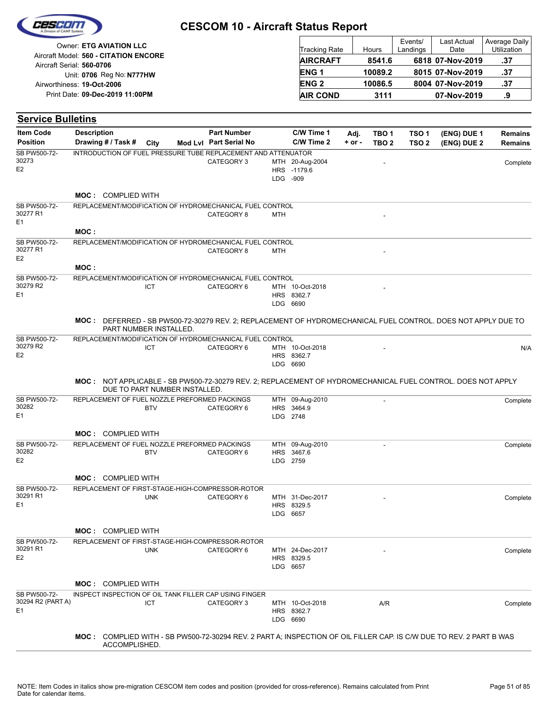| Owner: ETG AVIATION LLC                                            | Tracking Rate    | Hours   | Events/<br>Landings | Last Actual<br>Date | Average Daily<br><b>Utilization</b> |
|--------------------------------------------------------------------|------------------|---------|---------------------|---------------------|-------------------------------------|
| Aircraft Model: 560 - CITATION ENCORE<br>Aircraft Serial: 560-0706 | <b>AIRCRAFT</b>  | 8541.6  |                     | 6818 07-Nov-2019    | .37                                 |
| Unit: 0706 Reg No: N777HW                                          | ENG <sub>1</sub> | 10089.2 |                     | 8015 07-Nov-2019    | .37                                 |
| Airworthiness: 19-Oct-2006                                         | ENG <sub>2</sub> | 10086.5 |                     | 8004 07-Nov-2019    | .37                                 |
| Print Date: 09-Dec-2019 11:00PM                                    | <b>AIR COND</b>  | 3111    |                     | 07-Nov-2019         | .9                                  |
| <b>Service Bulletins</b>                                           |                  |         |                     |                     |                                     |

ł

| <b>Item Code</b>                           | <b>Description</b> |                               |            | <b>Part Number</b>                                                                                                  |     | C/W Time 1                                 | Adj.       | TBO <sub>1</sub> | TSO <sub>1</sub> | (ENG) DUE 1 | <b>Remains</b> |
|--------------------------------------------|--------------------|-------------------------------|------------|---------------------------------------------------------------------------------------------------------------------|-----|--------------------------------------------|------------|------------------|------------------|-------------|----------------|
| <b>Position</b>                            |                    | Drawing # / Task #            | City       | Mod Lvl Part Serial No                                                                                              |     | C/W Time 2                                 | $+$ or $-$ | TBO <sub>2</sub> | TSO <sub>2</sub> | (ENG) DUE 2 | <b>Remains</b> |
| SB PW500-72-<br>30273<br>E <sub>2</sub>    |                    |                               |            | INTRODUCTION OF FUEL PRESSURE TUBE REPLACEMENT AND ATTENUATOR<br>CATEGORY 3                                         |     | MTH 20-Aug-2004<br>HRS -1179.6<br>LDG -909 |            |                  |                  |             | Complete       |
|                                            |                    |                               |            |                                                                                                                     |     |                                            |            |                  |                  |             |                |
|                                            |                    | <b>MOC: COMPLIED WITH</b>     |            |                                                                                                                     |     |                                            |            |                  |                  |             |                |
| SB PW500-72-<br>30277 R1<br>E <sub>1</sub> |                    |                               |            | REPLACEMENT/MODIFICATION OF HYDROMECHANICAL FUEL CONTROL<br>CATEGORY 8                                              | MTH |                                            |            |                  |                  |             |                |
|                                            | MOC:               |                               |            |                                                                                                                     |     |                                            |            |                  |                  |             |                |
| SB PW500-72-<br>30277 R1<br>E <sub>2</sub> |                    |                               |            | REPLACEMENT/MODIFICATION OF HYDROMECHANICAL FUEL CONTROL<br>CATEGORY 8                                              | MTH |                                            |            |                  |                  |             |                |
|                                            | MOC:               |                               |            |                                                                                                                     |     |                                            |            |                  |                  |             |                |
| SB PW500-72-                               |                    |                               |            | REPLACEMENT/MODIFICATION OF HYDROMECHANICAL FUEL CONTROL                                                            |     |                                            |            |                  |                  |             |                |
| 30279 R2<br>E <sub>1</sub>                 |                    |                               | ICT        | CATEGORY 6                                                                                                          |     | MTH 10-Oct-2018<br>HRS 8362.7<br>LDG 6690  |            |                  |                  |             |                |
|                                            |                    | PART NUMBER INSTALLED.        |            | MOC: DEFERRED - SB PW500-72-30279 REV. 2; REPLACEMENT OF HYDROMECHANICAL FUEL CONTROL. DOES NOT APPLY DUE TO        |     |                                            |            |                  |                  |             |                |
| SB PW500-72-                               |                    |                               |            | REPLACEMENT/MODIFICATION OF HYDROMECHANICAL FUEL CONTROL                                                            |     |                                            |            |                  |                  |             |                |
| 30279 R2<br>E <sub>2</sub>                 |                    |                               | ICT        | CATEGORY 6                                                                                                          |     | MTH 10-Oct-2018<br>HRS 8362.7<br>LDG 6690  |            |                  |                  |             | N/A            |
|                                            |                    | DUE TO PART NUMBER INSTALLED. |            | MOC: NOT APPLICABLE - SB PW500-72-30279 REV. 2; REPLACEMENT OF HYDROMECHANICAL FUEL CONTROL. DOES NOT APPLY         |     |                                            |            |                  |                  |             |                |
| SB PW500-72-<br>30282<br>E <sub>1</sub>    |                    |                               | <b>BTV</b> | REPLACEMENT OF FUEL NOZZLE PREFORMED PACKINGS<br>CATEGORY 6                                                         |     | MTH 09-Aug-2010<br>HRS 3464.9<br>LDG 2748  |            |                  |                  |             | Complete       |
|                                            |                    | <b>MOC: COMPLIED WITH</b>     |            |                                                                                                                     |     |                                            |            |                  |                  |             |                |
| SB PW500-72-<br>30282<br>E <sub>2</sub>    |                    |                               | <b>BTV</b> | REPLACEMENT OF FUEL NOZZLE PREFORMED PACKINGS<br>CATEGORY 6                                                         |     | MTH 09-Aug-2010<br>HRS 3467.6<br>LDG 2759  |            | $\overline{a}$   |                  |             | Complete       |
|                                            |                    | <b>MOC: COMPLIED WITH</b>     |            |                                                                                                                     |     |                                            |            |                  |                  |             |                |
| SB PW500-72-                               |                    |                               |            | REPLACEMENT OF FIRST-STAGE-HIGH-COMPRESSOR-ROTOR                                                                    |     |                                            |            |                  |                  |             |                |
| 30291 R1<br>E <sub>1</sub>                 |                    |                               | <b>UNK</b> | CATEGORY 6                                                                                                          |     | MTH 31-Dec-2017<br>HRS 8329.5<br>LDG 6657  |            |                  |                  |             | Complete       |
|                                            |                    | <b>MOC: COMPLIED WITH</b>     |            |                                                                                                                     |     |                                            |            |                  |                  |             |                |
| SB PW500-72-<br>30291 R1<br>E <sub>2</sub> |                    |                               | <b>UNK</b> | REPLACEMENT OF FIRST-STAGE-HIGH-COMPRESSOR-ROTOR<br>CATEGORY 6                                                      |     | MTH 24-Dec-2017<br>HRS 8329.5<br>LDG 6657  |            |                  |                  |             | Complete       |
|                                            |                    | <b>MOC: COMPLIED WITH</b>     |            |                                                                                                                     |     |                                            |            |                  |                  |             |                |
| SB PW500-72-                               |                    |                               |            | INSPECT INSPECTION OF OIL TANK FILLER CAP USING FINGER                                                              |     |                                            |            |                  |                  |             |                |
| 30294 R2 (PART A)<br>E <sub>1</sub>        |                    |                               | ICT        | CATEGORY 3                                                                                                          |     | MTH 10-Oct-2018<br>HRS 8362.7<br>LDG 6690  |            | A/R              |                  |             | Complete       |
|                                            |                    | ACCOMPLISHED.                 |            | MOC: COMPLIED WITH - SB PW500-72-30294 REV. 2 PART A; INSPECTION OF OIL FILLER CAP. IS C/W DUE TO REV. 2 PART B WAS |     |                                            |            |                  |                  |             |                |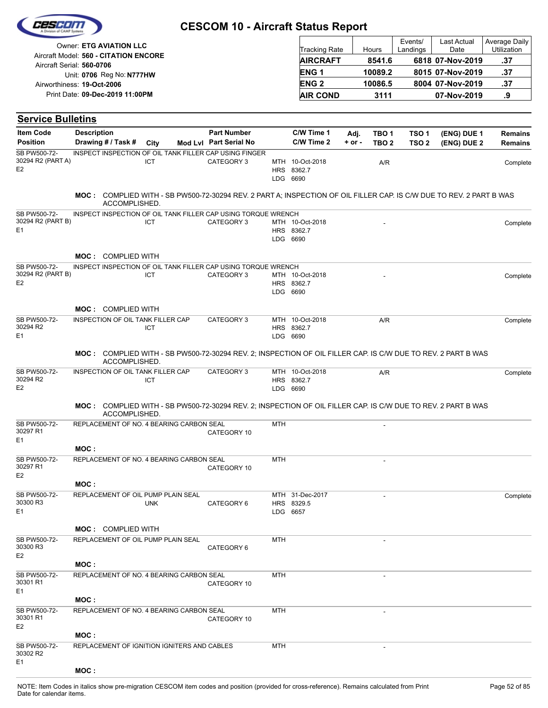|                                            | Owner: ETG AVIATION LLC                                       |                                                                                                                     |                                              |                   | <b>Tracking Rate</b>                      |                    | Hours   |                           | Events/<br>Landings                  | Last Actual<br>Date        | Average Daily<br>Utilization     |
|--------------------------------------------|---------------------------------------------------------------|---------------------------------------------------------------------------------------------------------------------|----------------------------------------------|-------------------|-------------------------------------------|--------------------|---------|---------------------------|--------------------------------------|----------------------------|----------------------------------|
|                                            | Aircraft Model: 560 - CITATION ENCORE                         |                                                                                                                     |                                              |                   | <b>AIRCRAFT</b>                           |                    |         | 8541.6                    |                                      | 6818 07-Nov-2019           | .37                              |
|                                            | Aircraft Serial: 560-0706                                     |                                                                                                                     |                                              |                   | ENG <sub>1</sub>                          |                    |         | 10089.2                   |                                      | 8015 07-Nov-2019           | .37                              |
|                                            | Unit: 0706 Reg No: N777HW                                     |                                                                                                                     |                                              |                   | <b>ENG2</b>                               |                    | 10086.5 |                           |                                      | 8004 07-Nov-2019           |                                  |
|                                            | Airworthiness: 19-Oct-2006<br>Print Date: 09-Dec-2019 11:00PM |                                                                                                                     |                                              |                   |                                           |                    |         |                           |                                      |                            | .37                              |
|                                            |                                                               |                                                                                                                     |                                              |                   | <b>AIR COND</b>                           |                    |         | 3111                      |                                      | 07-Nov-2019                | .9                               |
| <b>Service Bulletins</b>                   |                                                               |                                                                                                                     |                                              |                   |                                           |                    |         |                           |                                      |                            |                                  |
| <b>Item Code</b><br><b>Position</b>        | <b>Description</b><br>Drawing # / Task #                      | City                                                                                                                | <b>Part Number</b><br>Mod Lvl Part Serial No |                   | C/W Time 1<br>C/W Time 2                  | Adj.<br>$+$ or $-$ |         | TBO 1<br>TBO <sub>2</sub> | TSO <sub>1</sub><br>TSO <sub>2</sub> | (ENG) DUE 1<br>(ENG) DUE 2 | <b>Remains</b><br><b>Remains</b> |
| SB PW500-72-                               | INSPECT INSPECTION OF OIL TANK FILLER CAP USING FINGER        |                                                                                                                     |                                              |                   |                                           |                    |         |                           |                                      |                            |                                  |
| 30294 R2 (PART A)<br>E <sub>2</sub>        |                                                               | ICT                                                                                                                 | CATEGORY 3                                   | <b>HRS</b><br>LDG | MTH 10-Oct-2018<br>8362.7<br>6690         |                    |         | A/R                       |                                      |                            | Complete                         |
|                                            | ACCOMPLISHED.                                                 | MOC: COMPLIED WITH - SB PW500-72-30294 REV. 2 PART A; INSPECTION OF OIL FILLER CAP. IS C/W DUE TO REV. 2 PART B WAS |                                              |                   |                                           |                    |         |                           |                                      |                            |                                  |
| SB PW500-72-<br>30294 R2 (PART B)          | INSPECT INSPECTION OF OIL TANK FILLER CAP USING TORQUE WRENCH |                                                                                                                     |                                              |                   |                                           |                    |         |                           |                                      |                            |                                  |
| E <sub>1</sub>                             |                                                               | ICT                                                                                                                 | CATEGORY 3                                   |                   | MTH 10-Oct-2018<br>HRS 8362.7<br>LDG 6690 |                    |         |                           |                                      |                            | Complete                         |
|                                            | <b>MOC: COMPLIED WITH</b>                                     |                                                                                                                     |                                              |                   |                                           |                    |         |                           |                                      |                            |                                  |
| SB PW500-72-<br>30294 R2 (PART B)          | INSPECT INSPECTION OF OIL TANK FILLER CAP USING TORQUE WRENCH | ICT                                                                                                                 | CATEGORY 3                                   |                   | MTH 10-Oct-2018                           |                    |         |                           |                                      |                            |                                  |
| E <sub>2</sub>                             |                                                               |                                                                                                                     |                                              |                   | HRS 8362.7<br>LDG 6690                    |                    |         |                           |                                      |                            | Complete                         |
|                                            | <b>MOC: COMPLIED WITH</b>                                     |                                                                                                                     |                                              |                   |                                           |                    |         |                           |                                      |                            |                                  |
| SB PW500-72-                               | INSPECTION OF OIL TANK FILLER CAP                             |                                                                                                                     | CATEGORY 3                                   | MTH               | 10-Oct-2018                               |                    |         | A/R                       |                                      |                            | Complete                         |
| 30294 R2<br>E <sub>1</sub>                 |                                                               | ICT                                                                                                                 |                                              | <b>HRS</b>        | 8362.7<br>LDG 6690                        |                    |         |                           |                                      |                            |                                  |
|                                            | MOC :<br>ACCOMPLISHED.                                        | COMPLIED WITH - SB PW500-72-30294 REV. 2; INSPECTION OF OIL FILLER CAP. IS C/W DUE TO REV. 2 PART B WAS             |                                              |                   |                                           |                    |         |                           |                                      |                            |                                  |
| SB PW500-72-<br>30294 R2<br>E <sub>2</sub> | INSPECTION OF OIL TANK FILLER CAP                             | ICT                                                                                                                 | CATEGORY 3                                   |                   | MTH 10-Oct-2018<br>HRS 8362.7<br>LDG 6690 |                    |         | A/R                       |                                      |                            | Complete                         |
|                                            | ACCOMPLISHED.                                                 | MOC: COMPLIED WITH - SB PW500-72-30294 REV. 2; INSPECTION OF OIL FILLER CAP. IS C/W DUE TO REV. 2 PART B WAS        |                                              |                   |                                           |                    |         |                           |                                      |                            |                                  |
| SB PW500-72-<br>30297 R1<br>E <sub>1</sub> | REPLACEMENT OF NO. 4 BEARING CARBON SEAL                      |                                                                                                                     | CATEGORY 10                                  | <b>MTH</b>        |                                           |                    |         | ٠                         |                                      |                            |                                  |
|                                            | MOC:                                                          |                                                                                                                     |                                              |                   |                                           |                    |         |                           |                                      |                            |                                  |
| SB PW500-72-<br>30297 R1<br>E <sub>2</sub> | REPLACEMENT OF NO. 4 BEARING CARBON SEAL                      |                                                                                                                     | CATEGORY 10                                  | MTH               |                                           |                    |         |                           |                                      |                            |                                  |
|                                            | MOC:                                                          |                                                                                                                     |                                              |                   |                                           |                    |         |                           |                                      |                            |                                  |
| SB PW500-72-<br>30300 R3<br>E <sub>1</sub> | REPLACEMENT OF OIL PUMP PLAIN SEAL                            | <b>UNK</b>                                                                                                          | CATEGORY 6                                   |                   | MTH 31-Dec-2017<br>HRS 8329.5<br>LDG 6657 |                    |         |                           |                                      |                            | Complete                         |
|                                            | <b>MOC: COMPLIED WITH</b>                                     |                                                                                                                     |                                              |                   |                                           |                    |         |                           |                                      |                            |                                  |
| SB PW500-72-<br>30300 R3<br>E <sub>2</sub> | REPLACEMENT OF OIL PUMP PLAIN SEAL                            |                                                                                                                     | CATEGORY 6                                   | MTH               |                                           |                    |         |                           |                                      |                            |                                  |
|                                            | MOC:                                                          |                                                                                                                     |                                              |                   |                                           |                    |         |                           |                                      |                            |                                  |
| SB PW500-72-<br>30301 R1                   | REPLACEMENT OF NO. 4 BEARING CARBON SEAL                      |                                                                                                                     | CATEGORY 10                                  | MTH               |                                           |                    |         |                           |                                      |                            |                                  |
| E <sub>1</sub>                             | MOC:                                                          |                                                                                                                     |                                              |                   |                                           |                    |         |                           |                                      |                            |                                  |
| SB PW500-72-<br>30301 R1<br>E <sub>2</sub> | REPLACEMENT OF NO. 4 BEARING CARBON SEAL                      |                                                                                                                     | CATEGORY 10                                  | MTH               |                                           |                    |         |                           |                                      |                            |                                  |
|                                            | MOC :                                                         |                                                                                                                     |                                              |                   |                                           |                    |         |                           |                                      |                            |                                  |
| SB PW500-72-<br>30302 R2<br>E <sub>1</sub> | REPLACEMENT OF IGNITION IGNITERS AND CABLES                   |                                                                                                                     |                                              | MTH               |                                           |                    |         |                           |                                      |                            |                                  |
|                                            | MOC:                                                          |                                                                                                                     |                                              |                   |                                           |                    |         |                           |                                      |                            |                                  |

**CESCOM**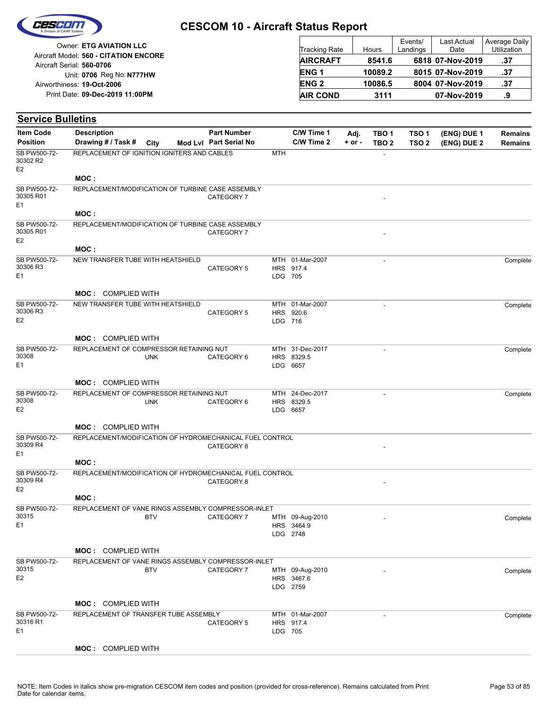

| Owner: ETG AVIATION LLC                                            | <b>Tracking Rate</b> | Hours   | Events/<br>Landings | Last Actual<br>Date | Average Daily<br><b>Utilization</b> |
|--------------------------------------------------------------------|----------------------|---------|---------------------|---------------------|-------------------------------------|
| Aircraft Model: 560 - CITATION ENCORE<br>Aircraft Serial: 560-0706 | <b>AIRCRAFT</b>      | 8541.6  |                     | 6818 07-Nov-2019    | .37                                 |
| Unit: 0706 Reg No: N777HW                                          | <b>ENG1</b>          | 10089.2 |                     | 8015 07-Nov-2019    | .37                                 |
| Airworthiness: 19-Oct-2006                                         | <b>ENG 2</b>         | 10086.5 |                     | 8004 07-Nov-2019    | .37                                 |
| Print Date: 09-Dec-2019 11:00PM                                    | <b>AIR COND</b>      | 3111    |                     | 07-Nov-2019         | .9                                  |

| <b>Item Code</b>                            | <b>Description</b>                                                               |            | <b>Part Number</b>     |         | C/W Time 1                    | Adj.       | TBO <sub>1</sub>         | TSO <sub>1</sub> | (ENG) DUE 1 | <b>Remains</b> |
|---------------------------------------------|----------------------------------------------------------------------------------|------------|------------------------|---------|-------------------------------|------------|--------------------------|------------------|-------------|----------------|
| <b>Position</b>                             | Drawing # / Task #                                                               | City       | Mod Lvl Part Serial No |         | C/W Time 2                    | $+$ or $-$ | TBO <sub>2</sub>         | TSO <sub>2</sub> | (ENG) DUE 2 | <b>Remains</b> |
| SB PW500-72-<br>30302 R2<br>E <sub>2</sub>  | REPLACEMENT OF IGNITION IGNITERS AND CABLES                                      |            |                        | MTH     |                               |            |                          |                  |             |                |
|                                             | MOC:                                                                             |            |                        |         |                               |            |                          |                  |             |                |
| SB PW500-72-<br>30305 R01<br>E <sub>1</sub> | REPLACEMENT/MODIFICATION OF TURBINE CASE ASSEMBLY                                |            | CATEGORY 7             |         |                               |            |                          |                  |             |                |
|                                             | MOC:                                                                             |            |                        |         |                               |            |                          |                  |             |                |
| SB PW500-72-<br>30305 R01<br>E <sub>2</sub> | REPLACEMENT/MODIFICATION OF TURBINE CASE ASSEMBLY                                |            | CATEGORY 7             |         |                               |            |                          |                  |             |                |
|                                             | MOC:                                                                             |            |                        |         |                               |            |                          |                  |             |                |
| SB PW500-72-<br>30306 R3<br>E <sub>1</sub>  | NEW TRANSFER TUBE WITH HEATSHIELD                                                |            | CATEGORY 5             | LDG 705 | MTH 01-Mar-2007<br>HRS 917.4  |            | $\overline{\phantom{a}}$ |                  |             | Complete       |
|                                             | <b>MOC: COMPLIED WITH</b>                                                        |            |                        |         |                               |            |                          |                  |             |                |
| SB PW500-72-                                | NEW TRANSFER TUBE WITH HEATSHIELD                                                |            |                        |         | MTH 01-Mar-2007               |            | $\overline{a}$           |                  |             | Complete       |
| 30306 R3                                    |                                                                                  |            | <b>CATEGORY 5</b>      |         | HRS 920.6                     |            |                          |                  |             |                |
| E <sub>2</sub>                              |                                                                                  |            |                        | LDG 716 |                               |            |                          |                  |             |                |
|                                             | <b>MOC: COMPLIED WITH</b>                                                        |            |                        |         |                               |            |                          |                  |             |                |
| SB PW500-72-                                | REPLACEMENT OF COMPRESSOR RETAINING NUT                                          |            |                        |         | MTH 31-Dec-2017               |            |                          |                  |             | Complete       |
| 30308                                       |                                                                                  | <b>UNK</b> | CATEGORY 6             |         | HRS 8329.5                    |            |                          |                  |             |                |
| E <sub>1</sub>                              |                                                                                  |            |                        |         | LDG 6657                      |            |                          |                  |             |                |
|                                             | <b>MOC: COMPLIED WITH</b>                                                        |            |                        |         |                               |            |                          |                  |             |                |
| SB PW500-72-                                | REPLACEMENT OF COMPRESSOR RETAINING NUT                                          |            |                        |         | MTH 24-Dec-2017               |            |                          |                  |             | Complete       |
| 30308<br>E <sub>2</sub>                     |                                                                                  | <b>UNK</b> | CATEGORY 6             |         | HRS 8329.5<br>LDG 6657        |            |                          |                  |             |                |
|                                             |                                                                                  |            |                        |         |                               |            |                          |                  |             |                |
|                                             | <b>MOC: COMPLIED WITH</b>                                                        |            |                        |         |                               |            |                          |                  |             |                |
| SB PW500-72-<br>30309 R4<br>E1              | REPLACEMENT/MODIFICATION OF HYDROMECHANICAL FUEL CONTROL                         |            | CATEGORY 8             |         |                               |            |                          |                  |             |                |
|                                             | MOC :                                                                            |            |                        |         |                               |            |                          |                  |             |                |
| SB PW500-72-                                | REPLACEMENT/MODIFICATION OF HYDROMECHANICAL FUEL CONTROL                         |            |                        |         |                               |            |                          |                  |             |                |
| 30309 R4<br>E <sub>2</sub>                  |                                                                                  |            | CATEGORY 8             |         |                               |            |                          |                  |             |                |
|                                             | MOC:                                                                             |            |                        |         |                               |            |                          |                  |             |                |
| SB PW500-72-                                | REPLACEMENT OF VANE RINGS ASSEMBLY COMPRESSOR-INLET                              |            |                        |         |                               |            |                          |                  |             |                |
| 30315<br>E1                                 |                                                                                  | <b>BTV</b> | CATEGORY 7             |         | MTH 09-Aug-2010<br>HRS 3464.9 |            |                          |                  |             | Complete       |
|                                             |                                                                                  |            |                        |         | LDG 2748                      |            |                          |                  |             |                |
|                                             |                                                                                  |            |                        |         |                               |            |                          |                  |             |                |
| SB PW500-72-                                | <b>MOC: COMPLIED WITH</b><br>REPLACEMENT OF VANE RINGS ASSEMBLY COMPRESSOR-INLET |            |                        |         |                               |            |                          |                  |             |                |
| 30315                                       |                                                                                  | <b>BTV</b> | CATEGORY 7             |         | MTH 09-Aug-2010               |            |                          |                  |             | Complete       |
| E <sub>2</sub>                              |                                                                                  |            |                        |         | HRS 3467.6<br>LDG 2759        |            |                          |                  |             |                |
|                                             | <b>MOC: COMPLIED WITH</b>                                                        |            |                        |         |                               |            |                          |                  |             |                |
| SB PW500-72-                                | REPLACEMENT OF TRANSFER TUBE ASSEMBLY                                            |            |                        |         | MTH 01-Mar-2007               |            | $\overline{\phantom{a}}$ |                  |             | Complete       |
| 30316 R1                                    |                                                                                  |            | CATEGORY 5             |         | HRS 917.4                     |            |                          |                  |             |                |
| E <sub>1</sub>                              |                                                                                  |            |                        | LDG 705 |                               |            |                          |                  |             |                |
|                                             | MOC: COMPLIED WITH                                                               |            |                        |         |                               |            |                          |                  |             |                |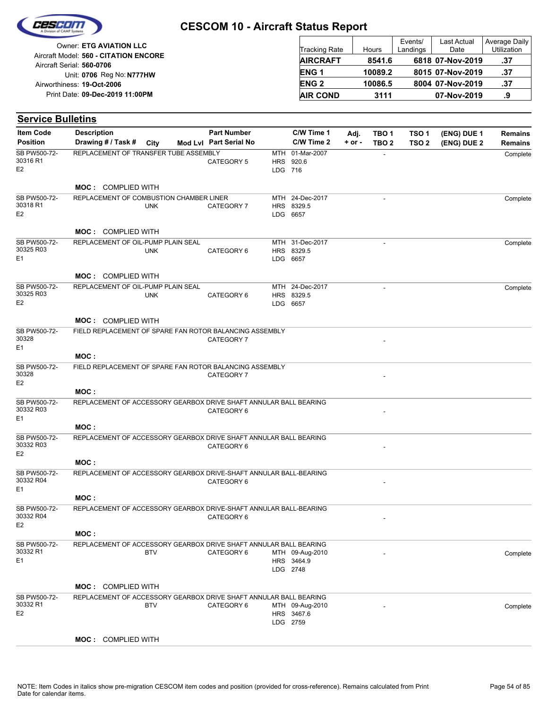

| <b>Owner: ETG AVIATION LLC</b>                                     | <b>Tracking Rate</b> | Hours   | Events/<br>Landings | Last Actual<br>Date | Average Daily<br><b>Utilization</b> |
|--------------------------------------------------------------------|----------------------|---------|---------------------|---------------------|-------------------------------------|
| Aircraft Model: 560 - CITATION ENCORE<br>Aircraft Serial: 560-0706 | <b>AIRCRAFT</b>      | 8541.6  |                     | 6818 07-Nov-2019    | .37                                 |
| Unit: 0706 Reg No: N777HW                                          | ENG <sub>1</sub>     | 10089.2 |                     | 8015 07-Nov-2019    | .37                                 |
| Airworthiness: 19-Oct-2006                                         | <b>ENG 2</b>         | 10086.5 |                     | 8004 07-Nov-2019    | - 37                                |
| Print Date: 09-Dec-2019 11:00PM                                    | <b>AIR COND</b>      | 3111    |                     | 07-Nov-2019         | .9                                  |

| <b>Item Code</b>                            | <b>Description</b>                                                        |            | <b>Part Number</b>     |         | C/W Time 1                                | Adj.       | TBO <sub>1</sub> | TSO <sub>1</sub> | (ENG) DUE 1 | Remains        |
|---------------------------------------------|---------------------------------------------------------------------------|------------|------------------------|---------|-------------------------------------------|------------|------------------|------------------|-------------|----------------|
| <b>Position</b>                             | Drawing # / Task # City                                                   |            | Mod Lvl Part Serial No |         | C/W Time 2                                | $+$ or $-$ | TBO <sub>2</sub> | TSO <sub>2</sub> | (ENG) DUE 2 | <b>Remains</b> |
| SB PW500-72-<br>30316 R1<br>E <sub>2</sub>  | REPLACEMENT OF TRANSFER TUBE ASSEMBLY                                     |            | CATEGORY 5             | LDG 716 | MTH 01-Mar-2007<br>HRS 920.6              |            |                  |                  |             | Complete       |
|                                             | <b>MOC: COMPLIED WITH</b>                                                 |            |                        |         |                                           |            |                  |                  |             |                |
| SB PW500-72-<br>30318 R1<br>E <sub>2</sub>  | REPLACEMENT OF COMBUSTION CHAMBER LINER                                   | <b>UNK</b> | CATEGORY 7             |         | MTH 24-Dec-2017<br>HRS 8329.5<br>LDG 6657 |            |                  |                  |             | Complete       |
|                                             | <b>MOC: COMPLIED WITH</b>                                                 |            |                        |         |                                           |            |                  |                  |             |                |
| SB PW500-72-<br>30325 R03<br>E <sub>1</sub> | REPLACEMENT OF OIL-PUMP PLAIN SEAL                                        | <b>UNK</b> | CATEGORY 6             |         | MTH 31-Dec-2017<br>HRS 8329.5<br>LDG 6657 |            |                  |                  |             | Complete       |
|                                             | <b>MOC: COMPLIED WITH</b>                                                 |            |                        |         |                                           |            |                  |                  |             |                |
| SB PW500-72-<br>30325 R03<br>E <sub>2</sub> | REPLACEMENT OF OIL-PUMP PLAIN SEAL                                        | <b>UNK</b> | CATEGORY 6             |         | MTH 24-Dec-2017<br>HRS 8329.5<br>LDG 6657 |            |                  |                  |             | Complete       |
|                                             | <b>MOC: COMPLIED WITH</b>                                                 |            |                        |         |                                           |            |                  |                  |             |                |
| SB PW500-72-<br>30328<br>E1                 | FIELD REPLACEMENT OF SPARE FAN ROTOR BALANCING ASSEMBLY                   |            | CATEGORY 7             |         |                                           |            |                  |                  |             |                |
|                                             | MOC:                                                                      |            |                        |         |                                           |            |                  |                  |             |                |
| SB PW500-72-<br>30328<br>E <sub>2</sub>     | FIELD REPLACEMENT OF SPARE FAN ROTOR BALANCING ASSEMBLY                   |            | CATEGORY 7             |         |                                           |            |                  |                  |             |                |
|                                             | MOC:                                                                      |            |                        |         |                                           |            |                  |                  |             |                |
| SB PW500-72-<br>30332 R03<br>E <sub>1</sub> | REPLACEMENT OF ACCESSORY GEARBOX DRIVE SHAFT ANNULAR BALL BEARING         |            | CATEGORY 6             |         |                                           |            |                  |                  |             |                |
|                                             | MOC:                                                                      |            |                        |         |                                           |            |                  |                  |             |                |
| SB PW500-72-<br>30332 R03<br>E <sub>2</sub> | REPLACEMENT OF ACCESSORY GEARBOX DRIVE SHAFT ANNULAR BALL BEARING         |            | CATEGORY 6             |         |                                           |            |                  |                  |             |                |
| SB PW500-72-                                | MOC:<br>REPLACEMENT OF ACCESSORY GEARBOX DRIVE-SHAFT ANNULAR BALL-BEARING |            |                        |         |                                           |            |                  |                  |             |                |
| 30332 R04<br>E <sub>1</sub>                 |                                                                           |            | CATEGORY 6             |         |                                           |            |                  |                  |             |                |
|                                             | MOC:                                                                      |            |                        |         |                                           |            |                  |                  |             |                |
| SB PW500-72-<br>30332 R04<br>E <sub>2</sub> | REPLACEMENT OF ACCESSORY GEARBOX DRIVE-SHAFT ANNULAR BALL-BEARING         |            | CATEGORY 6             |         |                                           |            |                  |                  |             |                |
|                                             | MOC:                                                                      |            |                        |         |                                           |            |                  |                  |             |                |
| SB PW500-72-<br>30332 R1<br>E <sub>1</sub>  | REPLACEMENT OF ACCESSORY GEARBOX DRIVE SHAFT ANNULAR BALL BEARING         | <b>BTV</b> | CATEGORY 6             |         | MTH 09-Aug-2010<br>HRS 3464.9<br>LDG 2748 |            |                  |                  |             | Complete       |
|                                             | <b>MOC: COMPLIED WITH</b>                                                 |            |                        |         |                                           |            |                  |                  |             |                |
| SB PW500-72-                                | REPLACEMENT OF ACCESSORY GEARBOX DRIVE SHAFT ANNULAR BALL BEARING         |            |                        |         |                                           |            |                  |                  |             |                |
| 30332 R1<br>E <sub>2</sub>                  |                                                                           | <b>BTV</b> | CATEGORY 6             |         | MTH 09-Aug-2010<br>HRS 3467.6<br>LDG 2759 |            |                  |                  |             | Complete       |
|                                             | <b>MOC: COMPLIED WITH</b>                                                 |            |                        |         |                                           |            |                  |                  |             |                |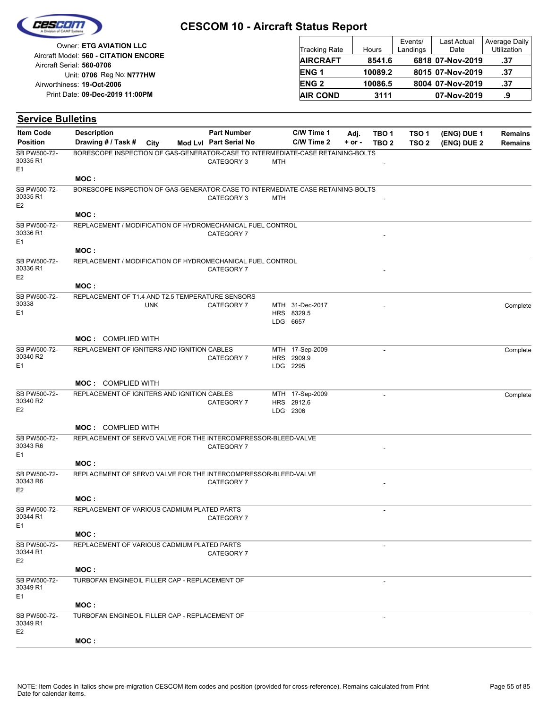

|                                       |                        |         | Events/  | Last Actual      | Average Daily      |
|---------------------------------------|------------------------|---------|----------|------------------|--------------------|
| Owner: ETG AVIATION LLC               | <b>Tracking Rate</b>   | Hours   | Landings | Date             | <b>Utilization</b> |
| Aircraft Model: 560 - CITATION ENCORE | <b>AIRCRAFT</b>        | 8541.6  |          | 6818 07-Nov-2019 | .37                |
| Aircraft Serial: 560-0706             |                        |         |          |                  |                    |
| Unit: 0706 Reg No: N777HW             | ENG <sub>1</sub>       | 10089.2 |          | 8015 07-Nov-2019 | .37                |
| Airworthiness: 19-Oct-2006            | <b>ENG<sub>2</sub></b> | 10086.5 |          | 8004 07-Nov-2019 | .37                |
| Print Date: 09-Dec-2019 11:00PM       | <b>AIR COND</b>        | 3111    |          | 07-Nov-2019      | .9                 |

#### **(ENG) DUE 2 (ENG) DUE 1 Service Bulletins** City **Mod Lvl Part Serial No Part Number C/W Time 1 C/W Time 2 + or - Adj. TBO 1 TBO 2 TSO 2 TSO 1 Remains** Description Part Number C/W Time 1 Adj. TBO 1 TSO 1 (ENG) DUE 1 Remains **Position Drawing # / Task # Item Code** CATEGORY 3 MTH E1 SB PW500-72- 30335 R1 BORESCOPE INSPECTION OF GAS-GENERATOR-CASE TO INTERMEDIATE-CASE RETAINING-BOLTS **MOC :** CATEGORY 3 MTH E2 SB PW500-72- 30335 R1 BORESCOPE INSPECTION OF GAS-GENERATOR-CASE TO INTERMEDIATE-CASE RETAINING-BOLTS **MOC :** CATEGORY 7 E1 SB PW500-72- 30336 R1 REPLACEMENT / MODIFICATION OF HYDROMECHANICAL FUEL CONTROL **MOC :** CATEGORY 7 E2 SB PW500-72- 30336 R1 REPLACEMENT / MODIFICATION OF HYDROMECHANICAL FUEL CONTROL **MOC :** LDG HRS 8329.5 CATEGORY 7 MTH 31-Dec-2017 - COMPLETE COMPLETE 6657  $F<sub>1</sub>$ SB PW500-72- 30338 UNK REPLACEMENT OF T1.4 AND T2.5 TEMPERATURE SENSORS **MOC :** COMPLIED WITH LDG 2295 HRS 2909.9 MTH 17-Sep-2009 - CATEGORY 7 Complete E1 SB PW500-72- 30340 R2 REPLACEMENT OF IGNITERS AND IGNITION CABLES **MOC :** COMPLIED WITH LDG 2306 HRS 2912.6 MTH 17-Sep-2009 - CATEGORY 7 Complete E2 SB PW500-72- 30340 R2 REPLACEMENT OF IGNITERS AND IGNITION CABLES **MOC :** COMPLIED WITH CATEGORY 7  $F<sub>1</sub>$ SB PW500-72- 30343 R6 REPLACEMENT OF SERVO VALVE FOR THE INTERCOMPRESSOR-BLEED-VALVE **MOC :** CATEGORY 7 E2 SB PW500-72- 30343 R6 REPLACEMENT OF SERVO VALVE FOR THE INTERCOMPRESSOR-BLEED-VALVE **MOC :** - CATEGORY 7  $F<sub>1</sub>$ SB PW500-72- 30344 R1 REPLACEMENT OF VARIOUS CADMIUM PLATED PARTS **MOC :** - CATEGORY 7 E2 SB PW500-72- 30344 R1 REPLACEMENT OF VARIOUS CADMIUM PLATED PARTS **MOC :** - E1 SB PW500-72- 30349 R1 TURBOFAN ENGINEOIL FILLER CAP - REPLACEMENT OF **MOC :** - E2 SB PW500-72- 30349 R1 TURBOFAN ENGINEOIL FILLER CAP - REPLACEMENT OF **MOC :**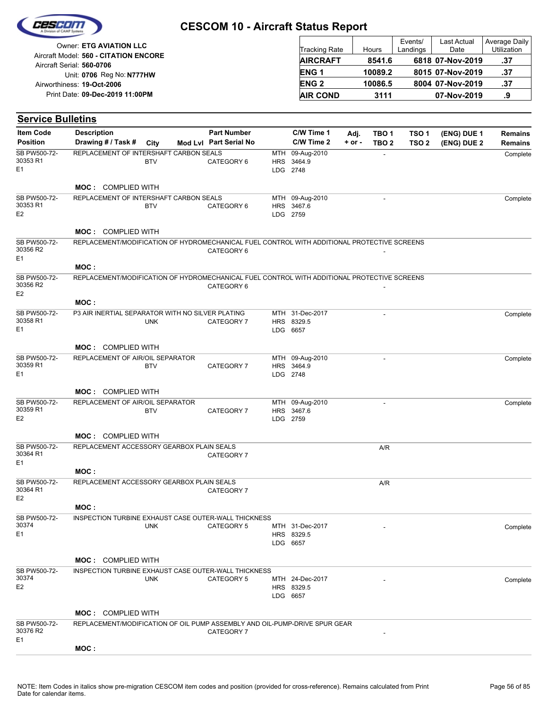| Ceseini |  |
|---------|--|
|         |  |
|         |  |

| Owner: ETG AVIATION LLC                                            | <b>Tracking Rate</b> | Hours   | Events/<br>Landings | Last Actual<br>Date | Average Daily<br><b>Utilization</b> |
|--------------------------------------------------------------------|----------------------|---------|---------------------|---------------------|-------------------------------------|
| Aircraft Model: 560 - CITATION ENCORE<br>Aircraft Serial: 560-0706 | <b>AIRCRAFT</b>      | 8541.6  |                     | 6818 07-Nov-2019    | .37                                 |
| Unit: 0706 Reg No: N777HW                                          | ENG <sub>1</sub>     | 10089.2 |                     | 8015 07-Nov-2019    | .37                                 |
| Airworthiness: 19-Oct-2006                                         | <b>ENG 2</b>         | 10086.5 |                     | 8004 07-Nov-2019    | .37                                 |
| Print Date: 09-Dec-2019 11:00PM                                    | <b>AIR COND</b>      | 3111    |                     | 07-Nov-2019         | .9                                  |

#### **(ENG) DUE 2 (ENG) DUE 1 Service Bulletins** City **Mod Lvl Part Serial No Part Number C/W Time 1 C/W Time 2 + or - Adj. TBO 1 TBO 2 TSO 2 TSO 1 Remains** Description Part Number C/W Time 1 Adj. TBO 1 TSO 1 (ENG) DUE 1 Remains **Position Drawing # / Task # Item Code** LDG HRS 3464.9 MTH 2748 09-Aug-2010 CATEGORY 6 **Complete** E1 SB PW500-72- 30353 R1 BTV REPLACEMENT OF INTERSHAFT CARBON SEALS **MOC :** COMPLIED WITH LDG 2759 HRS MTH 3467.6 09-Aug-2010 -CATEGORY 6 **Complete** E2 SB PW500-72- 30353 R1 BTV REPLACEMENT OF INTERSHAFT CARBON SEALS **MOC :** COMPLIED WITH CATEGORY 6  $F<sub>1</sub>$ SB PW500-72- 30356 R2 REPLACEMENT/MODIFICATION OF HYDROMECHANICAL FUEL CONTROL WITH ADDITIONAL PROTECTIVE SCREENS **MOC :** CATEGORY 6 E2 SB PW500-72- 30356 R2 REPLACEMENT/MODIFICATION OF HYDROMECHANICAL FUEL CONTROL WITH ADDITIONAL PROTECTIVE SCREENS **MOC :** LDG 6657 HRS 8329.5 MTH 31-Dec-2017 - CATEGORY 7 Complete  $F<sub>1</sub>$ SB PW500-72- 30358 R1 UNK P3 AIR INERTIAL SEPARATOR WITH NO SILVER PLATING **MOC :** COMPLIED WITH LDG 2748 HRS 3464.9 MTH 09-Aug-2010 - CATEGORY 7 Complete E1 SB PW500-72- 30359 R1 BTV REPLACEMENT OF AIR/OIL SEPARATOR **MOC :** COMPLIED WITH LDG 2759 HRS MTH 09-Aug-2010 - 3467.6 CATEGORY 7 Complete E2 SB PW500-72- 30359 R1 BTV REPLACEMENT OF AIR/OIL SEPARATOR **MOC :** COMPLIED WITH A/R CATEGORY 7 E1 SB PW500-72- 30364 R1 REPLACEMENT ACCESSORY GEARBOX PLAIN SEALS **MOC :** A/R CATEGORY 7 E2 SB PW500-72- 30364 R1 REPLACEMENT ACCESSORY GEARBOX PLAIN SEALS **MOC :** LDG HRS 8329.5 CATEGORY 5 MTH 31-Dec-2017 - The complete complete complete 6657 E1 SB PW500-72- 30374 UNK INSPECTION TURBINE EXHAUST CASE OUTER-WALL THICKNESS **MOC :** COMPLIED WITH LDG 6657 HRS 8329.5 CATEGORY 5 MTH 24-Dec-2017 - The complete complete complete E2 SB PW500-72-<br>30374 30374 UNK INSPECTION TURBINE EXHAUST CASE OUTER-WALL THICKNESS **MOC :** COMPLIED WITH CATEGORY 7 E1 SB PW500-72- 30376 R2 REPLACEMENT/MODIFICATION OF OIL PUMP ASSEMBLY AND OIL-PUMP-DRIVE SPUR GEAR **MOC :**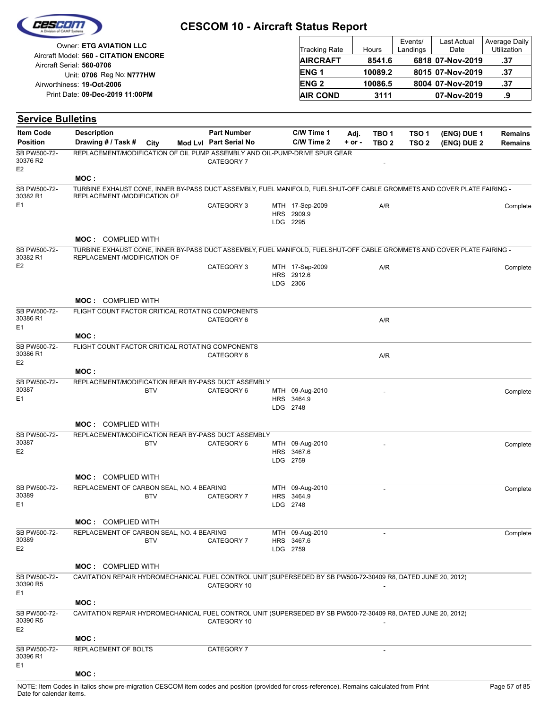| Cescon |
|--------|
|        |
|        |

**Service Bulletins**

# **CESCOM 10 - Aircraft Status Report**

| Owner: ETG AVIATION LLC               |                        |         | Events/  | Last Actual      | Average Daily<br>Utilization |
|---------------------------------------|------------------------|---------|----------|------------------|------------------------------|
| Aircraft Model: 560 - CITATION ENCORE | <b>Tracking Rate</b>   | Hours   | Landings | Date             |                              |
| Aircraft Serial: 560-0706             | <b>AIRCRAFT</b>        | 8541.6  |          | 6818 07-Nov-2019 | .37                          |
| Unit: 0706 Reg No: N777HW             | ENG <sub>1</sub>       | 10089.2 |          | 8015 07-Nov-2019 | .37                          |
| Airworthiness: 19-Oct-2006            | <b>ENG<sub>2</sub></b> | 10086.5 |          | 8004 07-Nov-2019 | .37                          |
| Print Date: 09-Dec-2019 11:00PM       | <b>AIR COND</b>        | 3111    |          | 07-Nov-2019      |                              |

| ltem Code                      | <b>Description</b>                                                                                                                                      | <b>Part Number</b>     | C/W Time 1                                | Adj.     | TBO <sub>1</sub> | TSO 1            | (ENG) DUE 1 | Remains  |
|--------------------------------|---------------------------------------------------------------------------------------------------------------------------------------------------------|------------------------|-------------------------------------------|----------|------------------|------------------|-------------|----------|
| <b>Position</b>                | Drawing # / Task #<br>City                                                                                                                              | Mod Lvl Part Serial No | C/W Time 2                                | $+ or -$ | TBO <sub>2</sub> | TSO <sub>2</sub> | (ENG) DUE 2 | Remains  |
| SB PW500-72-<br>30376 R2<br>E2 | REPLACEMENT/MODIFICATION OF OIL PUMP ASSEMBLY AND OIL-PUMP-DRIVE SPUR GEAR                                                                              | CATEGORY 7             |                                           |          |                  |                  |             |          |
|                                | MOC:                                                                                                                                                    |                        |                                           |          |                  |                  |             |          |
| SB PW500-72-                   | TURBINE EXHAUST CONE, INNER BY-PASS DUCT ASSEMBLY, FUEL MANIFOLD, FUELSHUT-OFF CABLE GROMMETS AND COVER PLATE FAIRING -                                 |                        |                                           |          |                  |                  |             |          |
| 30382 R1<br>Ε1                 | REPLACEMENT /MODIFICATION OF                                                                                                                            | CATEGORY 3             | MTH 17-Sep-2009<br>HRS 2909.9<br>LDG 2295 |          | A/R              |                  |             | Complete |
|                                | <b>MOC: COMPLIED WITH</b>                                                                                                                               |                        |                                           |          |                  |                  |             |          |
| SB PW500-72-<br>30382 R1       | TURBINE EXHAUST CONE, INNER BY-PASS DUCT ASSEMBLY, FUEL MANIFOLD, FUELSHUT-OFF CABLE GROMMETS AND COVER PLATE FAIRING -<br>REPLACEMENT /MODIFICATION OF |                        |                                           |          |                  |                  |             |          |
| E2                             |                                                                                                                                                         | CATEGORY 3             | MTH 17-Sep-2009<br>HRS 2912.6<br>LDG 2306 |          | A/R              |                  |             | Complete |
|                                | <b>MOC: COMPLIED WITH</b>                                                                                                                               |                        |                                           |          |                  |                  |             |          |
| SB PW500-72-<br>30386 R1<br>Ε1 | FLIGHT COUNT FACTOR CRITICAL ROTATING COMPONENTS                                                                                                        | CATEGORY 6             |                                           |          | A/R              |                  |             |          |
|                                | MOC:                                                                                                                                                    |                        |                                           |          |                  |                  |             |          |
| SB PW500-72-<br>30386 R1<br>Е2 | FLIGHT COUNT FACTOR CRITICAL ROTATING COMPONENTS                                                                                                        | CATEGORY 6             |                                           |          | A/R              |                  |             |          |
|                                | MOC :                                                                                                                                                   |                        |                                           |          |                  |                  |             |          |
| SB PW500-72-<br>30387<br>Ε1    | REPLACEMENT/MODIFICATION REAR BY-PASS DUCT ASSEMBLY<br><b>BTV</b>                                                                                       | CATEGORY 6             | MTH 09-Aug-2010<br>HRS 3464.9<br>LDG 2748 |          |                  |                  |             | Complete |
|                                | <b>MOC: COMPLIED WITH</b>                                                                                                                               |                        |                                           |          |                  |                  |             |          |
| SB PW500-72-<br>30387<br>Е2    | REPLACEMENT/MODIFICATION REAR BY-PASS DUCT ASSEMBLY<br><b>BTV</b>                                                                                       | CATEGORY 6             | MTH 09-Aug-2010<br>HRS 3467.6<br>LDG 2759 |          |                  |                  |             | Complete |
|                                | <b>MOC: COMPLIED WITH</b>                                                                                                                               |                        |                                           |          |                  |                  |             |          |
| SB PW500-72-<br>30389<br>Ε1    | REPLACEMENT OF CARBON SEAL, NO. 4 BEARING<br><b>BTV</b>                                                                                                 | CATEGORY 7             | MTH 09-Aug-2010<br>HRS 3464.9<br>LDG 2748 |          |                  |                  |             | Complete |
|                                | <b>MOC: COMPLIED WITH</b>                                                                                                                               |                        |                                           |          |                  |                  |             |          |
| SB PW500-72-<br>30389<br>Е2    | REPLACEMENT OF CARBON SEAL, NO. 4 BEARING<br><b>BTV</b>                                                                                                 | CATEGORY 7             | MTH 09-Aug-2010<br>HRS 3467.6<br>LDG 2759 |          |                  |                  |             | Complete |
|                                | <b>MOC: COMPLIED WITH</b>                                                                                                                               |                        |                                           |          |                  |                  |             |          |
| SB PW500-72-<br>30390 R5<br>Е1 | CAVITATION REPAIR HYDROMECHANICAL FUEL CONTROL UNIT (SUPERSEDED BY SB PW500-72-30409 R8, DATED JUNE 20, 2012)                                           | CATEGORY 10            |                                           |          |                  |                  |             |          |
|                                | MOC :                                                                                                                                                   |                        |                                           |          |                  |                  |             |          |
| SB PW500-72-<br>30390 R5<br>E2 | CAVITATION REPAIR HYDROMECHANICAL FUEL CONTROL UNIT (SUPERSEDED BY SB PW500-72-30409 R8, DATED JUNE 20, 2012)                                           | CATEGORY 10            |                                           |          |                  |                  |             |          |
|                                | MOC :                                                                                                                                                   |                        |                                           |          |                  |                  |             |          |
| SB PW500-72-<br>30396 R1<br>Е1 | REPLACEMENT OF BOLTS                                                                                                                                    | CATEGORY 7             |                                           |          |                  |                  |             |          |
|                                | MOC:                                                                                                                                                    |                        |                                           |          |                  |                  |             |          |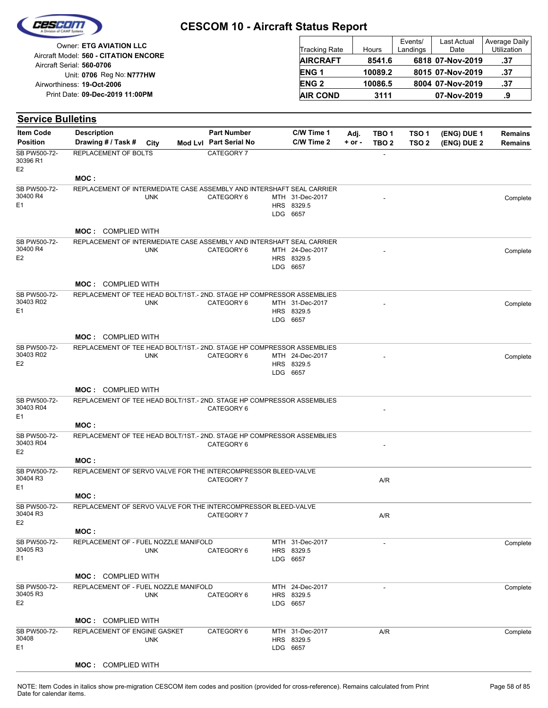|  | Cesedin            |  |
|--|--------------------|--|
|  | vision of CAMP Sys |  |
|  |                    |  |

| Owner: ETG AVIATION LLC                                            | <b>Tracking Rate</b> | Hours   | Events/<br>Landings | Last Actual<br>Date | Average Daily<br>Utilization |
|--------------------------------------------------------------------|----------------------|---------|---------------------|---------------------|------------------------------|
| Aircraft Model: 560 - CITATION ENCORE<br>Aircraft Serial: 560-0706 | <b>AIRCRAFT</b>      | 8541.6  |                     | 6818 07-Nov-2019    | .37                          |
| Unit: 0706 Reg No: N777HW                                          | <b>ENG1</b>          | 10089.2 |                     | 8015 07-Nov-2019    | .37                          |
| Airworthiness: 19-Oct-2006                                         | <b>ENG 2</b>         | 10086.5 |                     | 8004 07-Nov-2019    | .37                          |
| Print Date: 09-Dec-2019 11:00PM                                    | <b>AIR COND</b>      | 3111    |                     | 07-Nov-2019         | .9                           |

| <b>Service Bulletins</b>                    |                                                                        |            |                                              |                                           |                    |                                      |                           |                            |                                  |
|---------------------------------------------|------------------------------------------------------------------------|------------|----------------------------------------------|-------------------------------------------|--------------------|--------------------------------------|---------------------------|----------------------------|----------------------------------|
| <b>Item Code</b><br><b>Position</b>         | <b>Description</b><br>Drawing # / Task #                               | City       | <b>Part Number</b><br>Mod Lvl Part Serial No | C/W Time 1<br>C/W Time 2                  | Adj.<br>$+$ or $-$ | TBO <sub>1</sub><br>TBO <sub>2</sub> | TSO 1<br>TSO <sub>2</sub> | (ENG) DUE 1<br>(ENG) DUE 2 | <b>Remains</b><br><b>Remains</b> |
| SB PW500-72-<br>30396 R1<br>E <sub>2</sub>  | REPLACEMENT OF BOLTS                                                   |            | CATEGORY 7                                   |                                           |                    |                                      |                           |                            |                                  |
|                                             | MOC:                                                                   |            |                                              |                                           |                    |                                      |                           |                            |                                  |
| SB PW500-72-<br>30400 R4<br>E <sub>1</sub>  | REPLACEMENT OF INTERMEDIATE CASE ASSEMBLY AND INTERSHAFT SEAL CARRIER  | <b>UNK</b> | CATEGORY 6                                   | MTH 31-Dec-2017<br>HRS 8329.5<br>LDG 6657 |                    |                                      |                           |                            | Complete                         |
|                                             | <b>MOC: COMPLIED WITH</b>                                              |            |                                              |                                           |                    |                                      |                           |                            |                                  |
| SB PW500-72-<br>30400 R4<br>E <sub>2</sub>  | REPLACEMENT OF INTERMEDIATE CASE ASSEMBLY AND INTERSHAFT SEAL CARRIER  | <b>UNK</b> | CATEGORY 6                                   | MTH 24-Dec-2017<br>HRS 8329.5<br>LDG 6657 |                    |                                      |                           |                            | Complete                         |
|                                             | <b>MOC: COMPLIED WITH</b>                                              |            |                                              |                                           |                    |                                      |                           |                            |                                  |
| SB PW500-72-<br>30403 R02<br>E <sub>1</sub> | REPLACEMENT OF TEE HEAD BOLT/1ST.- 2ND. STAGE HP COMPRESSOR ASSEMBLIES | <b>UNK</b> | CATEGORY 6                                   | MTH 31-Dec-2017<br>HRS 8329.5<br>LDG 6657 |                    |                                      |                           |                            | Complete                         |
|                                             | <b>MOC: COMPLIED WITH</b>                                              |            |                                              |                                           |                    |                                      |                           |                            |                                  |
| SB PW500-72-<br>30403 R02<br>E <sub>2</sub> | REPLACEMENT OF TEE HEAD BOLT/1ST.- 2ND. STAGE HP COMPRESSOR ASSEMBLIES | <b>UNK</b> | CATEGORY 6                                   | MTH 24-Dec-2017<br>HRS 8329.5<br>LDG 6657 |                    |                                      |                           |                            | Complete                         |
|                                             | <b>MOC: COMPLIED WITH</b>                                              |            |                                              |                                           |                    |                                      |                           |                            |                                  |
| SB PW500-72-<br>30403 R04<br>E <sub>1</sub> | REPLACEMENT OF TEE HEAD BOLT/1ST.- 2ND. STAGE HP COMPRESSOR ASSEMBLIES |            | CATEGORY 6                                   |                                           |                    |                                      |                           |                            |                                  |
|                                             | MOC:                                                                   |            |                                              |                                           |                    |                                      |                           |                            |                                  |
| SB PW500-72-<br>30403 R04<br>E <sub>2</sub> | REPLACEMENT OF TEE HEAD BOLT/1ST.- 2ND. STAGE HP COMPRESSOR ASSEMBLIES |            | CATEGORY 6                                   |                                           |                    |                                      |                           |                            |                                  |
|                                             | MOC:                                                                   |            |                                              |                                           |                    |                                      |                           |                            |                                  |
| SB PW500-72-<br>30404 R3<br>E <sub>1</sub>  | REPLACEMENT OF SERVO VALVE FOR THE INTERCOMPRESSOR BLEED-VALVE         |            | CATEGORY 7                                   |                                           |                    | A/R                                  |                           |                            |                                  |
|                                             | MOC:                                                                   |            |                                              |                                           |                    |                                      |                           |                            |                                  |
| SB PW500-72-<br>30404 R3<br>E <sub>2</sub>  | REPLACEMENT OF SERVO VALVE FOR THE INTERCOMPRESSOR BLEED-VALVE         |            | CATEGORY 7                                   |                                           |                    | A/R                                  |                           |                            |                                  |
|                                             | MOC:                                                                   |            |                                              |                                           |                    |                                      |                           |                            |                                  |
| SB PW500-72-<br>30405 R3<br>E <sub>1</sub>  | REPLACEMENT OF - FUEL NOZZLE MANIFOLD                                  | <b>UNK</b> | CATEGORY 6                                   | MTH 31-Dec-2017<br>HRS 8329.5<br>LDG 6657 |                    |                                      |                           |                            | Complete                         |
|                                             | <b>MOC: COMPLIED WITH</b>                                              |            |                                              |                                           |                    |                                      |                           |                            |                                  |
| SB PW500-72-<br>30405 R3<br>E <sub>2</sub>  | REPLACEMENT OF - FUEL NOZZLE MANIFOLD                                  | <b>UNK</b> | CATEGORY 6                                   | MTH 24-Dec-2017<br>HRS 8329.5<br>LDG 6657 |                    |                                      |                           |                            | Complete                         |
|                                             | <b>MOC: COMPLIED WITH</b>                                              |            |                                              |                                           |                    |                                      |                           |                            |                                  |
| SB PW500-72-<br>30408<br>E <sub>1</sub>     | REPLACEMENT OF ENGINE GASKET                                           | <b>UNK</b> | CATEGORY 6                                   | MTH 31-Dec-2017<br>HRS 8329.5<br>LDG 6657 |                    | A/R                                  |                           |                            | Complete                         |
|                                             | <b>MOC: COMPLIED WITH</b>                                              |            |                                              |                                           |                    |                                      |                           |                            |                                  |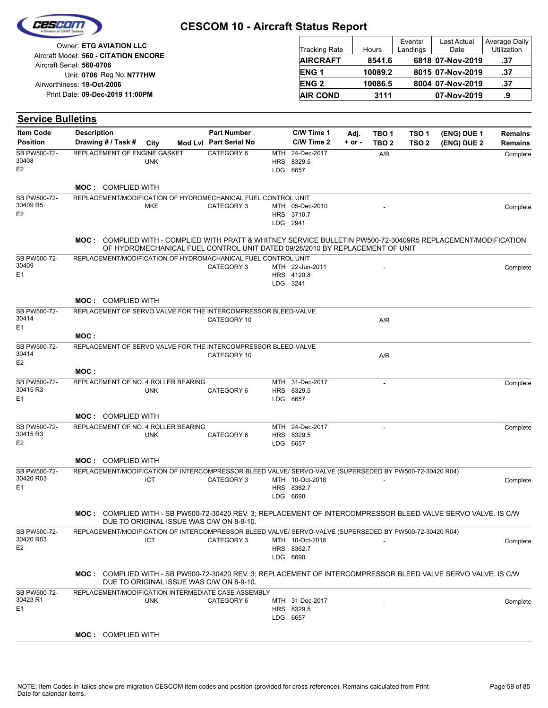|                                             | <b>Owner: ETG AVIATION LLC</b>                                                                                |            |                                                                              |     | <b>Tracking Rate</b>                      |          | Hours            | Events/<br>Landings | Last Actual<br>Date | Average Daily<br>Utilization |
|---------------------------------------------|---------------------------------------------------------------------------------------------------------------|------------|------------------------------------------------------------------------------|-----|-------------------------------------------|----------|------------------|---------------------|---------------------|------------------------------|
|                                             | Aircraft Model: 560 - CITATION ENCORE                                                                         |            |                                                                              |     | <b>AIRCRAFT</b>                           |          | 8541.6           |                     | 6818 07-Nov-2019    | .37                          |
|                                             | Aircraft Serial: 560-0706                                                                                     |            |                                                                              |     | ENG <sub>1</sub>                          |          | 10089.2          |                     | 8015 07-Nov-2019    | .37                          |
|                                             | Unit: 0706 Reg No: N777HW<br>Airworthiness: 19-Oct-2006                                                       |            |                                                                              |     | <b>ENG2</b>                               |          | 10086.5          |                     | 8004 07-Nov-2019    | .37                          |
|                                             | Print Date: 09-Dec-2019 11:00PM                                                                               |            |                                                                              |     | <b>AIR COND</b>                           |          | 3111             |                     | 07-Nov-2019         | .9                           |
|                                             |                                                                                                               |            |                                                                              |     |                                           |          |                  |                     |                     |                              |
| <b>Service Bulletins</b>                    |                                                                                                               |            |                                                                              |     |                                           |          |                  |                     |                     |                              |
| <b>Item Code</b>                            | <b>Description</b>                                                                                            |            | <b>Part Number</b>                                                           |     | C/W Time 1                                | Adj.     | TBO <sub>1</sub> | TSO <sub>1</sub>    | (ENG) DUE 1         | <b>Remains</b>               |
| <b>Position</b>                             | Drawing # / Task #                                                                                            | City       | Mod Lvl Part Serial No                                                       |     | C/W Time 2                                | $+ or -$ | TBO <sub>2</sub> | TSO <sub>2</sub>    | (ENG) DUE 2         | <b>Remains</b>               |
| SB PW500-72-<br>30408<br>E <sub>2</sub>     | REPLACEMENT OF ENGINE GASKET                                                                                  | <b>UNK</b> | CATEGORY 6                                                                   | MTH | 24-Dec-2017<br>HRS 8329.5<br>LDG 6657     |          | A/R              |                     |                     | Complete                     |
|                                             | <b>MOC: COMPLIED WITH</b>                                                                                     |            |                                                                              |     |                                           |          |                  |                     |                     |                              |
| SB PW500-72-                                | REPLACEMENT/MODIFICATION OF HYDROMECHANICAL FUEL CONTROL UNIT                                                 |            |                                                                              |     |                                           |          |                  |                     |                     |                              |
| 30409 R5<br>E <sub>2</sub>                  |                                                                                                               | MKE        | CATEGORY 3                                                                   |     | MTH 05-Dec-2010<br>HRS 3710.7<br>LDG 2941 |          |                  |                     |                     | Complete                     |
|                                             | MOC: COMPLIED WITH - COMPLIED WITH PRATT & WHITNEY SERVICE BULLETIN PW500-72-30409R5 REPLACEMENT/MODIFICATION |            | OF HYDROMECHANICAL FUEL CONTROL UNIT DATED 09/28/2010 BY REPLACEMENT OF UNIT |     |                                           |          |                  |                     |                     |                              |
| SB PW500-72-<br>30409<br>E <sub>1</sub>     | REPLACEMENT/MODIFICATION OF HYDROMACHANICAL FUEL CONTROL UNIT                                                 |            | CATEGORY 3                                                                   |     | MTH 22-Jun-2011<br>HRS 4120.8<br>LDG 3241 |          |                  |                     |                     | Complete                     |
|                                             | <b>MOC: COMPLIED WITH</b>                                                                                     |            |                                                                              |     |                                           |          |                  |                     |                     |                              |
| SB PW500-72-<br>30414<br>E <sub>1</sub>     | REPLACEMENT OF SERVO VALVE FOR THE INTERCOMPRESSOR BLEED-VALVE                                                |            | CATEGORY 10                                                                  |     |                                           |          | A/R              |                     |                     |                              |
|                                             | MOC:                                                                                                          |            |                                                                              |     |                                           |          |                  |                     |                     |                              |
| SB PW500-72-<br>30414<br>E <sub>2</sub>     | REPLACEMENT OF SERVO VALVE FOR THE INTERCOMPRESSOR BLEED-VALVE                                                |            | CATEGORY 10                                                                  |     |                                           |          | A/R              |                     |                     |                              |
|                                             | MOC:                                                                                                          |            |                                                                              |     |                                           |          |                  |                     |                     |                              |
| SB PW500-72-<br>30415 R3<br>E <sub>1</sub>  | REPLACEMENT OF NO. 4 ROLLER BEARING                                                                           | <b>UNK</b> | CATEGORY 6                                                                   |     | MTH 31-Dec-2017<br>HRS 8329.5<br>LDG 6657 |          |                  |                     |                     | Complete                     |
|                                             | <b>MOC: COMPLIED WITH</b>                                                                                     |            |                                                                              |     |                                           |          |                  |                     |                     |                              |
| SB PW500-72-<br>30415 R3<br>E <sub>2</sub>  | REPLACEMENT OF NO. 4 ROLLER BEARING                                                                           | <b>UNK</b> | CATEGORY 6                                                                   |     | MTH 24-Dec-2017<br>HRS 8329.5<br>LDG 6657 |          | ä,               |                     |                     | Complete                     |
|                                             | <b>MOC: COMPLIED WITH</b>                                                                                     |            |                                                                              |     |                                           |          |                  |                     |                     |                              |
| SB PW500-72-<br>30420 R03<br>E <sub>1</sub> | REPLACEMENT/MODIFICATION OF INTERCOMPRESSOR BLEED VALVE/ SERVO-VALVE (SUPERSEDED BY PW500-72-30420 R04)       | ICT        | CATEGORY 3                                                                   |     | MTH 10-Oct-2018<br>HRS 8362.7<br>LDG 6690 |          |                  |                     |                     | Complete                     |
|                                             | MOC: COMPLIED WITH - SB PW500-72-30420 REV. 3; REPLACEMENT OF INTERCOMPRESSOR BLEED VALVE SERVO VALVE. IS C/W |            | DUE TO ORIGINAL ISSUE WAS C/W ON 8-9-10.                                     |     |                                           |          |                  |                     |                     |                              |
| SB PW500-72-<br>30420 R03<br>E <sub>2</sub> | REPLACEMENT/MODIFICATION OF INTERCOMPRESSOR BLEED VALVE/ SERVO-VALVE (SUPERSEDED BY PW500-72-30420 R04)       | <b>ICT</b> | CATEGORY 3                                                                   |     | MTH 10-Oct-2018<br>HRS 8362.7<br>LDG 6690 |          |                  |                     |                     | Complete                     |
|                                             | MOC: COMPLIED WITH - SB PW500-72-30420 REV. 3; REPLACEMENT OF INTERCOMPRESSOR BLEED VALVE SERVO VALVE. IS C/W |            | DUE TO ORIGINAL ISSUE WAS C/W ON 8-9-10.                                     |     |                                           |          |                  |                     |                     |                              |
| SB PW500-72-<br>30423 R1<br>E <sub>1</sub>  | REPLACEMENT/MODIFICATION INTERMEDIATE CASE ASSEMBLY                                                           | <b>UNK</b> | CATEGORY 6                                                                   |     | MTH 31-Dec-2017<br>HRS 8329.5<br>LDG 6657 |          |                  |                     |                     | Complete                     |
|                                             | <b>MOC: COMPLIED WITH</b>                                                                                     |            |                                                                              |     |                                           |          |                  |                     |                     |                              |

Cescon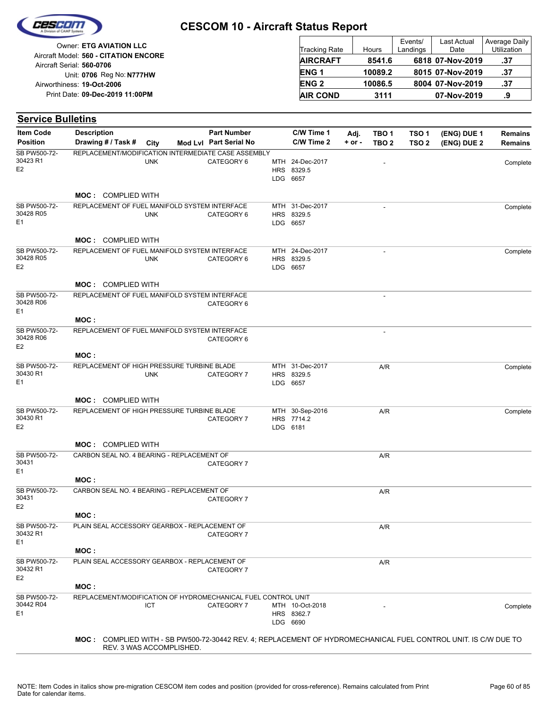

| <b>Owner: ETG AVIATION LLC</b>                                     | <b>Tracking Rate</b>   | Hours   | Events/<br>Landings | <b>Last Actual</b><br>Date | Average Daily<br><b>Utilization</b> |
|--------------------------------------------------------------------|------------------------|---------|---------------------|----------------------------|-------------------------------------|
| Aircraft Model: 560 - CITATION ENCORE<br>Aircraft Serial: 560-0706 | <b>AIRCRAFT</b>        | 8541.6  |                     | 6818 07-Nov-2019           | .37                                 |
| Unit: 0706 Reg No: N777HW                                          | ENG <sub>1</sub>       | 10089.2 |                     | 8015 07-Nov-2019           | .37                                 |
| Airworthiness: 19-Oct-2006                                         | <b>ENG<sub>2</sub></b> | 10086.5 |                     | 8004 07-Nov-2019           | .37                                 |
| Print Date: 09-Dec-2019 11:00PM                                    | <b>AIR COND</b>        | 3111    |                     | 07-Nov-2019                | a                                   |

| <b>Service Bulletins</b>            |                                                               |            |                                              |                                           |                    |                                      |                           |                            |                           |
|-------------------------------------|---------------------------------------------------------------|------------|----------------------------------------------|-------------------------------------------|--------------------|--------------------------------------|---------------------------|----------------------------|---------------------------|
| <b>Item Code</b><br><b>Position</b> | <b>Description</b><br>Drawing # / Task #                      | City       | <b>Part Number</b><br>Mod Lvl Part Serial No | C/W Time 1<br>C/W Time 2                  | Adj.<br>$+$ or $-$ | TBO <sub>1</sub><br>TBO <sub>2</sub> | TSO 1<br>TSO <sub>2</sub> | (ENG) DUE 1<br>(ENG) DUE 2 | <b>Remains</b><br>Remains |
| SB PW500-72-<br>30423 R1<br>Е2      | REPLACEMENT/MODIFICATION INTERMEDIATE CASE ASSEMBLY           | <b>UNK</b> | CATEGORY 6                                   | MTH 24-Dec-2017<br>HRS 8329.5<br>LDG 6657 |                    |                                      |                           |                            | Complete                  |
|                                     | <b>MOC: COMPLIED WITH</b>                                     |            |                                              |                                           |                    |                                      |                           |                            |                           |
| SB PW500-72-<br>30428 R05<br>Ε1     | REPLACEMENT OF FUEL MANIFOLD SYSTEM INTERFACE                 | <b>UNK</b> | CATEGORY 6                                   | MTH 31-Dec-2017<br>HRS 8329.5<br>LDG 6657 |                    |                                      |                           |                            | Complete                  |
|                                     | <b>MOC: COMPLIED WITH</b>                                     |            |                                              |                                           |                    |                                      |                           |                            |                           |
| SB PW500-72-<br>30428 R05<br>Е2     | REPLACEMENT OF FUEL MANIFOLD SYSTEM INTERFACE                 | <b>UNK</b> | CATEGORY 6                                   | MTH 24-Dec-2017<br>HRS 8329.5<br>LDG 6657 |                    |                                      |                           |                            | Complete                  |
|                                     | <b>MOC: COMPLIED WITH</b>                                     |            |                                              |                                           |                    |                                      |                           |                            |                           |
| SB PW500-72-<br>30428 R06<br>Е1     | REPLACEMENT OF FUEL MANIFOLD SYSTEM INTERFACE                 |            | CATEGORY 6                                   |                                           |                    |                                      |                           |                            |                           |
|                                     | MOC:                                                          |            |                                              |                                           |                    |                                      |                           |                            |                           |
| SB PW500-72-<br>30428 R06<br>Е2     | REPLACEMENT OF FUEL MANIFOLD SYSTEM INTERFACE                 |            | CATEGORY 6                                   |                                           |                    |                                      |                           |                            |                           |
|                                     | MOC :                                                         |            |                                              |                                           |                    |                                      |                           |                            |                           |
| SB PW500-72-<br>30430 R1<br>Ε1      | REPLACEMENT OF HIGH PRESSURE TURBINE BLADE                    | <b>UNK</b> | CATEGORY 7                                   | MTH 31-Dec-2017<br>HRS 8329.5<br>LDG 6657 |                    | A/R                                  |                           |                            | Complete                  |
|                                     | <b>MOC: COMPLIED WITH</b>                                     |            |                                              |                                           |                    |                                      |                           |                            |                           |
| SB PW500-72-<br>30430 R1<br>Е2      | REPLACEMENT OF HIGH PRESSURE TURBINE BLADE                    |            | CATEGORY 7                                   | MTH 30-Sep-2016<br>HRS 7714.2<br>LDG 6181 |                    | A/R                                  |                           |                            | Complete                  |
|                                     | <b>MOC: COMPLIED WITH</b>                                     |            |                                              |                                           |                    |                                      |                           |                            |                           |
| SB PW500-72-<br>30431<br>Е1         | CARBON SEAL NO. 4 BEARING - REPLACEMENT OF                    |            | CATEGORY 7                                   |                                           |                    | A/R                                  |                           |                            |                           |
| SB PW500-72-                        | MOC :<br>CARBON SEAL NO. 4 BEARING - REPLACEMENT OF           |            |                                              |                                           |                    | A/R                                  |                           |                            |                           |
| 30431<br>E2                         |                                                               |            | CATEGORY 7                                   |                                           |                    |                                      |                           |                            |                           |
| SB PW500-72-<br>30432 R1<br>Е1      | MOC:<br>PLAIN SEAL ACCESSORY GEARBOX - REPLACEMENT OF         |            | CATEGORY 7                                   |                                           |                    | A/R                                  |                           |                            |                           |
|                                     | MOC:                                                          |            |                                              |                                           |                    |                                      |                           |                            |                           |
| SB PW500-72-<br>30432 R1<br>E2      | PLAIN SEAL ACCESSORY GEARBOX - REPLACEMENT OF                 |            | CATEGORY 7                                   |                                           |                    | A/R                                  |                           |                            |                           |
|                                     | MOC :                                                         |            |                                              |                                           |                    |                                      |                           |                            |                           |
| SB PW500-72-<br>30442 R04<br>Ε1     | REPLACEMENT/MODIFICATION OF HYDROMECHANICAL FUEL CONTROL UNIT | ICT        | CATEGORY 7                                   | MTH 10-Oct-2018<br>HRS 8362.7<br>LDG 6690 |                    |                                      |                           |                            | Complete                  |

REV. 3 WAS ACCOMPLISHED.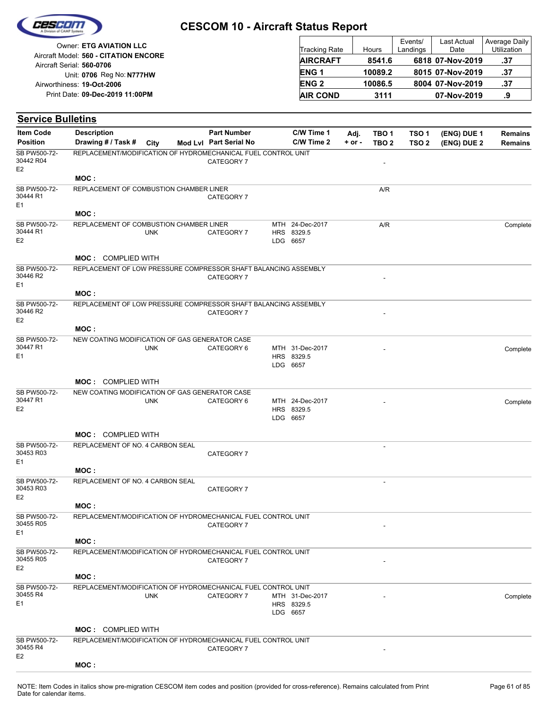

| Owner: ETG AVIATION LLC               |                        |         | Events/  | <b>Last Actual</b> | Average Daily |
|---------------------------------------|------------------------|---------|----------|--------------------|---------------|
|                                       | <b>Tracking Rate</b>   | Hours   | Landings | Date               | Utilization   |
| Aircraft Model: 560 - CITATION ENCORE | <b>AIRCRAFT</b>        | 8541.6  |          | 6818 07-Nov-2019   | .37           |
| Aircraft Serial: 560-0706             |                        |         |          |                    |               |
| Unit: 0706 Reg No: N777HW             | ENG <sub>1</sub>       | 10089.2 |          | 8015 07-Nov-2019   | .37           |
| Airworthiness: 19-Oct-2006            | <b>ENG<sub>2</sub></b> | 10086.5 |          | 8004 07-Nov-2019   | .37           |
| Print Date: 09-Dec-2019 11:00PM       | <b>AIR COND</b>        | 3111    |          | 07-Nov-2019        |               |

| <b>Item Code</b>                            | <b>Description</b>                                              |            | <b>Part Number</b>     | C/W Time 1                                | Adj.       | TBO 1                    | TSO <sub>1</sub> | (ENG) DUE 1 | <b>Remains</b> |
|---------------------------------------------|-----------------------------------------------------------------|------------|------------------------|-------------------------------------------|------------|--------------------------|------------------|-------------|----------------|
| <b>Position</b>                             | Drawing # / Task #                                              | City       | Mod Lvl Part Serial No | C/W Time 2                                | $+$ or $-$ | TBO <sub>2</sub>         | TSO <sub>2</sub> | (ENG) DUE 2 | <b>Remains</b> |
| SB PW500-72-<br>30442 R04<br>E <sub>2</sub> | REPLACEMENT/MODIFICATION OF HYDROMECHANICAL FUEL CONTROL UNIT   |            | CATEGORY 7             |                                           |            | $\overline{a}$           |                  |             |                |
|                                             | MOC:                                                            |            |                        |                                           |            |                          |                  |             |                |
| SB PW500-72-<br>30444 R1                    | REPLACEMENT OF COMBUSTION CHAMBER LINER                         |            | CATEGORY 7             |                                           |            | A/R                      |                  |             |                |
| E <sub>1</sub>                              | MOC:                                                            |            |                        |                                           |            |                          |                  |             |                |
| SB PW500-72-                                | REPLACEMENT OF COMBUSTION CHAMBER LINER                         |            |                        | MTH 24-Dec-2017                           |            | A/R                      |                  |             | Complete       |
| 30444 R1<br>E <sub>2</sub>                  |                                                                 | <b>UNK</b> | CATEGORY 7             | HRS 8329.5<br>LDG 6657                    |            |                          |                  |             |                |
|                                             | <b>MOC: COMPLIED WITH</b>                                       |            |                        |                                           |            |                          |                  |             |                |
| SB PW500-72-<br>30446 R2<br>E <sub>1</sub>  | REPLACEMENT OF LOW PRESSURE COMPRESSOR SHAFT BALANCING ASSEMBLY |            | CATEGORY 7             |                                           |            |                          |                  |             |                |
|                                             | MOC:                                                            |            |                        |                                           |            |                          |                  |             |                |
| SB PW500-72-<br>30446 R2                    | REPLACEMENT OF LOW PRESSURE COMPRESSOR SHAFT BALANCING ASSEMBLY |            | CATEGORY 7             |                                           |            |                          |                  |             |                |
| E <sub>2</sub>                              | MOC:                                                            |            |                        |                                           |            |                          |                  |             |                |
| SB PW500-72-                                | NEW COATING MODIFICATION OF GAS GENERATOR CASE                  |            |                        |                                           |            |                          |                  |             |                |
| 30447 R1<br>E <sub>1</sub>                  |                                                                 | <b>UNK</b> | CATEGORY 6             | MTH 31-Dec-2017<br>HRS 8329.5             |            |                          |                  |             | Complete       |
|                                             |                                                                 |            |                        | LDG 6657                                  |            |                          |                  |             |                |
|                                             | <b>MOC: COMPLIED WITH</b>                                       |            |                        |                                           |            |                          |                  |             |                |
| SB PW500-72-                                | NEW COATING MODIFICATION OF GAS GENERATOR CASE                  |            |                        |                                           |            |                          |                  |             |                |
| 30447 R1<br>E <sub>2</sub>                  |                                                                 | <b>UNK</b> | CATEGORY 6             | MTH 24-Dec-2017<br>HRS 8329.5<br>LDG 6657 |            |                          |                  |             | Complete       |
|                                             | <b>MOC: COMPLIED WITH</b>                                       |            |                        |                                           |            |                          |                  |             |                |
| SB PW500-72-<br>30453 R03                   | REPLACEMENT OF NO. 4 CARBON SEAL                                |            | CATEGORY 7             |                                           |            |                          |                  |             |                |
| E <sub>1</sub>                              | MOC:                                                            |            |                        |                                           |            |                          |                  |             |                |
| SB PW500-72-                                | REPLACEMENT OF NO. 4 CARBON SEAL                                |            |                        |                                           |            | $\overline{\phantom{a}}$ |                  |             |                |
| 30453 R03<br>E <sub>2</sub>                 |                                                                 |            | CATEGORY 7             |                                           |            |                          |                  |             |                |
|                                             | MOC :                                                           |            |                        |                                           |            |                          |                  |             |                |
| SB PW500-72-<br>30455 R05<br>E <sub>1</sub> | REPLACEMENT/MODIFICATION OF HYDROMECHANICAL FUEL CONTROL UNIT   |            | CATEGORY 7             |                                           |            |                          |                  |             |                |
|                                             | MOC:                                                            |            |                        |                                           |            |                          |                  |             |                |
| SB PW500-72-<br>30455 R05                   | REPLACEMENT/MODIFICATION OF HYDROMECHANICAL FUEL CONTROL UNIT   |            | CATEGORY 7             |                                           |            |                          |                  |             |                |
| E <sub>2</sub>                              | MOC:                                                            |            |                        |                                           |            |                          |                  |             |                |
| SB PW500-72-                                | REPLACEMENT/MODIFICATION OF HYDROMECHANICAL FUEL CONTROL UNIT   |            |                        |                                           |            |                          |                  |             |                |
| 30455 R4<br>E <sub>1</sub>                  |                                                                 | <b>UNK</b> | CATEGORY 7             | MTH 31-Dec-2017<br>HRS 8329.5<br>LDG 6657 |            |                          |                  |             | Complete       |
|                                             | <b>MOC: COMPLIED WITH</b>                                       |            |                        |                                           |            |                          |                  |             |                |
| SB PW500-72-                                | REPLACEMENT/MODIFICATION OF HYDROMECHANICAL FUEL CONTROL UNIT   |            |                        |                                           |            |                          |                  |             |                |
| 30455 R4<br>E <sub>2</sub>                  |                                                                 |            | CATEGORY 7             |                                           |            |                          |                  |             |                |
|                                             | MOC:                                                            |            |                        |                                           |            |                          |                  |             |                |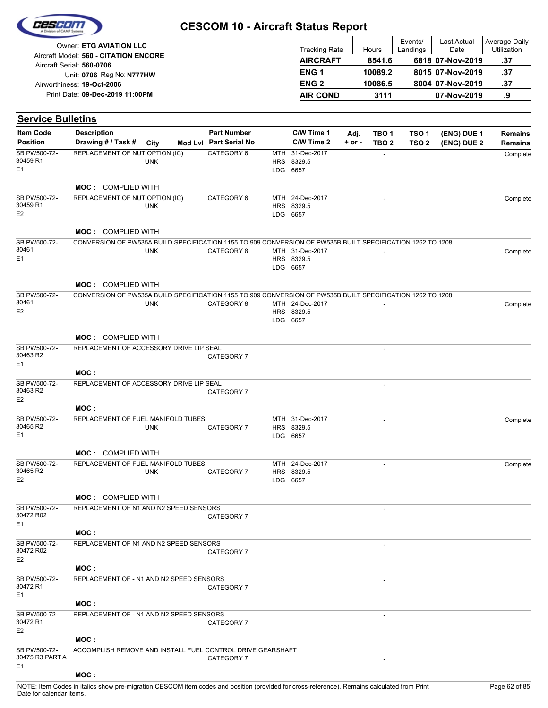

| <b>Owner: ETG AVIATION LLC</b>                                     | Tracking Rate          | Hours   | Events/<br>Landings | Last Actual<br>Date | Average Daily<br><b>Utilization</b> |
|--------------------------------------------------------------------|------------------------|---------|---------------------|---------------------|-------------------------------------|
| Aircraft Model: 560 - CITATION ENCORE<br>Aircraft Serial: 560-0706 | <b>AIRCRAFT</b>        | 8541.6  |                     | 6818 07-Nov-2019    | .37                                 |
| Unit: 0706 Reg No: N777HW                                          | ENG <sub>1</sub>       | 10089.2 |                     | 8015 07-Nov-2019    | .37                                 |
| Airworthiness: 19-Oct-2006                                         | <b>ENG<sub>2</sub></b> | 10086.5 |                     | 8004 07-Nov-2019    | -37                                 |
| Print Date: 09-Dec-2019 11:00PM                                    | <b>AIR COND</b>        | 3111    |                     | 07-Nov-2019         | .9                                  |

#### **(ENG) DUE 2 (ENG) DUE 1 Service Bulletins** City **Mod Lvl Part Serial No Part Number C/W Time 1 C/W Time 2 + or - Adj. TBO 1 TBO 2 TSO 2 TSO 1 Remains** Description Part Number C/W Time 1 Adj. TBO 1 TSO 1 (ENG) DUE 1 Remains **Position Drawing # / Task # Item Code** LDG HRS 8329.5 MTH 6657 CATEGORY 6 MTH 31-Dec-2017 - Complete E1 SB PW500-72- 30459 R1 UNK REPLACEMENT OF NUT OPTION (IC) **MOC :** COMPLIED WITH LDG 6657 HRS 8329.5 MTH CATEGORY 6 24-Dec-2017 - Complete E2 SB PW500-72- 30459 R1 UNK REPLACEMENT OF NUT OPTION (IC) **MOC :** COMPLIED WITH LDG 6657 HRS 8329.5 CATEGORY 8 MTH 31-Dec-2017 - The complete complete complete  $F<sub>1</sub>$ SB PW500-72- 30461 UNK CONVERSION OF PW535A BUILD SPECIFICATION 1155 TO 909 CONVERSION OF PW535B BUILT SPECIFICATION 1262 TO 1208 **MOC :** COMPLIED WITH LDG 6657 HRS 8329.5 CATEGORY 8 MTH 24-Dec-2017 - The Complete Complete E2 SB PW500-72- 30461 UNK CONVERSION OF PW535A BUILD SPECIFICATION 1155 TO 909 CONVERSION OF PW535B BUILT SPECIFICATION 1262 TO 1208 **MOC :** COMPLIED WITH - CATEGORY 7 E1 SB PW500-72- 30463 R2 REPLACEMENT OF ACCESSORY DRIVE LIP SEAL **MOC :** - CATEGORY 7 E2 SB PW500-72- 30463 R2 REPLACEMENT OF ACCESSORY DRIVE LIP SEAL **MOC :** LDG 6657 HRS 8329.5 MTH 31-Dec-2017 - CATEGORY 7 Complete E1 SB PW500-72- 30465 R2 UNK REPLACEMENT OF FUEL MANIFOLD TUBES **MOC :** COMPLIED WITH LDG 6657 HRS 8329.5 MTH 24-Dec-2017 - CATEGORY 7 Complete E2 SB PW500-72- 30465 R2 UNK REPLACEMENT OF FUEL MANIFOLD TUBES **MOC :** COMPLIED WITH - CATEGORY 7 E1 SB PW500-72- 30472 R02 REPLACEMENT OF N1 AND N2 SPEED SENSORS **MOC :** - CATEGORY 7 E2 SB PW500-72- 30472 R02 REPLACEMENT OF N1 AND N2 SPEED SENSORS **MOC :** - CATEGORY 7 E1 SB PW500-72- 30472 R1 REPLACEMENT OF - N1 AND N2 SPEED SENSORS **MOC :** - CATEGORY 7 E2 SB PW500-72- 30472 R1 REPLACEMENT OF - N1 AND N2 SPEED SENSORS **MOC :** CATEGORY 7 E1 SB PW500-72- 30475 R3 PART A ACCOMPLISH REMOVE AND INSTALL FUEL CONTROL DRIVE GEARSHAFT

### **MOC :**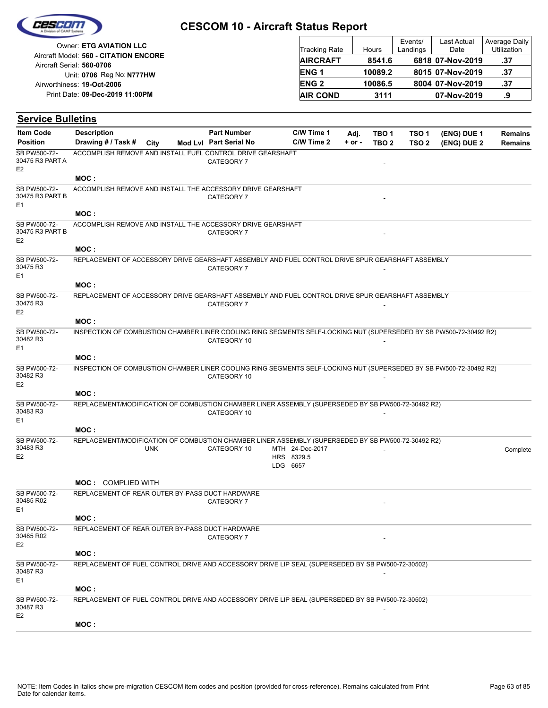

| Owner: ETG AVIATION LLC                                            | Tracking Rate    | Hours   | Events/<br>Landings | Last Actual<br>Date | Average Daily<br><b>Utilization</b> |
|--------------------------------------------------------------------|------------------|---------|---------------------|---------------------|-------------------------------------|
| Aircraft Model: 560 - CITATION ENCORE<br>Aircraft Serial: 560-0706 | <b>AIRCRAFT</b>  | 8541.6  |                     | 6818 07-Nov-2019    | .37                                 |
| Unit: 0706 Reg No: N777HW                                          | ENG <sub>1</sub> | 10089.2 |                     | 8015 07-Nov-2019    | .37                                 |
| Airworthiness: 19-Oct-2006                                         | <b>ENG 2</b>     | 10086.5 |                     | 8004 07-Nov-2019    | .37                                 |
| Print Date: 09-Dec-2019 11:00PM                                    | <b>AIR COND</b>  | 3111    |                     | 07-Nov-2019         | .9                                  |

| <b>Item Code</b>                                  | <b>Description</b>                                                                                                 | <b>Part Number</b>     | C/W Time 1             | Adj.       | TBO 1            | TSO <sub>1</sub> | (ENG) DUE 1 | <b>Remains</b> |
|---------------------------------------------------|--------------------------------------------------------------------------------------------------------------------|------------------------|------------------------|------------|------------------|------------------|-------------|----------------|
| <b>Position</b>                                   | Drawing # / Task #<br>City                                                                                         | Mod Lvl Part Serial No | C/W Time 2             | $+$ or $-$ | TBO <sub>2</sub> | TSO <sub>2</sub> | (ENG) DUE 2 | <b>Remains</b> |
| SB PW500-72-<br>30475 R3 PART A<br>E <sub>2</sub> | ACCOMPLISH REMOVE AND INSTALL FUEL CONTROL DRIVE GEARSHAFT                                                         | CATEGORY 7             |                        |            |                  |                  |             |                |
|                                                   | MOC:                                                                                                               |                        |                        |            |                  |                  |             |                |
| SB PW500-72-<br>30475 R3 PART B<br>E <sub>1</sub> | ACCOMPLISH REMOVE AND INSTALL THE ACCESSORY DRIVE GEARSHAFT                                                        | CATEGORY 7             |                        |            |                  |                  |             |                |
|                                                   | MOC:                                                                                                               |                        |                        |            |                  |                  |             |                |
| SB PW500-72-<br>30475 R3 PART B<br>E <sub>2</sub> | ACCOMPLISH REMOVE AND INSTALL THE ACCESSORY DRIVE GEARSHAFT                                                        | CATEGORY 7             |                        |            |                  |                  |             |                |
|                                                   | MOC:                                                                                                               |                        |                        |            |                  |                  |             |                |
| SB PW500-72-<br>30475 R3<br>E <sub>1</sub>        | REPLACEMENT OF ACCESSORY DRIVE GEARSHAFT ASSEMBLY AND FUEL CONTROL DRIVE SPUR GEARSHAFT ASSEMBLY                   | CATEGORY 7             |                        |            |                  |                  |             |                |
|                                                   | MOC:                                                                                                               |                        |                        |            |                  |                  |             |                |
| SB PW500-72-<br>30475 R3<br>E <sub>2</sub>        | REPLACEMENT OF ACCESSORY DRIVE GEARSHAFT ASSEMBLY AND FUEL CONTROL DRIVE SPUR GEARSHAFT ASSEMBLY                   | CATEGORY 7             |                        |            |                  |                  |             |                |
|                                                   | MOC:                                                                                                               |                        |                        |            |                  |                  |             |                |
| SB PW500-72-<br>30482 R3<br>E <sub>1</sub>        | INSPECTION OF COMBUSTION CHAMBER LINER COOLING RING SEGMENTS SELF-LOCKING NUT (SUPERSEDED BY SB PW500-72-30492 R2) | CATEGORY 10            |                        |            |                  |                  |             |                |
|                                                   | MOC:                                                                                                               |                        |                        |            |                  |                  |             |                |
| SB PW500-72-<br>30482 R3<br>E <sub>2</sub>        | INSPECTION OF COMBUSTION CHAMBER LINER COOLING RING SEGMENTS SELF-LOCKING NUT (SUPERSEDED BY SB PW500-72-30492 R2) | CATEGORY 10            |                        |            |                  |                  |             |                |
|                                                   | MOC:                                                                                                               |                        |                        |            |                  |                  |             |                |
| SB PW500-72-<br>30483 R3<br>E <sub>1</sub>        | REPLACEMENT/MODIFICATION OF COMBUSTION CHAMBER LINER ASSEMBLY (SUPERSEDED BY SB PW500-72-30492 R2)                 | CATEGORY 10            |                        |            |                  |                  |             |                |
|                                                   | MOC:                                                                                                               |                        |                        |            |                  |                  |             |                |
| SB PW500-72-                                      | REPLACEMENT/MODIFICATION OF COMBUSTION CHAMBER LINER ASSEMBLY (SUPERSEDED BY SB PW500-72-30492 R2)                 |                        |                        |            |                  |                  |             |                |
| 30483 R3                                          | <b>UNK</b>                                                                                                         | CATEGORY 10            | MTH 24-Dec-2017        |            |                  |                  |             | Complete       |
| E <sub>2</sub>                                    |                                                                                                                    |                        | HRS 8329.5<br>LDG 6657 |            |                  |                  |             |                |
|                                                   | <b>MOC: COMPLIED WITH</b>                                                                                          |                        |                        |            |                  |                  |             |                |
| SB PW500-72-<br>30485 R02                         | REPLACEMENT OF REAR OUTER BY-PASS DUCT HARDWARE                                                                    | CATEGORY 7             |                        |            |                  |                  |             |                |
| E1                                                | MOC:                                                                                                               |                        |                        |            |                  |                  |             |                |
| SB PW500-72-                                      | REPLACEMENT OF REAR OUTER BY-PASS DUCT HARDWARE                                                                    |                        |                        |            |                  |                  |             |                |
| 30485 R02<br>E <sub>2</sub>                       |                                                                                                                    | CATEGORY 7             |                        |            |                  |                  |             |                |
|                                                   | MOC:                                                                                                               |                        |                        |            |                  |                  |             |                |
| SB PW500-72-<br>30487 R3<br>E1                    | REPLACEMENT OF FUEL CONTROL DRIVE AND ACCESSORY DRIVE LIP SEAL (SUPERSEDED BY SB PW500-72-30502)                   |                        |                        |            |                  |                  |             |                |
|                                                   | MOC:                                                                                                               |                        |                        |            |                  |                  |             |                |
| SB PW500-72-<br>30487 R3<br>E2                    | REPLACEMENT OF FUEL CONTROL DRIVE AND ACCESSORY DRIVE LIP SEAL (SUPERSEDED BY SB PW500-72-30502)                   |                        |                        |            |                  |                  |             |                |
|                                                   | MOC:                                                                                                               |                        |                        |            |                  |                  |             |                |
|                                                   |                                                                                                                    |                        |                        |            |                  |                  |             |                |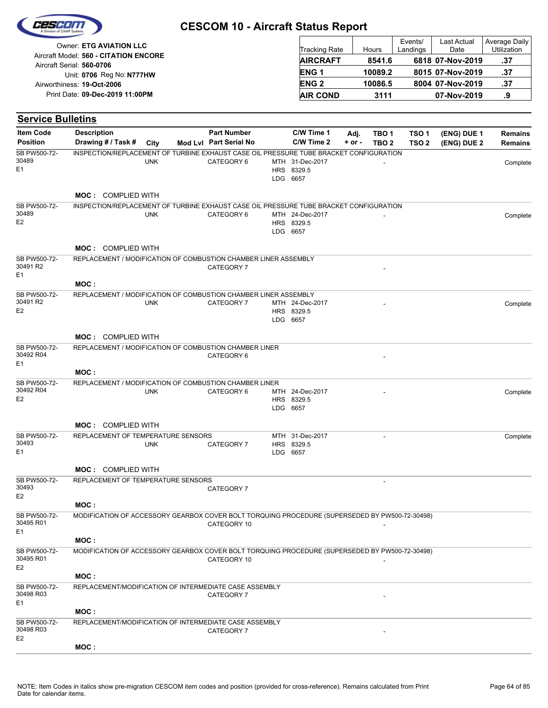|                                                                    | <b>CESCOM 10 - Aircraft Status Report</b> |         |                     |                     |                                     |
|--------------------------------------------------------------------|-------------------------------------------|---------|---------------------|---------------------|-------------------------------------|
| Owner: ETG AVIATION LLC                                            | <b>Tracking Rate</b>                      | Hours   | Events/<br>Landings | Last Actual<br>Date | Average Daily<br><b>Utilization</b> |
| Aircraft Model: 560 - CITATION ENCORE<br>Aircraft Serial: 560-0706 | <b>AIRCRAFT</b>                           | 8541.6  |                     | 6818 07-Nov-2019    | .37                                 |
| Unit: 0706 Reg No: N777HW                                          | ENG <sub>1</sub>                          | 10089.2 |                     | 8015 07-Nov-2019    | .37                                 |
| Airworthiness: 19-Oct-2006                                         | <b>ENG<sub>2</sub></b>                    | 10086.5 |                     | 8004 07-Nov-2019    | .37                                 |
| Print Date: 09-Dec-2019 11:00PM                                    | <b>AIR COND</b>                           | 3111    |                     | 07-Nov-2019         | .9                                  |

| <b>Service Bulletins</b>        |                                                                                                |            |                        |                                           |            |                          |                  |             |                |
|---------------------------------|------------------------------------------------------------------------------------------------|------------|------------------------|-------------------------------------------|------------|--------------------------|------------------|-------------|----------------|
| <b>Item Code</b>                | <b>Description</b>                                                                             |            | <b>Part Number</b>     | C/W Time 1                                | Adj.       | TBO 1                    | TSO 1            | (ENG) DUE 1 | Remains        |
| <b>Position</b>                 | Drawing # / Task #                                                                             | City       | Mod Lvl Part Serial No | C/W Time 2                                | $+$ or $-$ | TBO <sub>2</sub>         | TSO <sub>2</sub> | (ENG) DUE 2 | <b>Remains</b> |
| SB PW500-72-<br>30489<br>Ε1     | INSPECTION/REPLACEMENT OF TURBINE EXHAUST CASE OIL PRESSURE TUBE BRACKET CONFIGURATION         | <b>UNK</b> | CATEGORY 6             | MTH 31-Dec-2017<br>HRS 8329.5<br>LDG 6657 |            |                          |                  |             | Complete       |
|                                 | <b>MOC: COMPLIED WITH</b>                                                                      |            |                        |                                           |            |                          |                  |             |                |
| SB PW500-72-<br>30489<br>E2     | INSPECTION/REPLACEMENT OF TURBINE EXHAUST CASE OIL PRESSURE TUBE BRACKET CONFIGURATION         | <b>UNK</b> | CATEGORY 6             | MTH 24-Dec-2017<br>HRS 8329.5<br>LDG 6657 |            |                          |                  |             | Complete       |
|                                 | <b>MOC: COMPLIED WITH</b>                                                                      |            |                        |                                           |            |                          |                  |             |                |
| SB PW500-72-<br>30491 R2<br>E1  | REPLACEMENT / MODIFICATION OF COMBUSTION CHAMBER LINER ASSEMBLY                                |            | CATEGORY 7             |                                           |            |                          |                  |             |                |
|                                 | MOC:                                                                                           |            |                        |                                           |            |                          |                  |             |                |
| SB PW500-72-<br>30491 R2<br>E2  | REPLACEMENT / MODIFICATION OF COMBUSTION CHAMBER LINER ASSEMBLY                                | <b>UNK</b> | CATEGORY 7             | MTH 24-Dec-2017<br>HRS 8329.5<br>LDG 6657 |            |                          |                  |             | Complete       |
|                                 | <b>MOC: COMPLIED WITH</b>                                                                      |            |                        |                                           |            |                          |                  |             |                |
| SB PW500-72-<br>30492 R04<br>E1 | REPLACEMENT / MODIFICATION OF COMBUSTION CHAMBER LINER                                         |            | CATEGORY 6             |                                           |            |                          |                  |             |                |
|                                 | MOC:                                                                                           |            |                        |                                           |            |                          |                  |             |                |
| SB PW500-72-<br>30492 R04<br>E2 | REPLACEMENT / MODIFICATION OF COMBUSTION CHAMBER LINER                                         | <b>UNK</b> | CATEGORY 6             | MTH 24-Dec-2017<br>HRS 8329.5<br>LDG 6657 |            |                          |                  |             | Complete       |
|                                 | <b>MOC: COMPLIED WITH</b>                                                                      |            |                        |                                           |            |                          |                  |             |                |
| SB PW500-72-<br>30493<br>Ε1     | REPLACEMENT OF TEMPERATURE SENSORS                                                             | <b>UNK</b> | CATEGORY 7             | MTH 31-Dec-2017<br>HRS 8329.5<br>LDG 6657 |            | $\overline{\phantom{a}}$ |                  |             | Complete       |
|                                 | <b>MOC: COMPLIED WITH</b>                                                                      |            |                        |                                           |            |                          |                  |             |                |
| SB PW500-72-<br>30493<br>E2     | REPLACEMENT OF TEMPERATURE SENSORS                                                             |            | CATEGORY 7             |                                           |            | $\overline{\phantom{a}}$ |                  |             |                |
|                                 | MOC :                                                                                          |            |                        |                                           |            |                          |                  |             |                |
| SB PW500-72-<br>30495 R01<br>Ε1 | MODIFICATION OF ACCESSORY GEARBOX COVER BOLT TORQUING PROCEDURE (SUPERSEDED BY PW500-72-30498) |            | CATEGORY 10            |                                           |            |                          |                  |             |                |
|                                 | MOC:                                                                                           |            |                        |                                           |            |                          |                  |             |                |
| SB PW500-72-<br>30495 R01<br>E2 | MODIFICATION OF ACCESSORY GEARBOX COVER BOLT TORQUING PROCEDURE (SUPERSEDED BY PW500-72-30498) |            | CATEGORY 10            |                                           |            |                          |                  |             |                |
|                                 | MOC:                                                                                           |            |                        |                                           |            |                          |                  |             |                |
| SB PW500-72-<br>30498 R03<br>E1 | REPLACEMENT/MODIFICATION OF INTERMEDIATE CASE ASSEMBLY                                         |            | CATEGORY 7             |                                           |            |                          |                  |             |                |
| SB PW500-72-<br>30498 R03       | MOC:<br>REPLACEMENT/MODIFICATION OF INTERMEDIATE CASE ASSEMBLY                                 |            | CATEGORY 7             |                                           |            |                          |                  |             |                |
| E2                              | MOC:                                                                                           |            |                        |                                           |            |                          |                  |             |                |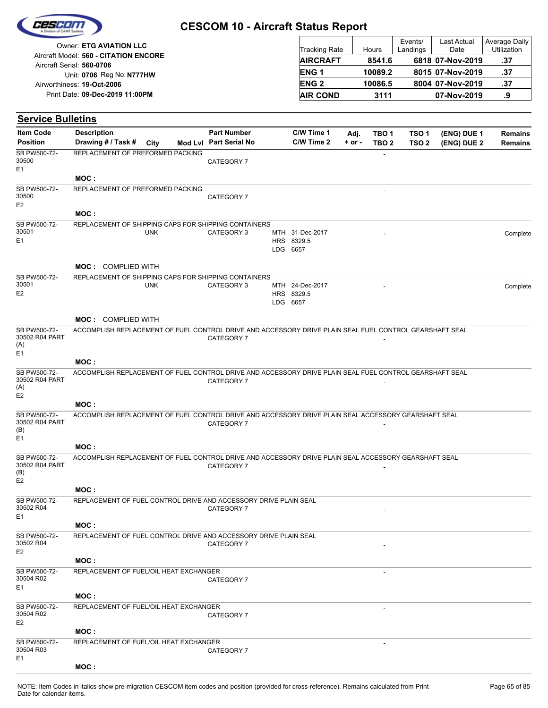|                                     | Owner: ETG AVIATION LLC                                                                                 |            |                                              | <b>Tracking Rate</b>          |                  | Hours                                | Events/<br>Landings       | Last Actual<br>Date        | Average Daily<br>Utilization     |
|-------------------------------------|---------------------------------------------------------------------------------------------------------|------------|----------------------------------------------|-------------------------------|------------------|--------------------------------------|---------------------------|----------------------------|----------------------------------|
|                                     | Aircraft Model: 560 - CITATION ENCORE                                                                   |            |                                              | <b>AIRCRAFT</b>               |                  | 8541.6                               |                           | 6818 07-Nov-2019           | .37                              |
|                                     | Aircraft Serial: 560-0706<br>Unit: 0706 Reg No: N777HW                                                  |            |                                              | ENG <sub>1</sub>              |                  | 10089.2                              |                           | 8015 07-Nov-2019           | .37                              |
|                                     | Airworthiness: 19-Oct-2006                                                                              |            |                                              | <b>ENG2</b>                   |                  | 10086.5                              |                           | 8004 07-Nov-2019           | .37                              |
|                                     | Print Date: 09-Dec-2019 11:00PM                                                                         |            |                                              | <b>AIR COND</b>               |                  | 3111                                 |                           | 07-Nov-2019                | .9                               |
| <b>Service Bulletins</b>            |                                                                                                         |            |                                              |                               |                  |                                      |                           |                            |                                  |
|                                     |                                                                                                         |            |                                              |                               |                  |                                      |                           |                            |                                  |
| <b>Item Code</b><br><b>Position</b> | <b>Description</b><br>Drawing # / Task #                                                                | City       | <b>Part Number</b><br>Mod Lvl Part Serial No | C/W Time 1<br>C/W Time 2      | Adj.<br>$+ or -$ | TBO <sub>1</sub><br>TBO <sub>2</sub> | TSO <sub>1</sub><br>TSO 2 | (ENG) DUE 1<br>(ENG) DUE 2 | <b>Remains</b><br><b>Remains</b> |
| SB PW500-72-                        | REPLACEMENT OF PREFORMED PACKING                                                                        |            |                                              |                               |                  | $\overline{a}$                       |                           |                            |                                  |
| 30500                               |                                                                                                         |            | CATEGORY 7                                   |                               |                  |                                      |                           |                            |                                  |
| E <sub>1</sub>                      | MOC:                                                                                                    |            |                                              |                               |                  |                                      |                           |                            |                                  |
| SB PW500-72-                        | REPLACEMENT OF PREFORMED PACKING                                                                        |            |                                              |                               |                  | ÷,                                   |                           |                            |                                  |
| 30500                               |                                                                                                         |            | CATEGORY 7                                   |                               |                  |                                      |                           |                            |                                  |
| E <sub>2</sub>                      | MOC:                                                                                                    |            |                                              |                               |                  |                                      |                           |                            |                                  |
| SB PW500-72-                        | REPLACEMENT OF SHIPPING CAPS FOR SHIPPING CONTAINERS                                                    |            |                                              |                               |                  |                                      |                           |                            |                                  |
| 30501                               |                                                                                                         | <b>UNK</b> | CATEGORY 3                                   | MTH 31-Dec-2017               |                  |                                      |                           |                            | Complete                         |
| E <sub>1</sub>                      |                                                                                                         |            |                                              | HRS 8329.5<br>LDG 6657        |                  |                                      |                           |                            |                                  |
|                                     |                                                                                                         |            |                                              |                               |                  |                                      |                           |                            |                                  |
|                                     | <b>MOC: COMPLIED WITH</b>                                                                               |            |                                              |                               |                  |                                      |                           |                            |                                  |
| SB PW500-72-<br>30501               | REPLACEMENT OF SHIPPING CAPS FOR SHIPPING CONTAINERS                                                    |            |                                              |                               |                  |                                      |                           |                            |                                  |
| E <sub>2</sub>                      |                                                                                                         | <b>UNK</b> | CATEGORY 3                                   | MTH 24-Dec-2017<br>HRS 8329.5 |                  |                                      |                           |                            | Complete                         |
|                                     |                                                                                                         |            |                                              | LDG 6657                      |                  |                                      |                           |                            |                                  |
|                                     | <b>MOC: COMPLIED WITH</b>                                                                               |            |                                              |                               |                  |                                      |                           |                            |                                  |
| SB PW500-72-                        | ACCOMPLISH REPLACEMENT OF FUEL CONTROL DRIVE AND ACCESSORY DRIVE PLAIN SEAL FUEL CONTROL GEARSHAFT SEAL |            |                                              |                               |                  |                                      |                           |                            |                                  |
| 30502 R04 PART<br>(A)               |                                                                                                         |            | CATEGORY 7                                   |                               |                  |                                      |                           |                            |                                  |
| E <sub>1</sub>                      |                                                                                                         |            |                                              |                               |                  |                                      |                           |                            |                                  |
|                                     | MOC:                                                                                                    |            |                                              |                               |                  |                                      |                           |                            |                                  |
| SB PW500-72-<br>30502 R04 PART      | ACCOMPLISH REPLACEMENT OF FUEL CONTROL DRIVE AND ACCESSORY DRIVE PLAIN SEAL FUEL CONTROL GEARSHAFT SEAL |            | CATEGORY 7                                   |                               |                  |                                      |                           |                            |                                  |
| (A)                                 |                                                                                                         |            |                                              |                               |                  |                                      |                           |                            |                                  |
| E <sub>2</sub>                      | MOC:                                                                                                    |            |                                              |                               |                  |                                      |                           |                            |                                  |
| SB PW500-72-                        | ACCOMPLISH REPLACEMENT OF FUEL CONTROL DRIVE AND ACCESSORY DRIVE PLAIN SEAL ACCESSORY GEARSHAFT SEAL    |            |                                              |                               |                  |                                      |                           |                            |                                  |
| 30502 R04 PART                      |                                                                                                         |            | CATEGORY 7                                   |                               |                  |                                      |                           |                            |                                  |
| (B)<br>E <sub>1</sub>               |                                                                                                         |            |                                              |                               |                  |                                      |                           |                            |                                  |
|                                     | MOC:                                                                                                    |            |                                              |                               |                  |                                      |                           |                            |                                  |
| SB PW500-72-<br>30502 R04 PART      | ACCOMPLISH REPLACEMENT OF FUEL CONTROL DRIVE AND ACCESSORY DRIVE PLAIN SEAL ACCESSORY GEARSHAFT SEAL    |            |                                              |                               |                  |                                      |                           |                            |                                  |
| (B)                                 |                                                                                                         |            | CATEGORY 7                                   |                               |                  |                                      |                           |                            |                                  |
| E <sub>2</sub>                      | MOC:                                                                                                    |            |                                              |                               |                  |                                      |                           |                            |                                  |
| SB PW500-72-                        | REPLACEMENT OF FUEL CONTROL DRIVE AND ACCESSORY DRIVE PLAIN SEAL                                        |            |                                              |                               |                  |                                      |                           |                            |                                  |
| 30502 R04                           |                                                                                                         |            | CATEGORY 7                                   |                               |                  |                                      |                           |                            |                                  |
| E <sub>1</sub>                      | MOC :                                                                                                   |            |                                              |                               |                  |                                      |                           |                            |                                  |
| SB PW500-72-                        | REPLACEMENT OF FUEL CONTROL DRIVE AND ACCESSORY DRIVE PLAIN SEAL                                        |            |                                              |                               |                  |                                      |                           |                            |                                  |
| 30502 R04                           |                                                                                                         |            | CATEGORY 7                                   |                               |                  |                                      |                           |                            |                                  |
| E <sub>2</sub>                      | MOC:                                                                                                    |            |                                              |                               |                  |                                      |                           |                            |                                  |
| SB PW500-72-                        | REPLACEMENT OF FUEL/OIL HEAT EXCHANGER                                                                  |            |                                              |                               |                  |                                      |                           |                            |                                  |
| 30504 R02                           |                                                                                                         |            | CATEGORY 7                                   |                               |                  |                                      |                           |                            |                                  |
| E <sub>1</sub>                      | MOC:                                                                                                    |            |                                              |                               |                  |                                      |                           |                            |                                  |
| SB PW500-72-                        | REPLACEMENT OF FUEL/OIL HEAT EXCHANGER                                                                  |            |                                              |                               |                  |                                      |                           |                            |                                  |
| 30504 R02                           |                                                                                                         |            | CATEGORY 7                                   |                               |                  |                                      |                           |                            |                                  |
| E <sub>2</sub>                      |                                                                                                         |            |                                              |                               |                  |                                      |                           |                            |                                  |

CESCO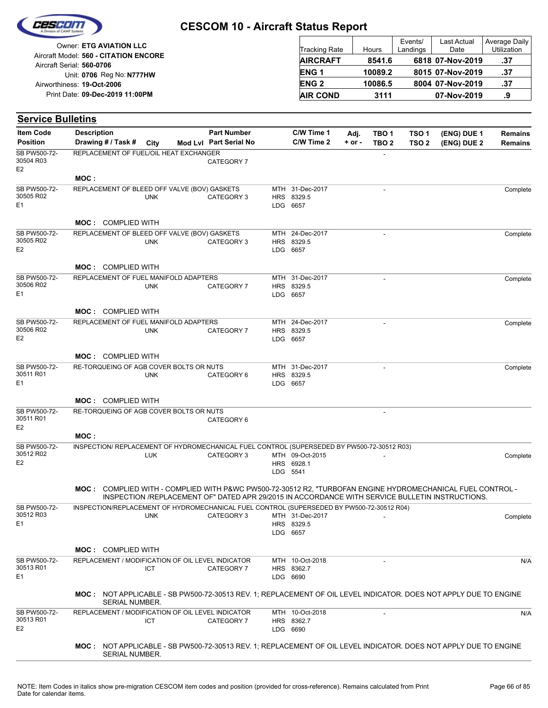

| <b>Owner: ETG AVIATION LLC</b>                                     | Tracking Rate   | Hours   | Events/<br>Landings | Last Actual<br>Date | Average Daily<br><b>Utilization</b> |
|--------------------------------------------------------------------|-----------------|---------|---------------------|---------------------|-------------------------------------|
| Aircraft Model: 560 - CITATION ENCORE<br>Aircraft Serial: 560-0706 | <b>AIRCRAFT</b> | 8541.6  |                     | 6818 07-Nov-2019    | .37                                 |
| Unit: 0706 Reg No: N777HW                                          | <b>ENG1</b>     | 10089.2 |                     | 8015 07-Nov-2019    | .37                                 |
| Airworthiness: 19-Oct-2006                                         | <b>ENG 2</b>    | 10086.5 |                     | 8004 07-Nov-2019    | .37                                 |
| Print Date: 09-Dec-2019 11:00PM                                    | <b>AIR COND</b> | 3111    |                     | 07-Nov-2019         | .9                                  |

| <b>Item Code</b>                            | <b>Description</b>                                                                                                                        |            | <b>Part Number</b>     |            | C/W Time 1                                | Adj.       | TBO 1            | TSO 1            | (ENG) DUE 1                                                                                     | Remains        |
|---------------------------------------------|-------------------------------------------------------------------------------------------------------------------------------------------|------------|------------------------|------------|-------------------------------------------|------------|------------------|------------------|-------------------------------------------------------------------------------------------------|----------------|
| <b>Position</b>                             | Drawing # / Task #                                                                                                                        | City       | Mod Lvl Part Serial No |            | C/W Time 2                                | $+$ or $-$ | TBO <sub>2</sub> | TSO <sub>2</sub> | (ENG) DUE 2                                                                                     | <b>Remains</b> |
| SB PW500-72-<br>30504 R03<br>E <sub>2</sub> | REPLACEMENT OF FUEL/OIL HEAT EXCHANGER                                                                                                    |            | CATEGORY 7             |            |                                           |            |                  |                  |                                                                                                 |                |
|                                             | MOC:                                                                                                                                      |            |                        |            |                                           |            |                  |                  |                                                                                                 |                |
| SB PW500-72-<br>30505 R02<br>E <sub>1</sub> | REPLACEMENT OF BLEED OFF VALVE (BOV) GASKETS                                                                                              | <b>UNK</b> | CATEGORY 3             |            | MTH 31-Dec-2017<br>HRS 8329.5<br>LDG 6657 |            |                  |                  |                                                                                                 | Complete       |
|                                             | <b>MOC: COMPLIED WITH</b>                                                                                                                 |            |                        |            |                                           |            |                  |                  |                                                                                                 |                |
| SB PW500-72-<br>30505 R02<br>E <sub>2</sub> | REPLACEMENT OF BLEED OFF VALVE (BOV) GASKETS                                                                                              | <b>UNK</b> | CATEGORY 3             | <b>HRS</b> | MTH 24-Dec-2017<br>8329.5<br>LDG 6657     |            | $\overline{a}$   |                  |                                                                                                 | Complete       |
|                                             | <b>MOC: COMPLIED WITH</b>                                                                                                                 |            |                        |            |                                           |            |                  |                  |                                                                                                 |                |
| SB PW500-72-<br>30506 R02<br>E <sub>1</sub> | REPLACEMENT OF FUEL MANIFOLD ADAPTERS                                                                                                     | <b>UNK</b> | CATEGORY 7             | HRS        | MTH 31-Dec-2017<br>8329.5<br>LDG 6657     |            | $\overline{a}$   |                  |                                                                                                 | Complete       |
|                                             | <b>MOC: COMPLIED WITH</b>                                                                                                                 |            |                        |            |                                           |            |                  |                  |                                                                                                 |                |
| SB PW500-72-<br>30506 R02<br>E <sub>2</sub> | REPLACEMENT OF FUEL MANIFOLD ADAPTERS                                                                                                     | <b>UNK</b> | CATEGORY 7             | HRS        | MTH 24-Dec-2017<br>8329.5<br>LDG 6657     |            |                  |                  |                                                                                                 | Complete       |
|                                             | <b>MOC: COMPLIED WITH</b>                                                                                                                 |            |                        |            |                                           |            |                  |                  |                                                                                                 |                |
| SB PW500-72-<br>30511 R01<br>E <sub>1</sub> | RE-TORQUEING OF AGB COVER BOLTS OR NUTS                                                                                                   | <b>UNK</b> | CATEGORY 6             | <b>HRS</b> | MTH 31-Dec-2017<br>8329.5<br>LDG 6657     |            |                  |                  |                                                                                                 | Complete       |
|                                             | <b>MOC: COMPLIED WITH</b>                                                                                                                 |            |                        |            |                                           |            |                  |                  |                                                                                                 |                |
| SB PW500-72-<br>30511 R01<br>E <sub>2</sub> | RE-TORQUEING OF AGB COVER BOLTS OR NUTS                                                                                                   |            | CATEGORY 6             |            |                                           |            | ÷,               |                  |                                                                                                 |                |
|                                             | MOC:                                                                                                                                      |            |                        |            |                                           |            |                  |                  |                                                                                                 |                |
| SB PW500-72-<br>30512 R02<br>E <sub>2</sub> | INSPECTION/ REPLACEMENT OF HYDROMECHANICAL FUEL CONTROL (SUPERSEDED BY PW500-72-30512 R03)                                                | LUK        | CATEGORY 3             |            | MTH 09-Oct-2015<br>HRS 6928.1<br>LDG 5541 |            | ÷,               |                  |                                                                                                 | Complete       |
|                                             | MOC: COMPLIED WITH - COMPLIED WITH P&WC PW500-72-30512 R2, "TURBOFAN ENGINE HYDROMECHANICAL FUEL CONTROL -                                |            |                        |            |                                           |            |                  |                  | INSPECTION /REPLACEMENT OF" DATED APR 29/2015 IN ACCORDANCE WITH SERVICE BULLETIN INSTRUCTIONS. |                |
| SB PW500-72-<br>30512 R03<br>E <sub>1</sub> | INSPECTION/REPLACEMENT OF HYDROMECHANICAL FUEL CONTROL (SUPERSEDED BY PW500-72-30512 R04)                                                 | <b>UNK</b> | CATEGORY 3             |            | MTH 31-Dec-2017<br>HRS 8329.5<br>LDG 6657 |            |                  |                  |                                                                                                 | Complete       |
|                                             | <b>MOC: COMPLIED WITH</b>                                                                                                                 |            |                        |            |                                           |            |                  |                  |                                                                                                 |                |
| SB PW500-72-<br>30513 R01<br>E <sub>1</sub> | REPLACEMENT / MODIFICATION OF OIL LEVEL INDICATOR                                                                                         | <b>ICT</b> | CATEGORY 7             |            | MTH 10-Oct-2018<br>HRS 8362.7<br>LDG 6690 |            |                  |                  |                                                                                                 | N/A            |
|                                             | MOC: NOT APPLICABLE - SB PW500-72-30513 REV. 1; REPLACEMENT OF OIL LEVEL INDICATOR. DOES NOT APPLY DUE TO ENGINE<br><b>SERIAL NUMBER.</b> |            |                        |            |                                           |            |                  |                  |                                                                                                 |                |
| SB PW500-72-<br>30513 R01<br>E <sub>2</sub> | REPLACEMENT / MODIFICATION OF OIL LEVEL INDICATOR                                                                                         | <b>ICT</b> | CATEGORY 7             |            | MTH 10-Oct-2018<br>HRS 8362.7<br>LDG 6690 |            |                  |                  |                                                                                                 | N/A            |
|                                             | MOC: NOT APPLICABLE - SB PW500-72-30513 REV. 1; REPLACEMENT OF OIL LEVEL INDICATOR. DOES NOT APPLY DUE TO ENGINE<br>SERIAL NUMBER.        |            |                        |            |                                           |            |                  |                  |                                                                                                 |                |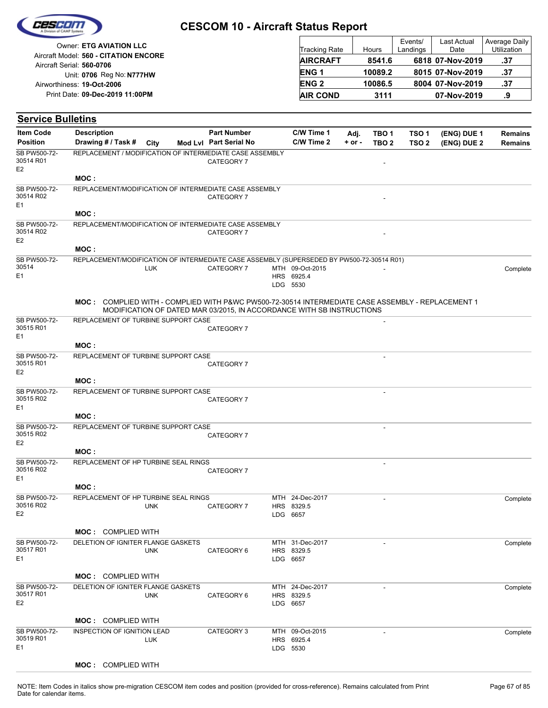| Ceseon |  |
|--------|--|
|        |  |

|                                       |                      |         | Events/  | <b>Last Actual</b> | Average Daily |
|---------------------------------------|----------------------|---------|----------|--------------------|---------------|
| Owner: ETG AVIATION LLC               | <b>Tracking Rate</b> | Hours   | Landings | Date               | Utilization   |
| Aircraft Model: 560 - CITATION ENCORE | <b>AIRCRAFT</b>      | 8541.6  |          | 6818 07-Nov-2019   | .37           |
| Aircraft Serial: 560-0706             |                      |         |          |                    |               |
| Unit: 0706 Reg No: N777HW             | <b>ENG1</b>          | 10089.2 |          | 8015 07-Nov-2019   | .37           |
| Airworthiness: 19-Oct-2006            | <b>ENG 2</b>         | 10086.5 |          | 8004 07-Nov-2019   | .37           |
| Print Date: 09-Dec-2019 11:00PM       | <b>AIR COND</b>      | 3111    |          | 07-Nov-2019        | .9            |

| <b>Item Code</b>                            | <b>Description</b>                   |            | <b>Part Number</b>                                                                                                                                                         | C/W Time 1                                | Adj.       | TBO <sub>1</sub>         | TSO <sub>1</sub> | (ENG) DUE 1 | <b>Remains</b> |
|---------------------------------------------|--------------------------------------|------------|----------------------------------------------------------------------------------------------------------------------------------------------------------------------------|-------------------------------------------|------------|--------------------------|------------------|-------------|----------------|
| <b>Position</b>                             | Drawing # / Task #                   | City       | Mod Lyl Part Serial No                                                                                                                                                     | C/W Time 2                                | $+$ or $-$ | TBO <sub>2</sub>         | TSO <sub>2</sub> | (ENG) DUE 2 | <b>Remains</b> |
| SB PW500-72-<br>30514 R01<br>E <sub>2</sub> |                                      |            | REPLACEMENT / MODIFICATION OF INTERMEDIATE CASE ASSEMBLY<br>CATEGORY 7                                                                                                     |                                           |            |                          |                  |             |                |
|                                             | MOC:                                 |            |                                                                                                                                                                            |                                           |            |                          |                  |             |                |
| SB PW500-72-<br>30514 R02<br>E1             |                                      |            | REPLACEMENT/MODIFICATION OF INTERMEDIATE CASE ASSEMBLY<br>CATEGORY 7                                                                                                       |                                           |            |                          |                  |             |                |
|                                             | MOC:                                 |            |                                                                                                                                                                            |                                           |            |                          |                  |             |                |
| SB PW500-72-<br>30514 R02<br>E <sub>2</sub> |                                      |            | REPLACEMENT/MODIFICATION OF INTERMEDIATE CASE ASSEMBLY<br>CATEGORY 7                                                                                                       |                                           |            |                          |                  |             |                |
|                                             | MOC:                                 |            |                                                                                                                                                                            |                                           |            |                          |                  |             |                |
| SB PW500-72-<br>30514<br>E1                 |                                      | <b>LUK</b> | REPLACEMENT/MODIFICATION OF INTERMEDIATE CASE ASSEMBLY (SUPERSEDED BY PW500-72-30514 R01)<br>CATEGORY 7                                                                    | MTH 09-Oct-2015<br>HRS 6925.4<br>LDG 5530 |            |                          |                  |             | Complete       |
|                                             |                                      |            | MOC: COMPLIED WITH - COMPLIED WITH P&WC PW500-72-30514 INTERMEDIATE CASE ASSEMBLY - REPLACEMENT 1<br>MODIFICATION OF DATED MAR 03/2015, IN ACCORDANCE WITH SB INSTRUCTIONS |                                           |            |                          |                  |             |                |
| SB PW500-72-<br>30515 R01                   | REPLACEMENT OF TURBINE SUPPORT CASE  |            | CATEGORY 7                                                                                                                                                                 |                                           |            |                          |                  |             |                |
| E <sub>1</sub>                              | MOC:                                 |            |                                                                                                                                                                            |                                           |            |                          |                  |             |                |
| SB PW500-72-                                | REPLACEMENT OF TURBINE SUPPORT CASE  |            |                                                                                                                                                                            |                                           |            | $\overline{\phantom{a}}$ |                  |             |                |
| 30515 R01<br>E <sub>2</sub>                 |                                      |            | CATEGORY 7                                                                                                                                                                 |                                           |            |                          |                  |             |                |
|                                             | MOC:                                 |            |                                                                                                                                                                            |                                           |            |                          |                  |             |                |
| SB PW500-72-<br>30515 R02<br>E <sub>1</sub> | REPLACEMENT OF TURBINE SUPPORT CASE  |            | CATEGORY 7                                                                                                                                                                 |                                           |            |                          |                  |             |                |
|                                             | MOC:                                 |            |                                                                                                                                                                            |                                           |            |                          |                  |             |                |
| SB PW500-72-<br>30515 R02                   | REPLACEMENT OF TURBINE SUPPORT CASE  |            | CATEGORY 7                                                                                                                                                                 |                                           |            | ٠                        |                  |             |                |
| E <sub>2</sub>                              | MOC:                                 |            |                                                                                                                                                                            |                                           |            |                          |                  |             |                |
| SB PW500-72-<br>30516 R02                   | REPLACEMENT OF HP TURBINE SEAL RINGS |            | CATEGORY 7                                                                                                                                                                 |                                           |            |                          |                  |             |                |
| E1                                          | MOC:                                 |            |                                                                                                                                                                            |                                           |            |                          |                  |             |                |
| SB PW500-72-<br>30516 R02<br>E <sub>2</sub> | REPLACEMENT OF HP TURBINE SEAL RINGS | <b>UNK</b> | CATEGORY 7                                                                                                                                                                 | MTH 24-Dec-2017<br>HRS 8329.5<br>LDG 6657 |            | ÷,                       |                  |             | Complete       |
|                                             | <b>MOC: COMPLIED WITH</b>            |            |                                                                                                                                                                            |                                           |            |                          |                  |             |                |
| SB PW500-72-<br>30517 R01<br>E1             | DELETION OF IGNITER FLANGE GASKETS   | <b>UNK</b> | CATEGORY 6                                                                                                                                                                 | MTH 31-Dec-2017<br>HRS 8329.5<br>LDG 6657 |            |                          |                  |             | Complete       |
|                                             | <b>MOC:</b> COMPLIED WITH            |            |                                                                                                                                                                            |                                           |            |                          |                  |             |                |
| SB PW500-72-                                | DELETION OF IGNITER FLANGE GASKETS   |            |                                                                                                                                                                            | MTH 24-Dec-2017                           |            |                          |                  |             | Complete       |
| 30517 R01<br>E <sub>2</sub>                 |                                      | <b>UNK</b> | CATEGORY 6                                                                                                                                                                 | HRS 8329.5<br>LDG 6657                    |            |                          |                  |             |                |
|                                             | <b>MOC: COMPLIED WITH</b>            |            |                                                                                                                                                                            |                                           |            |                          |                  |             |                |
| SB PW500-72-                                | INSPECTION OF IGNITION LEAD          |            | CATEGORY 3                                                                                                                                                                 | MTH 09-Oct-2015                           |            |                          |                  |             | Complete       |
| 30519 R01<br>E <sub>1</sub>                 |                                      | <b>LUK</b> |                                                                                                                                                                            | HRS 6925.4<br>LDG 5530                    |            |                          |                  |             |                |
|                                             | <b>MOC: COMPLIED WITH</b>            |            |                                                                                                                                                                            |                                           |            |                          |                  |             |                |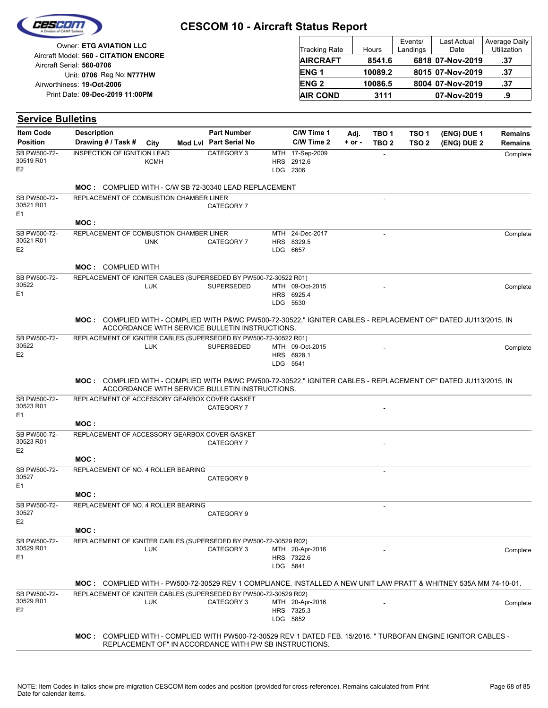|  | Cesedin            |  |
|--|--------------------|--|
|  | vision of CAMP Sys |  |
|  |                    |  |

| Owner: ETG AVIATION LLC                                            | <b>Tracking Rate</b> | Hours   | Events/<br>Landings | <b>Last Actual</b><br>Date | Average Daily<br><b>Utilization</b> |
|--------------------------------------------------------------------|----------------------|---------|---------------------|----------------------------|-------------------------------------|
| Aircraft Model: 560 - CITATION ENCORE<br>Aircraft Serial: 560-0706 | <b>AIRCRAFT</b>      | 8541.6  |                     | 6818 07-Nov-2019           | .37                                 |
| Unit: 0706 Reg No: N777HW                                          | <b>ENG1</b>          | 10089.2 |                     | 8015 07-Nov-2019           | .37                                 |
| Airworthiness: 19-Oct-2006                                         | <b>ENG 2</b>         | 10086.5 |                     | 8004 07-Nov-2019           | .37                                 |
| Print Date: 09-Dec-2019 11:00PM                                    | <b>AIR COND</b>      | 3111    |                     | 07-Nov-2019                | .9                                  |

| <b>Service Bulletins</b>                    |                                                                                                                  |             |                                                        |                                           |                |                           |                           |                            |                                  |
|---------------------------------------------|------------------------------------------------------------------------------------------------------------------|-------------|--------------------------------------------------------|-------------------------------------------|----------------|---------------------------|---------------------------|----------------------------|----------------------------------|
| <b>Item Code</b><br><b>Position</b>         | <b>Description</b><br>Drawing # / Task #                                                                         | City        | <b>Part Number</b><br>Mod Lvl Part Serial No           | C/W Time 1<br>C/W Time 2                  | Adj.<br>+ or - | TBO 1<br>TBO <sub>2</sub> | TSO 1<br>TSO <sub>2</sub> | (ENG) DUE 1<br>(ENG) DUE 2 | <b>Remains</b><br><b>Remains</b> |
| SB PW500-72-<br>30519 R01<br>E <sub>2</sub> | INSPECTION OF IGNITION LEAD                                                                                      | <b>KCMH</b> | CATEGORY 3                                             | MTH 17-Sep-2009<br>HRS 2912.6<br>LDG 2306 |                |                           |                           |                            | Complete                         |
|                                             | <b>MOC:</b> COMPLIED WITH - C/W SB 72-30340 LEAD REPLACEMENT                                                     |             |                                                        |                                           |                |                           |                           |                            |                                  |
| SB PW500-72-<br>30521 R01<br>E <sub>1</sub> | REPLACEMENT OF COMBUSTION CHAMBER LINER                                                                          |             | CATEGORY 7                                             |                                           |                |                           |                           |                            |                                  |
|                                             | MOC:                                                                                                             |             |                                                        |                                           |                |                           |                           |                            |                                  |
| SB PW500-72-<br>30521 R01<br>E <sub>2</sub> | REPLACEMENT OF COMBUSTION CHAMBER LINER                                                                          | <b>UNK</b>  | CATEGORY 7                                             | MTH 24-Dec-2017<br>HRS 8329.5<br>LDG 6657 |                |                           |                           |                            | Complete                         |
|                                             | <b>MOC: COMPLIED WITH</b>                                                                                        |             |                                                        |                                           |                |                           |                           |                            |                                  |
| SB PW500-72-<br>30522<br>E <sub>1</sub>     | REPLACEMENT OF IGNITER CABLES (SUPERSEDED BY PW500-72-30522 R01)                                                 | <b>LUK</b>  | <b>SUPERSEDED</b>                                      | MTH 09-Oct-2015<br>HRS 6925.4<br>LDG 5530 |                |                           |                           |                            | Complete                         |
|                                             | MOC: COMPLIED WITH - COMPLIED WITH P&WC PW500-72-30522," IGNITER CABLES - REPLACEMENT OF" DATED JU113/2015, IN   |             | ACCORDANCE WITH SERVICE BULLETIN INSTRUCTIONS.         |                                           |                |                           |                           |                            |                                  |
| SB PW500-72-<br>30522<br>E <sub>2</sub>     | REPLACEMENT OF IGNITER CABLES (SUPERSEDED BY PW500-72-30522 R01)                                                 | <b>LUK</b>  | <b>SUPERSEDED</b>                                      | MTH 09-Oct-2015<br>HRS 6928.1<br>LDG 5541 |                |                           |                           |                            | Complete                         |
|                                             | MOC: COMPLIED WITH - COMPLIED WITH P&WC PW500-72-30522," IGNITER CABLES - REPLACEMENT OF" DATED JU113/2015, IN   |             | ACCORDANCE WITH SERVICE BULLETIN INSTRUCTIONS.         |                                           |                |                           |                           |                            |                                  |
| SB PW500-72-<br>30523 R01<br>E <sub>1</sub> | REPLACEMENT OF ACCESSORY GEARBOX COVER GASKET                                                                    |             | CATEGORY 7                                             |                                           |                |                           |                           |                            |                                  |
|                                             | MOC :                                                                                                            |             |                                                        |                                           |                |                           |                           |                            |                                  |
| SB PW500-72-<br>30523 R01<br>E <sub>2</sub> | REPLACEMENT OF ACCESSORY GEARBOX COVER GASKET                                                                    |             | CATEGORY 7                                             |                                           |                |                           |                           |                            |                                  |
|                                             | MOC:                                                                                                             |             |                                                        |                                           |                |                           |                           |                            |                                  |
| SB PW500-72-<br>30527<br>E <sub>1</sub>     | REPLACEMENT OF NO. 4 ROLLER BEARING                                                                              |             | CATEGORY 9                                             |                                           |                | $\overline{\phantom{a}}$  |                           |                            |                                  |
|                                             | MOC :                                                                                                            |             |                                                        |                                           |                |                           |                           |                            |                                  |
| SB PW500-72-<br>30527<br>E <sub>2</sub>     | REPLACEMENT OF NO. 4 ROLLER BEARING                                                                              |             | <b>CATEGORY 9</b>                                      |                                           |                |                           |                           |                            |                                  |
|                                             | MOC :                                                                                                            |             |                                                        |                                           |                |                           |                           |                            |                                  |
| SB PW500-72-<br>30529 R01<br>E <sub>1</sub> | REPLACEMENT OF IGNITER CABLES (SUPERSEDED BY PW500-72-30529 R02)                                                 | <b>LUK</b>  | CATEGORY 3                                             | MTH 20-Apr-2016<br>HRS 7322.6<br>LDG 5841 |                |                           |                           |                            | Complete                         |
|                                             | MOC: COMPLIED WITH - PW500-72-30529 REV 1 COMPLIANCE. INSTALLED A NEW UNIT LAW PRATT & WHITNEY 535A MM 74-10-01. |             |                                                        |                                           |                |                           |                           |                            |                                  |
| SB PW500-72-<br>30529 R01<br>E <sub>2</sub> | REPLACEMENT OF IGNITER CABLES (SUPERSEDED BY PW500-72-30529 R02)                                                 | <b>LUK</b>  | CATEGORY 3                                             | MTH 20-Apr-2016<br>HRS 7325.3<br>LDG 5852 |                |                           |                           |                            | Complete                         |
|                                             | MOC: COMPLIED WITH - COMPLIED WITH PW500-72-30529 REV 1 DATED FEB. 15/2016. "TURBOFAN ENGINE IGNITOR CABLES -    |             | REPLACEMENT OF" IN ACCORDANCE WITH PW SB INSTRUCTIONS. |                                           |                |                           |                           |                            |                                  |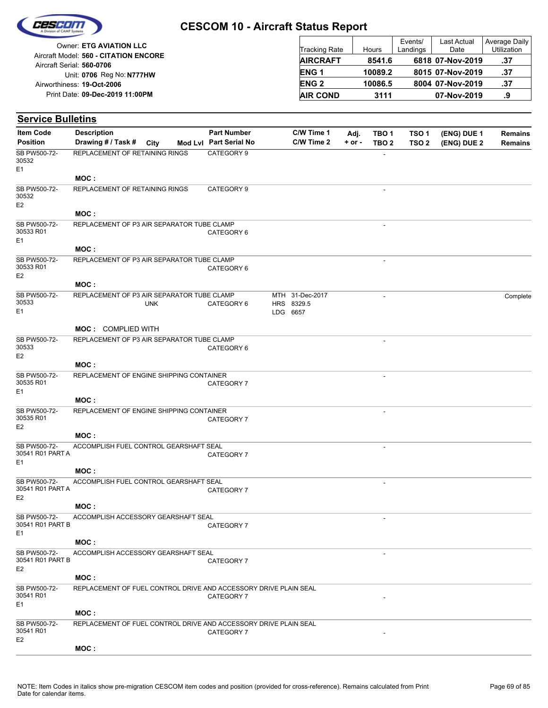

Reg No: **N777HW** Unit: **0706 09-Dec-2019 11:00PM** Print Date: **19-Oct-2006** Airworthiness: Owner: **ETG AVIATION LLC** Aircraft Serial: **560-0706** Aircraft Model: **560 - CITATION ENCORE**

| <b>Tracking Rate</b> | Hours   | Events/<br>Landings | <b>Last Actual</b><br>Date | Average Daily<br>Utilization |
|----------------------|---------|---------------------|----------------------------|------------------------------|
| <b>AIRCRAFT</b>      | 8541.6  |                     | 6818 07-Nov-2019           | .37                          |
| ENG <sub>1</sub>     | 10089.2 |                     | 8015 07-Nov-2019           | .37                          |
| <b>ENG 2</b>         | 10086.5 |                     | 8004 07-Nov-2019           | .37                          |
| <b>AIR COND</b>      | 3111    |                     | 07-Nov-2019                | .9                           |

| <b>Service Bulletins</b>                           |                                                                         |            |                        |                                           |            |                          |                  |             |                |
|----------------------------------------------------|-------------------------------------------------------------------------|------------|------------------------|-------------------------------------------|------------|--------------------------|------------------|-------------|----------------|
| <b>Item Code</b>                                   | <b>Description</b>                                                      |            | <b>Part Number</b>     | C/W Time 1                                | Adj.       | TBO 1                    | TSO <sub>1</sub> | (ENG) DUE 1 | <b>Remains</b> |
| <b>Position</b>                                    | Drawing # / Task #                                                      | City       | Mod Lvl Part Serial No | C/W Time 2                                | $+$ or $-$ | TBO <sub>2</sub>         | TSO <sub>2</sub> | (ENG) DUE 2 | <b>Remains</b> |
| SB PW500-72-<br>30532<br>E <sub>1</sub>            | REPLACEMENT OF RETAINING RINGS                                          |            | CATEGORY 9             |                                           |            |                          |                  |             |                |
|                                                    | MOC :                                                                   |            |                        |                                           |            |                          |                  |             |                |
| SB PW500-72-<br>30532<br>E <sub>2</sub>            | REPLACEMENT OF RETAINING RINGS                                          |            | CATEGORY 9             |                                           |            | $\overline{\phantom{a}}$ |                  |             |                |
|                                                    | MOC:                                                                    |            |                        |                                           |            |                          |                  |             |                |
| SB PW500-72-<br>30533 R01<br>E1                    | REPLACEMENT OF P3 AIR SEPARATOR TUBE CLAMP                              |            | CATEGORY 6             |                                           |            |                          |                  |             |                |
|                                                    | MOC:                                                                    |            |                        |                                           |            |                          |                  |             |                |
| SB PW500-72-<br>30533 R01<br>E <sub>2</sub>        | REPLACEMENT OF P3 AIR SEPARATOR TUBE CLAMP                              |            | CATEGORY 6             |                                           |            | $\overline{\phantom{a}}$ |                  |             |                |
|                                                    | MOC:                                                                    |            |                        |                                           |            |                          |                  |             |                |
| SB PW500-72-<br>30533<br>E1                        | REPLACEMENT OF P3 AIR SEPARATOR TUBE CLAMP                              | <b>UNK</b> | CATEGORY 6             | MTH 31-Dec-2017<br>HRS 8329.5<br>LDG 6657 |            |                          |                  |             | Complete       |
|                                                    |                                                                         |            |                        |                                           |            |                          |                  |             |                |
| SB PW500-72-                                       | <b>MOC: COMPLIED WITH</b><br>REPLACEMENT OF P3 AIR SEPARATOR TUBE CLAMP |            |                        |                                           |            | $\overline{\phantom{a}}$ |                  |             |                |
| 30533<br>E <sub>2</sub>                            |                                                                         |            | CATEGORY 6             |                                           |            |                          |                  |             |                |
|                                                    | MOC:                                                                    |            |                        |                                           |            |                          |                  |             |                |
| SB PW500-72-                                       | REPLACEMENT OF ENGINE SHIPPING CONTAINER                                |            |                        |                                           |            |                          |                  |             |                |
| 30535 R01<br>E1                                    |                                                                         |            | CATEGORY 7             |                                           |            |                          |                  |             |                |
|                                                    | MOC:                                                                    |            |                        |                                           |            |                          |                  |             |                |
| SB PW500-72-<br>30535 R01<br>E <sub>2</sub>        | REPLACEMENT OF ENGINE SHIPPING CONTAINER                                |            | CATEGORY 7             |                                           |            | $\overline{\phantom{a}}$ |                  |             |                |
|                                                    | MOC :                                                                   |            |                        |                                           |            |                          |                  |             |                |
| SB PW500-72-<br>30541 R01 PART A<br>E1             | ACCOMPLISH FUEL CONTROL GEARSHAFT SEAL                                  |            | CATEGORY 7             |                                           |            | $\overline{\phantom{a}}$ |                  |             |                |
|                                                    | MOC:                                                                    |            |                        |                                           |            |                          |                  |             |                |
| SB PW500-72-<br>30541 R01 PART A<br>E <sub>2</sub> | ACCOMPLISH FUEL CONTROL GEARSHAFT SEAL                                  |            | CATEGORY 7             |                                           |            |                          |                  |             |                |
|                                                    | MOC :                                                                   |            |                        |                                           |            |                          |                  |             |                |
| SB PW500-72-<br>30541 R01 PART B<br>E1             | ACCOMPLISH ACCESSORY GEARSHAFT SEAL                                     |            | CATEGORY 7             |                                           |            | $\overline{\phantom{a}}$ |                  |             |                |
|                                                    | MOC:                                                                    |            |                        |                                           |            |                          |                  |             |                |
| SB PW500-72-<br>30541 R01 PART B<br>E <sub>2</sub> | ACCOMPLISH ACCESSORY GEARSHAFT SEAL                                     |            | CATEGORY 7             |                                           |            |                          |                  |             |                |
|                                                    | MOC:                                                                    |            |                        |                                           |            |                          |                  |             |                |
| SB PW500-72-<br>30541 R01<br>E1                    | REPLACEMENT OF FUEL CONTROL DRIVE AND ACCESSORY DRIVE PLAIN SEAL        |            | CATEGORY 7             |                                           |            |                          |                  |             |                |
|                                                    | MOC:                                                                    |            |                        |                                           |            |                          |                  |             |                |
| SB PW500-72-<br>30541 R01<br>E <sub>2</sub>        | REPLACEMENT OF FUEL CONTROL DRIVE AND ACCESSORY DRIVE PLAIN SEAL        |            | CATEGORY 7             |                                           |            |                          |                  |             |                |
|                                                    | MOC:                                                                    |            |                        |                                           |            |                          |                  |             |                |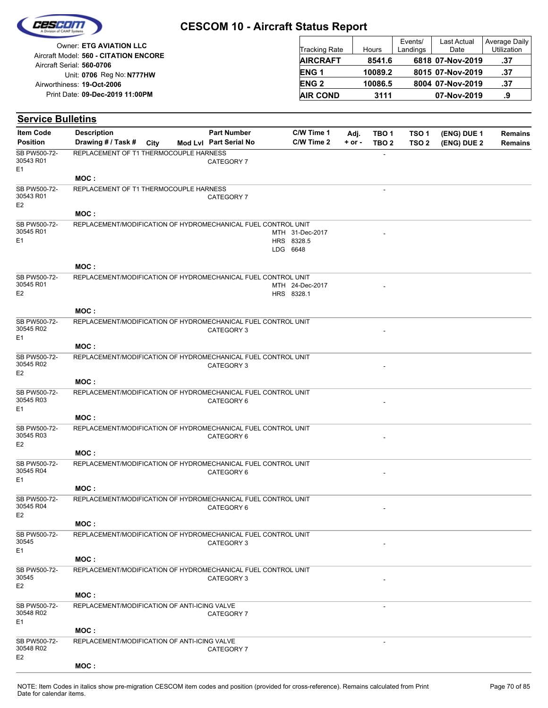|  | Ceseon |  |
|--|--------|--|
|  |        |  |
|  |        |  |

| Owner: ETG AVIATION LLC                                            | Tracking Rate    | Hours   | Events/<br>Landings | Last Actual<br>Date | Average Daily<br><b>Utilization</b> |
|--------------------------------------------------------------------|------------------|---------|---------------------|---------------------|-------------------------------------|
| Aircraft Model: 560 - CITATION ENCORE<br>Aircraft Serial: 560-0706 | <b>AIRCRAFT</b>  | 8541.6  |                     | 6818 07-Nov-2019    | .37                                 |
| Unit: 0706 Reg No: N777HW                                          | ENG <sub>1</sub> | 10089.2 |                     | 8015 07-Nov-2019    | .37                                 |
| Airworthiness: 19-Oct-2006                                         | <b>ENG 2</b>     | 10086.5 |                     | 8004 07-Nov-2019    | -37                                 |
| Print Date: 09-Dec-2019 11:00PM                                    | <b>AIR COND</b>  | 3111    |                     | 07-Nov-2019         | .9                                  |

| <b>Service Bulletins</b>                    |                                                               |      |                        |                                           |            |                  |                  |             |                |
|---------------------------------------------|---------------------------------------------------------------|------|------------------------|-------------------------------------------|------------|------------------|------------------|-------------|----------------|
| <b>Item Code</b>                            | <b>Description</b>                                            |      | <b>Part Number</b>     | C/W Time 1                                | Adj.       | TBO <sub>1</sub> | TSO <sub>1</sub> | (ENG) DUE 1 | <b>Remains</b> |
| <b>Position</b>                             | Drawing # / Task #                                            | City | Mod Lvl Part Serial No | C/W Time 2                                | $+$ or $-$ | TBO <sub>2</sub> | TSO <sub>2</sub> | (ENG) DUE 2 | <b>Remains</b> |
| SB PW500-72-<br>30543 R01<br>E1             | REPLACEMENT OF T1 THERMOCOUPLE HARNESS                        |      | CATEGORY 7             |                                           |            |                  |                  |             |                |
|                                             | MOC:                                                          |      |                        |                                           |            |                  |                  |             |                |
| SB PW500-72-<br>30543 R01<br>E <sub>2</sub> | REPLACEMENT OF T1 THERMOCOUPLE HARNESS                        |      | CATEGORY 7             |                                           |            | $\blacksquare$   |                  |             |                |
|                                             | MOC:                                                          |      |                        |                                           |            |                  |                  |             |                |
| SB PW500-72-<br>30545 R01<br>E1             | REPLACEMENT/MODIFICATION OF HYDROMECHANICAL FUEL CONTROL UNIT |      |                        | MTH 31-Dec-2017<br>HRS 8328.5<br>LDG 6648 |            |                  |                  |             |                |
|                                             | MOC:                                                          |      |                        |                                           |            |                  |                  |             |                |
| SB PW500-72-<br>30545 R01<br>E <sub>2</sub> | REPLACEMENT/MODIFICATION OF HYDROMECHANICAL FUEL CONTROL UNIT |      |                        | MTH 24-Dec-2017<br>HRS 8328.1             |            |                  |                  |             |                |
|                                             | MOC:                                                          |      |                        |                                           |            |                  |                  |             |                |
| SB PW500-72-<br>30545 R02<br>E1             | REPLACEMENT/MODIFICATION OF HYDROMECHANICAL FUEL CONTROL UNIT |      | CATEGORY 3             |                                           |            |                  |                  |             |                |
|                                             | MOC:                                                          |      |                        |                                           |            |                  |                  |             |                |
| SB PW500-72-<br>30545 R02<br>E <sub>2</sub> | REPLACEMENT/MODIFICATION OF HYDROMECHANICAL FUEL CONTROL UNIT |      | CATEGORY 3             |                                           |            |                  |                  |             |                |
|                                             | MOC:                                                          |      |                        |                                           |            |                  |                  |             |                |
| SB PW500-72-<br>30545 R03<br>E1             | REPLACEMENT/MODIFICATION OF HYDROMECHANICAL FUEL CONTROL UNIT |      | CATEGORY 6             |                                           |            |                  |                  |             |                |
|                                             | MOC:                                                          |      |                        |                                           |            |                  |                  |             |                |
| SB PW500-72-<br>30545 R03<br>E <sub>2</sub> | REPLACEMENT/MODIFICATION OF HYDROMECHANICAL FUEL CONTROL UNIT |      | CATEGORY 6             |                                           |            |                  |                  |             |                |
|                                             | MOC:                                                          |      |                        |                                           |            |                  |                  |             |                |
| SB PW500-72-<br>30545 R04<br>E <sub>1</sub> | REPLACEMENT/MODIFICATION OF HYDROMECHANICAL FUEL CONTROL UNIT |      | CATEGORY 6             |                                           |            |                  |                  |             |                |
|                                             | MOC:                                                          |      |                        |                                           |            |                  |                  |             |                |
| SB PW500-72-<br>30545 R04<br>E2             | REPLACEMENT/MODIFICATION OF HYDROMECHANICAL FUEL CONTROL UNIT |      | CATEGORY 6             |                                           |            | $\blacksquare$   |                  |             |                |
|                                             | MOC:                                                          |      |                        |                                           |            |                  |                  |             |                |
| SB PW500-72-<br>30545<br>E1                 | REPLACEMENT/MODIFICATION OF HYDROMECHANICAL FUEL CONTROL UNIT |      | CATEGORY 3             |                                           |            |                  |                  |             |                |
|                                             | MOC:                                                          |      |                        |                                           |            |                  |                  |             |                |
| SB PW500-72-<br>30545<br>E <sub>2</sub>     | REPLACEMENT/MODIFICATION OF HYDROMECHANICAL FUEL CONTROL UNIT |      | CATEGORY 3             |                                           |            |                  |                  |             |                |
|                                             | MOC:                                                          |      |                        |                                           |            |                  |                  |             |                |
| SB PW500-72-<br>30548 R02<br>E1             | REPLACEMENT/MODIFICATION OF ANTI-ICING VALVE                  |      | CATEGORY 7             |                                           |            |                  |                  |             |                |
|                                             | MOC:                                                          |      |                        |                                           |            |                  |                  |             |                |
| SB PW500-72-<br>30548 R02<br>E <sub>2</sub> | REPLACEMENT/MODIFICATION OF ANTI-ICING VALVE                  |      | CATEGORY 7             |                                           |            |                  |                  |             |                |

**MOC :**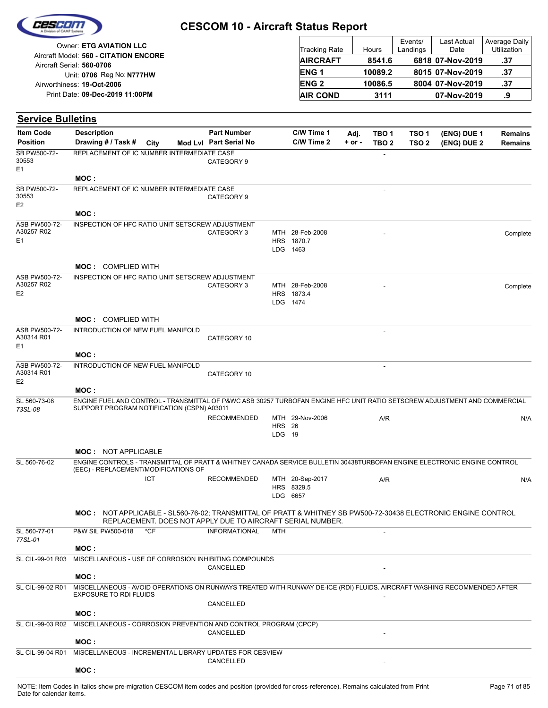| Cescom |  |
|--------|--|
|        |  |
|        |  |

| <b>Owner: ETG AVIATION LLC</b>        |                      |         | Events/  | Last Actual      | Average Daily |
|---------------------------------------|----------------------|---------|----------|------------------|---------------|
|                                       | <b>Tracking Rate</b> | Hours   | Landings | Date             | Utilization   |
| Aircraft Model: 560 - CITATION ENCORE | <b>AIRCRAFT</b>      | 8541.6  |          | 6818 07-Nov-2019 | .37           |
| Aircraft Serial: 560-0706             |                      |         |          |                  |               |
| Unit: 0706 Reg No: N777HW             | <b>ENG1</b>          | 10089.2 |          | 8015 07-Nov-2019 | .37           |
| Airworthiness: 19-Oct-2006            | <b>ENG 2</b>         | 10086.5 |          | 8004 07-Nov-2019 | .37           |
| Print Date: 09-Dec-2019 11:00PM       | <b>AIR COND</b>      | 3111    |          | 07-Nov-2019      | .9            |

**(ENG) DUE 2 (ENG) DUE 1 Service Bulletins** City **Mod Lvl Part Serial No Part Number C/W Time 1 C/W Time 2 + or - Adj. TBO 1 TBO 2 TSO 2 TSO 1 Remains** Description Part Number C/W Time 1 Adj. TBO 1 TSO 1 (ENG) DUE 1 Remains **Position Drawing # / Task # Item Code** - CATEGORY 9 E1 SB PW500-72- 30553 REPLACEMENT OF IC NUMBER INTERMEDIATE CASE **MOC :** - CATEGORY 9 E2 SB PW500-72- 30553 REPLACEMENT OF IC NUMBER INTERMEDIATE CASE **MOC :** LDG HRS 1870.7 MTH CATEGORY 3 28-Feb-2008 - Complete 1463 E1 ASB PW500-72- A30257 R02 INSPECTION OF HFC RATIO UNIT SETSCREW ADJUSTMENT **MOC :** COMPLIED WITH LDG HRS 1873.4 MTH CATEGORY 3 28-Feb-2008 - Complete 1474 E2 ASB PW500-72- A30257 R02 INSPECTION OF HFC RATIO UNIT SETSCREW ADJUSTMENT **MOC :** COMPLIED WITH - CATEGORY 10 E1 ASB PW500-72- A30314 R01 INTRODUCTION OF NEW FUEL MANIFOLD **MOC :** - CATEGORY 10 E2 ASB PW500-72- A30314 R01 INTRODUCTION OF NEW FUEL MANIFOLD **MOC :** LDG HRS 26 RECOMMENDED MTH 29-Nov-2006 A/R N/A 19 *73SL-08* SL 560-73-08 ENGINE FUEL AND CONTROL - TRANSMITTAL OF P&WC ASB 30257 TURBOFAN ENGINE HFC UNIT RATIO SETSCREW ADJUSTMENT AND COMMERCIAL SUPPORT PROGRAM NOTIFICATION (CSPN) A03011 **MOC :** NOT APPLICABLE LDG 6657 HRS 8329.5 RECOMMENDED MTH 20-Sep-2017 A/R N/A SL 560-76-02 ICT ENGINE CONTROLS - TRANSMITTAL OF PRATT & WHITNEY CANADA SERVICE BULLETIN 30438TURBOFAN ENGINE ELECTRONIC ENGINE CONTROL (EEC) - REPLACEMENT/MODIFICATIONS OF NOT APPLICABLE - SL560-76-02; TRANSMITTAL OF PRATT & WHITNEY SB PW500-72-30438 ELECTRONIC ENGINE CONTROL **MOC :** REPLACEMENT. DOES NOT APPLY DUE TO AIRCRAFT SERIAL NUMBER. INFORMATIONAL MTH *77SL-01* SL 560-77-01 P&W SIL PW500-018 \*CF **MOC :** CANCELLED SL CIL-99-01 R03 MISCELLANEOUS - USE OF CORROSION INHIBITING COMPOUNDS **MOC :** - CANCELLED SL CIL-99-02 R01 MISCELLANEOUS - AVOID OPERATIONS ON RUNWAYS TREATED WITH RUNWAY DE-ICE (RDI) FLUIDS. AIRCRAFT WASHING RECOMMENDED AFTER EXPOSURE TO RDI FLUIDS **MOC :** CANCELLED SL CIL-99-03 R02 MISCELLANEOUS - CORROSION PREVENTION AND CONTROL PROGRAM (CPCP) **MOC : CANCELLED** SL CIL-99-04 R01 MISCELLANEOUS - INCREMENTAL LIBRARY UPDATES FOR CESVIEW

### **MOC :**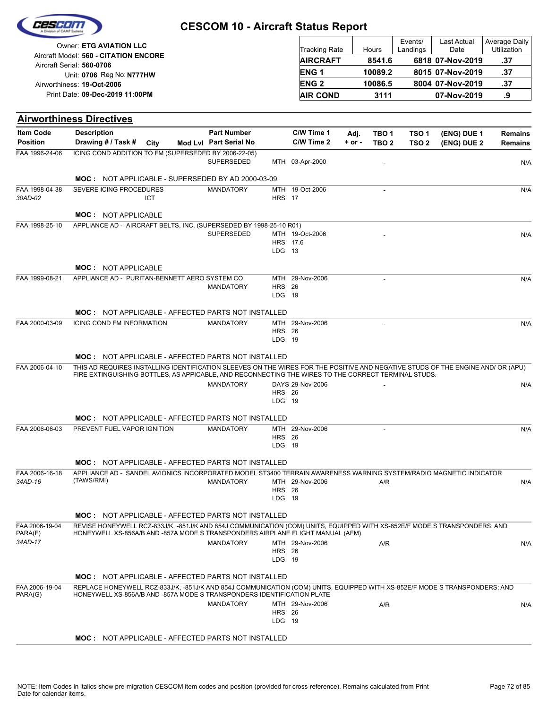

| Owner: ETG AVIATION LLC                                            | <b>Tracking Rate</b> | Hours   | Events/<br>Landings | Last Actual<br>Date | Average Daily<br>Utilization |
|--------------------------------------------------------------------|----------------------|---------|---------------------|---------------------|------------------------------|
| Aircraft Model: 560 - CITATION ENCORE<br>Aircraft Serial: 560-0706 | <b>AIRCRAFT</b>      | 8541.6  |                     | 6818 07-Nov-2019    | .37                          |
| Unit: 0706 Reg No: N777HW                                          | <b>ENG1</b>          | 10089.2 |                     | 8015 07-Nov-2019    | .37                          |
| Airworthiness: 19-Oct-2006                                         | <b>ENG 2</b>         | 10086.5 |                     | 8004 07-Nov-2019    | .37                          |
| Print Date: 09-Dec-2019 11:00PM                                    | <b>AIR COND</b>      | 3111    |                     | 07-Nov-2019         | .9                           |

# **Airworthiness Directives**

| <b>Item Code</b>          | <b>Description</b>                                                                                                                                                                                   |            | <b>Part Number</b>     |                         | C/W Time 1       | Adj.       | TBO 1            | TSO <sub>1</sub> | (ENG) DUE 1 | <b>Remains</b> |
|---------------------------|------------------------------------------------------------------------------------------------------------------------------------------------------------------------------------------------------|------------|------------------------|-------------------------|------------------|------------|------------------|------------------|-------------|----------------|
| <b>Position</b>           | Drawing # / Task # City                                                                                                                                                                              |            | Mod Lvl Part Serial No |                         | C/W Time 2       | $+$ or $-$ | TBO <sub>2</sub> | TSO <sub>2</sub> | (ENG) DUE 2 | <b>Remains</b> |
| FAA 1996-24-06            | ICING COND ADDITION TO FM (SUPERSEDED BY 2006-22-05)                                                                                                                                                 |            | <b>SUPERSEDED</b>      |                         | MTH 03-Apr-2000  |            |                  |                  |             |                |
|                           |                                                                                                                                                                                                      |            |                        |                         |                  |            |                  |                  |             | N/A            |
|                           | <b>MOC: NOT APPLICABLE - SUPERSEDED BY AD 2000-03-09</b>                                                                                                                                             |            |                        |                         |                  |            |                  |                  |             |                |
| FAA 1998-04-38<br>30AD-02 | SEVERE ICING PROCEDURES                                                                                                                                                                              | <b>ICT</b> | <b>MANDATORY</b>       | <b>HRS</b> 17           | MTH 19-Oct-2006  |            |                  |                  |             | N/A            |
|                           |                                                                                                                                                                                                      |            |                        |                         |                  |            |                  |                  |             |                |
|                           | <b>MOC: NOT APPLICABLE</b>                                                                                                                                                                           |            |                        |                         |                  |            |                  |                  |             |                |
| FAA 1998-25-10            | APPLIANCE AD - AIRCRAFT BELTS, INC. (SUPERSEDED BY 1998-25-10 R01)                                                                                                                                   |            | <b>SUPERSEDED</b>      |                         | MTH 19-Oct-2006  |            |                  |                  |             | N/A            |
|                           |                                                                                                                                                                                                      |            |                        |                         | HRS 17.6         |            |                  |                  |             |                |
|                           |                                                                                                                                                                                                      |            |                        | $LDG$ 13                |                  |            |                  |                  |             |                |
|                           | <b>MOC: NOT APPLICABLE</b>                                                                                                                                                                           |            |                        |                         |                  |            |                  |                  |             |                |
| FAA 1999-08-21            | APPLIANCE AD - PURITAN-BENNETT AERO SYSTEM CO                                                                                                                                                        |            |                        |                         | MTH 29-Nov-2006  |            | ÷.               |                  |             | N/A            |
|                           |                                                                                                                                                                                                      |            | <b>MANDATORY</b>       | <b>HRS</b> 26<br>LDG 19 |                  |            |                  |                  |             |                |
|                           |                                                                                                                                                                                                      |            |                        |                         |                  |            |                  |                  |             |                |
|                           | <b>MOC: NOT APPLICABLE - AFFECTED PARTS NOT INSTALLED</b>                                                                                                                                            |            |                        |                         |                  |            |                  |                  |             |                |
| FAA 2000-03-09            | ICING COND FM INFORMATION                                                                                                                                                                            |            | <b>MANDATORY</b>       | <b>HRS</b> 26           | MTH 29-Nov-2006  |            |                  |                  |             | N/A            |
|                           |                                                                                                                                                                                                      |            |                        | LDG 19                  |                  |            |                  |                  |             |                |
|                           | <b>MOC: NOT APPLICABLE - AFFECTED PARTS NOT INSTALLED</b>                                                                                                                                            |            |                        |                         |                  |            |                  |                  |             |                |
| FAA 2006-04-10            | THIS AD REQUIRES INSTALLING IDENTIFICATION SLEEVES ON THE WIRES FOR THE POSITIVE AND NEGATIVE STUDS OF THE ENGINE AND/ OR (APU)                                                                      |            |                        |                         |                  |            |                  |                  |             |                |
|                           | FIRE EXTINGUISHING BOTTLES, AS APPICABLE, AND RECONNECTING THE WIRES TO THE CORRECT TERMINAL STUDS.                                                                                                  |            |                        |                         |                  |            |                  |                  |             |                |
|                           |                                                                                                                                                                                                      |            | <b>MANDATORY</b>       | <b>HRS</b> 26           | DAYS 29-Nov-2006 |            |                  |                  |             | N/A            |
|                           |                                                                                                                                                                                                      |            |                        | LDG 19                  |                  |            |                  |                  |             |                |
|                           | <b>MOC: NOT APPLICABLE - AFFECTED PARTS NOT INSTALLED</b>                                                                                                                                            |            |                        |                         |                  |            |                  |                  |             |                |
| FAA 2006-06-03            | PREVENT FUEL VAPOR IGNITION                                                                                                                                                                          |            | <b>MANDATORY</b>       |                         | MTH 29-Nov-2006  |            | ٠                |                  |             | N/A            |
|                           |                                                                                                                                                                                                      |            |                        | <b>HRS</b> 26<br>LDG 19 |                  |            |                  |                  |             |                |
|                           |                                                                                                                                                                                                      |            |                        |                         |                  |            |                  |                  |             |                |
|                           | <b>MOC: NOT APPLICABLE - AFFECTED PARTS NOT INSTALLED</b>                                                                                                                                            |            |                        |                         |                  |            |                  |                  |             |                |
| FAA 2006-16-18<br>34AD-16 | APPLIANCE AD - SANDEL AVIONICS INCORPORATED MODEL ST3400 TERRAIN AWARENESS WARNING SYSTEM/RADIO MAGNETIC INDICATOR<br>(TAWS/RMI)                                                                     |            | <b>MANDATORY</b>       |                         | MTH 29-Nov-2006  |            | A/R              |                  |             | N/A            |
|                           |                                                                                                                                                                                                      |            |                        | <b>HRS</b> 26           |                  |            |                  |                  |             |                |
|                           |                                                                                                                                                                                                      |            |                        | LDG 19                  |                  |            |                  |                  |             |                |
|                           | <b>MOC: NOT APPLICABLE - AFFECTED PARTS NOT INSTALLED</b>                                                                                                                                            |            |                        |                         |                  |            |                  |                  |             |                |
| FAA 2006-19-04            | REVISE HONEYWELL RCZ-833J/K, -851J/K AND 854J COMMUNICATION (COM) UNITS, EQUIPPED WITH XS-852E/F MODE S TRANSPONDERS; AND                                                                            |            |                        |                         |                  |            |                  |                  |             |                |
| PARA(F)<br>34AD-17        | HONEYWELL XS-856A/B AND -857A MODE S TRANSPONDERS AIRPLANE FLIGHT MANUAL (AFM)                                                                                                                       |            | <b>MANDATORY</b>       |                         | MTH 29-Nov-2006  |            | A/R              |                  |             | N/A            |
|                           |                                                                                                                                                                                                      |            |                        | <b>HRS</b> 26           |                  |            |                  |                  |             |                |
|                           |                                                                                                                                                                                                      |            |                        | LDG 19                  |                  |            |                  |                  |             |                |
|                           | <b>MOC: NOT APPLICABLE - AFFECTED PARTS NOT INSTALLED</b>                                                                                                                                            |            |                        |                         |                  |            |                  |                  |             |                |
| FAA 2006-19-04<br>PARA(G) | REPLACE HONEYWELL RCZ-833J/K, -851J/K AND 854J COMMUNICATION (COM) UNITS, EQUIPPED WITH XS-852E/F MODE S TRANSPONDERS; AND<br>HONEYWELL XS-856A/B AND -857A MODE S TRANSPONDERS IDENTIFICATION PLATE |            |                        |                         |                  |            |                  |                  |             |                |
|                           |                                                                                                                                                                                                      |            | <b>MANDATORY</b>       |                         | MTH 29-Nov-2006  |            | A/R              |                  |             | N/A            |
|                           |                                                                                                                                                                                                      |            |                        | <b>HRS</b> 26           |                  |            |                  |                  |             |                |
|                           |                                                                                                                                                                                                      |            |                        | LDG 19                  |                  |            |                  |                  |             |                |
|                           | <b>MOC:</b> NOT APPLICABLE - AFFECTED PARTS NOT INSTALLED                                                                                                                                            |            |                        |                         |                  |            |                  |                  |             |                |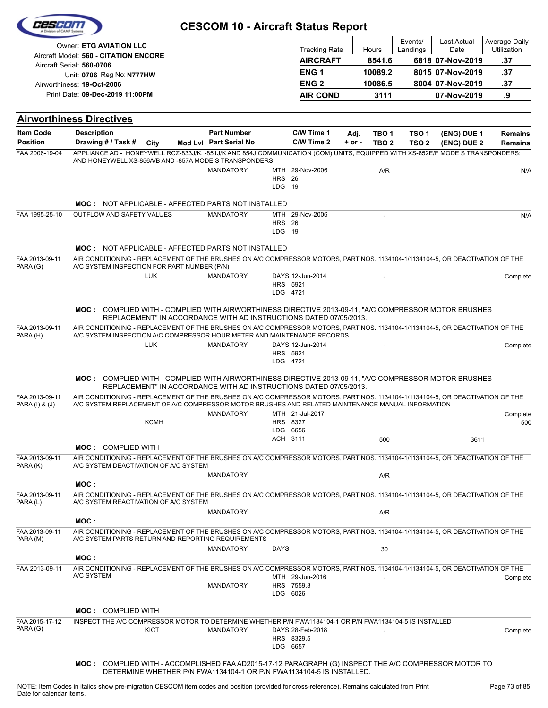|                                                                                                                                                         | <b>Owner: ETG AVIATION LLC</b>                                                                                                                                                                                                     |             |                                                                                                 |                             |                      |          |         |                  | Events/          | Last Actual      | Average Daily        |
|---------------------------------------------------------------------------------------------------------------------------------------------------------|------------------------------------------------------------------------------------------------------------------------------------------------------------------------------------------------------------------------------------|-------------|-------------------------------------------------------------------------------------------------|-----------------------------|----------------------|----------|---------|------------------|------------------|------------------|----------------------|
|                                                                                                                                                         | Aircraft Model: 560 - CITATION ENCORE                                                                                                                                                                                              |             |                                                                                                 |                             | <b>Tracking Rate</b> |          | Hours   |                  | Landings         | Date             | Utilization          |
|                                                                                                                                                         | Aircraft Serial: 560-0706                                                                                                                                                                                                          |             |                                                                                                 |                             | <b>AIRCRAFT</b>      |          | 8541.6  |                  |                  | 6818 07-Nov-2019 | .37                  |
|                                                                                                                                                         | Unit: 0706 Reg No: N777HW                                                                                                                                                                                                          |             |                                                                                                 |                             | ENG <sub>1</sub>     |          | 10089.2 |                  |                  | 8015 07-Nov-2019 | .37                  |
|                                                                                                                                                         | Airworthiness: 19-Oct-2006                                                                                                                                                                                                         |             |                                                                                                 |                             | <b>ENG2</b>          |          | 10086.5 |                  |                  | 8004 07-Nov-2019 | .37                  |
|                                                                                                                                                         | Print Date: 09-Dec-2019 11:00PM                                                                                                                                                                                                    |             |                                                                                                 |                             | <b>AIR COND</b>      |          |         | 3111             |                  | 07-Nov-2019      | .9                   |
|                                                                                                                                                         | <b>Airworthiness Directives</b>                                                                                                                                                                                                    |             |                                                                                                 |                             |                      |          |         |                  |                  |                  |                      |
| <b>Item Code</b>                                                                                                                                        | <b>Description</b>                                                                                                                                                                                                                 |             | <b>Part Number</b>                                                                              |                             | C/W Time 1           | Adj.     |         | TBO <sub>1</sub> | TSO <sub>1</sub> | (ENG) DUE 1      | <b>Remains</b>       |
| <b>Position</b><br>FAA 2006-19-04                                                                                                                       | Drawing # / Task #<br>APPLIANCE AD - HONEYWELL RCZ-833J/K, -851J/K AND 854J COMMUNICATION (COM) UNITS, EQUIPPED WITH XS-852E/F MODE S TRANSPONDERS;                                                                                | City        | Mod Lvl Part Serial No                                                                          |                             | C/W Time 2           | $+ or -$ |         | TBO <sub>2</sub> | TSO <sub>2</sub> | (ENG) DUE 2      | <b>Remains</b>       |
|                                                                                                                                                         | AND HONEYWELL XS-856A/B AND -857A MODE S TRANSPONDERS                                                                                                                                                                              |             |                                                                                                 |                             |                      |          |         |                  |                  |                  |                      |
|                                                                                                                                                         |                                                                                                                                                                                                                                    |             | <b>MANDATORY</b>                                                                                | <b>HRS</b> 26               | MTH 29-Nov-2006      |          |         | A/R              |                  |                  | N/A                  |
|                                                                                                                                                         |                                                                                                                                                                                                                                    |             |                                                                                                 | LDG 19                      |                      |          |         |                  |                  |                  |                      |
|                                                                                                                                                         | <b>MOC: NOT APPLICABLE - AFFECTED PARTS NOT INSTALLED</b>                                                                                                                                                                          |             |                                                                                                 |                             |                      |          |         |                  |                  |                  |                      |
| FAA 1995-25-10                                                                                                                                          | <b>OUTFLOW AND SAFETY VALUES</b>                                                                                                                                                                                                   |             | <b>MANDATORY</b>                                                                                |                             | MTH 29-Nov-2006      |          |         |                  |                  |                  | N/A                  |
|                                                                                                                                                         |                                                                                                                                                                                                                                    |             |                                                                                                 | <b>HRS</b> 26<br>LDG 19     |                      |          |         |                  |                  |                  |                      |
|                                                                                                                                                         |                                                                                                                                                                                                                                    |             |                                                                                                 |                             |                      |          |         |                  |                  |                  |                      |
|                                                                                                                                                         | <b>MOC: NOT APPLICABLE - AFFECTED PARTS NOT INSTALLED</b>                                                                                                                                                                          |             |                                                                                                 |                             |                      |          |         |                  |                  |                  |                      |
| FAA 2013-09-11<br>PARA (G)                                                                                                                              | AIR CONDITIONING - REPLACEMENT OF THE BRUSHES ON A/C COMPRESSOR MOTORS, PART NOS. 1134104-1/1134104-5, OR DEACTIVATION OF THE<br>A/C SYSTEM INSPECTION FOR PART NUMBER (P/N)                                                       |             |                                                                                                 |                             |                      |          |         |                  |                  |                  |                      |
|                                                                                                                                                         |                                                                                                                                                                                                                                    | <b>LUK</b>  | <b>MANDATORY</b>                                                                                |                             | DAYS 12-Jun-2014     |          |         |                  |                  |                  | Complete             |
|                                                                                                                                                         |                                                                                                                                                                                                                                    |             |                                                                                                 | HRS 5921<br>LDG 4721        |                      |          |         |                  |                  |                  |                      |
|                                                                                                                                                         |                                                                                                                                                                                                                                    |             |                                                                                                 |                             |                      |          |         |                  |                  |                  |                      |
|                                                                                                                                                         | MOC: COMPLIED WITH - COMPLIED WITH AIRWORTHINESS DIRECTIVE 2013-09-11, "A/C COMPRESSOR MOTOR BRUSHES                                                                                                                               |             | REPLACEMENT" IN ACCORDANCE WITH AD INSTRUCTIONS DATED 07/05/2013.                               |                             |                      |          |         |                  |                  |                  |                      |
| FAA 2013-09-11                                                                                                                                          | AIR CONDITIONING - REPLACEMENT OF THE BRUSHES ON A/C COMPRESSOR MOTORS, PART NOS. 1134104-1/1134104-5, OR DEACTIVATION OF THE                                                                                                      |             |                                                                                                 |                             |                      |          |         |                  |                  |                  |                      |
| PARA (H)                                                                                                                                                | A/C SYSTEM INSPECTION A/C COMPRESSOR HOUR METER AND MAINTENANCE RECORDS                                                                                                                                                            | <b>LUK</b>  | <b>MANDATORY</b>                                                                                |                             | DAYS 12-Jun-2014     |          |         |                  |                  |                  | Complete             |
|                                                                                                                                                         |                                                                                                                                                                                                                                    |             |                                                                                                 | HRS 5921                    |                      |          |         |                  |                  |                  |                      |
|                                                                                                                                                         |                                                                                                                                                                                                                                    |             |                                                                                                 |                             |                      |          |         |                  |                  |                  |                      |
|                                                                                                                                                         |                                                                                                                                                                                                                                    |             |                                                                                                 | LDG 4721                    |                      |          |         |                  |                  |                  |                      |
|                                                                                                                                                         | MOC :                                                                                                                                                                                                                              |             | COMPLIED WITH - COMPLIED WITH AIRWORTHINESS DIRECTIVE 2013-09-11, "A/C COMPRESSOR MOTOR BRUSHES |                             |                      |          |         |                  |                  |                  |                      |
|                                                                                                                                                         |                                                                                                                                                                                                                                    |             | REPLACEMENT" IN ACCORDANCE WITH AD INSTRUCTIONS DATED 07/05/2013.                               |                             |                      |          |         |                  |                  |                  |                      |
|                                                                                                                                                         | AIR CONDITIONING - REPLACEMENT OF THE BRUSHES ON A/C COMPRESSOR MOTORS, PART NOS. 1134104-1/1134104-5, OR DEACTIVATION OF THE<br>A/C SYSTEM REPLACEMENT OF A/C COMPRESSOR MOTOR BRUSHES AND RELATED MAINTENANCE MANUAL INFORMATION |             |                                                                                                 |                             |                      |          |         |                  |                  |                  |                      |
|                                                                                                                                                         |                                                                                                                                                                                                                                    |             | <b>MANDATORY</b>                                                                                |                             | MTH 21-Jul-2017      |          |         |                  |                  |                  |                      |
|                                                                                                                                                         |                                                                                                                                                                                                                                    | <b>KCMH</b> |                                                                                                 | <b>HRS 8327</b><br>LDG 6656 |                      |          |         |                  |                  |                  |                      |
|                                                                                                                                                         |                                                                                                                                                                                                                                    |             |                                                                                                 | ACH 3111                    |                      |          |         | 500              |                  | 3611             |                      |
| FAA 2013-09-11                                                                                                                                          | <b>MOC: COMPLIED WITH</b><br>AIR CONDITIONING - REPLACEMENT OF THE BRUSHES ON A/C COMPRESSOR MOTORS, PART NOS. 1134104-1/1134104-5, OR DEACTIVATION OF THE                                                                         |             |                                                                                                 |                             |                      |          |         |                  |                  |                  |                      |
|                                                                                                                                                         | A/C SYSTEM DEACTIVATION OF A/C SYSTEM                                                                                                                                                                                              |             |                                                                                                 |                             |                      |          |         |                  |                  |                  |                      |
|                                                                                                                                                         |                                                                                                                                                                                                                                    |             | <b>MANDATORY</b>                                                                                |                             |                      |          |         | A/R              |                  |                  |                      |
|                                                                                                                                                         | MOC :<br>AIR CONDITIONING - REPLACEMENT OF THE BRUSHES ON A/C COMPRESSOR MOTORS, PART NOS. 1134104-1/1134104-5, OR DEACTIVATION OF THE                                                                                             |             |                                                                                                 |                             |                      |          |         |                  |                  |                  |                      |
|                                                                                                                                                         | A/C SYSTEM REACTIVATION OF A/C SYSTEM                                                                                                                                                                                              |             |                                                                                                 |                             |                      |          |         |                  |                  |                  |                      |
|                                                                                                                                                         | MOC:                                                                                                                                                                                                                               |             | <b>MANDATORY</b>                                                                                |                             |                      |          |         | A/R              |                  |                  |                      |
|                                                                                                                                                         | AIR CONDITIONING - REPLACEMENT OF THE BRUSHES ON A/C COMPRESSOR MOTORS, PART NOS. 1134104-1/1134104-5, OR DEACTIVATION OF THE                                                                                                      |             |                                                                                                 |                             |                      |          |         |                  |                  |                  |                      |
|                                                                                                                                                         | A/C SYSTEM PARTS RETURN AND REPORTING REQUIREMENTS                                                                                                                                                                                 |             |                                                                                                 |                             |                      |          |         |                  |                  |                  | Complete<br>500      |
|                                                                                                                                                         | MOC:                                                                                                                                                                                                                               |             | <b>MANDATORY</b>                                                                                | <b>DAYS</b>                 |                      |          |         | 30               |                  |                  |                      |
|                                                                                                                                                         | AIR CONDITIONING - REPLACEMENT OF THE BRUSHES ON A/C COMPRESSOR MOTORS, PART NOS. 1134104-1/1134104-5, OR DEACTIVATION OF THE                                                                                                      |             |                                                                                                 |                             |                      |          |         |                  |                  |                  |                      |
|                                                                                                                                                         | A/C SYSTEM                                                                                                                                                                                                                         |             |                                                                                                 |                             | MTH 29-Jun-2016      |          |         |                  |                  |                  |                      |
|                                                                                                                                                         |                                                                                                                                                                                                                                    |             | <b>MANDATORY</b>                                                                                | LDG 6026                    | HRS 7559.3           |          |         |                  |                  |                  |                      |
|                                                                                                                                                         |                                                                                                                                                                                                                                    |             |                                                                                                 |                             |                      |          |         |                  |                  |                  |                      |
|                                                                                                                                                         | <b>MOC: COMPLIED WITH</b><br>INSPECT THE A/C COMPRESSOR MOTOR TO DETERMINE WHETHER P/N FWA1134104-1 OR P/N FWA1134104-5 IS INSTALLED                                                                                               |             |                                                                                                 |                             |                      |          |         |                  |                  |                  |                      |
|                                                                                                                                                         |                                                                                                                                                                                                                                    | <b>KICT</b> | <b>MANDATORY</b>                                                                                |                             | DAYS 28-Feb-2018     |          |         |                  |                  |                  | Complete<br>Complete |
| PARA (I) & (J)<br>FAA 2013-09-11<br>PARA (K)<br>FAA 2013-09-11<br>PARA(L)<br>FAA 2013-09-11<br>PARA (M)<br>FAA 2013-09-11<br>FAA 2015-17-12<br>PARA (G) |                                                                                                                                                                                                                                    |             |                                                                                                 | LDG 6657                    | HRS 8329.5           |          |         |                  |                  |                  |                      |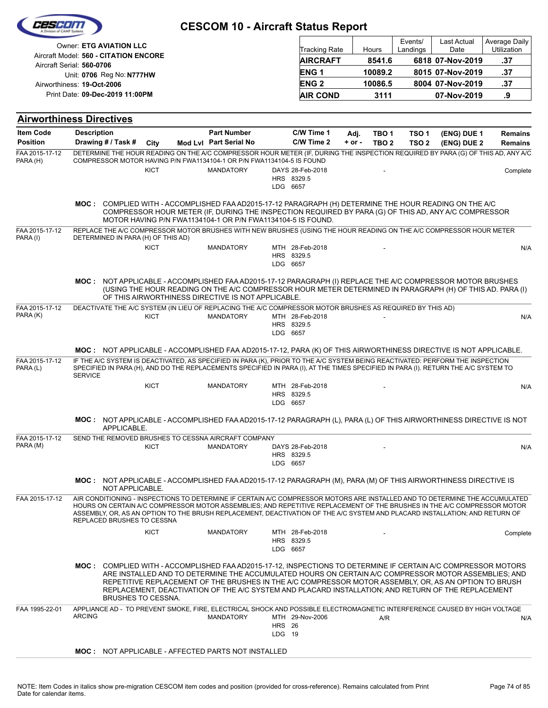|                            |                                                                                                                                                                                                                                                                                                                                                                                                                     | <b>CESCOM 10 - Aircraft Status Report</b>                                                                                                                                                                                                                                                                            |                         |                                |            |                  |                     |                     |                              |
|----------------------------|---------------------------------------------------------------------------------------------------------------------------------------------------------------------------------------------------------------------------------------------------------------------------------------------------------------------------------------------------------------------------------------------------------------------|----------------------------------------------------------------------------------------------------------------------------------------------------------------------------------------------------------------------------------------------------------------------------------------------------------------------|-------------------------|--------------------------------|------------|------------------|---------------------|---------------------|------------------------------|
|                            | <b>Owner: ETG AVIATION LLC</b>                                                                                                                                                                                                                                                                                                                                                                                      |                                                                                                                                                                                                                                                                                                                      |                         | <b>Tracking Rate</b>           |            | Hours            | Events/<br>Landings | Last Actual<br>Date | Average Daily<br>Utilization |
|                            | Aircraft Model: 560 - CITATION ENCORE<br>Aircraft Serial: 560-0706                                                                                                                                                                                                                                                                                                                                                  |                                                                                                                                                                                                                                                                                                                      |                         | <b>AIRCRAFT</b>                |            | 8541.6           |                     | 6818 07-Nov-2019    | .37                          |
|                            | Unit: 0706 Reg No: N777HW                                                                                                                                                                                                                                                                                                                                                                                           |                                                                                                                                                                                                                                                                                                                      |                         | ENG <sub>1</sub>               |            | 10089.2          |                     | 8015 07-Nov-2019    | .37                          |
|                            | Airworthiness: 19-Oct-2006                                                                                                                                                                                                                                                                                                                                                                                          |                                                                                                                                                                                                                                                                                                                      |                         | <b>ENG2</b>                    |            | 10086.5          |                     | 8004 07-Nov-2019    | .37                          |
|                            | Print Date: 09-Dec-2019 11:00PM                                                                                                                                                                                                                                                                                                                                                                                     |                                                                                                                                                                                                                                                                                                                      |                         | <b>AIR COND</b>                |            | 3111             |                     | 07-Nov-2019         | .9                           |
|                            | <b>Airworthiness Directives</b>                                                                                                                                                                                                                                                                                                                                                                                     |                                                                                                                                                                                                                                                                                                                      |                         |                                |            |                  |                     |                     |                              |
| <b>Item Code</b>           | <b>Description</b>                                                                                                                                                                                                                                                                                                                                                                                                  | <b>Part Number</b>                                                                                                                                                                                                                                                                                                   |                         | C/W Time 1                     | Adj.       | TBO <sub>1</sub> | TSO <sub>1</sub>    | (ENG) DUE 1         | <b>Remains</b>               |
| <b>Position</b>            | Drawing # / Task #<br>City                                                                                                                                                                                                                                                                                                                                                                                          | Mod Lvl Part Serial No                                                                                                                                                                                                                                                                                               |                         | C/W Time 2                     | $+$ or $-$ | TBO <sub>2</sub> | TSO <sub>2</sub>    | (ENG) DUE 2         | <b>Remains</b>               |
| FAA 2015-17-12             | DETERMINE THE HOUR READING ON THE A/C COMPRESSOR HOUR METER (IF, DURING THE INSPECTION REQUIRED BY PARA (G) OF THIS AD, ANY A/C                                                                                                                                                                                                                                                                                     |                                                                                                                                                                                                                                                                                                                      |                         |                                |            |                  |                     |                     |                              |
| PARA (H)                   | COMPRESSOR MOTOR HAVING P/N FWA1134104-1 OR P/N FWA1134104-5 IS FOUND<br><b>KICT</b>                                                                                                                                                                                                                                                                                                                                | <b>MANDATORY</b>                                                                                                                                                                                                                                                                                                     |                         | DAYS 28-Feb-2018               |            |                  |                     |                     |                              |
|                            |                                                                                                                                                                                                                                                                                                                                                                                                                     |                                                                                                                                                                                                                                                                                                                      |                         | HRS 8329.5                     |            |                  |                     |                     | Complete                     |
|                            |                                                                                                                                                                                                                                                                                                                                                                                                                     |                                                                                                                                                                                                                                                                                                                      | LDG 6657                |                                |            |                  |                     |                     |                              |
|                            | MOC: COMPLIED WITH - ACCOMPLISHED FAA AD2015-17-12 PARAGRAPH (H) DETERMINE THE HOUR READING ON THE A/C                                                                                                                                                                                                                                                                                                              | COMPRESSOR HOUR METER (IF, DURING THE INSPECTION REQUIRED BY PARA (G) OF THIS AD, ANY A/C COMPRESSOR<br>MOTOR HAVING P/N FWA1134104-1 OR P/N FWA1134104-5 IS FOUND.                                                                                                                                                  |                         |                                |            |                  |                     |                     |                              |
| FAA 2015-17-12             | REPLACE THE A/C COMPRESSOR MOTOR BRUSHES WITH NEW BRUSHES (USING THE HOUR READING ON THE A/C COMPRESSOR HOUR METER                                                                                                                                                                                                                                                                                                  |                                                                                                                                                                                                                                                                                                                      |                         |                                |            |                  |                     |                     |                              |
| PARA (I)                   | DETERMINED IN PARA (H) OF THIS AD)<br><b>KICT</b>                                                                                                                                                                                                                                                                                                                                                                   | <b>MANDATORY</b>                                                                                                                                                                                                                                                                                                     |                         | MTH 28-Feb-2018                |            |                  |                     |                     | N/A                          |
|                            |                                                                                                                                                                                                                                                                                                                                                                                                                     |                                                                                                                                                                                                                                                                                                                      | LDG 6657                | HRS 8329.5                     |            |                  |                     |                     |                              |
|                            | MOC: NOT APPLICABLE - ACCOMPLISHED FAA AD2015-17-12 PARAGRAPH (I) REPLACE THE A/C COMPRESSOR MOTOR BRUSHES                                                                                                                                                                                                                                                                                                          | (USING THE HOUR READING ON THE A/C COMPRESSOR HOUR METER DETERMINED IN PARAGRAPH (H) OF THIS AD. PARA (I)<br>OF THIS AIRWORTHINESS DIRECTIVE IS NOT APPLICABLE.                                                                                                                                                      |                         |                                |            |                  |                     |                     |                              |
| FAA 2015-17-12             | DEACTIVATE THE A/C SYSTEM (IN LIEU OF REPLACING THE A/C COMPRESSOR MOTOR BRUSHES AS REQUIRED BY THIS AD)                                                                                                                                                                                                                                                                                                            |                                                                                                                                                                                                                                                                                                                      |                         |                                |            |                  |                     |                     |                              |
| PARA (K)                   | <b>KICT</b>                                                                                                                                                                                                                                                                                                                                                                                                         | <b>MANDATORY</b>                                                                                                                                                                                                                                                                                                     | LDG 6657                | MTH 28-Feb-2018<br>HRS 8329.5  |            |                  |                     |                     | N/A                          |
|                            | MOC: NOT APPLICABLE - ACCOMPLISHED FAA AD2015-17-12, PARA (K) OF THIS AIRWORTHINESS DIRECTIVE IS NOT APPLICABLE.                                                                                                                                                                                                                                                                                                    |                                                                                                                                                                                                                                                                                                                      |                         |                                |            |                  |                     |                     |                              |
| FAA 2015-17-12<br>PARA (L) | IF THE A/C SYSTEM IS DEACTIVATED. AS SPECIFIED IN PARA (K), PRIOR TO THE A/C SYSTEM BEING REACTIVATED: PERFORM THE INSPECTION<br>SPECIFIED IN PARA (H), AND DO THE REPLACEMENTS SPECIFIED IN PARA (I), AT THE TIMES SPECIFIED IN PARA (I). RETURN THE A/C SYSTEM TO<br><b>SERVICE</b>                                                                                                                               |                                                                                                                                                                                                                                                                                                                      |                         |                                |            |                  |                     |                     |                              |
|                            | <b>KICT</b>                                                                                                                                                                                                                                                                                                                                                                                                         | <b>MANDATORY</b>                                                                                                                                                                                                                                                                                                     | LDG 6657                | MTH 28-Feb-2018<br>HRS 8329.5  |            |                  |                     |                     | N/A                          |
|                            | MOC: NOT APPLICABLE - ACCOMPLISHED FAA AD2015-17-12 PARAGRAPH (L), PARA (L) OF THIS AIRWORTHINESS DIRECTIVE IS NOT<br>APPLICABLE.                                                                                                                                                                                                                                                                                   |                                                                                                                                                                                                                                                                                                                      |                         |                                |            |                  |                     |                     |                              |
| FAA 2015-17-12<br>PARA (M) | SEND THE REMOVED BRUSHES TO CESSNA AIRCRAFT COMPANY                                                                                                                                                                                                                                                                                                                                                                 |                                                                                                                                                                                                                                                                                                                      |                         |                                |            |                  |                     |                     |                              |
|                            | KICT                                                                                                                                                                                                                                                                                                                                                                                                                | <b>MANDATORY</b>                                                                                                                                                                                                                                                                                                     | LDG 6657                | DAYS 28-Feb-2018<br>HRS 8329.5 |            |                  |                     |                     | N/A                          |
|                            | MOC: NOT APPLICABLE - ACCOMPLISHED FAA AD2015-17-12 PARAGRAPH (M), PARA (M) OF THIS AIRWORTHINESS DIRECTIVE IS<br>NOT APPLICABLE.                                                                                                                                                                                                                                                                                   |                                                                                                                                                                                                                                                                                                                      |                         |                                |            |                  |                     |                     |                              |
| FAA 2015-17-12             | AIR CONDITIONING - INSPECTIONS TO DETERMINE IF CERTAIN A/C COMPRESSOR MOTORS ARE INSTALLED AND TO DETERMINE THE ACCUMULATED<br>HOURS ON CERTAIN A/C COMPRESSOR MOTOR ASSEMBLIES: AND REPETITIVE REPLACEMENT OF THE BRUSHES IN THE A/C COMPRESSOR MOTOR<br>ASSEMBLY, OR, AS AN OPTION TO THE BRUSH REPLACEMENT, DEACTIVATION OF THE A/C SYSTEM AND PLACARD INSTALLATION; AND RETURN OF<br>REPLACED BRUSHES TO CESSNA |                                                                                                                                                                                                                                                                                                                      |                         |                                |            |                  |                     |                     |                              |
|                            | <b>KICT</b>                                                                                                                                                                                                                                                                                                                                                                                                         | <b>MANDATORY</b>                                                                                                                                                                                                                                                                                                     | LDG 6657                | MTH 28-Feb-2018<br>HRS 8329.5  |            |                  |                     |                     | Complete                     |
|                            | MOC: COMPLIED WITH - ACCOMPLISHED FAA AD2015-17-12, INSPECTIONS TO DETERMINE IF CERTAIN A/C COMPRESSOR MOTORS<br><b>BRUSHES TO CESSNA.</b>                                                                                                                                                                                                                                                                          | ARE INSTALLED AND TO DETERMINE THE ACCUMULATED HOURS ON CERTAIN A/C COMPRESSOR MOTOR ASSEMBLIES; AND<br>REPETITIVE REPLACEMENT OF THE BRUSHES IN THE A/C COMPRESSOR MOTOR ASSEMBLY, OR, AS AN OPTION TO BRUSH<br>REPLACEMENT, DEACTIVATION OF THE A/C SYSTEM AND PLACARD INSTALLATION; AND RETURN OF THE REPLACEMENT |                         |                                |            |                  |                     |                     |                              |
| FAA 1995-22-01             | APPLIANCE AD - TO PREVENT SMOKE, FIRE, ELECTRICAL SHOCK AND POSSIBLE ELECTROMAGNETIC INTERFERENCE CAUSED BY HIGH VOLTAGE<br><b>ARCING</b>                                                                                                                                                                                                                                                                           | <b>MANDATORY</b>                                                                                                                                                                                                                                                                                                     | <b>HRS</b> 26<br>LDG 19 | MTH 29-Nov-2006                |            | A/R              |                     |                     | N/A                          |
|                            | <b>MOC: NOT APPLICABLE - AFFECTED PARTS NOT INSTALLED</b>                                                                                                                                                                                                                                                                                                                                                           |                                                                                                                                                                                                                                                                                                                      |                         |                                |            |                  |                     |                     |                              |
|                            |                                                                                                                                                                                                                                                                                                                                                                                                                     |                                                                                                                                                                                                                                                                                                                      |                         |                                |            |                  |                     |                     |                              |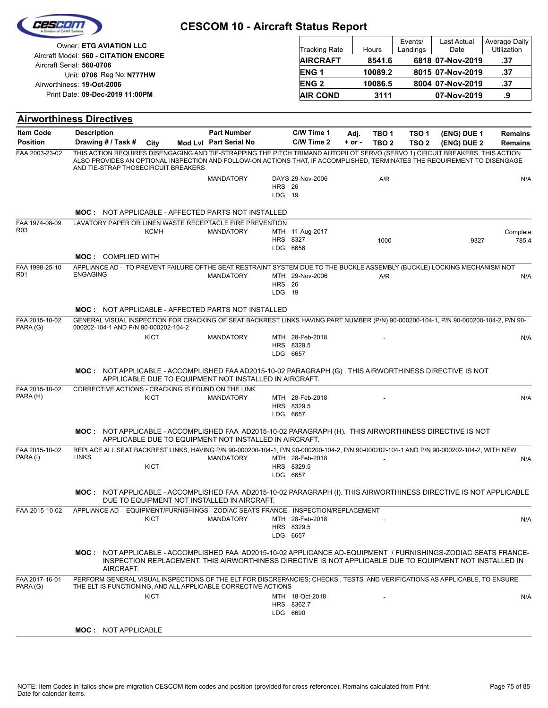|                                   |                                                                                                                                                                                                                                                                                                  |  | <b>CESCOM 10 - Aircraft Status Report</b>    |                         |                                                      |                    |                            |                           |                                                             |                                            |
|-----------------------------------|--------------------------------------------------------------------------------------------------------------------------------------------------------------------------------------------------------------------------------------------------------------------------------------------------|--|----------------------------------------------|-------------------------|------------------------------------------------------|--------------------|----------------------------|---------------------------|-------------------------------------------------------------|--------------------------------------------|
|                                   | <b>Owner: ETG AVIATION LLC</b><br>Aircraft Model: 560 - CITATION ENCORE<br>Aircraft Serial: 560-0706<br>Unit: 0706 Reg No: N777HW<br>Airworthiness: 19-Oct-2006                                                                                                                                  |  |                                              |                         | Tracking Rate<br><b>AIRCRAFT</b><br>ENG <sub>1</sub> |                    | Hours<br>8541.6<br>10089.2 | Events/<br>Landings       | Last Actual<br>Date<br>6818 07-Nov-2019<br>8015 07-Nov-2019 | Average Daily<br>Utilization<br>.37<br>.37 |
|                                   |                                                                                                                                                                                                                                                                                                  |  |                                              |                         | <b>ENG2</b>                                          |                    | 10086.5                    |                           | 8004 07-Nov-2019                                            | .37                                        |
|                                   | Print Date: 09-Dec-2019 11:00PM                                                                                                                                                                                                                                                                  |  |                                              |                         | <b>AIR COND</b>                                      |                    | 3111                       |                           | 07-Nov-2019                                                 | .9                                         |
|                                   |                                                                                                                                                                                                                                                                                                  |  |                                              |                         |                                                      |                    |                            |                           |                                                             |                                            |
|                                   | <b>Airworthiness Directives</b>                                                                                                                                                                                                                                                                  |  |                                              |                         |                                                      |                    |                            |                           |                                                             |                                            |
| Item Code<br><b>Position</b>      | <b>Description</b><br>Drawing # / Task #<br>City                                                                                                                                                                                                                                                 |  | <b>Part Number</b><br>Mod Lvl Part Serial No |                         | C/W Time 1<br>C/W Time 2                             | Adj.<br>$+$ or $-$ | TBO 1<br>TBO <sub>2</sub>  | TSO 1<br>TSO <sub>2</sub> | (ENG) DUE 1<br>(ENG) DUE 2                                  | <b>Remains</b><br><b>Remains</b>           |
| FAA 2003-23-02                    | THIS ACTION REQUIRES DISENGAGING AND TIE-STRAPPING THE PITCH TRIMAND AUTOPILOT SERVO (SERVO 1) CIRCUIT BREAKERS. THIS ACTION<br>ALSO PROVIDES AN OPTIONAL INSPECTION AND FOLLOW-ON ACTIONS THAT, IF ACCOMPLISHED, TERMINATES THE REQUIREMENT TO DISENGAGE<br>AND TIE-STRAP THOSECIRCUIT BREAKERS |  |                                              |                         |                                                      |                    |                            |                           |                                                             |                                            |
|                                   |                                                                                                                                                                                                                                                                                                  |  | <b>MANDATORY</b>                             | <b>HRS</b> 26<br>LDG 19 | DAYS 29-Nov-2006                                     |                    | A/R                        |                           |                                                             | N/A                                        |
|                                   | <b>MOC: NOT APPLICABLE - AFFECTED PARTS NOT INSTALLED</b>                                                                                                                                                                                                                                        |  |                                              |                         |                                                      |                    |                            |                           |                                                             |                                            |
| FAA 1974-08-09<br>R <sub>03</sub> | LAVATORY PAPER OR LINEN WASTE RECEPTACLE FIRE PREVENTION<br><b>KCMH</b>                                                                                                                                                                                                                          |  | <b>MANDATORY</b>                             | HRS 8327                | MTH 11-Aug-2017                                      |                    | 1000                       |                           | 9327                                                        | Complete<br>785.4                          |
|                                   | <b>MOC: COMPLIED WITH</b>                                                                                                                                                                                                                                                                        |  |                                              | LDG 6656                |                                                      |                    |                            |                           |                                                             |                                            |
| FAA 1998-25-10<br>R <sub>01</sub> | APPLIANCE AD - TO PREVENT FAILURE OFTHE SEAT RESTRAINT SYSTEM DUE TO THE BUCKLE ASSEMBLY (BUCKLE) LOCKING MECHANISM NOT<br><b>ENGAGING</b>                                                                                                                                                       |  | <b>MANDATORY</b>                             | <b>HRS</b> 26<br>LDG 19 | MTH 29-Nov-2006                                      |                    | A/R                        |                           |                                                             | N/A                                        |
|                                   | <b>MOC: NOT APPLICABLE - AFFECTED PARTS NOT INSTALLED</b>                                                                                                                                                                                                                                        |  |                                              |                         |                                                      |                    |                            |                           |                                                             |                                            |
| FAA 2015-10-02<br>PARA (G)        | GENERAL VISUAL INSPECTION FOR CRACKING OF SEAT BACKREST LINKS HAVING PART NUMBER (P/N) 90-000200-104-1, P/N 90-000200-104-2, P/N 90-<br>000202-104-1 AND P/N 90-000202-104-2                                                                                                                     |  |                                              |                         |                                                      |                    |                            |                           |                                                             |                                            |
|                                   | <b>KICT</b>                                                                                                                                                                                                                                                                                      |  | <b>MANDATORY</b>                             | LDG 6657                | MTH 28-Feb-2018<br>HRS 8329.5                        |                    |                            |                           |                                                             | N/A                                        |
|                                   | MOC: NOT APPLICABLE - ACCOMPLISHED FAA AD2015-10-02 PARAGRAPH (G). THIS AIRWORTHINESS DIRECTIVE IS NOT<br>APPLICABLE DUE TO EQUIPMENT NOT INSTALLED IN AIRCRAFT.                                                                                                                                 |  |                                              |                         |                                                      |                    |                            |                           |                                                             |                                            |
| FAA 2015-10-02<br>PARA (H)        | CORRECTIVE ACTIONS - CRACKING IS FOUND ON THE LINK<br><b>KICT</b>                                                                                                                                                                                                                                |  | <b>MANDATORY</b>                             | LDG 6657                | MTH 28-Feb-2018<br>HRS 8329.5                        |                    |                            |                           |                                                             | N/A                                        |
|                                   | MOC: NOT APPLICABLE - ACCOMPLISHED FAA AD2015-10-02 PARAGRAPH (H). THIS AIRWORTHINESS DIRECTIVE IS NOT<br>APPLICABLE DUE TO EQUIPMENT NOT INSTALLED IN AIRCRAFT.                                                                                                                                 |  |                                              |                         |                                                      |                    |                            |                           |                                                             |                                            |
| FAA 2015-10-02<br>PARA (I)        | REPLACE ALL SEAT BACKREST LINKS, HAVING P/N 90-000200-104-1, P/N 90-000200-104-2, P/N 90-000202-104-1 AND P/N 90-000202-104-2, WITH NEW<br><b>LINKS</b><br><b>KICT</b>                                                                                                                           |  | MANDATORY                                    | LDG 6657                | MTH 28-Feb-2018<br>HRS 8329.5                        |                    |                            |                           |                                                             | N/A                                        |
|                                   | MOC: NOT APPLICABLE - ACCOMPLISHED FAA AD2015-10-02 PARAGRAPH (I). THIS AIRWORTHINESS DIRECTIVE IS NOT APPLICABLE<br>DUE TO EQUIPMENT NOT INSTALLED IN AIRCRAFT.                                                                                                                                 |  |                                              |                         |                                                      |                    |                            |                           |                                                             |                                            |
| FAA 2015-10-02                    | APPLIANCE AD - EQUIPMENT/FURNISHINGS - ZODIAC SEATS FRANCE - INSPECTION/REPLACEMENT<br>KICT                                                                                                                                                                                                      |  | <b>MANDATORY</b>                             | LDG 6657                | MTH 28-Feb-2018<br>HRS 8329.5                        |                    |                            |                           |                                                             | N/A                                        |
|                                   | MOC: NOT APPLICABLE - ACCOMPLISHED FAA AD2015-10-02 APPLICANCE AD-EQUIPMENT / FURNISHINGS-ZODIAC SEATS FRANCE-<br>INSPECTION REPLACEMENT. THIS AIRWORTHINESS DIRECTIVE IS NOT APPLICABLE DUE TO EQUIPMENT NOT INSTALLED IN<br>AIRCRAFT.                                                          |  |                                              |                         |                                                      |                    |                            |                           |                                                             |                                            |
| FAA 2017-16-01                    | PERFORM GENERAL VISUAL INSPECTIONS OF THE ELT FOR DISCREPANCIES; CHECKS, TESTS AND VERIFICATIONS AS APPLICABLE, TO ENSURE<br>THE ELT IS FUNCTIONING, AND ALL APPLICABLE CORRECTIVE ACTIONS                                                                                                       |  |                                              |                         |                                                      |                    |                            |                           |                                                             |                                            |
| PARA (G)                          | <b>KICT</b>                                                                                                                                                                                                                                                                                      |  |                                              | LDG 6690                | MTH 18-Oct-2018<br>HRS 8362.7                        |                    |                            |                           |                                                             | N/A                                        |
|                                   | <b>MOC: NOT APPLICABLE</b>                                                                                                                                                                                                                                                                       |  |                                              |                         |                                                      |                    |                            |                           |                                                             |                                            |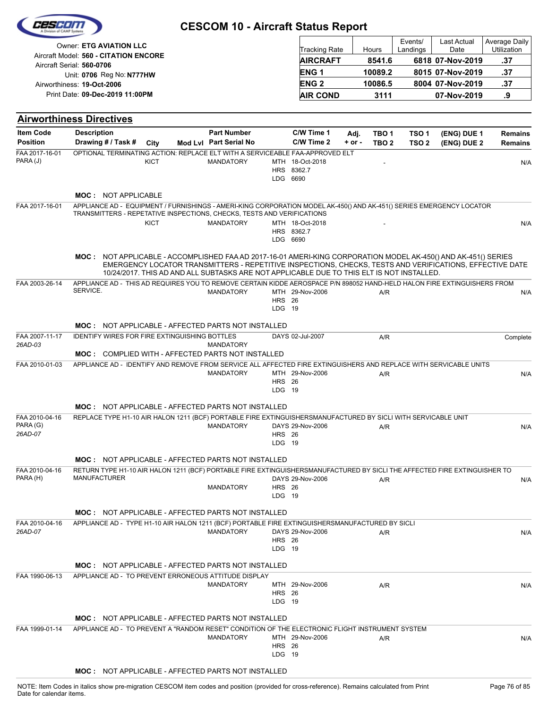| 62564                                 |                                                                                                                                                                                                                                                                                                                         | <b>CESCOM 10 - Aircraft Status Report</b>    |                         |                                         |                |                           |                                      |                                         |                                     |
|---------------------------------------|-------------------------------------------------------------------------------------------------------------------------------------------------------------------------------------------------------------------------------------------------------------------------------------------------------------------------|----------------------------------------------|-------------------------|-----------------------------------------|----------------|---------------------------|--------------------------------------|-----------------------------------------|-------------------------------------|
|                                       | <b>Owner: ETG AVIATION LLC</b><br>Aircraft Model: 560 - CITATION ENCORE<br>Aircraft Serial: 560-0706                                                                                                                                                                                                                    |                                              |                         | <b>Tracking Rate</b><br><b>AIRCRAFT</b> |                | Hours<br>8541.6           | Events/<br>Landings                  | Last Actual<br>Date<br>6818 07-Nov-2019 | Average Daily<br>Utilization<br>.37 |
|                                       | Unit: 0706 Reg No: N777HW                                                                                                                                                                                                                                                                                               |                                              |                         | ENG <sub>1</sub>                        |                | 10089.2                   |                                      | 8015 07-Nov-2019                        | .37                                 |
|                                       | Airworthiness: 19-Oct-2006                                                                                                                                                                                                                                                                                              |                                              |                         | <b>ENG2</b>                             |                | 10086.5                   |                                      | 8004 07-Nov-2019                        | .37                                 |
|                                       | Print Date: 09-Dec-2019 11:00PM                                                                                                                                                                                                                                                                                         |                                              |                         | <b>AIR COND</b>                         |                | 3111                      |                                      | 07-Nov-2019                             | .9                                  |
|                                       | <b>Airworthiness Directives</b>                                                                                                                                                                                                                                                                                         |                                              |                         |                                         |                |                           |                                      |                                         |                                     |
| <b>Item Code</b><br><b>Position</b>   | <b>Description</b><br>Drawing # / Task #<br>City                                                                                                                                                                                                                                                                        | <b>Part Number</b><br>Mod Lvl Part Serial No |                         | C/W Time 1<br>C/W Time 2                | Adj.<br>+ or - | TBO 1<br>TBO <sub>2</sub> | TSO <sub>1</sub><br>TSO <sub>2</sub> | (ENG) DUE 1<br>(ENG) DUE 2              | <b>Remains</b><br><b>Remains</b>    |
| FAA 2017-16-01<br>PARA (J)            | OPTIONAL TERMINATING ACTION: REPLACE ELT WITH A SERVICEABLE FAA-APPROVED ELT<br><b>KICT</b>                                                                                                                                                                                                                             | <b>MANDATORY</b>                             | LDG 6690                | MTH 18-Oct-2018<br>HRS 8362.7           |                |                           |                                      |                                         | N/A                                 |
|                                       | <b>MOC: NOT APPLICABLE</b>                                                                                                                                                                                                                                                                                              |                                              |                         |                                         |                |                           |                                      |                                         |                                     |
| FAA 2017-16-01                        | APPLIANCE AD - EQUIPMENT / FURNISHINGS - AMERI-KING CORPORATION MODEL AK-450() AND AK-451() SERIES EMERGENCY LOCATOR<br>TRANSMITTERS - REPETATIVE INSPECTIONS, CHECKS, TESTS AND VERIFICATIONS                                                                                                                          |                                              |                         |                                         |                |                           |                                      |                                         |                                     |
|                                       | <b>KICT</b>                                                                                                                                                                                                                                                                                                             | <b>MANDATORY</b>                             | LDG 6690                | MTH 18-Oct-2018<br>HRS 8362.7           |                |                           |                                      |                                         | N/A                                 |
|                                       | MOC: NOT APPLICABLE - ACCOMPLISHED FAA AD 2017-16-01 AMERI-KING CORPORATION MODEL AK-450() AND AK-451() SERIES<br>EMERGENCY LOCATOR TRANSMITTERS - REPETITIVE INSPECTIONS, CHECKS, TESTS AND VERIFICATIONS, EFFECTIVE DATE<br>10/24/2017. THIS AD AND ALL SUBTASKS ARE NOT APPLICABLE DUE TO THIS ELT IS NOT INSTALLED. |                                              |                         |                                         |                |                           |                                      |                                         |                                     |
| FAA 2003-26-14                        | APPLIANCE AD - THIS AD REQUIRES YOU TO REMOVE CERTAIN KIDDE AEROSPACE P/N 898052 HAND-HELD HALON FIRE EXTINGUISHERS FROM<br>SERVICE.                                                                                                                                                                                    | <b>MANDATORY</b>                             | <b>HRS</b> 26<br>LDG 19 | MTH 29-Nov-2006                         |                | A/R                       |                                      |                                         | N/A                                 |
|                                       | MOC: NOT APPLICABLE - AFFECTED PARTS NOT INSTALLED                                                                                                                                                                                                                                                                      |                                              |                         |                                         |                |                           |                                      |                                         |                                     |
| FAA 2007-11-17<br>26AD-03             | <b>IDENTIFY WIRES FOR FIRE EXTINGUISHING BOTTLES</b>                                                                                                                                                                                                                                                                    | <b>MANDATORY</b>                             |                         | DAYS 02-Jul-2007                        |                | A/R                       |                                      |                                         | Complete                            |
| FAA 2010-01-03                        | <b>MOC: COMPLIED WITH - AFFECTED PARTS NOT INSTALLED</b><br>APPLIANCE AD - IDENTIFY AND REMOVE FROM SERVICE ALL AFFECTED FIRE EXTINGUISHERS AND REPLACE WITH SERVICABLE UNITS                                                                                                                                           | <b>MANDATORY</b>                             | <b>HRS</b> 26<br>LDG 19 | MTH 29-Nov-2006                         |                | A/R                       |                                      |                                         | N/A                                 |
|                                       | <b>MOC: NOT APPLICABLE - AFFECTED PARTS NOT INSTALLED</b>                                                                                                                                                                                                                                                               |                                              |                         |                                         |                |                           |                                      |                                         |                                     |
| FAA 2010-04-16<br>PARA (G)<br>26AD-07 | REPLACE TYPE H1-10 AIR HALON 1211 (BCF) PORTABLE FIRE EXTINGUISHERSMANUFACTURED BY SICLI WITH SERVICABLE UNIT                                                                                                                                                                                                           | <b>MANDATORY</b>                             | <b>HRS</b> 26<br>LDG 19 | DAYS 29-Nov-2006                        |                | A/R                       |                                      |                                         | N/A                                 |
|                                       | <b>MOC: NOT APPLICABLE - AFFECTED PARTS NOT INSTALLED</b>                                                                                                                                                                                                                                                               |                                              |                         |                                         |                |                           |                                      |                                         |                                     |
| FAA 2010-04-16<br>PARA (H)            | RETURN TYPE H1-10 AIR HALON 1211 (BCF) PORTABLE FIRE EXTINGUISHERSMANUFACTURED BY SICLI THE AFFECTED FIRE EXTINGUISHER TO<br><b>MANUFACTURER</b>                                                                                                                                                                        | <b>MANDATORY</b>                             | <b>HRS</b> 26<br>LDG 19 | DAYS 29-Nov-2006                        |                | A/R                       |                                      |                                         | N/A                                 |
|                                       | <b>MOC: NOT APPLICABLE - AFFECTED PARTS NOT INSTALLED</b>                                                                                                                                                                                                                                                               |                                              |                         |                                         |                |                           |                                      |                                         |                                     |
| FAA 2010-04-16<br>26AD-07             | APPLIANCE AD - TYPE H1-10 AIR HALON 1211 (BCF) PORTABLE FIRE EXTINGUISHERSMANUFACTURED BY SICLI                                                                                                                                                                                                                         | <b>MANDATORY</b>                             | <b>HRS</b> 26<br>LDG 19 | DAYS 29-Nov-2006                        |                | A/R                       |                                      |                                         | N/A                                 |
|                                       | <b>MOC: NOT APPLICABLE - AFFECTED PARTS NOT INSTALLED</b>                                                                                                                                                                                                                                                               |                                              |                         |                                         |                |                           |                                      |                                         |                                     |
| FAA 1990-06-13                        | APPLIANCE AD - TO PREVENT ERRONEOUS ATTITUDE DISPLAY                                                                                                                                                                                                                                                                    | <b>MANDATORY</b>                             | <b>HRS</b> 26<br>LDG 19 | MTH 29-Nov-2006                         |                | A/R                       |                                      |                                         | N/A                                 |
|                                       | <b>MOC: NOT APPLICABLE - AFFECTED PARTS NOT INSTALLED</b>                                                                                                                                                                                                                                                               |                                              |                         |                                         |                |                           |                                      |                                         |                                     |
| FAA 1999-01-14                        | APPLIANCE AD - TO PREVENT A "RANDOM RESET" CONDITION OF THE ELECTRONIC FLIGHT INSTRUMENT SYSTEM                                                                                                                                                                                                                         | <b>MANDATORY</b>                             | <b>HRS</b> 26<br>LDG 19 | MTH 29-Nov-2006                         |                | A/R                       |                                      |                                         | N/A                                 |
|                                       | MOC: NOT APPLICABLE - AFFECTED PARTS NOT INSTALLED                                                                                                                                                                                                                                                                      |                                              |                         |                                         |                |                           |                                      |                                         |                                     |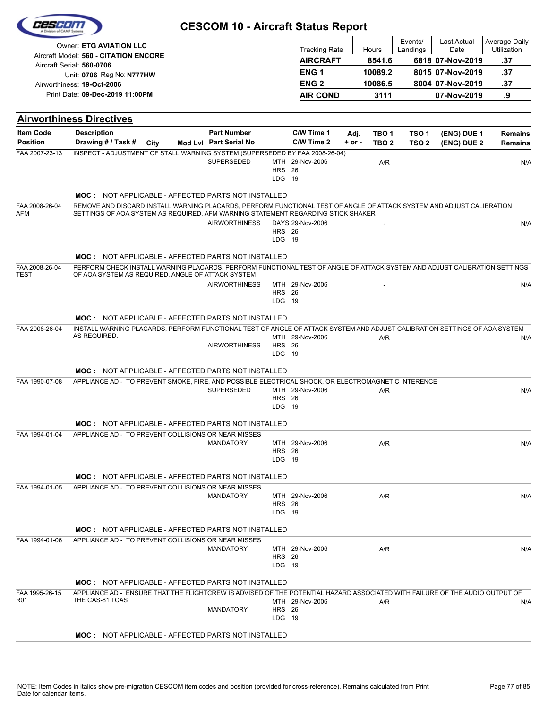|                        | <b>Owner: ETG AVIATION LLC</b>                                                                                                                                                                            |                        |                         |                      |            |                  | Events/          | Last Actual      | Average Daily  |
|------------------------|-----------------------------------------------------------------------------------------------------------------------------------------------------------------------------------------------------------|------------------------|-------------------------|----------------------|------------|------------------|------------------|------------------|----------------|
|                        | Aircraft Model: 560 - CITATION ENCORE                                                                                                                                                                     |                        |                         | <b>Tracking Rate</b> |            | Hours            | Landings         | Date             | Utilization    |
|                        | Aircraft Serial: 560-0706                                                                                                                                                                                 |                        |                         | <b>AIRCRAFT</b>      |            | 8541.6           |                  | 6818 07-Nov-2019 | .37            |
|                        | Unit: 0706 Reg No: N777HW                                                                                                                                                                                 |                        |                         | <b>ENG1</b>          |            | 10089.2          |                  | 8015 07-Nov-2019 | .37            |
|                        | Airworthiness: 19-Oct-2006                                                                                                                                                                                |                        |                         | <b>ENG2</b>          |            | 10086.5          |                  | 8004 07-Nov-2019 | .37            |
|                        | Print Date: 09-Dec-2019 11:00PM                                                                                                                                                                           |                        |                         | <b>AIR COND</b>      |            | 3111             |                  | 07-Nov-2019      | .9             |
|                        | <b>Airworthiness Directives</b>                                                                                                                                                                           |                        |                         |                      |            |                  |                  |                  |                |
| <b>Item Code</b>       | <b>Description</b>                                                                                                                                                                                        | <b>Part Number</b>     |                         | C/W Time 1           | Adj.       | TBO <sub>1</sub> | TSO <sub>1</sub> | (ENG) DUE 1      | <b>Remains</b> |
| <b>Position</b>        | Drawing # / Task #<br>City                                                                                                                                                                                | Mod Lvl Part Serial No |                         | C/W Time 2           | $+$ or $-$ | TBO <sub>2</sub> | TSO <sub>2</sub> | (ENG) DUE 2      | <b>Remains</b> |
| FAA 2007-23-13         | INSPECT - ADJUSTMENT OF STALL WARNING SYSTEM (SUPERSEDED BY FAA 2008-26-04)                                                                                                                               |                        |                         |                      |            |                  |                  |                  |                |
|                        |                                                                                                                                                                                                           | <b>SUPERSEDED</b>      | <b>HRS</b> 26           | MTH 29-Nov-2006      |            | A/R              |                  |                  | N/A            |
|                        |                                                                                                                                                                                                           |                        | LDG 19                  |                      |            |                  |                  |                  |                |
|                        | <b>MOC: NOT APPLICABLE - AFFECTED PARTS NOT INSTALLED</b>                                                                                                                                                 |                        |                         |                      |            |                  |                  |                  |                |
| FAA 2008-26-04<br>AFM  | REMOVE AND DISCARD INSTALL WARNING PLACARDS, PERFORM FUNCTIONAL TEST OF ANGLE OF ATTACK SYSTEM AND ADJUST CALIBRATION<br>SETTINGS OF AOA SYSTEM AS REQUIRED. AFM WARNING STATEMENT REGARDING STICK SHAKER |                        |                         |                      |            |                  |                  |                  |                |
|                        |                                                                                                                                                                                                           | <b>AIRWORTHINESS</b>   |                         | DAYS 29-Nov-2006     |            |                  |                  |                  | N/A            |
|                        |                                                                                                                                                                                                           |                        | <b>HRS</b> 26           |                      |            |                  |                  |                  |                |
|                        |                                                                                                                                                                                                           |                        | LDG 19                  |                      |            |                  |                  |                  |                |
|                        | <b>MOC: NOT APPLICABLE - AFFECTED PARTS NOT INSTALLED</b>                                                                                                                                                 |                        |                         |                      |            |                  |                  |                  |                |
| FAA 2008-26-04<br>TEST | PERFORM CHECK INSTALL WARNING PLACARDS, PERFORM FUNCTIONAL TEST OF ANGLE OF ATTACK SYSTEM AND ADJUST CALIBRATION SETTINGS<br>OF AOA SYSTEM AS REQUIRED. ANGLE OF ATTACK SYSTEM                            |                        |                         |                      |            |                  |                  |                  |                |
|                        |                                                                                                                                                                                                           | <b>AIRWORTHINESS</b>   |                         | MTH 29-Nov-2006      |            |                  |                  |                  | N/A            |
|                        |                                                                                                                                                                                                           |                        | <b>HRS</b> 26           |                      |            |                  |                  |                  |                |
|                        |                                                                                                                                                                                                           |                        | LDG 19                  |                      |            |                  |                  |                  |                |
|                        | <b>MOC: NOT APPLICABLE - AFFECTED PARTS NOT INSTALLED</b>                                                                                                                                                 |                        |                         |                      |            |                  |                  |                  |                |
| FAA 2008-26-04         | INSTALL WARNING PLACARDS, PERFORM FUNCTIONAL TEST OF ANGLE OF ATTACK SYSTEM AND ADJUST CALIBRATION SETTINGS OF AOA SYSTEM                                                                                 |                        |                         |                      |            |                  |                  |                  |                |
|                        | AS REQUIRED.                                                                                                                                                                                              |                        |                         | MTH 29-Nov-2006      |            | A/R              |                  |                  | N/A            |
|                        |                                                                                                                                                                                                           | <b>AIRWORTHINESS</b>   | <b>HRS</b> 26<br>LDG 19 |                      |            |                  |                  |                  |                |
|                        |                                                                                                                                                                                                           |                        |                         |                      |            |                  |                  |                  |                |
|                        | <b>MOC: NOT APPLICABLE - AFFECTED PARTS NOT INSTALLED</b>                                                                                                                                                 |                        |                         |                      |            |                  |                  |                  |                |
| FAA 1990-07-08         | APPLIANCE AD - TO PREVENT SMOKE, FIRE, AND POSSIBLE ELECTRICAL SHOCK, OR ELECTROMAGNETIC INTERENCE                                                                                                        | SUPERSEDED             |                         | MTH 29-Nov-2006      |            |                  |                  |                  |                |
|                        |                                                                                                                                                                                                           |                        | <b>HRS</b> 26           |                      |            | A/R              |                  |                  | N/A            |
|                        |                                                                                                                                                                                                           |                        | LDG 19                  |                      |            |                  |                  |                  |                |
|                        | <b>MOC: NOT APPLICABLE - AFFECTED PARTS NOT INSTALLED</b>                                                                                                                                                 |                        |                         |                      |            |                  |                  |                  |                |
| FAA 1994-01-04         | APPLIANCE AD - TO PREVENT COLLISIONS OR NEAR MISSES                                                                                                                                                       |                        |                         |                      |            |                  |                  |                  |                |
|                        |                                                                                                                                                                                                           | <b>MANDATORY</b>       |                         | MTH 29-Nov-2006      |            | A/R              |                  |                  | N/A            |
|                        |                                                                                                                                                                                                           |                        | <b>HRS</b> 26<br>LDG 19 |                      |            |                  |                  |                  |                |
|                        |                                                                                                                                                                                                           |                        |                         |                      |            |                  |                  |                  |                |
| FAA 1994-01-05         | <b>MOC: NOT APPLICABLE - AFFECTED PARTS NOT INSTALLED</b><br>APPLIANCE AD - TO PREVENT COLLISIONS OR NEAR MISSES                                                                                          |                        |                         |                      |            |                  |                  |                  |                |
|                        |                                                                                                                                                                                                           | <b>MANDATORY</b>       |                         | MTH 29-Nov-2006      |            | A/R              |                  |                  | N/A            |
|                        |                                                                                                                                                                                                           |                        | <b>HRS</b> 26           |                      |            |                  |                  |                  |                |
|                        |                                                                                                                                                                                                           |                        | LDG 19                  |                      |            |                  |                  |                  |                |
|                        | <b>MOC: NOT APPLICABLE - AFFECTED PARTS NOT INSTALLED</b>                                                                                                                                                 |                        |                         |                      |            |                  |                  |                  |                |
| FAA 1994-01-06         | APPLIANCE AD - TO PREVENT COLLISIONS OR NEAR MISSES                                                                                                                                                       |                        |                         |                      |            |                  |                  |                  |                |
|                        |                                                                                                                                                                                                           | <b>MANDATORY</b>       | <b>HRS</b> 26           | MTH 29-Nov-2006      |            | A/R              |                  |                  | N/A            |
|                        |                                                                                                                                                                                                           |                        | LDG 19                  |                      |            |                  |                  |                  |                |
|                        |                                                                                                                                                                                                           |                        |                         |                      |            |                  |                  |                  |                |
| FAA 1995-26-15         | <b>MOC</b> : NOT APPLICABLE - AFFECTED PARTS NOT INSTALLED<br>APPLIANCE AD - ENSURE THAT THE FLIGHTCREW IS ADVISED OF THE POTENTIAL HAZARD ASSOCIATED WITH FAILURE OF THE AUDIO OUTPUT OF                 |                        |                         |                      |            |                  |                  |                  |                |
| R01                    | THE CAS-81 TCAS                                                                                                                                                                                           |                        |                         | MTH 29-Nov-2006      |            | A/R              |                  |                  | N/A            |
|                        |                                                                                                                                                                                                           | <b>MANDATORY</b>       | <b>HRS</b> 26           |                      |            |                  |                  |                  |                |
|                        |                                                                                                                                                                                                           |                        | LDG 19                  |                      |            |                  |                  |                  |                |
|                        | <b>MOC: NOT APPLICABLE - AFFECTED PARTS NOT INSTALLED</b>                                                                                                                                                 |                        |                         |                      |            |                  |                  |                  |                |
|                        |                                                                                                                                                                                                           |                        |                         |                      |            |                  |                  |                  |                |

Cescom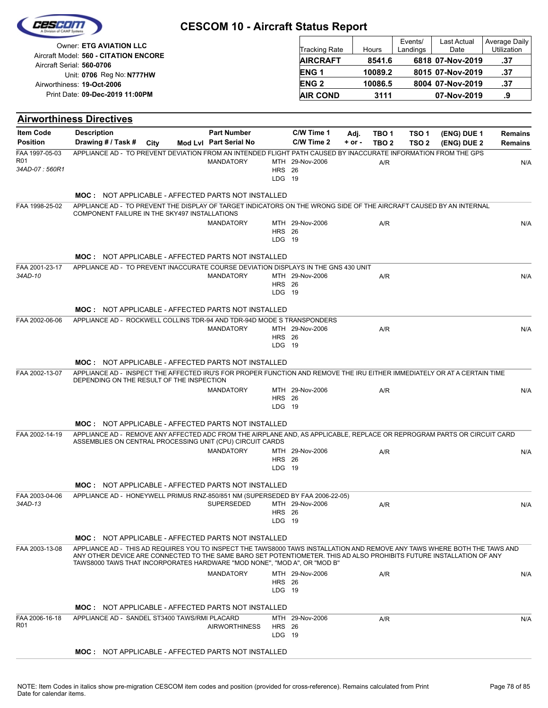|                                     |                                                                                                                                                                                                                                                                                                                               | <b>CESCOM 10 - Aircraft Status Report</b>    |                         |                          |                    |                                      | Events/                              | Last Actual                | <b>Average Daily</b>             |
|-------------------------------------|-------------------------------------------------------------------------------------------------------------------------------------------------------------------------------------------------------------------------------------------------------------------------------------------------------------------------------|----------------------------------------------|-------------------------|--------------------------|--------------------|--------------------------------------|--------------------------------------|----------------------------|----------------------------------|
|                                     | Owner: ETG AVIATION LLC<br>Aircraft Model: 560 - CITATION ENCORE                                                                                                                                                                                                                                                              |                                              |                         | <b>Tracking Rate</b>     |                    | Hours                                | Landings                             | Date                       | Utilization                      |
|                                     | Aircraft Serial: 560-0706                                                                                                                                                                                                                                                                                                     |                                              |                         | <b>AIRCRAFT</b>          |                    | 8541.6                               |                                      | 6818 07-Nov-2019           | .37                              |
|                                     | Unit: 0706 Reg No: N777HW                                                                                                                                                                                                                                                                                                     |                                              |                         | <b>ENG1</b>              |                    | 10089.2                              |                                      | 8015 07-Nov-2019           | .37                              |
|                                     | Airworthiness: 19-Oct-2006<br>Print Date: 09-Dec-2019 11:00PM                                                                                                                                                                                                                                                                 |                                              |                         | <b>ENG2</b>              |                    | 10086.5                              |                                      | 8004 07-Nov-2019           | .37                              |
|                                     |                                                                                                                                                                                                                                                                                                                               |                                              |                         | <b>AIR COND</b>          |                    | 3111                                 |                                      | 07-Nov-2019                | .9                               |
|                                     | <b>Airworthiness Directives</b>                                                                                                                                                                                                                                                                                               |                                              |                         |                          |                    |                                      |                                      |                            |                                  |
| <b>Item Code</b><br><b>Position</b> | <b>Description</b><br>Drawing # / Task #<br>City                                                                                                                                                                                                                                                                              | <b>Part Number</b><br>Mod Lvl Part Serial No |                         | C/W Time 1<br>C/W Time 2 | Adj.<br>$+$ or $-$ | TBO <sub>1</sub><br>TBO <sub>2</sub> | TSO <sub>1</sub><br>TSO <sub>2</sub> | (ENG) DUE 1<br>(ENG) DUE 2 | <b>Remains</b><br><b>Remains</b> |
| FAA 1997-05-03<br><b>R01</b>        | APPLIANCE AD - TO PREVENT DEVIATION FROM AN INTENDED FLIGHT PATH CAUSED BY INACCURATE INFORMATION FROM THE GPS                                                                                                                                                                                                                | <b>MANDATORY</b>                             |                         | MTH 29-Nov-2006          |                    | A/R                                  |                                      |                            | N/A                              |
| 34AD-07: 560R1                      |                                                                                                                                                                                                                                                                                                                               |                                              | <b>HRS</b> 26<br>LDG 19 |                          |                    |                                      |                                      |                            |                                  |
|                                     | <b>MOC: NOT APPLICABLE - AFFECTED PARTS NOT INSTALLED</b>                                                                                                                                                                                                                                                                     |                                              |                         |                          |                    |                                      |                                      |                            |                                  |
| FAA 1998-25-02                      | APPLIANCE AD - TO PREVENT THE DISPLAY OF TARGET INDICATORS ON THE WRONG SIDE OF THE AIRCRAFT CAUSED BY AN INTERNAL<br>COMPONENT FAILURE IN THE SKY497 INSTALLATIONS                                                                                                                                                           |                                              |                         |                          |                    |                                      |                                      |                            |                                  |
|                                     |                                                                                                                                                                                                                                                                                                                               | <b>MANDATORY</b>                             |                         | MTH 29-Nov-2006          |                    | A/R                                  |                                      |                            | N/A                              |
|                                     |                                                                                                                                                                                                                                                                                                                               |                                              | <b>HRS</b> 26<br>LDG 19 |                          |                    |                                      |                                      |                            |                                  |
|                                     | <b>MOC: NOT APPLICABLE - AFFECTED PARTS NOT INSTALLED</b>                                                                                                                                                                                                                                                                     |                                              |                         |                          |                    |                                      |                                      |                            |                                  |
| FAA 2001-23-17<br>34AD-10           | APPLIANCE AD - TO PREVENT INACCURATE COURSE DEVIATION DISPLAYS IN THE GNS 430 UNIT                                                                                                                                                                                                                                            | <b>MANDATORY</b>                             |                         | MTH 29-Nov-2006          |                    | A/R                                  |                                      |                            |                                  |
|                                     |                                                                                                                                                                                                                                                                                                                               |                                              | <b>HRS</b> 26           |                          |                    |                                      |                                      |                            | N/A                              |
|                                     |                                                                                                                                                                                                                                                                                                                               |                                              | LDG 19                  |                          |                    |                                      |                                      |                            |                                  |
|                                     | <b>MOC: NOT APPLICABLE - AFFECTED PARTS NOT INSTALLED</b>                                                                                                                                                                                                                                                                     |                                              |                         |                          |                    |                                      |                                      |                            |                                  |
| FAA 2002-06-06                      | APPLIANCE AD - ROCKWELL COLLINS TDR-94 AND TDR-94D MODE S TRANSPONDERS                                                                                                                                                                                                                                                        | <b>MANDATORY</b>                             |                         | MTH 29-Nov-2006          |                    | A/R                                  |                                      |                            | N/A                              |
|                                     |                                                                                                                                                                                                                                                                                                                               |                                              | <b>HRS</b> 26<br>LDG 19 |                          |                    |                                      |                                      |                            |                                  |
|                                     | <b>MOC: NOT APPLICABLE - AFFECTED PARTS NOT INSTALLED</b>                                                                                                                                                                                                                                                                     |                                              |                         |                          |                    |                                      |                                      |                            |                                  |
| FAA 2002-13-07                      | APPLIANCE AD - INSPECT THE AFFECTED IRU'S FOR PROPER FUNCTION AND REMOVE THE IRU EITHER IMMEDIATELY OR AT A CERTAIN TIME                                                                                                                                                                                                      |                                              |                         |                          |                    |                                      |                                      |                            |                                  |
|                                     | DEPENDING ON THE RESULT OF THE INSPECTION                                                                                                                                                                                                                                                                                     | <b>MANDATORY</b>                             |                         | MTH 29-Nov-2006          |                    | A/R                                  |                                      |                            | N/A                              |
|                                     |                                                                                                                                                                                                                                                                                                                               |                                              | <b>HRS</b> 26           |                          |                    |                                      |                                      |                            |                                  |
|                                     |                                                                                                                                                                                                                                                                                                                               |                                              | LDG 19                  |                          |                    |                                      |                                      |                            |                                  |
|                                     | <b>MOC: NOT APPLICABLE - AFFECTED PARTS NOT INSTALLED</b>                                                                                                                                                                                                                                                                     |                                              |                         |                          |                    |                                      |                                      |                            |                                  |
| FAA 2002-14-19                      | APPLIANCE AD - REMOVE ANY AFFECTED ADC FROM THE AIRPLANE AND, AS APPLICABLE, REPLACE OR REPROGRAM PARTS OR CIRCUIT CARD<br>ASSEMBLIES ON CENTRAL PROCESSING UNIT (CPU) CIRCUIT CARDS                                                                                                                                          |                                              |                         |                          |                    |                                      |                                      |                            |                                  |
|                                     |                                                                                                                                                                                                                                                                                                                               | <b>MANDATORY</b>                             | <b>HRS</b> 26           | MTH 29-Nov-2006          |                    | A/R                                  |                                      |                            | N/A                              |
|                                     |                                                                                                                                                                                                                                                                                                                               |                                              | LDG 19                  |                          |                    |                                      |                                      |                            |                                  |
|                                     | <b>MOC: NOT APPLICABLE - AFFECTED PARTS NOT INSTALLED</b>                                                                                                                                                                                                                                                                     |                                              |                         |                          |                    |                                      |                                      |                            |                                  |
| FAA 2003-04-06                      | APPLIANCE AD - HONEYWELL PRIMUS RNZ-850/851 NM (SUPERSEDED BY FAA 2006-22-05)                                                                                                                                                                                                                                                 |                                              |                         |                          |                    |                                      |                                      |                            |                                  |
| 34AD-13                             |                                                                                                                                                                                                                                                                                                                               | <b>SUPERSEDED</b>                            | <b>HRS</b> 26           | MTH 29-Nov-2006          |                    | A/R                                  |                                      |                            | N/A                              |
|                                     |                                                                                                                                                                                                                                                                                                                               |                                              | LDG 19                  |                          |                    |                                      |                                      |                            |                                  |
|                                     | <b>MOC: NOT APPLICABLE - AFFECTED PARTS NOT INSTALLED</b>                                                                                                                                                                                                                                                                     |                                              |                         |                          |                    |                                      |                                      |                            |                                  |
| FAA 2003-13-08                      | APPLIANCE AD - THIS AD REQUIRES YOU TO INSPECT THE TAWS8000 TAWS INSTALLATION AND REMOVE ANY TAWS WHERE BOTH THE TAWS AND<br>ANY OTHER DEVICE ARE CONNECTED TO THE SAME BARO SET POTENTIOMETER. THIS AD ALSO PROHIBITS FUTURE INSTALLATION OF ANY<br>TAWS8000 TAWS THAT INCORPORATES HARDWARE "MOD NONE", "MOD A", OR "MOD B" |                                              |                         |                          |                    |                                      |                                      |                            |                                  |
|                                     |                                                                                                                                                                                                                                                                                                                               | <b>MANDATORY</b>                             |                         | MTH 29-Nov-2006          |                    | A/R                                  |                                      |                            | N/A                              |
|                                     |                                                                                                                                                                                                                                                                                                                               |                                              | <b>HRS</b> 26<br>LDG 19 |                          |                    |                                      |                                      |                            |                                  |
|                                     | <b>MOC: NOT APPLICABLE - AFFECTED PARTS NOT INSTALLED</b>                                                                                                                                                                                                                                                                     |                                              |                         |                          |                    |                                      |                                      |                            |                                  |
| FAA 2006-16-18<br>R <sub>01</sub>   | APPLIANCE AD - SANDEL ST3400 TAWS/RMI PLACARD                                                                                                                                                                                                                                                                                 |                                              |                         | MTH 29-Nov-2006          |                    | A/R                                  |                                      |                            | N/A                              |
|                                     |                                                                                                                                                                                                                                                                                                                               | <b>AIRWORTHINESS</b>                         | <b>HRS</b> 26<br>LDG 19 |                          |                    |                                      |                                      |                            |                                  |
|                                     | MOC: NOT APPLICABLE - AFFECTED PARTS NOT INSTALLED                                                                                                                                                                                                                                                                            |                                              |                         |                          |                    |                                      |                                      |                            |                                  |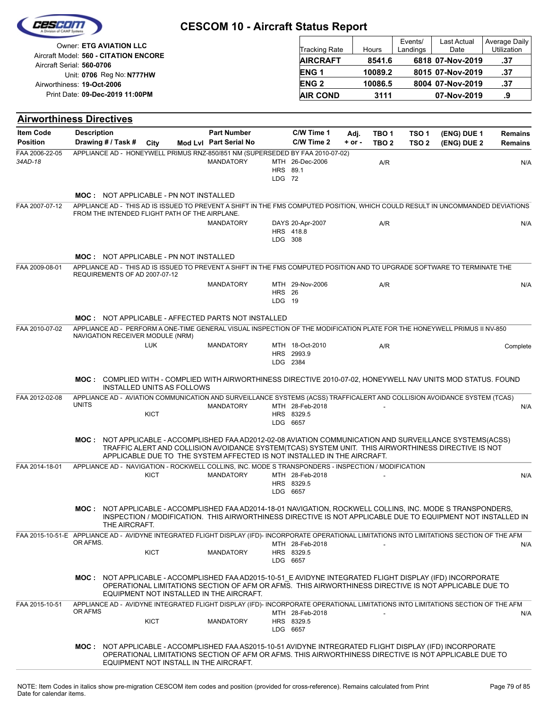| CESCIDI |                    |  |
|---------|--------------------|--|
|         | Vision of CAMP Sup |  |
|         |                    |  |

| <b>Owner: ETG AVIATION LLC</b>                                     | <b>Tracking Rate</b>   | Hours   | Events/<br>Landings | <b>Last Actual</b><br>Date | Average Daily<br><b>Utilization</b> |
|--------------------------------------------------------------------|------------------------|---------|---------------------|----------------------------|-------------------------------------|
| Aircraft Model: 560 - CITATION ENCORE<br>Aircraft Serial: 560-0706 | <b>AIRCRAFT</b>        | 8541.6  |                     | 6818 07-Nov-2019           | .37                                 |
| Unit: 0706 Reg No: N777HW                                          | ENG <sub>1</sub>       | 10089.2 |                     | 8015 07-Nov-2019           | .37                                 |
| Airworthiness: 19-Oct-2006                                         | <b>ENG<sub>2</sub></b> | 10086.5 |                     | 8004 07-Nov-2019           | .37                                 |
| Print Date: 09-Dec-2019 11:00PM                                    | <b>AIR COND</b>        | 3111    |                     | 07-Nov-2019                | .9                                  |

| <b>Airworthiness Directives</b>                                                                                                                  |                    |                                                |             |                                                                                                    |                           |                                           |            |                  |                  |                                                                                                                                                                                                                           |          |
|--------------------------------------------------------------------------------------------------------------------------------------------------|--------------------|------------------------------------------------|-------------|----------------------------------------------------------------------------------------------------|---------------------------|-------------------------------------------|------------|------------------|------------------|---------------------------------------------------------------------------------------------------------------------------------------------------------------------------------------------------------------------------|----------|
| <b>Item Code</b>                                                                                                                                 | <b>Description</b> |                                                |             | <b>Part Number</b>                                                                                 |                           | C/W Time 1                                | Adj.       | TBO 1            | TSO <sub>1</sub> | (ENG) DUE 1                                                                                                                                                                                                               | Remains  |
| <b>Position</b>                                                                                                                                  |                    | Drawing # / Task # City                        |             | Mod Lvl Part Serial No                                                                             |                           | C/W Time 2                                | $+$ or $-$ | TBO <sub>2</sub> | TSO <sub>2</sub> | (ENG) DUE 2                                                                                                                                                                                                               | Remains  |
| FAA 2006-22-05<br>34AD-18                                                                                                                        |                    |                                                |             | APPLIANCE AD - HONEYWELL PRIMUS RNZ-850/851 NM (SUPERSEDED BY FAA 2010-07-02)<br><b>MANDATORY</b>  | HRS 89.1<br>LDG 72        | MTH 26-Dec-2006                           |            | A/R              |                  |                                                                                                                                                                                                                           | N/A      |
|                                                                                                                                                  |                    | <b>MOC: NOT APPLICABLE - PN NOT INSTALLED</b>  |             |                                                                                                    |                           |                                           |            |                  |                  |                                                                                                                                                                                                                           |          |
| FAA 2007-07-12                                                                                                                                   |                    | FROM THE INTENDED FLIGHT PATH OF THE AIRPLANE. |             |                                                                                                    |                           |                                           |            |                  |                  | APPLIANCE AD - THIS AD IS ISSUED TO PREVENT A SHIFT IN THE FMS COMPUTED POSITION, WHICH COULD RESULT IN UNCOMMANDED DEVIATIONS                                                                                            |          |
|                                                                                                                                                  |                    |                                                |             | <b>MANDATORY</b>                                                                                   | LDG 308                   | DAYS 20-Apr-2007<br>HRS 418.8             |            | A/R              |                  |                                                                                                                                                                                                                           | N/A      |
|                                                                                                                                                  |                    | <b>MOC: NOT APPLICABLE - PN NOT INSTALLED</b>  |             |                                                                                                    |                           |                                           |            |                  |                  |                                                                                                                                                                                                                           |          |
| FAA 2009-08-01                                                                                                                                   |                    | REQUIREMENTS OF AD 2007-07-12                  |             |                                                                                                    |                           |                                           |            |                  |                  | APPLIANCE AD - THIS AD IS ISSUED TO PREVENT A SHIFT IN THE FMS COMPUTED POSITION AND TO UPGRADE SOFTWARE TO TERMINATE THE                                                                                                 |          |
|                                                                                                                                                  |                    |                                                |             | <b>MANDATORY</b>                                                                                   | <b>HRS</b> 26<br>$LDG$ 19 | MTH 29-Nov-2006                           |            | A/R              |                  |                                                                                                                                                                                                                           | N/A      |
|                                                                                                                                                  |                    |                                                |             | <b>MOC: NOT APPLICABLE - AFFECTED PARTS NOT INSTALLED</b>                                          |                           |                                           |            |                  |                  |                                                                                                                                                                                                                           |          |
| FAA 2010-07-02                                                                                                                                   |                    | NAVIGATION RECEIVER MODULE (NRM)               |             |                                                                                                    |                           |                                           |            |                  |                  | APPLIANCE AD - PERFORM A ONE-TIME GENERAL VISUAL INSPECTION OF THE MODIFICATION PLATE FOR THE HONEYWELL PRIMUS II NV-850                                                                                                  |          |
|                                                                                                                                                  |                    |                                                | <b>LUK</b>  | <b>MANDATORY</b>                                                                                   |                           | MTH 18-Oct-2010<br>HRS 2993.9<br>LDG 2384 |            | A/R              |                  |                                                                                                                                                                                                                           | Complete |
|                                                                                                                                                  |                    | <b>INSTALLED UNITS AS FOLLOWS</b>              |             |                                                                                                    |                           |                                           |            |                  |                  | MOC: COMPLIED WITH - COMPLIED WITH AIRWORTHINESS DIRECTIVE 2010-07-02, HONEYWELL NAV UNITS MOD STATUS. FOUND                                                                                                              |          |
| FAA 2012-02-08                                                                                                                                   | <b>UNITS</b>       |                                                |             | <b>MANDATORY</b>                                                                                   |                           | MTH 28-Feb-2018                           |            |                  |                  | APPLIANCE AD - AVIATION COMMUNICATION AND SURVEILLANCE SYSTEMS (ACSS) TRAFFICALERT AND COLLISION AVOIDANCE SYSTEM (TCAS)                                                                                                  | N/A      |
|                                                                                                                                                  |                    |                                                | <b>KICT</b> |                                                                                                    |                           | HRS 8329.5<br>LDG 6657                    |            |                  |                  |                                                                                                                                                                                                                           |          |
|                                                                                                                                                  |                    |                                                |             | APPLICABLE DUE TO THE SYSTEM AFFECTED IS NOT INSTALLED IN THE AIRCRAFT.                            |                           |                                           |            |                  |                  | MOC: NOT APPLICABLE - ACCOMPLISHED FAA AD2012-02-08 AVIATION COMMUNICATION AND SURVEILLANCE SYSTEMS(ACSS)<br>TRAFFIC ALERT AND COLLISION AVOIDANCE SYSTEM(TCAS) SYSTEM UNIT. THIS AIRWORTHINESS DIRECTIVE IS NOT          |          |
| FAA 2014-18-01                                                                                                                                   |                    |                                                |             | APPLIANCE AD - NAVIGATION - ROCKWELL COLLINS, INC. MODE S TRANSPONDERS - INSPECTION / MODIFICATION |                           |                                           |            |                  |                  |                                                                                                                                                                                                                           |          |
|                                                                                                                                                  |                    |                                                | <b>KICT</b> | <b>MANDATORY</b>                                                                                   |                           | MTH 28-Feb-2018<br>HRS 8329.5<br>LDG 6657 |            |                  |                  |                                                                                                                                                                                                                           | N/A      |
|                                                                                                                                                  |                    | THE AIRCRAFT.                                  |             |                                                                                                    |                           |                                           |            |                  |                  | MOC: NOT APPLICABLE - ACCOMPLISHED FAA AD2014-18-01 NAVIGATION, ROCKWELL COLLINS, INC. MODE STRANSPONDERS,<br>INSPECTION / MODIFICATION. THIS AIRWORTHINESS DIRECTIVE IS NOT APPLICABLE DUE TO EQUIPMENT NOT INSTALLED IN |          |
| FAA 2015-10-51-E APPLIANCE AD - AVIDYNE INTEGRATED FLIGHT DISPLAY (IFD)- INCORPORATE OPERATIONAL LIMITATIONS INTO LIMITATIONS SECTION OF THE AFM | OR AFMS.           |                                                |             |                                                                                                    |                           | MTH 28-Feb-2018                           |            |                  |                  |                                                                                                                                                                                                                           | N/A      |
|                                                                                                                                                  |                    |                                                | <b>KICT</b> | MANDATORY                                                                                          |                           | HRS 8329.5<br>LDG 6657                    |            |                  |                  |                                                                                                                                                                                                                           |          |
|                                                                                                                                                  |                    |                                                |             | EQUIPMENT NOT INSTALLED IN THE AIRCRAFT.                                                           |                           |                                           |            |                  |                  | MOC: NOT APPLICABLE - ACCOMPLISHED FAA AD2015-10-51_E AVIDYNE INTEGRATED FLIGHT DISPLAY (IFD) INCORPORATE<br>OPERATIONAL LIMITATIONS SECTION OF AFM OR AFMS. THIS AIRWORTHINESS DIRECTIVE IS NOT APPLICABLE DUE TO        |          |
| FAA 2015-10-51                                                                                                                                   | OR AFMS            |                                                |             |                                                                                                    |                           | MTH 28-Feb-2018                           |            |                  |                  | APPLIANCE AD - AVIDYNE INTEGRATED FLIGHT DISPLAY (IFD)- INCORPORATE OPERATIONAL LIMITATIONS INTO LIMITATIONS SECTION OF THE AFM                                                                                           | N/A      |
|                                                                                                                                                  |                    |                                                | <b>KICT</b> | MANDATORY                                                                                          |                           | HRS 8329.5<br>LDG 6657                    |            |                  |                  |                                                                                                                                                                                                                           |          |
|                                                                                                                                                  |                    |                                                |             | EQUIPMENT NOT INSTALL IN THE AIRCRAFT.                                                             |                           |                                           |            |                  |                  | MOC: NOT APPLICABLE - ACCOMPLISHED FAA AS2015-10-51 AVIDYNE INTREGRATED FLIGHT DISPLAY (IFD) INCORPORATE<br>OPERATIONAL LIMITATIONS SECTION OF AFM OR AFMS. THIS AIRWORTHINESS DIRECTIVE IS NOT APPLICABLE DUE TO         |          |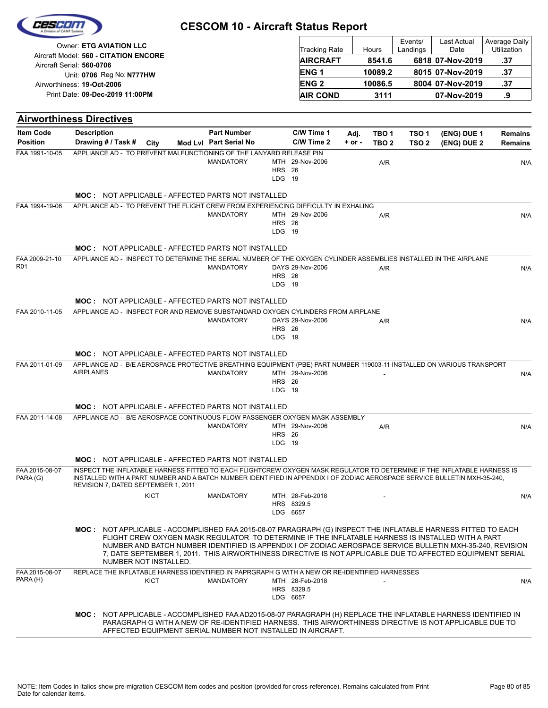|                                   | Owner: ETG AVIATION LLC<br>Aircraft Model: 560 - CITATION ENCORE |                       |  |                                                                                                      |                         | Tracking Rate                 |            | Hours            | Events/<br>Landings | Last Actual<br>Date                                                                                                                                                                                                                                                                                                                                                                                                                            | <b>Average Daily</b><br>Utilization |
|-----------------------------------|------------------------------------------------------------------|-----------------------|--|------------------------------------------------------------------------------------------------------|-------------------------|-------------------------------|------------|------------------|---------------------|------------------------------------------------------------------------------------------------------------------------------------------------------------------------------------------------------------------------------------------------------------------------------------------------------------------------------------------------------------------------------------------------------------------------------------------------|-------------------------------------|
|                                   |                                                                  |                       |  |                                                                                                      |                         | <b>AIRCRAFT</b>               |            | 8541.6           |                     | 6818 07-Nov-2019                                                                                                                                                                                                                                                                                                                                                                                                                               | .37                                 |
|                                   | Aircraft Serial: 560-0706<br>Unit: 0706 Reg No: N777HW           |                       |  |                                                                                                      |                         | ENG <sub>1</sub>              |            | 10089.2          |                     | 8015 07-Nov-2019                                                                                                                                                                                                                                                                                                                                                                                                                               | .37                                 |
|                                   | Airworthiness: 19-Oct-2006                                       |                       |  |                                                                                                      |                         | <b>ENG2</b>                   |            | 10086.5          |                     | 8004 07-Nov-2019                                                                                                                                                                                                                                                                                                                                                                                                                               | .37                                 |
|                                   | Print Date: 09-Dec-2019 11:00PM                                  |                       |  |                                                                                                      |                         | <b>AIR COND</b>               |            | 3111             |                     | 07-Nov-2019                                                                                                                                                                                                                                                                                                                                                                                                                                    | .9                                  |
|                                   |                                                                  |                       |  |                                                                                                      |                         |                               |            |                  |                     |                                                                                                                                                                                                                                                                                                                                                                                                                                                |                                     |
| <b>Airworthiness Directives</b>   |                                                                  |                       |  |                                                                                                      |                         |                               |            |                  |                     |                                                                                                                                                                                                                                                                                                                                                                                                                                                |                                     |
| <b>Item Code</b>                  | <b>Description</b>                                               |                       |  | <b>Part Number</b>                                                                                   |                         | C/W Time 1                    | Adj.       | TBO <sub>1</sub> | TSO <sub>1</sub>    | (ENG) DUE 1                                                                                                                                                                                                                                                                                                                                                                                                                                    | <b>Remains</b>                      |
| <b>Position</b><br>FAA 1991-10-05 | Drawing # / Task #                                               | City                  |  | Mod Lvl Part Serial No                                                                               |                         | C/W Time 2                    | $+$ or $-$ | TBO <sub>2</sub> | TSO <sub>2</sub>    | (ENG) DUE 2                                                                                                                                                                                                                                                                                                                                                                                                                                    | <b>Remains</b>                      |
|                                   |                                                                  |                       |  | APPLIANCE AD - TO PREVENT MALFUNCTIONING OF THE LANYARD RELEASE PIN<br><b>MANDATORY</b>              | <b>HRS</b> 26<br>LDG 19 | MTH 29-Nov-2006               |            | A/R              |                     |                                                                                                                                                                                                                                                                                                                                                                                                                                                | N/A                                 |
|                                   |                                                                  |                       |  | <b>MOC: NOT APPLICABLE - AFFECTED PARTS NOT INSTALLED</b>                                            |                         |                               |            |                  |                     |                                                                                                                                                                                                                                                                                                                                                                                                                                                |                                     |
| FAA 1994-19-06                    |                                                                  |                       |  | APPLIANCE AD - TO PREVENT THE FLIGHT CREW FROM EXPERIENCING DIFFICULTY IN EXHALING                   |                         |                               |            |                  |                     |                                                                                                                                                                                                                                                                                                                                                                                                                                                |                                     |
|                                   |                                                                  |                       |  | <b>MANDATORY</b>                                                                                     |                         | MTH 29-Nov-2006               |            | A/R              |                     |                                                                                                                                                                                                                                                                                                                                                                                                                                                | N/A                                 |
|                                   |                                                                  |                       |  |                                                                                                      | <b>HRS</b> 26<br>LDG 19 |                               |            |                  |                     |                                                                                                                                                                                                                                                                                                                                                                                                                                                |                                     |
|                                   |                                                                  |                       |  | <b>MOC: NOT APPLICABLE - AFFECTED PARTS NOT INSTALLED</b>                                            |                         |                               |            |                  |                     |                                                                                                                                                                                                                                                                                                                                                                                                                                                |                                     |
| FAA 2009-21-10                    |                                                                  |                       |  |                                                                                                      |                         |                               |            |                  |                     | APPLIANCE AD - INSPECT TO DETERMINE THE SERIAL NUMBER OF THE OXYGEN CYLINDER ASSEMBLIES INSTALLED IN THE AIRPLANE                                                                                                                                                                                                                                                                                                                              |                                     |
| R <sub>01</sub>                   |                                                                  |                       |  | <b>MANDATORY</b>                                                                                     |                         | DAYS 29-Nov-2006              |            | A/R              |                     |                                                                                                                                                                                                                                                                                                                                                                                                                                                | N/A                                 |
|                                   |                                                                  |                       |  |                                                                                                      | <b>HRS</b> 26<br>LDG 19 |                               |            |                  |                     |                                                                                                                                                                                                                                                                                                                                                                                                                                                |                                     |
|                                   |                                                                  |                       |  |                                                                                                      |                         |                               |            |                  |                     |                                                                                                                                                                                                                                                                                                                                                                                                                                                |                                     |
|                                   |                                                                  |                       |  | <b>MOC: NOT APPLICABLE - AFFECTED PARTS NOT INSTALLED</b>                                            |                         |                               |            |                  |                     |                                                                                                                                                                                                                                                                                                                                                                                                                                                |                                     |
| FAA 2010-11-05                    |                                                                  |                       |  | APPLIANCE AD - INSPECT FOR AND REMOVE SUBSTANDARD OXYGEN CYLINDERS FROM AIRPLANE<br><b>MANDATORY</b> |                         | DAYS 29-Nov-2006              |            | A/R              |                     |                                                                                                                                                                                                                                                                                                                                                                                                                                                | N/A                                 |
|                                   |                                                                  |                       |  |                                                                                                      | <b>HRS</b> 26<br>LDG 19 |                               |            |                  |                     |                                                                                                                                                                                                                                                                                                                                                                                                                                                |                                     |
|                                   |                                                                  |                       |  |                                                                                                      |                         |                               |            |                  |                     |                                                                                                                                                                                                                                                                                                                                                                                                                                                |                                     |
|                                   |                                                                  |                       |  | <b>MOC: NOT APPLICABLE - AFFECTED PARTS NOT INSTALLED</b>                                            |                         |                               |            |                  |                     |                                                                                                                                                                                                                                                                                                                                                                                                                                                |                                     |
| FAA 2011-01-09                    | <b>AIRPLANES</b>                                                 |                       |  | <b>MANDATORY</b>                                                                                     |                         | MTH 29-Nov-2006               |            |                  |                     | APPLIANCE AD - B/E AEROSPACE PROTECTIVE BREATHING EQUIPMENT (PBE) PART NUMBER 119003-11 INSTALLED ON VARIOUS TRANSPORT                                                                                                                                                                                                                                                                                                                         | N/A                                 |
|                                   |                                                                  |                       |  |                                                                                                      | <b>HRS 26</b>           |                               |            |                  |                     |                                                                                                                                                                                                                                                                                                                                                                                                                                                |                                     |
|                                   |                                                                  |                       |  |                                                                                                      | LDG 19                  |                               |            |                  |                     |                                                                                                                                                                                                                                                                                                                                                                                                                                                |                                     |
|                                   |                                                                  |                       |  | <b>MOC: NOT APPLICABLE - AFFECTED PARTS NOT INSTALLED</b>                                            |                         |                               |            |                  |                     |                                                                                                                                                                                                                                                                                                                                                                                                                                                |                                     |
| FAA 2011-14-08                    |                                                                  |                       |  | APPLIANCE AD - B/E AEROSPACE CONTINUOUS FLOW PASSENGER OXYGEN MASK ASSEMBLY                          |                         | MTH 29-Nov-2006               |            |                  |                     |                                                                                                                                                                                                                                                                                                                                                                                                                                                |                                     |
|                                   |                                                                  |                       |  | <b>MANDATORY</b>                                                                                     | <b>HRS</b> 26           |                               |            | A/R              |                     |                                                                                                                                                                                                                                                                                                                                                                                                                                                | N/A                                 |
|                                   |                                                                  |                       |  |                                                                                                      | LDG 19                  |                               |            |                  |                     |                                                                                                                                                                                                                                                                                                                                                                                                                                                |                                     |
|                                   |                                                                  |                       |  | <b>MOC: NOT APPLICABLE - AFFECTED PARTS NOT INSTALLED</b>                                            |                         |                               |            |                  |                     |                                                                                                                                                                                                                                                                                                                                                                                                                                                |                                     |
| FAA 2015-08-07<br>PARA (G)        | REVISION 7, DATED SEPTEMBER 1, 2011                              |                       |  |                                                                                                      |                         |                               |            |                  |                     | INSPECT THE INFLATABLE HARNESS FITTED TO EACH FLIGHTCREW OXYGEN MASK REGULATOR TO DETERMINE IF THE INFLATABLE HARNESS IS<br>INSTALLED WITH A PART NUMBER AND A BATCH NUMBER IDENTIFIED IN APPENDIX I OF ZODIAC AEROSPACE SERVICE BULLETIN MXH-35-240,                                                                                                                                                                                          |                                     |
|                                   |                                                                  | <b>KICT</b>           |  | <b>MANDATORY</b>                                                                                     |                         | MTH 28-Feb-2018               |            |                  |                     |                                                                                                                                                                                                                                                                                                                                                                                                                                                | N/A                                 |
|                                   |                                                                  |                       |  |                                                                                                      | LDG 6657                | HRS 8329.5                    |            |                  |                     |                                                                                                                                                                                                                                                                                                                                                                                                                                                |                                     |
|                                   |                                                                  |                       |  |                                                                                                      |                         |                               |            |                  |                     |                                                                                                                                                                                                                                                                                                                                                                                                                                                |                                     |
|                                   |                                                                  | NUMBER NOT INSTALLED. |  |                                                                                                      |                         |                               |            |                  |                     | MOC: NOT APPLICABLE - ACCOMPLISHED FAA 2015-08-07 PARAGRAPH (G) INSPECT THE INFLATABLE HARNESS FITTED TO EACH<br>FLIGHT CREW OXYGEN MASK REGULATOR TO DETERMINE IF THE INFLATABLE HARNESS IS INSTALLED WITH A PART<br>NUMBER AND BATCH NUMBER IDENTIFIED IS APPENDIX I OF ZODIAC AEROSPACE SERVICE BULLETIN MXH-35-240, REVISION<br>7, DATE SEPTEMBER 1, 2011. THIS AIRWORTHINESS DIRECTIVE IS NOT APPLICABLE DUE TO AFFECTED EQUIPMENT SERIAL |                                     |
| FAA 2015-08-07                    |                                                                  |                       |  | REPLACE THE INFLATABLE HARNESS IDENTIFIED IN PAPRGRAPH G WITH A NEW OR RE-IDENTIFIED HARNESSES       |                         |                               |            |                  |                     |                                                                                                                                                                                                                                                                                                                                                                                                                                                |                                     |
| PARA (H)                          |                                                                  | KICT                  |  | <b>MANDATORY</b>                                                                                     |                         | MTH 28-Feb-2018<br>HRS 8329.5 |            |                  |                     |                                                                                                                                                                                                                                                                                                                                                                                                                                                | N/A                                 |
|                                   |                                                                  |                       |  |                                                                                                      |                         | LDG 6657                      |            |                  |                     |                                                                                                                                                                                                                                                                                                                                                                                                                                                |                                     |
|                                   |                                                                  |                       |  | AFFECTED EQUIPMENT SERIAL NUMBER NOT INSTALLED IN AIRCRAFT.                                          |                         |                               |            |                  |                     | MOC: NOT APPLICABLE - ACCOMPLISHED FAA AD2015-08-07 PARAGRAPH (H) REPLACE THE INFLATABLE HARNESS IDENTIFIED IN<br>PARAGRAPH G WITH A NEW OF RE-IDENTIFIED HARNESS. THIS AIRWORTHINESS DIRECTIVE IS NOT APPLICABLE DUE TO                                                                                                                                                                                                                       |                                     |

Cescon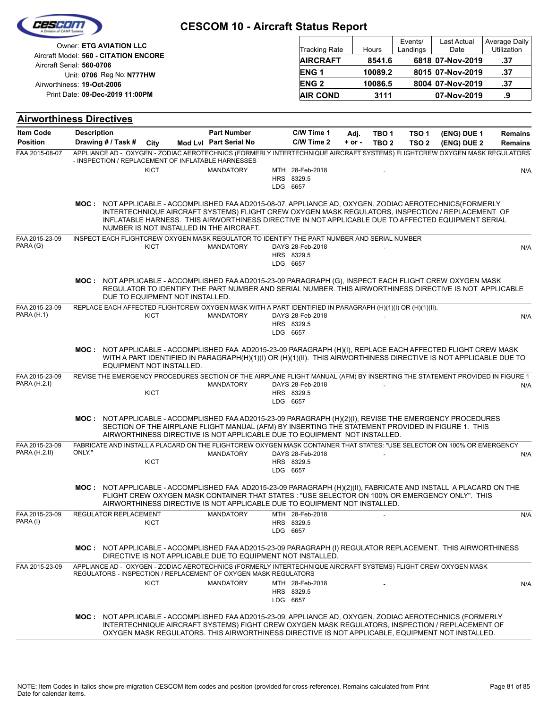|                                     | Owner: ETG AVIATION LLC<br>Aircraft Model: 560 - CITATION ENCORE                                                                                                                  |             | <b>Tracking Rate</b><br><b>AIRCRAFT</b>                                                                                                                                                                                                             |                                            | Hours<br>8541.6 | Events/<br>Landings | Last Actual<br>Date<br>6818 07-Nov-2019 | Average Daily<br>Utilization<br>.37 |                |
|-------------------------------------|-----------------------------------------------------------------------------------------------------------------------------------------------------------------------------------|-------------|-----------------------------------------------------------------------------------------------------------------------------------------------------------------------------------------------------------------------------------------------------|--------------------------------------------|-----------------|---------------------|-----------------------------------------|-------------------------------------|----------------|
|                                     | Aircraft Serial: 560-0706                                                                                                                                                         |             |                                                                                                                                                                                                                                                     | ENG <sub>1</sub>                           |                 | 10089.2             |                                         | 8015 07-Nov-2019                    | .37            |
|                                     | Unit: 0706 Reg No: N777HW<br>Airworthiness: 19-Oct-2006                                                                                                                           |             |                                                                                                                                                                                                                                                     | <b>ENG2</b>                                |                 | 10086.5             |                                         | 8004 07-Nov-2019                    | .37            |
|                                     | Print Date: 09-Dec-2019 11:00PM                                                                                                                                                   |             |                                                                                                                                                                                                                                                     | <b>AIR COND</b>                            |                 | 3111                |                                         | 07-Nov-2019                         | .9             |
|                                     |                                                                                                                                                                                   |             |                                                                                                                                                                                                                                                     |                                            |                 |                     |                                         |                                     |                |
|                                     | <b>Airworthiness Directives</b>                                                                                                                                                   |             |                                                                                                                                                                                                                                                     |                                            |                 |                     |                                         |                                     |                |
| <b>Item Code</b><br><b>Position</b> | <b>Description</b>                                                                                                                                                                |             | <b>Part Number</b><br>Mod Lvl Part Serial No                                                                                                                                                                                                        | C/W Time 1<br>C/W Time 2                   | Adj.            | TBO <sub>1</sub>    | TSO <sub>1</sub>                        | (ENG) DUE 1                         | <b>Remains</b> |
| FAA 2015-08-07                      | Drawing # / Task #<br>APPLIANCE AD - OXYGEN - ZODIAC AEROTECHNICS (FORMERLY INTERTECHNIQUE AIRCRAFT SYSTEMS) FLIGHTCREW OXYGEN MASK REGULATORS                                    | City        |                                                                                                                                                                                                                                                     |                                            | $+ or -$        | TBO <sub>2</sub>    | TSO <sub>2</sub>                        | (ENG) DUE 2                         | <b>Remains</b> |
|                                     | - INSPECTION / REPLACEMENT OF INFLATABLE HARNESSES                                                                                                                                |             |                                                                                                                                                                                                                                                     |                                            |                 |                     |                                         |                                     |                |
|                                     |                                                                                                                                                                                   | <b>KICT</b> | <b>MANDATORY</b>                                                                                                                                                                                                                                    | MTH 28-Feb-2018<br>HRS 8329.5              |                 |                     |                                         |                                     | N/A            |
|                                     |                                                                                                                                                                                   |             |                                                                                                                                                                                                                                                     | LDG 6657                                   |                 |                     |                                         |                                     |                |
|                                     | MOC: NOT APPLICABLE - ACCOMPLISHED FAA AD2015-08-07, APPLIANCE AD, OXYGEN, ZODIAC AEROTECHNICS(FORMERLY                                                                           |             | INTERTECHNIQUE AIRCRAFT SYSTEMS) FLIGHT CREW OXYGEN MASK REGULATORS, INSPECTION / REPLACEMENT OF<br>INFLATABLE HARNESS. THIS AIRWORTHINESS DIRECTIVE IN NOT APPLICABLE DUE TO AFFECTED EQUIPMENT SERIAL<br>NUMBER IS NOT INSTALLED IN THE AIRCRAFT. |                                            |                 |                     |                                         |                                     |                |
| FAA 2015-23-09<br>PARA (G)          | INSPECT EACH FLIGHTCREW OXYGEN MASK REGULATOR TO IDENTIFY THE PART NUMBER AND SERIAL NUMBER                                                                                       | <b>KICT</b> | <b>MANDATORY</b>                                                                                                                                                                                                                                    | DAYS 28-Feb-2018<br>HRS 8329.5<br>LDG 6657 |                 |                     |                                         |                                     | N/A            |
|                                     | MOC: NOT APPLICABLE - ACCOMPLISHED FAA AD2015-23-09 PARAGRAPH (G), INSPECT EACH FLIGHT CREW OXYGEN MASK<br>DUE TO EQUIPMENT NOT INSTALLED.                                        |             | REGULATOR TO IDENTIFY THE PART NUMBER AND SERIAL NUMBER. THIS AIRWORTHINESS DIRECTIVE IS NOT APPLICABLE                                                                                                                                             |                                            |                 |                     |                                         |                                     |                |
| FAA 2015-23-09<br><b>PARA (H.1)</b> | REPLACE EACH AFFECTED FLIGHTCREW OXYGEN MASK WITH A PART IDENTIFIED IN PARAGRAPH (H)(1)(I) OR (H)(1)(II).                                                                         | <b>KICT</b> | <b>MANDATORY</b>                                                                                                                                                                                                                                    | DAYS 28-Feb-2018                           |                 |                     |                                         |                                     | N/A            |
|                                     |                                                                                                                                                                                   |             |                                                                                                                                                                                                                                                     | HRS 8329.5<br>LDG 6657                     |                 |                     |                                         |                                     |                |
|                                     | MOC: NOT APPLICABLE - ACCOMPLISHED FAA AD2015-23-09 PARAGRAPH (H)(I), REPLACE EACH AFFECTED FLIGHT CREW MASK<br>EQUIPMENT NOT INSTALLED.                                          |             | WITH A PART IDENTIFIED IN PARAGRAPH(H)(1)(I) OR (H)(1)(II). THIS AIRWORTHINESS DIRECTIVE IS NOT APPLICABLE DUE TO                                                                                                                                   |                                            |                 |                     |                                         |                                     |                |
| FAA 2015-23-09<br>PARA (H.2.I)      | REVISE THE EMERGENCY PROCEDURES SECTION OF THE AIRPLANE FLIGHT MANUAL (AFM) BY INSERTING THE STATEMENT PROVIDED IN FIGURE 1                                                       |             | <b>MANDATORY</b>                                                                                                                                                                                                                                    | DAYS 28-Feb-2018                           |                 |                     |                                         |                                     |                |
|                                     |                                                                                                                                                                                   | <b>KICT</b> |                                                                                                                                                                                                                                                     | HRS 8329.5<br>LDG 6657                     |                 |                     |                                         |                                     | N/A            |
|                                     | MOC: NOT APPLICABLE - ACCOMPLISHED FAA AD2015-23-09 PARAGRAPH (H)(2)(I), REVISE THE EMERGENCY PROCEDURES                                                                          |             | SECTION OF THE AIRPLANE FLIGHT MANUAL (AFM) BY INSERTING THE STATEMENT PROVIDED IN FIGURE 1. THIS<br>AIRWORTHINESS DIRECTIVE IS NOT APPLICABLE DUE TO EQUIPMENT NOT INSTALLED.                                                                      |                                            |                 |                     |                                         |                                     |                |
| FAA 2015-23-09<br>PARA (H.2.II)     | FABRICATE AND INSTALL A PLACARD ON THE FLIGHTCREW OXYGEN MASK CONTAINER THAT STATES: "USE SELECTOR ON 100% OR EMERGENCY<br>ONLY."                                                 |             | <b>MANDATORY</b>                                                                                                                                                                                                                                    | DAYS 28-Feb-2018                           |                 |                     |                                         |                                     | N/A            |
|                                     |                                                                                                                                                                                   | <b>KICT</b> |                                                                                                                                                                                                                                                     | HRS 8329.5<br>LDG 6657                     |                 |                     |                                         |                                     |                |
|                                     | MOC: NOT APPLICABLE - ACCOMPLISHED FAA AD2015-23-09 PARAGRAPH (H)(2)(II), FABRICATE AND INSTALL A PLACARD ON THE                                                                  |             | FLIGHT CREW OXYGEN MASK CONTAINER THAT STATES : "USE SELECTOR ON 100% OR EMERGENCY ONLY". THIS<br>AIRWORTHINESS DIRECTIVE IS NOT APPLICABLE DUE TO EQUIPMENT NOT INSTALLED.                                                                         |                                            |                 |                     |                                         |                                     |                |
| FAA 2015-23-09                      | REGULATOR REPLACEMENT                                                                                                                                                             |             | <b>MANDATORY</b>                                                                                                                                                                                                                                    | MTH 28-Feb-2018                            |                 |                     |                                         |                                     | N/A            |
| PARA (I)                            |                                                                                                                                                                                   | KICT        |                                                                                                                                                                                                                                                     | HRS 8329.5<br>LDG 6657                     |                 |                     |                                         |                                     |                |
|                                     | MOC: NOT APPLICABLE - ACCOMPLISHED FAA AD2015-23-09 PARAGRAPH (I) REGULATOR REPLACEMENT. THIS AIRWORTHINESS                                                                       |             | DIRECTIVE IS NOT APPLICABLE DUE TO EQUIPMENT NOT INSTALLED.                                                                                                                                                                                         |                                            |                 |                     |                                         |                                     |                |
| FAA 2015-23-09                      | APPLIANCE AD - OXYGEN - ZODIAC AEROTECHNICS (FORMERLY INTERTECHNIQUE AIRCRAFT SYSTEMS) FLIGHT CREW OXYGEN MASK<br>REGULATORS - INSPECTION / REPLACEMENT OF OXYGEN MASK REGULATORS |             |                                                                                                                                                                                                                                                     |                                            |                 |                     |                                         |                                     |                |
|                                     |                                                                                                                                                                                   | <b>KICT</b> | <b>MANDATORY</b>                                                                                                                                                                                                                                    | MTH 28-Feb-2018                            |                 |                     |                                         |                                     | N/A            |
|                                     |                                                                                                                                                                                   |             |                                                                                                                                                                                                                                                     | HRS 8329.5<br>LDG 6657                     |                 |                     |                                         |                                     |                |
|                                     | MOC: NOT APPLICABLE - ACCOMPLISHED FAA AD2015-23-09, APPLIANCE AD, OXYGEN, ZODIAC AEROTECHNICS (FORMERLY                                                                          |             | INTERTECHNIQUE AIRCRAFT SYSTEMS) FIGHT CREW OXYGEN MASK REGULATORS, INSPECTION / REPLACEMENT OF<br>OXYGEN MASK REGULATORS. THIS AIRWORTHINESS DIRECTIVE IS NOT APPLICABLE, EQUIPMENT NOT INSTALLED.                                                 |                                            |                 |                     |                                         |                                     |                |

 $\overline{\phantom{a}}$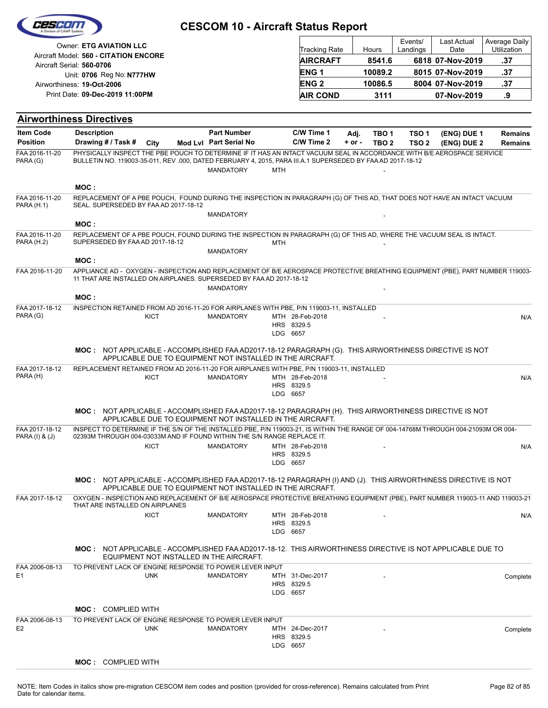| C2560                               |                                                                                                                                                                                                                                    | <b>CESCOM 10 - Aircraft Status Report</b>                  |            |                                 |                    |                           |                                      |                                 |                                  |
|-------------------------------------|------------------------------------------------------------------------------------------------------------------------------------------------------------------------------------------------------------------------------------|------------------------------------------------------------|------------|---------------------------------|--------------------|---------------------------|--------------------------------------|---------------------------------|----------------------------------|
|                                     | Owner: ETG AVIATION LLC<br>Aircraft Model: 560 - CITATION ENCORE                                                                                                                                                                   |                                                            |            | <b>Tracking Rate</b>            |                    | Hours                     | Events/<br>Landings                  | Last Actual<br>Date             | Average Daily<br>Utilization     |
|                                     | Aircraft Serial: 560-0706                                                                                                                                                                                                          |                                                            |            | <b>AIRCRAFT</b>                 |                    | 8541.6                    |                                      | 6818 07-Nov-2019                | .37                              |
|                                     | Unit: 0706 Reg No: N777HW                                                                                                                                                                                                          |                                                            |            | <b>ENG1</b>                     |                    | 10089.2                   |                                      | 8015 07-Nov-2019                | .37                              |
|                                     | Airworthiness: 19-Oct-2006<br>Print Date: 09-Dec-2019 11:00PM                                                                                                                                                                      |                                                            |            | <b>ENG 2</b><br><b>AIR COND</b> |                    | 10086.5<br>3111           |                                      | 8004 07-Nov-2019<br>07-Nov-2019 | .37<br>.9                        |
|                                     |                                                                                                                                                                                                                                    |                                                            |            |                                 |                    |                           |                                      |                                 |                                  |
|                                     | <b>Airworthiness Directives</b>                                                                                                                                                                                                    |                                                            |            |                                 |                    |                           |                                      |                                 |                                  |
| <b>Item Code</b><br><b>Position</b> | <b>Description</b><br>Drawing # / Task #<br>City                                                                                                                                                                                   | <b>Part Number</b><br>Mod Lvl Part Serial No               |            | C/W Time 1<br>C/W Time 2        | Adj.<br>$+$ or $-$ | TBO 1<br>TBO <sub>2</sub> | TSO <sub>1</sub><br>TSO <sub>2</sub> | (ENG) DUE 1<br>(ENG) DUE 2      | <b>Remains</b><br><b>Remains</b> |
| FAA 2016-11-20<br>PARA (G)          | PHYSICALLY INSPECT THE PBE POUCH TO DETERMINE IF IT HAS AN INTACT VACUUM SEAL IN ACCORDANCE WITH B/E AEROSPACE SERVICE<br>BULLETIN NO. 119003-35-011, REV.000, DATED FEBRUARY 4, 2015, PARA III.A.1 SUPERSEDED BY FAAAD 2017-18-12 | <b>MANDATORY</b>                                           | <b>MTH</b> |                                 |                    |                           |                                      |                                 |                                  |
|                                     | MOC:                                                                                                                                                                                                                               |                                                            |            |                                 |                    |                           |                                      |                                 |                                  |
| FAA 2016-11-20<br><b>PARA (H.1)</b> | REPLACEMENT OF A PBE POUCH, FOUND DURING THE INSPECTION IN PARAGRAPH (G) OF THIS AD, THAT DOES NOT HAVE AN INTACT VACUUM<br>SEAL. SUPERSEDED BY FAA AD 2017-18-12                                                                  | <b>MANDATORY</b>                                           |            |                                 |                    |                           |                                      |                                 |                                  |
|                                     | MOC:                                                                                                                                                                                                                               |                                                            |            |                                 |                    |                           |                                      |                                 |                                  |
| FAA 2016-11-20<br><b>PARA (H.2)</b> | REPLACEMENT OF A PBE POUCH, FOUND DURING THE INSPECTION IN PARAGRAPH (G) OF THIS AD, WHERE THE VACUUM SEAL IS INTACT.<br>SUPERSEDED BY FAA AD 2017-18-12                                                                           | <b>MANDATORY</b>                                           | MTH        |                                 |                    |                           |                                      |                                 |                                  |
|                                     | MOC:                                                                                                                                                                                                                               |                                                            |            |                                 |                    |                           |                                      |                                 |                                  |
| FAA 2016-11-20                      | APPLIANCE AD - OXYGEN - INSPECTION AND REPLACEMENT OF B/E AEROSPACE PROTECTIVE BREATHING EQUIPMENT (PBE), PART NUMBER 119003-<br>11 THAT ARE INSTALLED ON AIRPLANES. SUPERSEDED BY FAA AD 2017-18-12                               | <b>MANDATORY</b>                                           |            |                                 |                    |                           |                                      |                                 |                                  |
|                                     | MOC:                                                                                                                                                                                                                               |                                                            |            |                                 |                    |                           |                                      |                                 |                                  |
| FAA 2017-18-12<br>PARA (G)          | INSPECTION RETAINED FROM AD 2016-11-20 FOR AIRPLANES WITH PBE, P/N 119003-11, INSTALLED<br><b>KICT</b>                                                                                                                             | <b>MANDATORY</b>                                           | LDG 6657   | MTH 28-Feb-2018<br>HRS 8329.5   |                    |                           |                                      |                                 | N/A                              |
|                                     | MOC: NOT APPLICABLE - ACCOMPLISHED FAA AD2017-18-12 PARAGRAPH (G). THIS AIRWORTHINESS DIRECTIVE IS NOT                                                                                                                             | APPLICABLE DUE TO EQUIPMENT NOT INSTALLED IN THE AIRCRAFT. |            |                                 |                    |                           |                                      |                                 |                                  |
| FAA 2017-18-12<br>PARA (H)          | REPLACEMENT RETAINED FROM AD 2016-11-20 FOR AIRPLANES WITH PBE, P/N 119003-11, INSTALLED<br>KICT                                                                                                                                   | <b>MANDATORY</b>                                           | LDG 6657   | MTH 28-Feb-2018<br>HRS 8329.5   |                    |                           |                                      |                                 | N/A                              |
|                                     | MOC: NOT APPLICABLE - ACCOMPLISHED FAA AD2017-18-12 PARAGRAPH (H). THIS AIRWORTHINESS DIRECTIVE IS NOT                                                                                                                             | APPLICABLE DUE TO EQUIPMENT NOT INSTALLED IN THE AIRCRAFT. |            |                                 |                    |                           |                                      |                                 |                                  |
| FAA 2017-18-12<br>PARA (I) & (J)    | INSPECT TO DETERMINE IF THE S/N OF THE INSTALLED PBE, P/N 119003-21, IS WITHIN THE RANGE OF 004-14768M THROUGH 004-21093M OR 004-<br>02393M THROUGH 004-03033M AND IF FOUND WITHIN THE S/N RANGE REPLACE IT.                       |                                                            |            |                                 |                    |                           |                                      |                                 |                                  |
|                                     | <b>KICT</b>                                                                                                                                                                                                                        | <b>MANDATORY</b>                                           | LDG 6657   | MTH 28-Feb-2018<br>HRS 8329.5   |                    |                           |                                      |                                 | N/A                              |
|                                     | MOC: NOT APPLICABLE - ACCOMPLISHED FAA AD2017-18-12 PARAGRAPH (I) AND (J). THIS AIRWORTHINESS DIRECTIVE IS NOT                                                                                                                     | APPLICABLE DUE TO EQUIPMENT NOT INSTALLED IN THE AIRCRAFT. |            |                                 |                    |                           |                                      |                                 |                                  |
| FAA 2017-18-12                      | OXYGEN - INSPECTION AND REPLACEMENT OF B/E AEROSPACE PROTECTIVE BREATHING EQUIPMENT (PBE), PART NUMBER 119003-11 AND 119003-21<br>THAT ARE INSTALLED ON AIRPLANES                                                                  |                                                            |            |                                 |                    |                           |                                      |                                 |                                  |
|                                     | <b>KICT</b>                                                                                                                                                                                                                        | <b>MANDATORY</b>                                           | LDG 6657   | MTH 28-Feb-2018<br>HRS 8329.5   |                    |                           |                                      |                                 | N/A                              |
|                                     | <b>MOC:</b> NOT APPLICABLE - ACCOMPLISHED FAA AD2017-18-12. THIS AIRWORTHINESS DIRECTIVE IS NOT APPLICABLE DUE TO                                                                                                                  | EQUIPMENT NOT INSTALLED IN THE AIRCRAFT.                   |            |                                 |                    |                           |                                      |                                 |                                  |
| FAA 2006-08-13<br>E <sub>1</sub>    | TO PREVENT LACK OF ENGINE RESPONSE TO POWER LEVER INPUT<br><b>UNK</b>                                                                                                                                                              | <b>MANDATORY</b>                                           | LDG 6657   | MTH 31-Dec-2017<br>HRS 8329.5   |                    |                           |                                      |                                 | Complete                         |
|                                     | <b>MOC: COMPLIED WITH</b>                                                                                                                                                                                                          |                                                            |            |                                 |                    |                           |                                      |                                 |                                  |
| FAA 2006-08-13<br>E <sub>2</sub>    | TO PREVENT LACK OF ENGINE RESPONSE TO POWER LEVER INPUT<br><b>UNK</b>                                                                                                                                                              | <b>MANDATORY</b>                                           | LDG 6657   | MTH 24-Dec-2017<br>HRS 8329.5   |                    |                           |                                      |                                 | Complete                         |
|                                     | <b>MOC: COMPLIED WITH</b>                                                                                                                                                                                                          |                                                            |            |                                 |                    |                           |                                      |                                 |                                  |
|                                     |                                                                                                                                                                                                                                    |                                                            |            |                                 |                    |                           |                                      |                                 |                                  |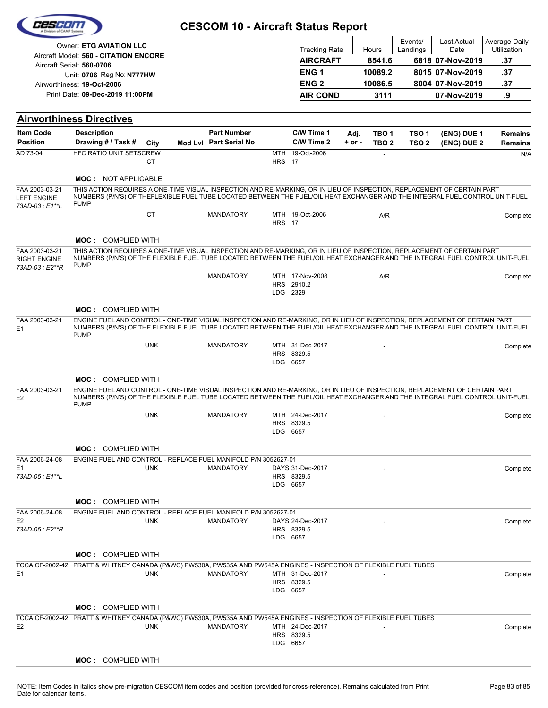|  | Cesedin            |  |
|--|--------------------|--|
|  | vision of CAMP Sys |  |
|  |                    |  |

| <b>Owner: ETG AVIATION LLC</b>                                     | Tracking Rate   | Hours   | Events/<br>Landings | <b>Last Actual</b><br>Date | Average Daily<br><b>Utilization</b> |
|--------------------------------------------------------------------|-----------------|---------|---------------------|----------------------------|-------------------------------------|
| Aircraft Model: 560 - CITATION ENCORE<br>Aircraft Serial: 560-0706 | <b>AIRCRAFT</b> | 8541.6  |                     | 6818 07-Nov-2019           | .37                                 |
| Unit: 0706 Reg No: N777HW                                          | <b>ENG1</b>     | 10089.2 |                     | 8015 07-Nov-2019           | .37                                 |
| Airworthiness: 19-Oct-2006                                         | <b>ENG 2</b>    | 10086.5 |                     | 8004 07-Nov-2019           | .37                                 |
| Print Date: 09-Dec-2019 11:00PM                                    | <b>AIR COND</b> | 3111    |                     | 07-Nov-2019                | .9                                  |

| <b>Item Code</b>                                         | <b>Airworthiness Directives</b><br><b>Description</b>                                                                                                                                                                                                                      |            | <b>Part Number</b>     |               | C/W Time 1                                |                    |                                      |                                      |                            |                                  |
|----------------------------------------------------------|----------------------------------------------------------------------------------------------------------------------------------------------------------------------------------------------------------------------------------------------------------------------------|------------|------------------------|---------------|-------------------------------------------|--------------------|--------------------------------------|--------------------------------------|----------------------------|----------------------------------|
| <b>Position</b>                                          | Drawing # / Task #                                                                                                                                                                                                                                                         | City       | Mod Lvl Part Serial No |               | C/W Time 2                                | Adj.<br>$+$ or $-$ | TBO <sub>1</sub><br>TBO <sub>2</sub> | TSO <sub>1</sub><br>TSO <sub>2</sub> | (ENG) DUE 1<br>(ENG) DUE 2 | <b>Remains</b><br><b>Remains</b> |
| AD 73-04                                                 | HFC RATIO UNIT SETSCREW                                                                                                                                                                                                                                                    |            |                        |               | MTH 19-Oct-2006                           |                    |                                      |                                      |                            | N/A                              |
|                                                          |                                                                                                                                                                                                                                                                            | <b>ICT</b> |                        | <b>HRS</b> 17 |                                           |                    |                                      |                                      |                            |                                  |
|                                                          | <b>MOC: NOT APPLICABLE</b>                                                                                                                                                                                                                                                 |            |                        |               |                                           |                    |                                      |                                      |                            |                                  |
| FAA 2003-03-21                                           | THIS ACTION REQUIRES A ONE-TIME VISUAL INSPECTION AND RE-MARKING, OR IN LIEU OF INSPECTION, REPLACEMENT OF CERTAIN PART                                                                                                                                                    |            |                        |               |                                           |                    |                                      |                                      |                            |                                  |
| <b>LEFT ENGINE</b><br>73AD-03 : E1**L                    | NUMBERS (P/N'S) OF THEFLEXIBLE FUEL TUBE LOCATED BETWEEN THE FUEL/OIL HEAT EXCHANGER AND THE INTEGRAL FUEL CONTROL UNIT-FUEL<br><b>PUMP</b>                                                                                                                                |            |                        |               |                                           |                    |                                      |                                      |                            |                                  |
|                                                          |                                                                                                                                                                                                                                                                            | ICT        | <b>MANDATORY</b>       | <b>HRS</b> 17 | MTH 19-Oct-2006                           |                    | A/R                                  |                                      |                            | Complete                         |
|                                                          | <b>MOC: COMPLIED WITH</b>                                                                                                                                                                                                                                                  |            |                        |               |                                           |                    |                                      |                                      |                            |                                  |
| FAA 2003-03-21<br><b>RIGHT ENGINE</b><br>73AD-03 : E2**R | THIS ACTION REQUIRES A ONE-TIME VISUAL INSPECTION AND RE-MARKING, OR IN LIEU OF INSPECTION, REPLACEMENT OF CERTAIN PART<br>NUMBERS (P/N'S) OF THE FLEXIBLE FUEL TUBE LOCATED BETWEEN THE FUEL/OIL HEAT EXCHANGER AND THE INTEGRAL FUEL CONTROL UNIT-FUEL<br><b>PUMP</b>    |            |                        |               |                                           |                    |                                      |                                      |                            |                                  |
|                                                          |                                                                                                                                                                                                                                                                            |            | <b>MANDATORY</b>       |               | MTH 17-Nov-2008                           |                    | A/R                                  |                                      |                            | Complete                         |
|                                                          |                                                                                                                                                                                                                                                                            |            |                        |               | HRS 2910.2                                |                    |                                      |                                      |                            |                                  |
|                                                          |                                                                                                                                                                                                                                                                            |            |                        |               | LDG 2329                                  |                    |                                      |                                      |                            |                                  |
|                                                          | <b>MOC: COMPLIED WITH</b>                                                                                                                                                                                                                                                  |            |                        |               |                                           |                    |                                      |                                      |                            |                                  |
| FAA 2003-03-21<br>E <sub>1</sub>                         | ENGINE FUEL AND CONTROL - ONE-TIME VISUAL INSPECTION AND RE-MARKING, OR IN LIEU OF INSPECTION, REPLACEMENT OF CERTAIN PART<br>NUMBERS (P/N'S) OF THE FLEXIBLE FUEL TUBE LOCATED BETWEEN THE FUEL/OIL HEAT EXCHANGER AND THE INTEGRAL FUEL CONTROL UNIT-FUEL<br><b>PUMP</b> |            |                        |               |                                           |                    |                                      |                                      |                            |                                  |
|                                                          |                                                                                                                                                                                                                                                                            | <b>UNK</b> | <b>MANDATORY</b>       |               | MTH 31-Dec-2017                           |                    |                                      |                                      |                            | Complete                         |
|                                                          |                                                                                                                                                                                                                                                                            |            |                        |               | HRS 8329.5<br>LDG 6657                    |                    |                                      |                                      |                            |                                  |
|                                                          |                                                                                                                                                                                                                                                                            |            |                        |               |                                           |                    |                                      |                                      |                            |                                  |
|                                                          | <b>MOC: COMPLIED WITH</b>                                                                                                                                                                                                                                                  |            |                        |               |                                           |                    |                                      |                                      |                            |                                  |
| FAA 2003-03-21<br>E <sub>2</sub>                         | ENGINE FUEL AND CONTROL - ONE-TIME VISUAL INSPECTION AND RE-MARKING, OR IN LIEU OF INSPECTION, REPLACEMENT OF CERTAIN PART<br>NUMBERS (P/N'S) OF THE FLEXIBLE FUEL TUBE LOCATED BETWEEN THE FUEL/OIL HEAT EXCHANGER AND THE INTEGRAL FUEL CONTROL UNIT-FUEL<br><b>PUMP</b> |            |                        |               |                                           |                    |                                      |                                      |                            |                                  |
|                                                          |                                                                                                                                                                                                                                                                            | <b>UNK</b> | <b>MANDATORY</b>       |               | MTH 24-Dec-2017                           |                    |                                      |                                      |                            | Complete                         |
|                                                          |                                                                                                                                                                                                                                                                            |            |                        |               | HRS 8329.5<br>LDG 6657                    |                    |                                      |                                      |                            |                                  |
|                                                          |                                                                                                                                                                                                                                                                            |            |                        |               |                                           |                    |                                      |                                      |                            |                                  |
|                                                          | <b>MOC: COMPLIED WITH</b>                                                                                                                                                                                                                                                  |            |                        |               |                                           |                    |                                      |                                      |                            |                                  |
| FAA 2006-24-08<br>E1                                     | ENGINE FUEL AND CONTROL - REPLACE FUEL MANIFOLD P/N 3052627-01                                                                                                                                                                                                             | <b>UNK</b> | <b>MANDATORY</b>       |               | DAYS 31-Dec-2017                          |                    |                                      |                                      |                            | Complete                         |
| 73AD-05 : E1**L                                          |                                                                                                                                                                                                                                                                            |            |                        |               | HRS 8329.5                                |                    |                                      |                                      |                            |                                  |
|                                                          |                                                                                                                                                                                                                                                                            |            |                        |               | LDG 6657                                  |                    |                                      |                                      |                            |                                  |
|                                                          | <b>MOC: COMPLIED WITH</b>                                                                                                                                                                                                                                                  |            |                        |               |                                           |                    |                                      |                                      |                            |                                  |
| FAA 2006-24-08                                           | ENGINE FUEL AND CONTROL - REPLACE FUEL MANIFOLD P/N 3052627-01                                                                                                                                                                                                             |            |                        |               |                                           |                    |                                      |                                      |                            |                                  |
| E <sub>2</sub><br>73AD-05 : E2**R                        |                                                                                                                                                                                                                                                                            | <b>UNK</b> | MANDATORY              |               | DAYS 24-Dec-2017<br>HRS 8329.5            |                    |                                      |                                      |                            | Complete                         |
|                                                          |                                                                                                                                                                                                                                                                            |            |                        |               | LDG 6657                                  |                    |                                      |                                      |                            |                                  |
|                                                          | <b>MOC: COMPLIED WITH</b>                                                                                                                                                                                                                                                  |            |                        |               |                                           |                    |                                      |                                      |                            |                                  |
|                                                          | TCCA CF-2002-42 PRATT & WHITNEY CANADA (P&WC) PW530A, PW535A AND PW545A ENGINES - INSPECTION OF FLEXIBLE FUEL TUBES                                                                                                                                                        |            |                        |               |                                           |                    |                                      |                                      |                            |                                  |
| E <sub>1</sub>                                           |                                                                                                                                                                                                                                                                            | <b>UNK</b> | <b>MANDATORY</b>       |               | MTH 31-Dec-2017<br>HRS 8329.5<br>LDG 6657 |                    |                                      |                                      |                            | Complete                         |
|                                                          | <b>MOC:</b> COMPLIED WITH                                                                                                                                                                                                                                                  |            |                        |               |                                           |                    |                                      |                                      |                            |                                  |
|                                                          | TCCA CF-2002-42 PRATT & WHITNEY CANADA (P&WC) PW530A, PW535A AND PW545A ENGINES - INSPECTION OF FLEXIBLE FUEL TUBES                                                                                                                                                        |            |                        |               |                                           |                    |                                      |                                      |                            |                                  |
| E <sub>2</sub>                                           |                                                                                                                                                                                                                                                                            | <b>UNK</b> | MANDATORY              |               | MTH 24-Dec-2017                           |                    |                                      |                                      |                            | Complete                         |
|                                                          |                                                                                                                                                                                                                                                                            |            |                        |               | HRS 8329.5<br>LDG 6657                    |                    |                                      |                                      |                            |                                  |
|                                                          |                                                                                                                                                                                                                                                                            |            |                        |               |                                           |                    |                                      |                                      |                            |                                  |
|                                                          | <b>MOC: COMPLIED WITH</b>                                                                                                                                                                                                                                                  |            |                        |               |                                           |                    |                                      |                                      |                            |                                  |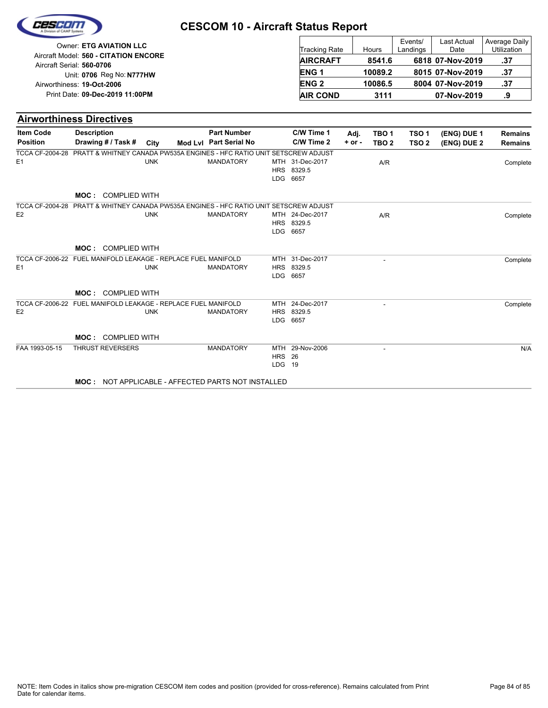| Cescom |  |
|--------|--|
|        |  |

| <b>Owner: ETG AVIATION LLC</b>                                     | <b>Tracking Rate</b>   | Hours   | Events/<br>Landings | Last Actual<br>Date | Average Daily<br><b>Utilization</b> |
|--------------------------------------------------------------------|------------------------|---------|---------------------|---------------------|-------------------------------------|
| Aircraft Model: 560 - CITATION ENCORE<br>Aircraft Serial: 560-0706 | <b>AIRCRAFT</b>        | 8541.6  |                     | 6818 07-Nov-2019    | .37                                 |
| Unit: 0706 Reg No: N777HW                                          | <b>ENG1</b>            | 10089.2 |                     | 8015 07-Nov-2019    | .37                                 |
| Airworthiness: 19-Oct-2006                                         | <b>ENG<sub>2</sub></b> | 10086.5 |                     | 8004 07-Nov-2019    | .37                                 |
| Print Date: 09-Dec-2019 11:00PM                                    | <b>AIR COND</b>        | 3111    |                     | 07-Nov-2019         |                                     |

### **Airworthiness Directives**

| <b>Item Code</b>       | <b>Description</b>                                                     |            | <b>Part Number</b>     |            | C/W Time 1      | Adj.       | TBO <sub>1</sub> | TSO <sub>1</sub> | (ENG) DUE 1 | <b>Remains</b> |
|------------------------|------------------------------------------------------------------------|------------|------------------------|------------|-----------------|------------|------------------|------------------|-------------|----------------|
| <b>Position</b>        | Drawing # / Task #                                                     | City       | Mod Lvl Part Serial No |            | C/W Time 2      | $+$ or $-$ | TBO <sub>2</sub> | TSO <sub>2</sub> | (ENG) DUE 2 | <b>Remains</b> |
| <b>TCCA CF-2004-28</b> | PRATT & WHITNEY CANADA PW535A ENGINES - HFC RATIO UNIT SETSCREW ADJUST |            |                        |            |                 |            |                  |                  |             |                |
| E <sub>1</sub>         |                                                                        | <b>UNK</b> | <b>MANDATORY</b>       |            | MTH 31-Dec-2017 |            | A/R              |                  |             | Complete       |
|                        |                                                                        |            |                        | <b>HRS</b> | 8329.5          |            |                  |                  |             |                |
|                        |                                                                        |            |                        | LDG        | 6657            |            |                  |                  |             |                |
|                        | <b>COMPLIED WITH</b><br>MOC :                                          |            |                        |            |                 |            |                  |                  |             |                |
| <b>TCCA CF-2004-28</b> | PRATT & WHITNEY CANADA PW535A ENGINES - HFC RATIO UNIT SETSCREW ADJUST |            |                        |            |                 |            |                  |                  |             |                |
| E <sub>2</sub>         |                                                                        | <b>UNK</b> | <b>MANDATORY</b>       |            | MTH 24-Dec-2017 |            | A/R              |                  |             | Complete       |
|                        |                                                                        |            |                        | <b>HRS</b> | 8329.5          |            |                  |                  |             |                |
|                        |                                                                        |            |                        | LDG        | 6657            |            |                  |                  |             |                |
|                        | <b>MOC: COMPLIED WITH</b>                                              |            |                        |            |                 |            |                  |                  |             |                |
| <b>TCCA CF-2006-22</b> | FUEL MANIFOLD LEAKAGE - REPLACE FUEL MANIFOLD                          |            |                        |            | MTH 31-Dec-2017 |            | ٠                |                  |             | Complete       |
| E <sub>1</sub>         |                                                                        | <b>UNK</b> | <b>MANDATORY</b>       | <b>HRS</b> | 8329.5          |            |                  |                  |             |                |
|                        |                                                                        |            |                        | LDG        | 6657            |            |                  |                  |             |                |
|                        | <b>MOC: COMPLIED WITH</b>                                              |            |                        |            |                 |            |                  |                  |             |                |
| <b>TCCA CF-2006-22</b> | FUEL MANIFOLD LEAKAGE - REPLACE FUEL MANIFOLD                          |            |                        |            | MTH 24-Dec-2017 |            | ä,               |                  |             | Complete       |
| E <sub>2</sub>         |                                                                        | <b>UNK</b> | <b>MANDATORY</b>       | <b>HRS</b> | 8329.5          |            |                  |                  |             |                |
|                        |                                                                        |            |                        | <b>LDG</b> | 6657            |            |                  |                  |             |                |
|                        | <b>MOC: COMPLIED WITH</b>                                              |            |                        |            |                 |            |                  |                  |             |                |
| FAA 1993-05-15         | <b>THRUST REVERSERS</b>                                                |            | <b>MANDATORY</b>       | <b>MTH</b> | 29-Nov-2006     |            | ۰                |                  |             | N/A            |
|                        |                                                                        |            |                        | <b>HRS</b> | -26             |            |                  |                  |             |                |
|                        |                                                                        |            |                        | <b>LDG</b> | 19              |            |                  |                  |             |                |
|                        | <b>MOC: NOT APPLICABLE - AFFECTED PARTS NOT INSTALLED</b>              |            |                        |            |                 |            |                  |                  |             |                |